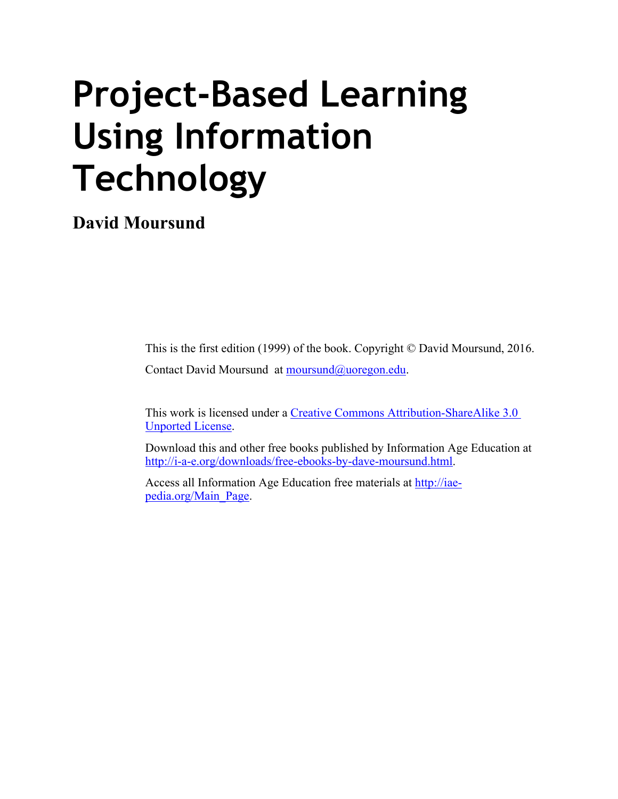# **Project-Based Learning Using Information Technology**

**David Moursund**

This is the first edition (1999) of the book. Copyright © David Moursund, 2016. Contact David Moursund at moursund@uoregon.edu.

This work is licensed under a Creative Commons Attribution-ShareAlike 3.0 Unported License.

Download this and other free books published by Information Age Education at http://i-a-e.org/downloads/free-ebooks-by-dave-moursund.html.

Access all Information Age Education free materials at http://iaepedia.org/Main\_Page.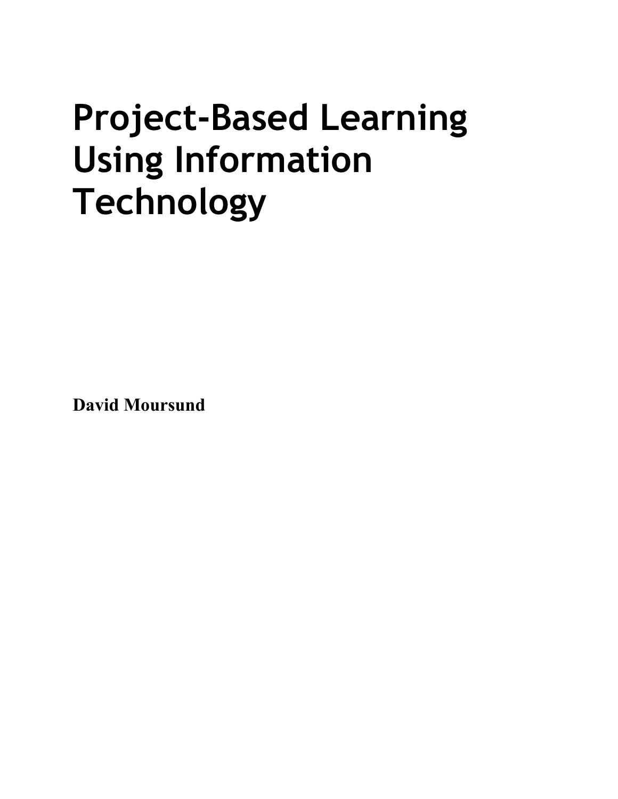# **Project-Based Learning Using Information Technology**

**David Moursund**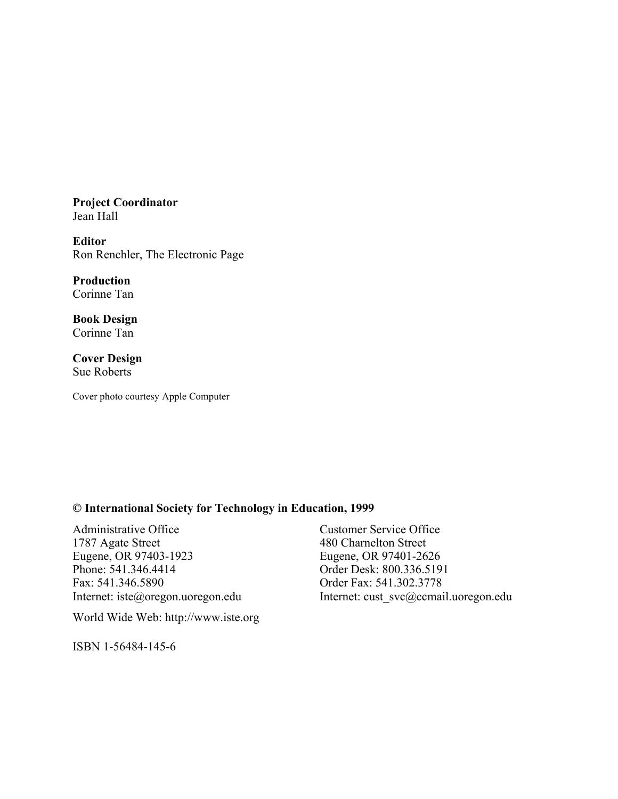**Project Coordinator** Jean Hall

**Editor** Ron Renchler, The Electronic Page

**Production** Corinne Tan

**Book Design** Corinne Tan

**Cover Design** Sue Roberts

Cover photo courtesy Apple Computer

#### **© International Society for Technology in Education, 1999**

Administrative Office 1787 Agate Street Eugene, OR 97403-1923 Phone: 541.346.4414 Fax: 541.346.5890 Internet: iste@oregon.uoregon.edu

World Wide Web: http://www.iste.org

ISBN 1-56484-145-6

Customer Service Office 480 Charnelton Street Eugene, OR 97401-2626 Order Desk: 800.336.5191 Order Fax: 541.302.3778 Internet: cust\_svc@ccmail.uoregon.edu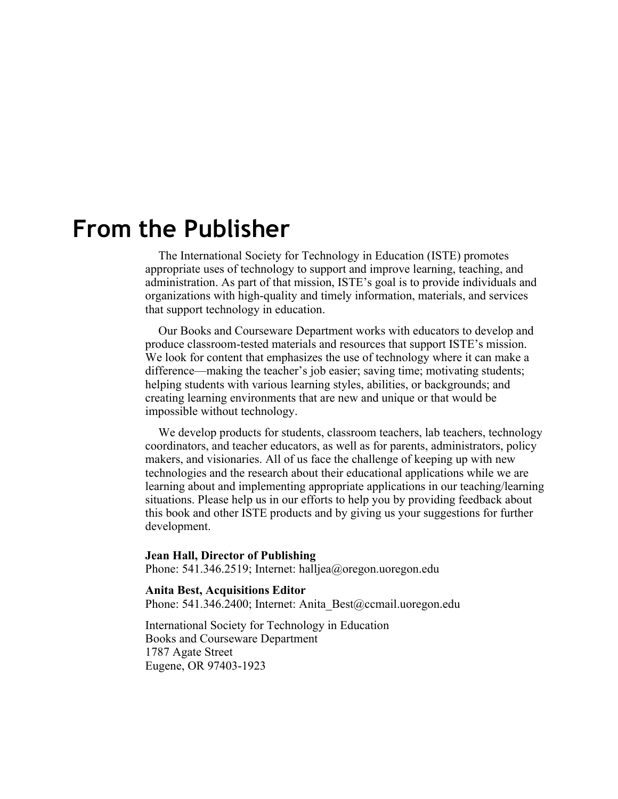# **From the Publisher**

The International Society for Technology in Education (ISTE) promotes appropriate uses of technology to support and improve learning, teaching, and administration. As part of that mission, ISTE's goal is to provide individuals and organizations with high-quality and timely information, materials, and services that support technology in education.

Our Books and Courseware Department works with educators to develop and produce classroom-tested materials and resources that support ISTE's mission. We look for content that emphasizes the use of technology where it can make a difference—making the teacher's job easier; saving time; motivating students; helping students with various learning styles, abilities, or backgrounds; and creating learning environments that are new and unique or that would be impossible without technology.

We develop products for students, classroom teachers, lab teachers, technology coordinators, and teacher educators, as well as for parents, administrators, policy makers, and visionaries. All of us face the challenge of keeping up with new technologies and the research about their educational applications while we are learning about and implementing appropriate applications in our teaching/learning situations. Please help us in our efforts to help you by providing feedback about this book and other ISTE products and by giving us your suggestions for further development.

#### **Jean Hall, Director of Publishing**

Phone: 541.346.2519; Internet: halljea@oregon.uoregon.edu

#### **Anita Best, Acquisitions Editor**

Phone: 541.346.2400; Internet: Anita\_Best@ccmail.uoregon.edu

International Society for Technology in Education Books and Courseware Department 1787 Agate Street Eugene, OR 97403-1923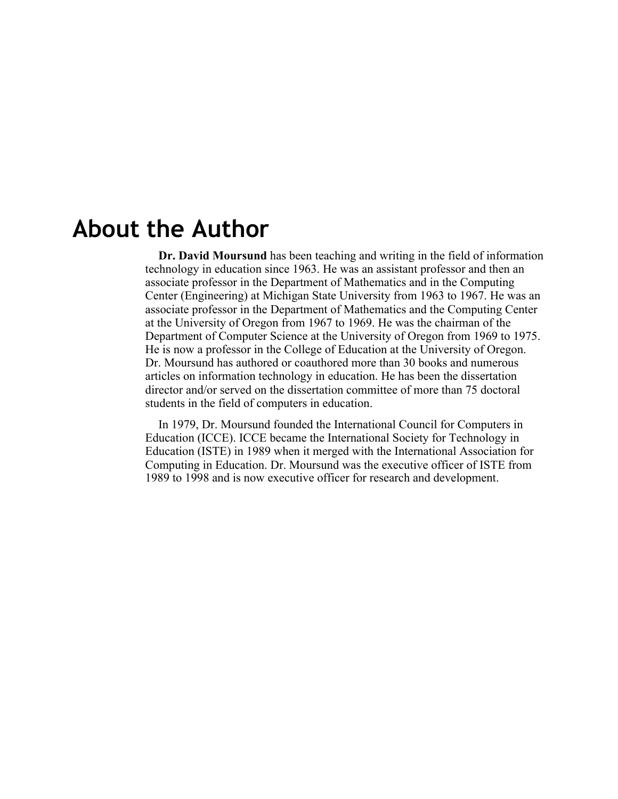# **About the Author**

**Dr. David Moursund** has been teaching and writing in the field of information technology in education since 1963. He was an assistant professor and then an associate professor in the Department of Mathematics and in the Computing Center (Engineering) at Michigan State University from 1963 to 1967. He was an associate professor in the Department of Mathematics and the Computing Center at the University of Oregon from 1967 to 1969. He was the chairman of the Department of Computer Science at the University of Oregon from 1969 to 1975. He is now a professor in the College of Education at the University of Oregon. Dr. Moursund has authored or coauthored more than 30 books and numerous articles on information technology in education. He has been the dissertation director and/or served on the dissertation committee of more than 75 doctoral students in the field of computers in education.

In 1979, Dr. Moursund founded the International Council for Computers in Education (ICCE). ICCE became the International Society for Technology in Education (ISTE) in 1989 when it merged with the International Association for Computing in Education. Dr. Moursund was the executive officer of ISTE from 1989 to 1998 and is now executive officer for research and development.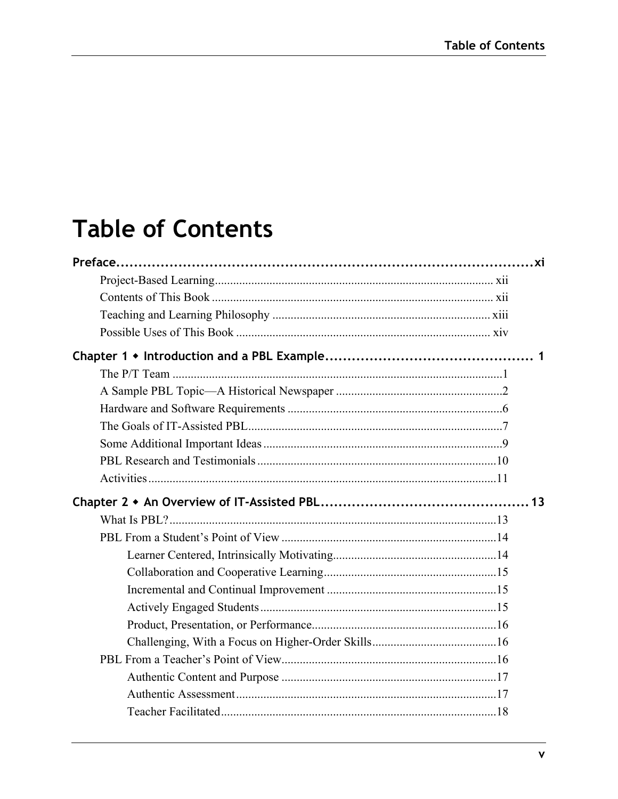# **Table of Contents**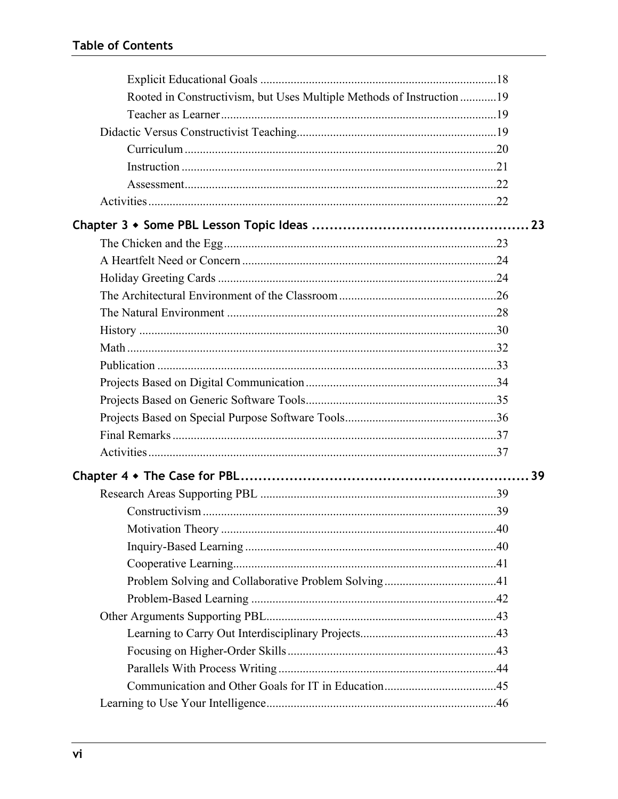| Rooted in Constructivism, but Uses Multiple Methods of Instruction 19 |    |
|-----------------------------------------------------------------------|----|
|                                                                       |    |
|                                                                       |    |
|                                                                       |    |
|                                                                       |    |
|                                                                       |    |
|                                                                       |    |
|                                                                       |    |
|                                                                       |    |
|                                                                       |    |
|                                                                       |    |
|                                                                       |    |
|                                                                       |    |
|                                                                       |    |
|                                                                       |    |
|                                                                       |    |
|                                                                       |    |
|                                                                       |    |
|                                                                       |    |
|                                                                       |    |
|                                                                       |    |
|                                                                       | 39 |
|                                                                       |    |
|                                                                       |    |
|                                                                       |    |
|                                                                       |    |
|                                                                       |    |
|                                                                       |    |
|                                                                       |    |
|                                                                       |    |
|                                                                       |    |
|                                                                       |    |
|                                                                       |    |
|                                                                       |    |
|                                                                       |    |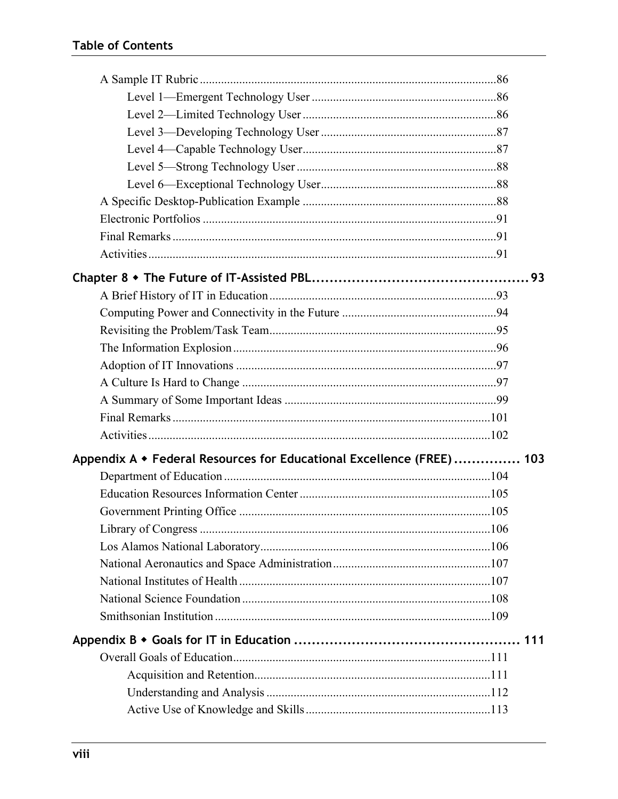| Appendix A • Federal Resources for Educational Excellence (FREE)  103 |  |
|-----------------------------------------------------------------------|--|
|                                                                       |  |
|                                                                       |  |
|                                                                       |  |
|                                                                       |  |
|                                                                       |  |
|                                                                       |  |
|                                                                       |  |
|                                                                       |  |
|                                                                       |  |
|                                                                       |  |
|                                                                       |  |
|                                                                       |  |
|                                                                       |  |
|                                                                       |  |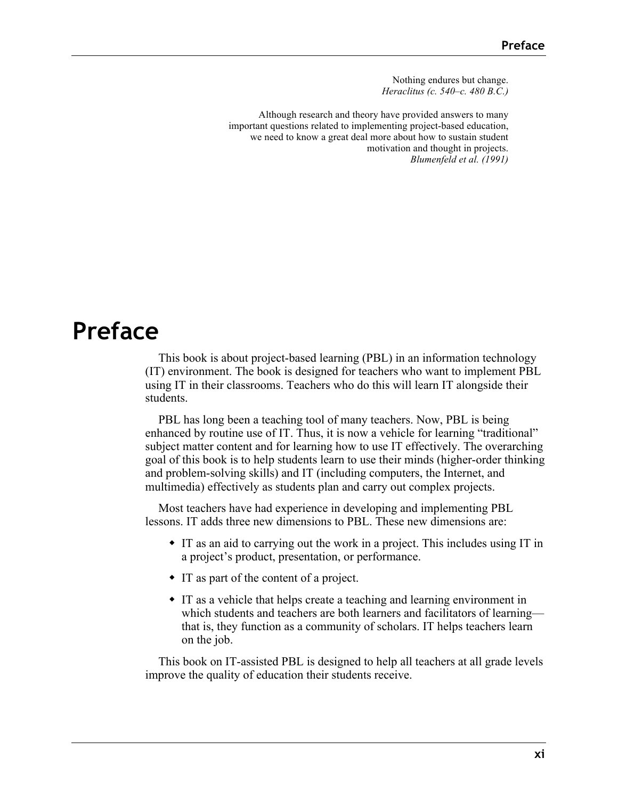Nothing endures but change. *Heraclitus (c. 540–c. 480 B.C.)*

Although research and theory have provided answers to many important questions related to implementing project-based education, we need to know a great deal more about how to sustain student motivation and thought in projects. *Blumenfeld et al. (1991)*

# **Preface**

This book is about project-based learning (PBL) in an information technology (IT) environment. The book is designed for teachers who want to implement PBL using IT in their classrooms. Teachers who do this will learn IT alongside their students.

PBL has long been a teaching tool of many teachers. Now, PBL is being enhanced by routine use of IT. Thus, it is now a vehicle for learning "traditional" subject matter content and for learning how to use IT effectively. The overarching goal of this book is to help students learn to use their minds (higher-order thinking and problem-solving skills) and IT (including computers, the Internet, and multimedia) effectively as students plan and carry out complex projects.

Most teachers have had experience in developing and implementing PBL lessons. IT adds three new dimensions to PBL. These new dimensions are:

- w IT as an aid to carrying out the work in a project. This includes using IT in a project's product, presentation, or performance.
- $\bullet$  IT as part of the content of a project.
- IT as a vehicle that helps create a teaching and learning environment in which students and teachers are both learners and facilitators of learning that is, they function as a community of scholars. IT helps teachers learn on the job.

This book on IT-assisted PBL is designed to help all teachers at all grade levels improve the quality of education their students receive.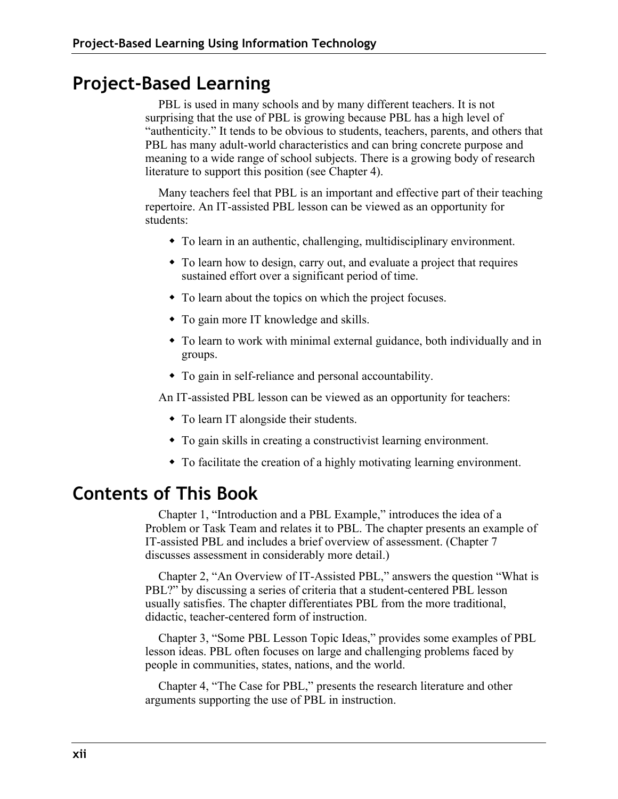## **Project-Based Learning**

PBL is used in many schools and by many different teachers. It is not surprising that the use of PBL is growing because PBL has a high level of "authenticity." It tends to be obvious to students, teachers, parents, and others that PBL has many adult-world characteristics and can bring concrete purpose and meaning to a wide range of school subjects. There is a growing body of research literature to support this position (see Chapter 4).

Many teachers feel that PBL is an important and effective part of their teaching repertoire. An IT-assisted PBL lesson can be viewed as an opportunity for students:

- $\bullet$  To learn in an authentic, challenging, multidisciplinary environment.
- To learn how to design, carry out, and evaluate a project that requires sustained effort over a significant period of time.
- To learn about the topics on which the project focuses.
- $\bullet$  To gain more IT knowledge and skills.
- To learn to work with minimal external guidance, both individually and in groups.
- $\bullet$  To gain in self-reliance and personal accountability.

An IT-assisted PBL lesson can be viewed as an opportunity for teachers:

- To learn IT alongside their students.
- To gain skills in creating a constructivist learning environment.
- $\bullet$  To facilitate the creation of a highly motivating learning environment.

### **Contents of This Book**

Chapter 1, "Introduction and a PBL Example," introduces the idea of a Problem or Task Team and relates it to PBL. The chapter presents an example of IT-assisted PBL and includes a brief overview of assessment. (Chapter 7 discusses assessment in considerably more detail.)

Chapter 2, "An Overview of IT-Assisted PBL," answers the question "What is PBL?" by discussing a series of criteria that a student-centered PBL lesson usually satisfies. The chapter differentiates PBL from the more traditional, didactic, teacher-centered form of instruction.

Chapter 3, "Some PBL Lesson Topic Ideas," provides some examples of PBL lesson ideas. PBL often focuses on large and challenging problems faced by people in communities, states, nations, and the world.

Chapter 4, "The Case for PBL," presents the research literature and other arguments supporting the use of PBL in instruction.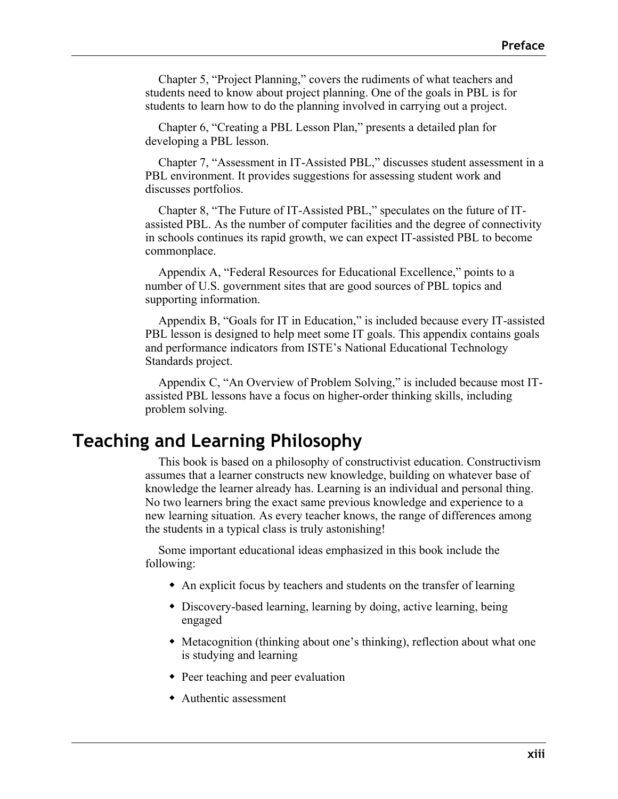Chapter 5, "Project Planning," covers the rudiments of what teachers and students need to know about project planning. One of the goals in PBL is for students to learn how to do the planning involved in carrying out a project.

Chapter 6, "Creating a PBL Lesson Plan," presents a detailed plan for developing a PBL lesson.

Chapter 7, "Assessment in IT-Assisted PBL," discusses student assessment in a PBL environment. It provides suggestions for assessing student work and discusses portfolios.

Chapter 8, "The Future of IT-Assisted PBL," speculates on the future of ITassisted PBL. As the number of computer facilities and the degree of connectivity in schools continues its rapid growth, we can expect IT-assisted PBL to become commonplace.

Appendix A, "Federal Resources for Educational Excellence," points to a number of U.S. government sites that are good sources of PBL topics and supporting information.

Appendix B, "Goals for IT in Education," is included because every IT-assisted PBL lesson is designed to help meet some IT goals. This appendix contains goals and performance indicators from ISTE's National Educational Technology Standards project.

Appendix C, "An Overview of Problem Solving," is included because most ITassisted PBL lessons have a focus on higher-order thinking skills, including problem solving.

## **Teaching and Learning Philosophy**

This book is based on a philosophy of constructivist education. Constructivism assumes that a learner constructs new knowledge, building on whatever base of knowledge the learner already has. Learning is an individual and personal thing. No two learners bring the exact same previous knowledge and experience to a new learning situation. As every teacher knows, the range of differences among the students in a typical class is truly astonishing!

Some important educational ideas emphasized in this book include the following:

- $\bullet$  An explicit focus by teachers and students on the transfer of learning
- Discovery-based learning, learning by doing, active learning, being engaged
- Metacognition (thinking about one's thinking), reflection about what one is studying and learning
- $\bullet$  Peer teaching and peer evaluation
- $\triangle$  Authentic assessment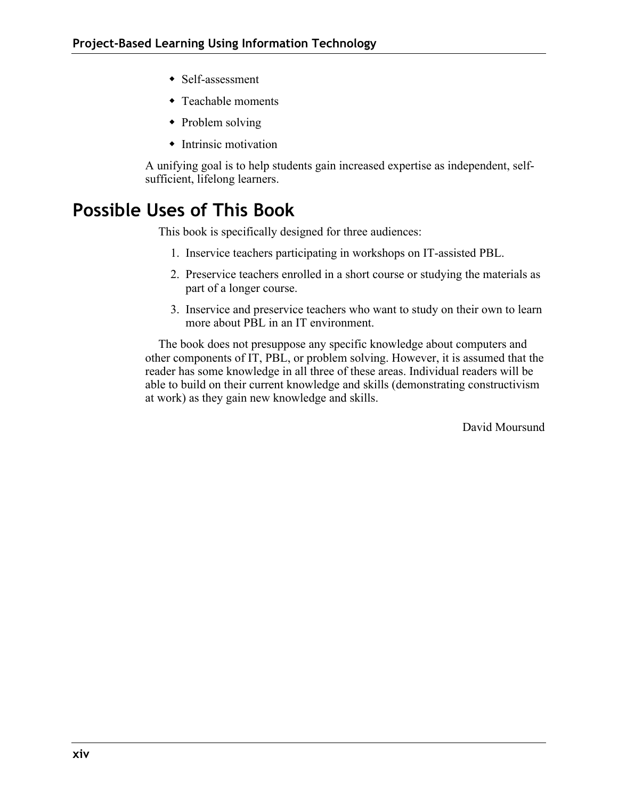- $\triangleleft$  Self-assessment
- $\triangleleft$  Teachable moments
- $\rightarrow$  Problem solving
- $\bullet$  Intrinsic motivation

A unifying goal is to help students gain increased expertise as independent, selfsufficient, lifelong learners.

## **Possible Uses of This Book**

This book is specifically designed for three audiences:

- 1. Inservice teachers participating in workshops on IT-assisted PBL.
- 2. Preservice teachers enrolled in a short course or studying the materials as part of a longer course.
- 3. Inservice and preservice teachers who want to study on their own to learn more about PBL in an IT environment.

The book does not presuppose any specific knowledge about computers and other components of IT, PBL, or problem solving. However, it is assumed that the reader has some knowledge in all three of these areas. Individual readers will be able to build on their current knowledge and skills (demonstrating constructivism at work) as they gain new knowledge and skills.

David Moursund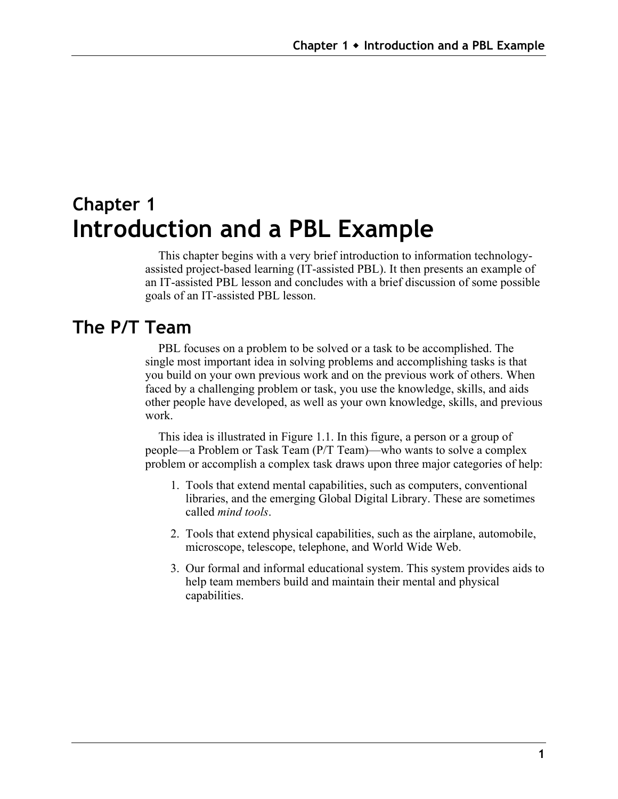# **Chapter 1 Introduction and a PBL Example**

This chapter begins with a very brief introduction to information technologyassisted project-based learning (IT-assisted PBL). It then presents an example of an IT-assisted PBL lesson and concludes with a brief discussion of some possible goals of an IT-assisted PBL lesson.

## **The P/T Team**

PBL focuses on a problem to be solved or a task to be accomplished. The single most important idea in solving problems and accomplishing tasks is that you build on your own previous work and on the previous work of others. When faced by a challenging problem or task, you use the knowledge, skills, and aids other people have developed, as well as your own knowledge, skills, and previous work.

This idea is illustrated in Figure 1.1. In this figure, a person or a group of people—a Problem or Task Team (P/T Team)—who wants to solve a complex problem or accomplish a complex task draws upon three major categories of help:

- 1. Tools that extend mental capabilities, such as computers, conventional libraries, and the emerging Global Digital Library. These are sometimes called *mind tools*.
- 2. Tools that extend physical capabilities, such as the airplane, automobile, microscope, telescope, telephone, and World Wide Web.
- 3. Our formal and informal educational system. This system provides aids to help team members build and maintain their mental and physical capabilities.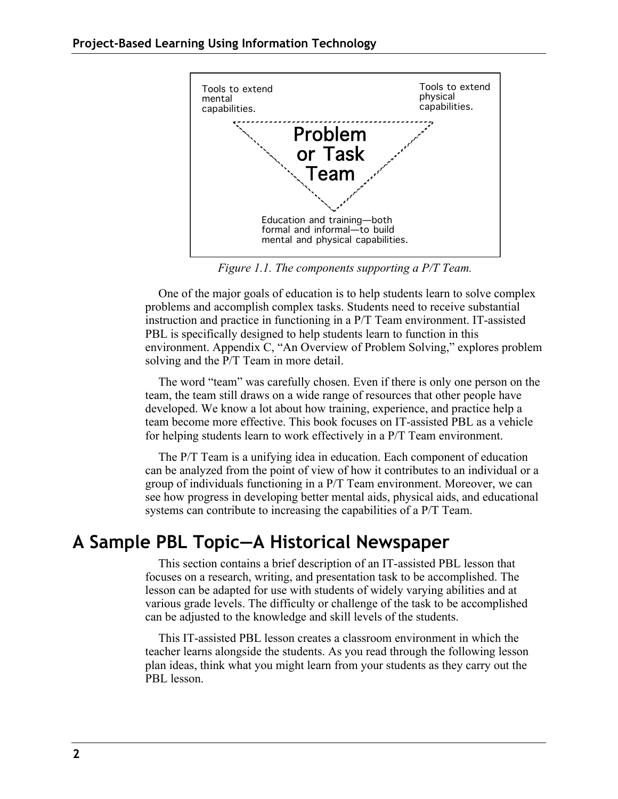

*Figure 1.1. The components supporting a P/T Team.*

One of the major goals of education is to help students learn to solve complex problems and accomplish complex tasks. Students need to receive substantial instruction and practice in functioning in a P/T Team environment. IT-assisted PBL is specifically designed to help students learn to function in this environment. Appendix C, "An Overview of Problem Solving," explores problem solving and the P/T Team in more detail.

The word "team" was carefully chosen. Even if there is only one person on the team, the team still draws on a wide range of resources that other people have developed. We know a lot about how training, experience, and practice help a team become more effective. This book focuses on IT-assisted PBL as a vehicle for helping students learn to work effectively in a P/T Team environment.

The P/T Team is a unifying idea in education. Each component of education can be analyzed from the point of view of how it contributes to an individual or a group of individuals functioning in a  $P/T$  Team environment. Moreover, we can see how progress in developing better mental aids, physical aids, and educational systems can contribute to increasing the capabilities of a P/T Team.

## **A Sample PBL Topic—A Historical Newspaper**

This section contains a brief description of an IT-assisted PBL lesson that focuses on a research, writing, and presentation task to be accomplished. The lesson can be adapted for use with students of widely varying abilities and at various grade levels. The difficulty or challenge of the task to be accomplished can be adjusted to the knowledge and skill levels of the students.

This IT-assisted PBL lesson creates a classroom environment in which the teacher learns alongside the students. As you read through the following lesson plan ideas, think what you might learn from your students as they carry out the PBL lesson.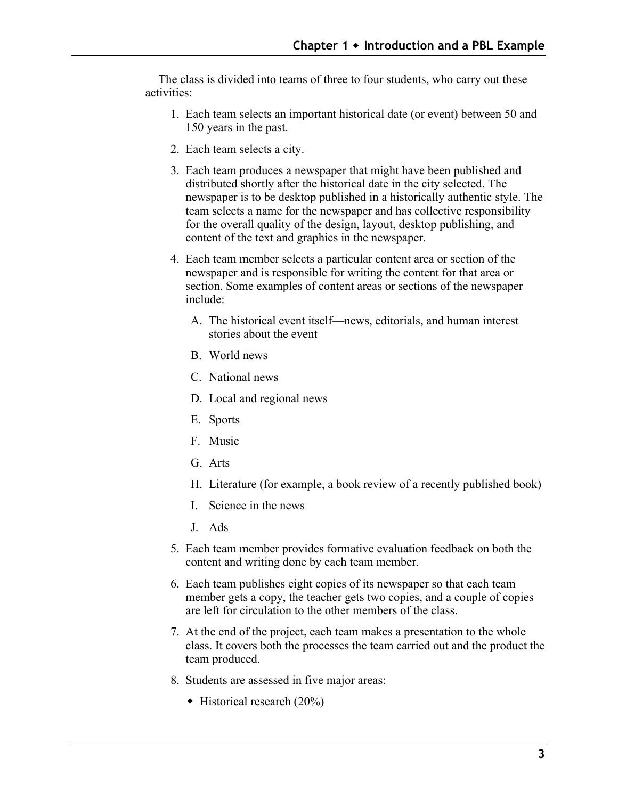The class is divided into teams of three to four students, who carry out these activities:

- 1. Each team selects an important historical date (or event) between 50 and 150 years in the past.
- 2. Each team selects a city.
- 3. Each team produces a newspaper that might have been published and distributed shortly after the historical date in the city selected. The newspaper is to be desktop published in a historically authentic style. The team selects a name for the newspaper and has collective responsibility for the overall quality of the design, layout, desktop publishing, and content of the text and graphics in the newspaper.
- 4. Each team member selects a particular content area or section of the newspaper and is responsible for writing the content for that area or section. Some examples of content areas or sections of the newspaper include:
	- A. The historical event itself—news, editorials, and human interest stories about the event
	- B. World news
	- C. National news
	- D. Local and regional news
	- E. Sports
	- F. Music
	- G. Arts
	- H. Literature (for example, a book review of a recently published book)
	- I. Science in the news
	- J. Ads
- 5. Each team member provides formative evaluation feedback on both the content and writing done by each team member.
- 6. Each team publishes eight copies of its newspaper so that each team member gets a copy, the teacher gets two copies, and a couple of copies are left for circulation to the other members of the class.
- 7. At the end of the project, each team makes a presentation to the whole class. It covers both the processes the team carried out and the product the team produced.
- 8. Students are assessed in five major areas:
	- $\triangleleft$  Historical research (20%)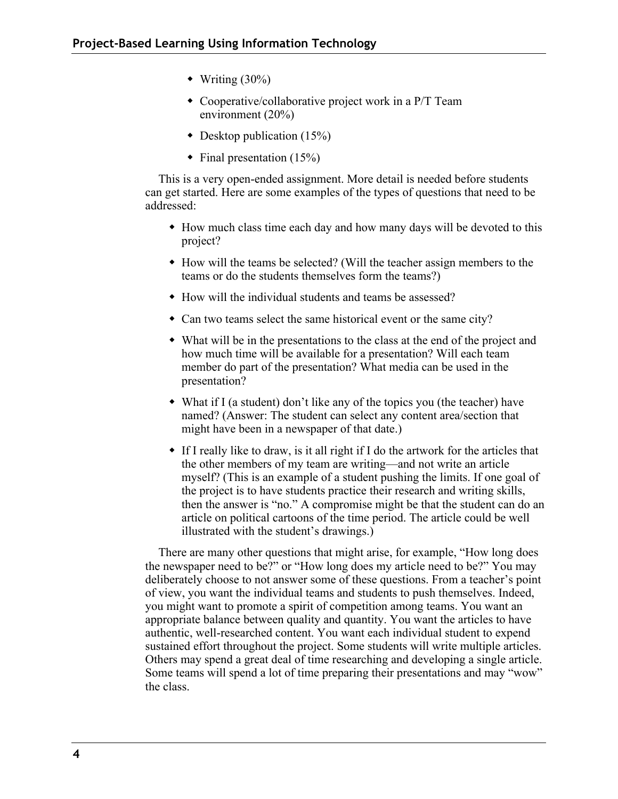- $\blacktriangleright$  Writing (30%)
- Cooperative/collaborative project work in a  $P/T$  Team environment (20%)
- $\bullet$  Desktop publication (15%)
- $\bullet$  Final presentation (15%)

This is a very open-ended assignment. More detail is needed before students can get started. Here are some examples of the types of questions that need to be addressed:

- How much class time each day and how many days will be devoted to this project?
- $\bullet$  How will the teams be selected? (Will the teacher assign members to the teams or do the students themselves form the teams?)
- $\bullet$  How will the individual students and teams be assessed?
- Can two teams select the same historical event or the same city?
- What will be in the presentations to the class at the end of the project and how much time will be available for a presentation? Will each team member do part of the presentation? What media can be used in the presentation?
- What if I (a student) don't like any of the topics you (the teacher) have named? (Answer: The student can select any content area/section that might have been in a newspaper of that date.)
- $\bullet$  If I really like to draw, is it all right if I do the artwork for the articles that the other members of my team are writing—and not write an article myself? (This is an example of a student pushing the limits. If one goal of the project is to have students practice their research and writing skills, then the answer is "no." A compromise might be that the student can do an article on political cartoons of the time period. The article could be well illustrated with the student's drawings.)

There are many other questions that might arise, for example, "How long does the newspaper need to be?" or "How long does my article need to be?" You may deliberately choose to not answer some of these questions. From a teacher's point of view, you want the individual teams and students to push themselves. Indeed, you might want to promote a spirit of competition among teams. You want an appropriate balance between quality and quantity. You want the articles to have authentic, well-researched content. You want each individual student to expend sustained effort throughout the project. Some students will write multiple articles. Others may spend a great deal of time researching and developing a single article. Some teams will spend a lot of time preparing their presentations and may "wow" the class.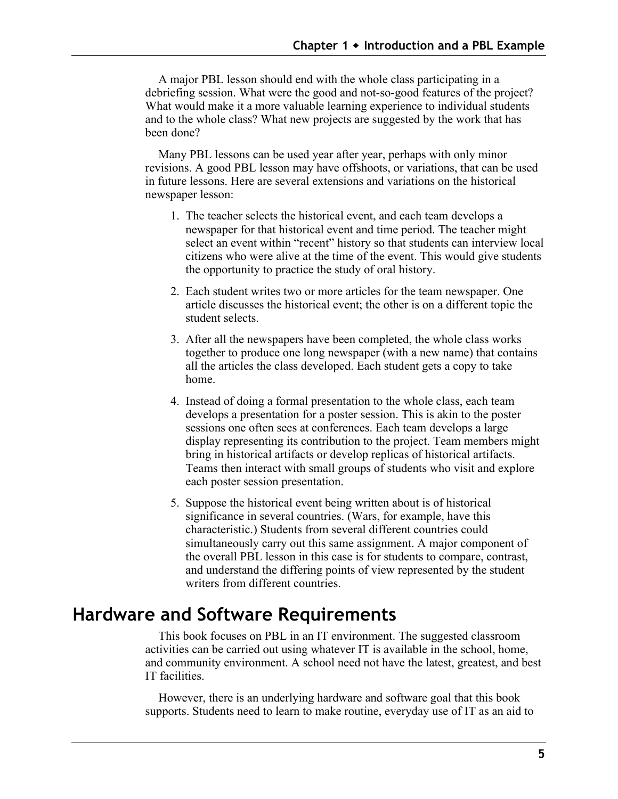A major PBL lesson should end with the whole class participating in a debriefing session. What were the good and not-so-good features of the project? What would make it a more valuable learning experience to individual students and to the whole class? What new projects are suggested by the work that has been done?

Many PBL lessons can be used year after year, perhaps with only minor revisions. A good PBL lesson may have offshoots, or variations, that can be used in future lessons. Here are several extensions and variations on the historical newspaper lesson:

- 1. The teacher selects the historical event, and each team develops a newspaper for that historical event and time period. The teacher might select an event within "recent" history so that students can interview local citizens who were alive at the time of the event. This would give students the opportunity to practice the study of oral history.
- 2. Each student writes two or more articles for the team newspaper. One article discusses the historical event; the other is on a different topic the student selects.
- 3. After all the newspapers have been completed, the whole class works together to produce one long newspaper (with a new name) that contains all the articles the class developed. Each student gets a copy to take home.
- 4. Instead of doing a formal presentation to the whole class, each team develops a presentation for a poster session. This is akin to the poster sessions one often sees at conferences. Each team develops a large display representing its contribution to the project. Team members might bring in historical artifacts or develop replicas of historical artifacts. Teams then interact with small groups of students who visit and explore each poster session presentation.
- 5. Suppose the historical event being written about is of historical significance in several countries. (Wars, for example, have this characteristic.) Students from several different countries could simultaneously carry out this same assignment. A major component of the overall PBL lesson in this case is for students to compare, contrast, and understand the differing points of view represented by the student writers from different countries.

## **Hardware and Software Requirements**

This book focuses on PBL in an IT environment. The suggested classroom activities can be carried out using whatever IT is available in the school, home, and community environment. A school need not have the latest, greatest, and best IT facilities.

However, there is an underlying hardware and software goal that this book supports. Students need to learn to make routine, everyday use of IT as an aid to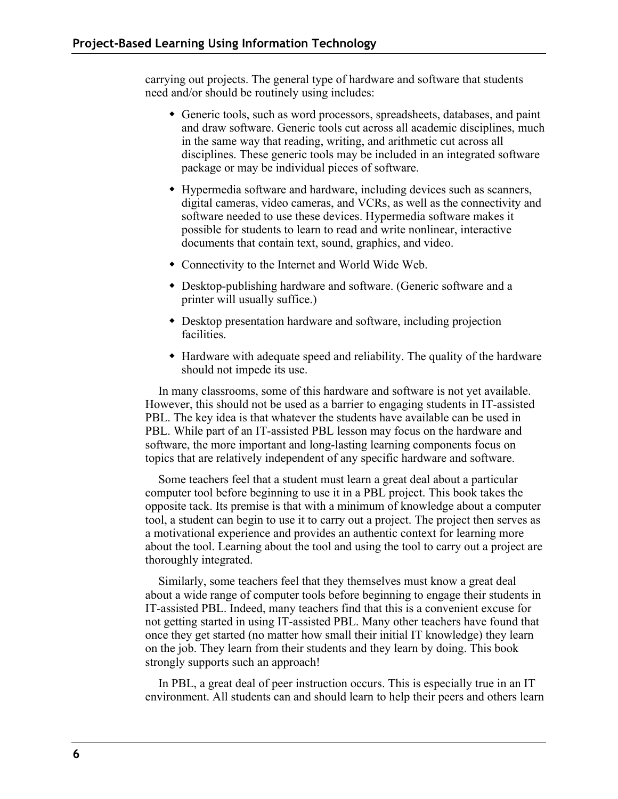carrying out projects. The general type of hardware and software that students need and/or should be routinely using includes:

- Generic tools, such as word processors, spreadsheets, databases, and paint and draw software. Generic tools cut across all academic disciplines, much in the same way that reading, writing, and arithmetic cut across all disciplines. These generic tools may be included in an integrated software package or may be individual pieces of software.
- w Hypermedia software and hardware, including devices such as scanners, digital cameras, video cameras, and VCRs, as well as the connectivity and software needed to use these devices. Hypermedia software makes it possible for students to learn to read and write nonlinear, interactive documents that contain text, sound, graphics, and video.
- Connectivity to the Internet and World Wide Web.
- Desktop-publishing hardware and software. (Generic software and a printer will usually suffice.)
- Desktop presentation hardware and software, including projection facilities.
- $\bullet$  Hardware with adequate speed and reliability. The quality of the hardware should not impede its use.

In many classrooms, some of this hardware and software is not yet available. However, this should not be used as a barrier to engaging students in IT-assisted PBL. The key idea is that whatever the students have available can be used in PBL. While part of an IT-assisted PBL lesson may focus on the hardware and software, the more important and long-lasting learning components focus on topics that are relatively independent of any specific hardware and software.

Some teachers feel that a student must learn a great deal about a particular computer tool before beginning to use it in a PBL project. This book takes the opposite tack. Its premise is that with a minimum of knowledge about a computer tool, a student can begin to use it to carry out a project. The project then serves as a motivational experience and provides an authentic context for learning more about the tool. Learning about the tool and using the tool to carry out a project are thoroughly integrated.

Similarly, some teachers feel that they themselves must know a great deal about a wide range of computer tools before beginning to engage their students in IT-assisted PBL. Indeed, many teachers find that this is a convenient excuse for not getting started in using IT-assisted PBL. Many other teachers have found that once they get started (no matter how small their initial IT knowledge) they learn on the job. They learn from their students and they learn by doing. This book strongly supports such an approach!

In PBL, a great deal of peer instruction occurs. This is especially true in an IT environment. All students can and should learn to help their peers and others learn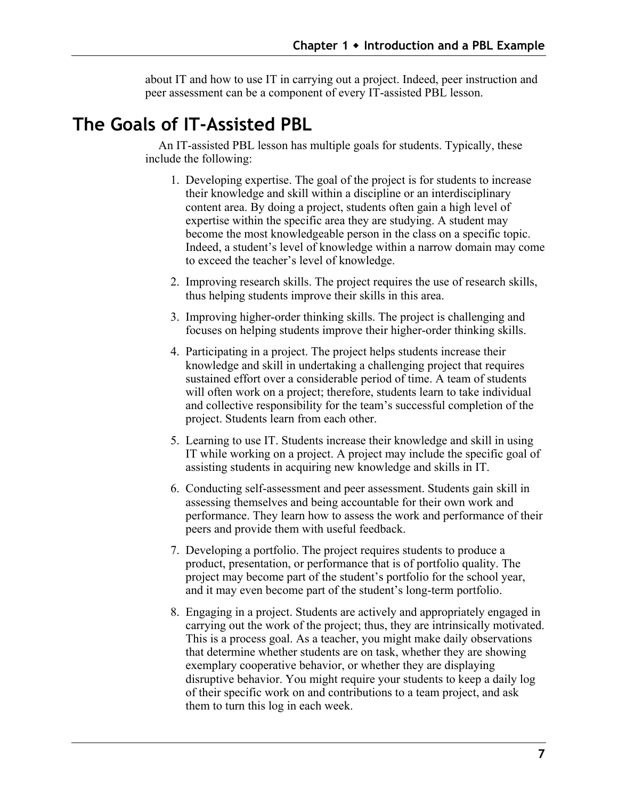about IT and how to use IT in carrying out a project. Indeed, peer instruction and peer assessment can be a component of every IT-assisted PBL lesson.

## **The Goals of IT-Assisted PBL**

An IT-assisted PBL lesson has multiple goals for students. Typically, these include the following:

- 1. Developing expertise. The goal of the project is for students to increase their knowledge and skill within a discipline or an interdisciplinary content area. By doing a project, students often gain a high level of expertise within the specific area they are studying. A student may become the most knowledgeable person in the class on a specific topic. Indeed, a student's level of knowledge within a narrow domain may come to exceed the teacher's level of knowledge.
- 2. Improving research skills. The project requires the use of research skills, thus helping students improve their skills in this area.
- 3. Improving higher-order thinking skills. The project is challenging and focuses on helping students improve their higher-order thinking skills.
- 4. Participating in a project. The project helps students increase their knowledge and skill in undertaking a challenging project that requires sustained effort over a considerable period of time. A team of students will often work on a project; therefore, students learn to take individual and collective responsibility for the team's successful completion of the project. Students learn from each other.
- 5. Learning to use IT. Students increase their knowledge and skill in using IT while working on a project. A project may include the specific goal of assisting students in acquiring new knowledge and skills in IT.
- 6. Conducting self-assessment and peer assessment. Students gain skill in assessing themselves and being accountable for their own work and performance. They learn how to assess the work and performance of their peers and provide them with useful feedback.
- 7. Developing a portfolio. The project requires students to produce a product, presentation, or performance that is of portfolio quality. The project may become part of the student's portfolio for the school year, and it may even become part of the student's long-term portfolio.
- 8. Engaging in a project. Students are actively and appropriately engaged in carrying out the work of the project; thus, they are intrinsically motivated. This is a process goal. As a teacher, you might make daily observations that determine whether students are on task, whether they are showing exemplary cooperative behavior, or whether they are displaying disruptive behavior. You might require your students to keep a daily log of their specific work on and contributions to a team project, and ask them to turn this log in each week.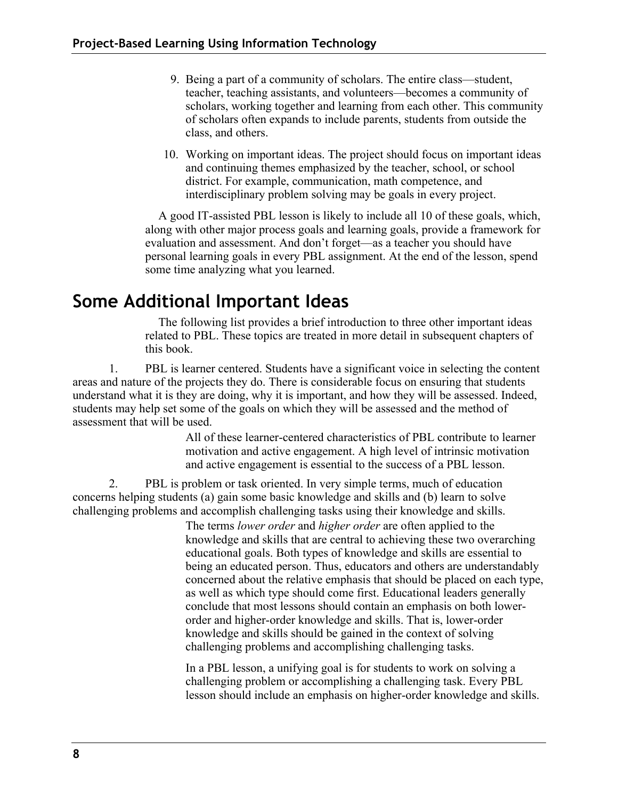- 9. Being a part of a community of scholars. The entire class—student, teacher, teaching assistants, and volunteers—becomes a community of scholars, working together and learning from each other. This community of scholars often expands to include parents, students from outside the class, and others.
- 10. Working on important ideas. The project should focus on important ideas and continuing themes emphasized by the teacher, school, or school district. For example, communication, math competence, and interdisciplinary problem solving may be goals in every project.

A good IT-assisted PBL lesson is likely to include all 10 of these goals, which, along with other major process goals and learning goals, provide a framework for evaluation and assessment. And don't forget—as a teacher you should have personal learning goals in every PBL assignment. At the end of the lesson, spend some time analyzing what you learned.

## **Some Additional Important Ideas**

The following list provides a brief introduction to three other important ideas related to PBL. These topics are treated in more detail in subsequent chapters of this book.

1. PBL is learner centered. Students have a significant voice in selecting the content areas and nature of the projects they do. There is considerable focus on ensuring that students understand what it is they are doing, why it is important, and how they will be assessed. Indeed, students may help set some of the goals on which they will be assessed and the method of assessment that will be used.

> All of these learner-centered characteristics of PBL contribute to learner motivation and active engagement. A high level of intrinsic motivation and active engagement is essential to the success of a PBL lesson.

2. PBL is problem or task oriented. In very simple terms, much of education concerns helping students (a) gain some basic knowledge and skills and (b) learn to solve challenging problems and accomplish challenging tasks using their knowledge and skills.

> The terms *lower order* and *higher order* are often applied to the knowledge and skills that are central to achieving these two overarching educational goals. Both types of knowledge and skills are essential to being an educated person. Thus, educators and others are understandably concerned about the relative emphasis that should be placed on each type, as well as which type should come first. Educational leaders generally conclude that most lessons should contain an emphasis on both lowerorder and higher-order knowledge and skills. That is, lower-order knowledge and skills should be gained in the context of solving challenging problems and accomplishing challenging tasks.

In a PBL lesson, a unifying goal is for students to work on solving a challenging problem or accomplishing a challenging task. Every PBL lesson should include an emphasis on higher-order knowledge and skills.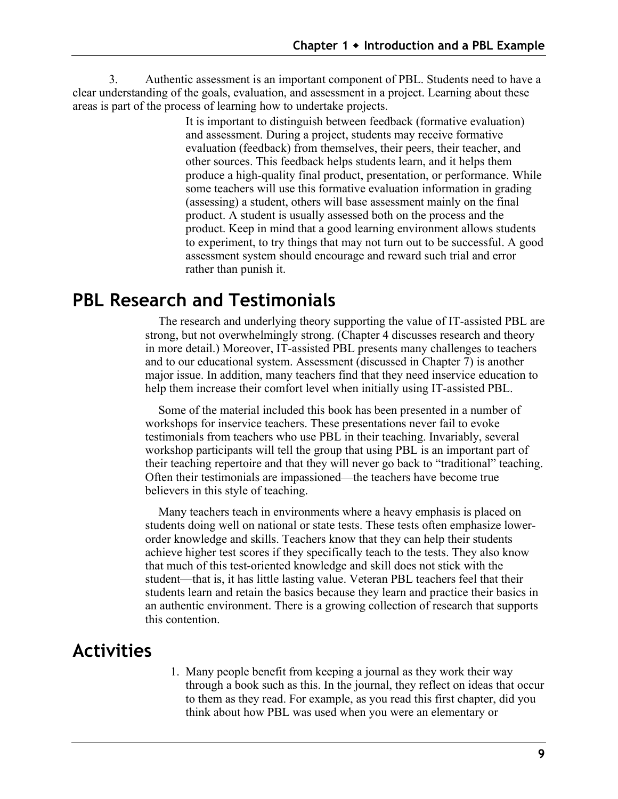3. Authentic assessment is an important component of PBL. Students need to have a clear understanding of the goals, evaluation, and assessment in a project. Learning about these areas is part of the process of learning how to undertake projects.

> It is important to distinguish between feedback (formative evaluation) and assessment. During a project, students may receive formative evaluation (feedback) from themselves, their peers, their teacher, and other sources. This feedback helps students learn, and it helps them produce a high-quality final product, presentation, or performance. While some teachers will use this formative evaluation information in grading (assessing) a student, others will base assessment mainly on the final product. A student is usually assessed both on the process and the product. Keep in mind that a good learning environment allows students to experiment, to try things that may not turn out to be successful. A good assessment system should encourage and reward such trial and error rather than punish it.

## **PBL Research and Testimonials**

The research and underlying theory supporting the value of IT-assisted PBL are strong, but not overwhelmingly strong. (Chapter 4 discusses research and theory in more detail.) Moreover, IT-assisted PBL presents many challenges to teachers and to our educational system. Assessment (discussed in Chapter 7) is another major issue. In addition, many teachers find that they need inservice education to help them increase their comfort level when initially using IT-assisted PBL.

Some of the material included this book has been presented in a number of workshops for inservice teachers. These presentations never fail to evoke testimonials from teachers who use PBL in their teaching. Invariably, several workshop participants will tell the group that using PBL is an important part of their teaching repertoire and that they will never go back to "traditional" teaching. Often their testimonials are impassioned—the teachers have become true believers in this style of teaching.

Many teachers teach in environments where a heavy emphasis is placed on students doing well on national or state tests. These tests often emphasize lowerorder knowledge and skills. Teachers know that they can help their students achieve higher test scores if they specifically teach to the tests. They also know that much of this test-oriented knowledge and skill does not stick with the student—that is, it has little lasting value. Veteran PBL teachers feel that their students learn and retain the basics because they learn and practice their basics in an authentic environment. There is a growing collection of research that supports this contention.

## **Activities**

1. Many people benefit from keeping a journal as they work their way through a book such as this. In the journal, they reflect on ideas that occur to them as they read. For example, as you read this first chapter, did you think about how PBL was used when you were an elementary or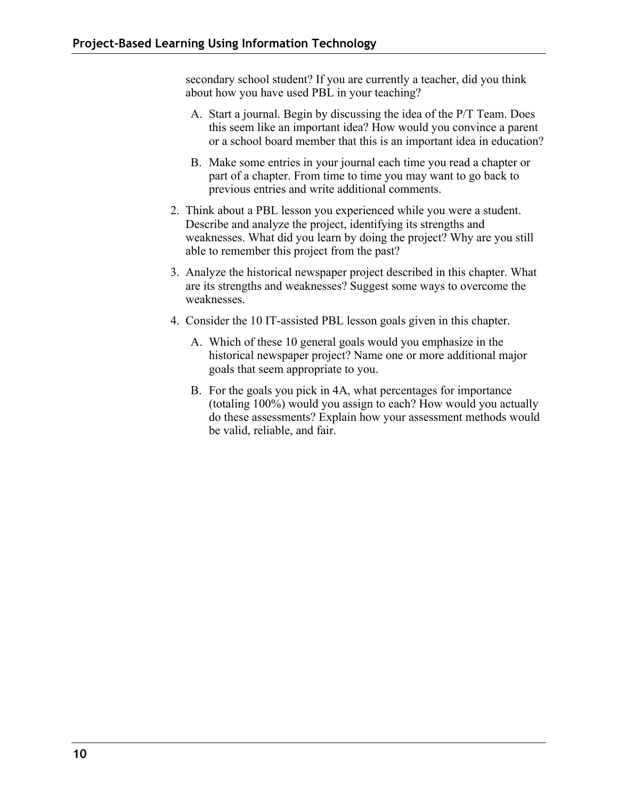secondary school student? If you are currently a teacher, did you think about how you have used PBL in your teaching?

- A. Start a journal. Begin by discussing the idea of the P/T Team. Does this seem like an important idea? How would you convince a parent or a school board member that this is an important idea in education?
- B. Make some entries in your journal each time you read a chapter or part of a chapter. From time to time you may want to go back to previous entries and write additional comments.
- 2. Think about a PBL lesson you experienced while you were a student. Describe and analyze the project, identifying its strengths and weaknesses. What did you learn by doing the project? Why are you still able to remember this project from the past?
- 3. Analyze the historical newspaper project described in this chapter. What are its strengths and weaknesses? Suggest some ways to overcome the weaknesses.
- 4. Consider the 10 IT-assisted PBL lesson goals given in this chapter.
	- A. Which of these 10 general goals would you emphasize in the historical newspaper project? Name one or more additional major goals that seem appropriate to you.
	- B. For the goals you pick in 4A, what percentages for importance (totaling 100%) would you assign to each? How would you actually do these assessments? Explain how your assessment methods would be valid, reliable, and fair.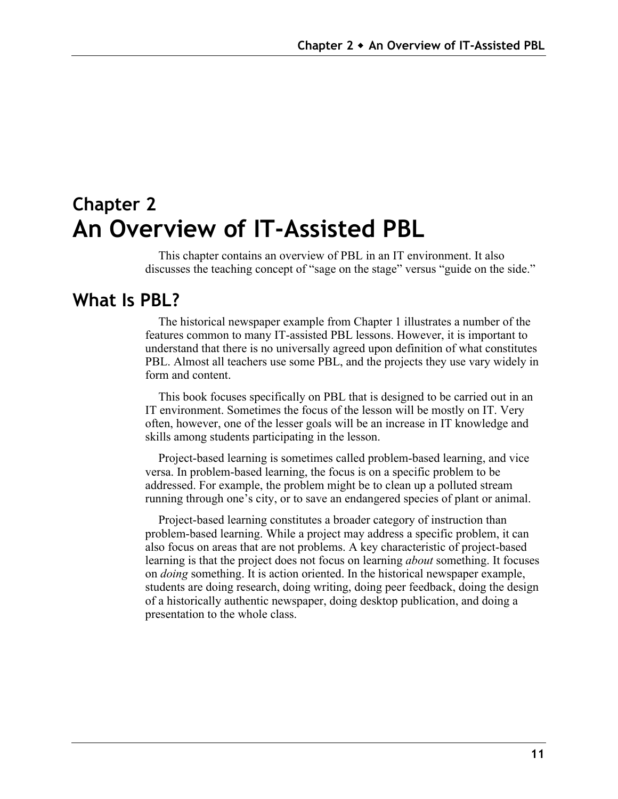## **Chapter 2 An Overview of IT-Assisted PBL**

This chapter contains an overview of PBL in an IT environment. It also discusses the teaching concept of "sage on the stage" versus "guide on the side."

#### **What Is PBL?**

The historical newspaper example from Chapter 1 illustrates a number of the features common to many IT-assisted PBL lessons. However, it is important to understand that there is no universally agreed upon definition of what constitutes PBL. Almost all teachers use some PBL, and the projects they use vary widely in form and content.

This book focuses specifically on PBL that is designed to be carried out in an IT environment. Sometimes the focus of the lesson will be mostly on IT. Very often, however, one of the lesser goals will be an increase in IT knowledge and skills among students participating in the lesson.

Project-based learning is sometimes called problem-based learning, and vice versa. In problem-based learning, the focus is on a specific problem to be addressed. For example, the problem might be to clean up a polluted stream running through one's city, or to save an endangered species of plant or animal.

Project-based learning constitutes a broader category of instruction than problem-based learning. While a project may address a specific problem, it can also focus on areas that are not problems. A key characteristic of project-based learning is that the project does not focus on learning *about* something. It focuses on *doing* something. It is action oriented. In the historical newspaper example, students are doing research, doing writing, doing peer feedback, doing the design of a historically authentic newspaper, doing desktop publication, and doing a presentation to the whole class.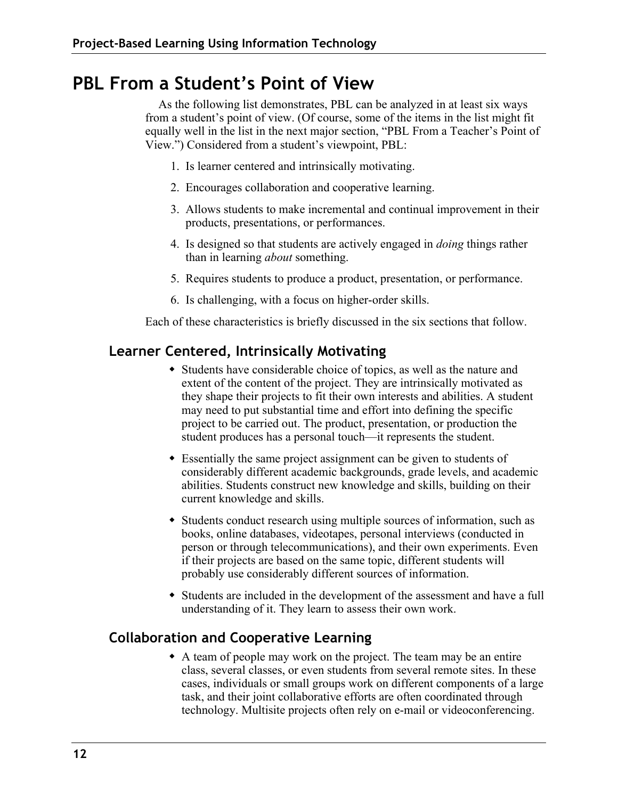## **PBL From a Student's Point of View**

As the following list demonstrates, PBL can be analyzed in at least six ways from a student's point of view. (Of course, some of the items in the list might fit equally well in the list in the next major section, "PBL From a Teacher's Point of View.") Considered from a student's viewpoint, PBL:

- 1. Is learner centered and intrinsically motivating.
- 2. Encourages collaboration and cooperative learning.
- 3. Allows students to make incremental and continual improvement in their products, presentations, or performances.
- 4. Is designed so that students are actively engaged in *doing* things rather than in learning *about* something.
- 5. Requires students to produce a product, presentation, or performance.
- 6. Is challenging, with a focus on higher-order skills.

Each of these characteristics is briefly discussed in the six sections that follow.

#### **Learner Centered, Intrinsically Motivating**

- Students have considerable choice of topics, as well as the nature and extent of the content of the project. They are intrinsically motivated as they shape their projects to fit their own interests and abilities. A student may need to put substantial time and effort into defining the specific project to be carried out. The product, presentation, or production the student produces has a personal touch—it represents the student.
- Essentially the same project assignment can be given to students of considerably different academic backgrounds, grade levels, and academic abilities. Students construct new knowledge and skills, building on their current knowledge and skills.
- Students conduct research using multiple sources of information, such as books, online databases, videotapes, personal interviews (conducted in person or through telecommunications), and their own experiments. Even if their projects are based on the same topic, different students will probably use considerably different sources of information.
- w Students are included in the development of the assessment and have a full understanding of it. They learn to assess their own work.

#### **Collaboration and Cooperative Learning**

 $\bullet$  A team of people may work on the project. The team may be an entire class, several classes, or even students from several remote sites. In these cases, individuals or small groups work on different components of a large task, and their joint collaborative efforts are often coordinated through technology. Multisite projects often rely on e-mail or videoconferencing.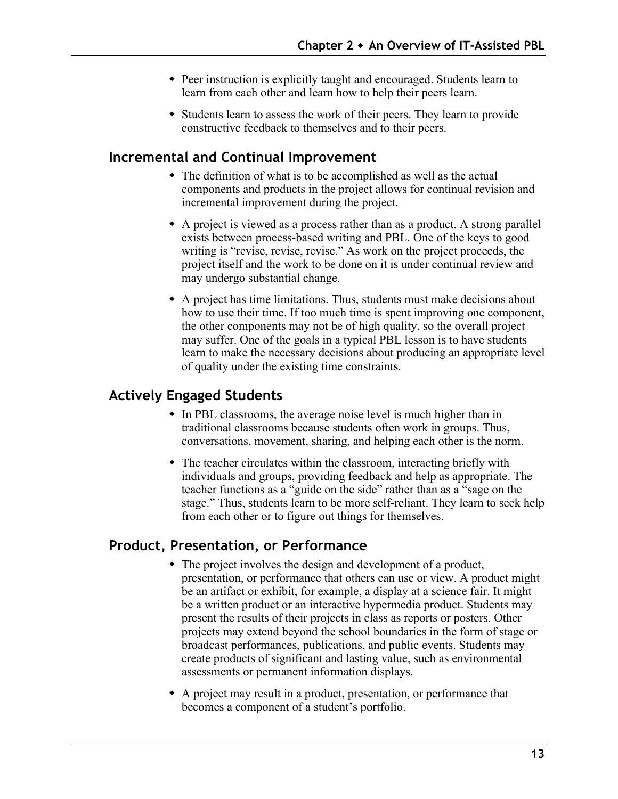- $\bullet$  Peer instruction is explicitly taught and encouraged. Students learn to learn from each other and learn how to help their peers learn.
- Students learn to assess the work of their peers. They learn to provide constructive feedback to themselves and to their peers.

#### **Incremental and Continual Improvement**

- $\bullet$  The definition of what is to be accomplished as well as the actual components and products in the project allows for continual revision and incremental improvement during the project.
- w A project is viewed as a process rather than as a product. A strong parallel exists between process-based writing and PBL. One of the keys to good writing is "revise, revise, revise." As work on the project proceeds, the project itself and the work to be done on it is under continual review and may undergo substantial change.
- w A project has time limitations. Thus, students must make decisions about how to use their time. If too much time is spent improving one component, the other components may not be of high quality, so the overall project may suffer. One of the goals in a typical PBL lesson is to have students learn to make the necessary decisions about producing an appropriate level of quality under the existing time constraints.

#### **Actively Engaged Students**

- In PBL classrooms, the average noise level is much higher than in traditional classrooms because students often work in groups. Thus, conversations, movement, sharing, and helping each other is the norm.
- $\bullet$  The teacher circulates within the classroom, interacting briefly with individuals and groups, providing feedback and help as appropriate. The teacher functions as a "guide on the side" rather than as a "sage on the stage." Thus, students learn to be more self-reliant. They learn to seek help from each other or to figure out things for themselves.

#### **Product, Presentation, or Performance**

- $\bullet$  The project involves the design and development of a product, presentation, or performance that others can use or view. A product might be an artifact or exhibit, for example, a display at a science fair. It might be a written product or an interactive hypermedia product. Students may present the results of their projects in class as reports or posters. Other projects may extend beyond the school boundaries in the form of stage or broadcast performances, publications, and public events. Students may create products of significant and lasting value, such as environmental assessments or permanent information displays.
- w A project may result in a product, presentation, or performance that becomes a component of a student's portfolio.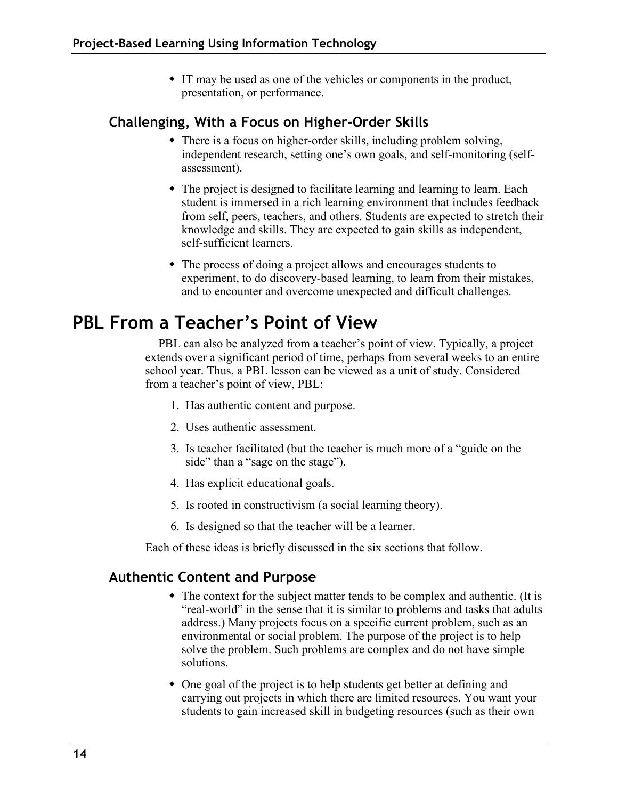$\bullet$  IT may be used as one of the vehicles or components in the product, presentation, or performance.

#### **Challenging, With a Focus on Higher-Order Skills**

- $\bullet$  There is a focus on higher-order skills, including problem solving, independent research, setting one's own goals, and self-monitoring (selfassessment).
- $\bullet$  The project is designed to facilitate learning and learning to learn. Each student is immersed in a rich learning environment that includes feedback from self, peers, teachers, and others. Students are expected to stretch their knowledge and skills. They are expected to gain skills as independent, self-sufficient learners.
- The process of doing a project allows and encourages students to experiment, to do discovery-based learning, to learn from their mistakes, and to encounter and overcome unexpected and difficult challenges.

## **PBL From a Teacher's Point of View**

PBL can also be analyzed from a teacher's point of view. Typically, a project extends over a significant period of time, perhaps from several weeks to an entire school year. Thus, a PBL lesson can be viewed as a unit of study. Considered from a teacher's point of view, PBL:

- 1. Has authentic content and purpose.
- 2. Uses authentic assessment.
- 3. Is teacher facilitated (but the teacher is much more of a "guide on the side" than a "sage on the stage").
- 4. Has explicit educational goals.
- 5. Is rooted in constructivism (a social learning theory).
- 6. Is designed so that the teacher will be a learner.

Each of these ideas is briefly discussed in the six sections that follow.

#### **Authentic Content and Purpose**

- $\bullet$  The context for the subject matter tends to be complex and authentic. (It is "real-world" in the sense that it is similar to problems and tasks that adults address.) Many projects focus on a specific current problem, such as an environmental or social problem. The purpose of the project is to help solve the problem. Such problems are complex and do not have simple solutions.
- $\bullet$  One goal of the project is to help students get better at defining and carrying out projects in which there are limited resources. You want your students to gain increased skill in budgeting resources (such as their own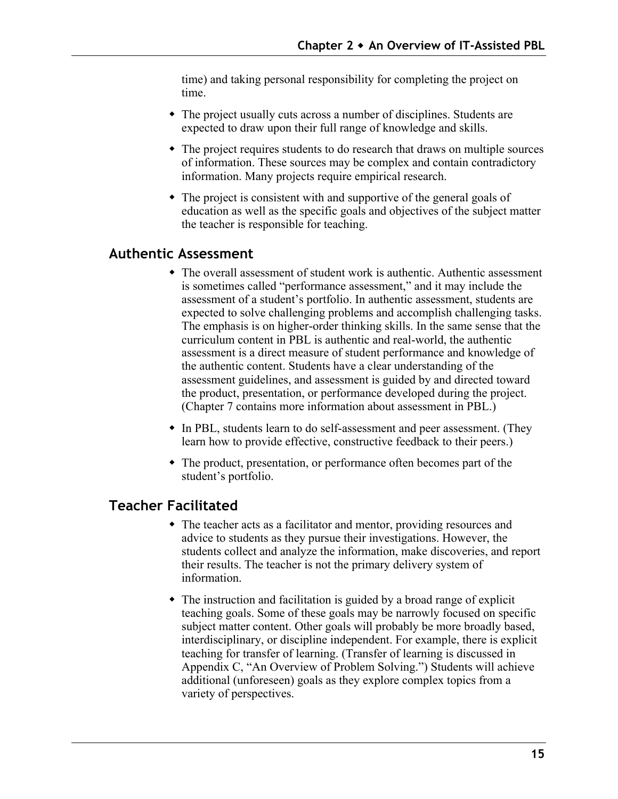time) and taking personal responsibility for completing the project on time.

- The project usually cuts across a number of disciplines. Students are expected to draw upon their full range of knowledge and skills.
- The project requires students to do research that draws on multiple sources of information. These sources may be complex and contain contradictory information. Many projects require empirical research.
- $\bullet$  The project is consistent with and supportive of the general goals of education as well as the specific goals and objectives of the subject matter the teacher is responsible for teaching.

#### **Authentic Assessment**

- The overall assessment of student work is authentic. Authentic assessment is sometimes called "performance assessment," and it may include the assessment of a student's portfolio. In authentic assessment, students are expected to solve challenging problems and accomplish challenging tasks. The emphasis is on higher-order thinking skills. In the same sense that the curriculum content in PBL is authentic and real-world, the authentic assessment is a direct measure of student performance and knowledge of the authentic content. Students have a clear understanding of the assessment guidelines, and assessment is guided by and directed toward the product, presentation, or performance developed during the project. (Chapter 7 contains more information about assessment in PBL.)
- In PBL, students learn to do self-assessment and peer assessment. (They learn how to provide effective, constructive feedback to their peers.)
- The product, presentation, or performance often becomes part of the student's portfolio.

#### **Teacher Facilitated**

- The teacher acts as a facilitator and mentor, providing resources and advice to students as they pursue their investigations. However, the students collect and analyze the information, make discoveries, and report their results. The teacher is not the primary delivery system of information.
- $\bullet$  The instruction and facilitation is guided by a broad range of explicit teaching goals. Some of these goals may be narrowly focused on specific subject matter content. Other goals will probably be more broadly based, interdisciplinary, or discipline independent. For example, there is explicit teaching for transfer of learning. (Transfer of learning is discussed in Appendix C, "An Overview of Problem Solving.") Students will achieve additional (unforeseen) goals as they explore complex topics from a variety of perspectives.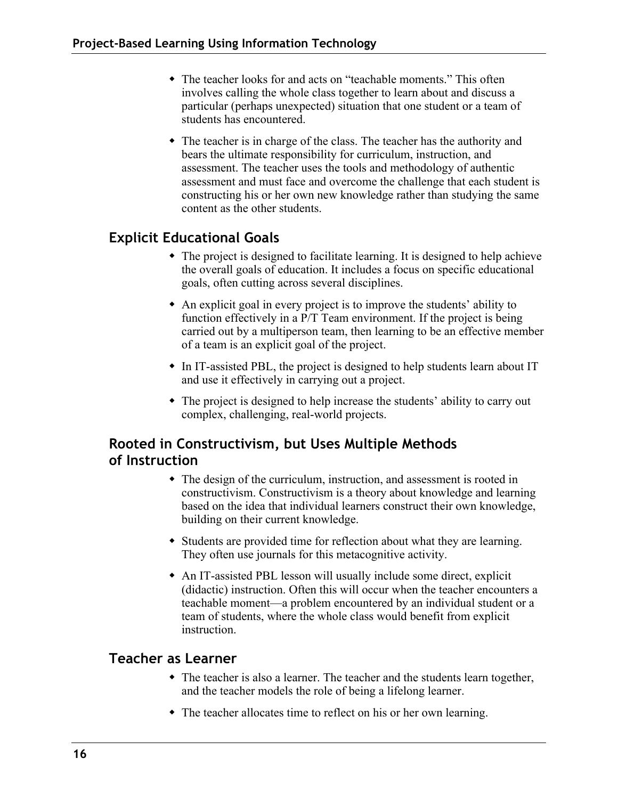- The teacher looks for and acts on "teachable moments." This often involves calling the whole class together to learn about and discuss a particular (perhaps unexpected) situation that one student or a team of students has encountered.
- The teacher is in charge of the class. The teacher has the authority and bears the ultimate responsibility for curriculum, instruction, and assessment. The teacher uses the tools and methodology of authentic assessment and must face and overcome the challenge that each student is constructing his or her own new knowledge rather than studying the same content as the other students.

### **Explicit Educational Goals**

- $\bullet$  The project is designed to facilitate learning. It is designed to help achieve the overall goals of education. It includes a focus on specific educational goals, often cutting across several disciplines.
- $\bullet$  An explicit goal in every project is to improve the students' ability to function effectively in a P/T Team environment. If the project is being carried out by a multiperson team, then learning to be an effective member of a team is an explicit goal of the project.
- In IT-assisted PBL, the project is designed to help students learn about IT and use it effectively in carrying out a project.
- The project is designed to help increase the students' ability to carry out complex, challenging, real-world projects.

#### **Rooted in Constructivism, but Uses Multiple Methods of Instruction**

- The design of the curriculum, instruction, and assessment is rooted in constructivism. Constructivism is a theory about knowledge and learning based on the idea that individual learners construct their own knowledge, building on their current knowledge.
- Students are provided time for reflection about what they are learning. They often use journals for this metacognitive activity.
- An IT-assisted PBL lesson will usually include some direct, explicit (didactic) instruction. Often this will occur when the teacher encounters a teachable moment—a problem encountered by an individual student or a team of students, where the whole class would benefit from explicit **instruction**

#### **Teacher as Learner**

- The teacher is also a learner. The teacher and the students learn together, and the teacher models the role of being a lifelong learner.
- $\bullet$  The teacher allocates time to reflect on his or her own learning.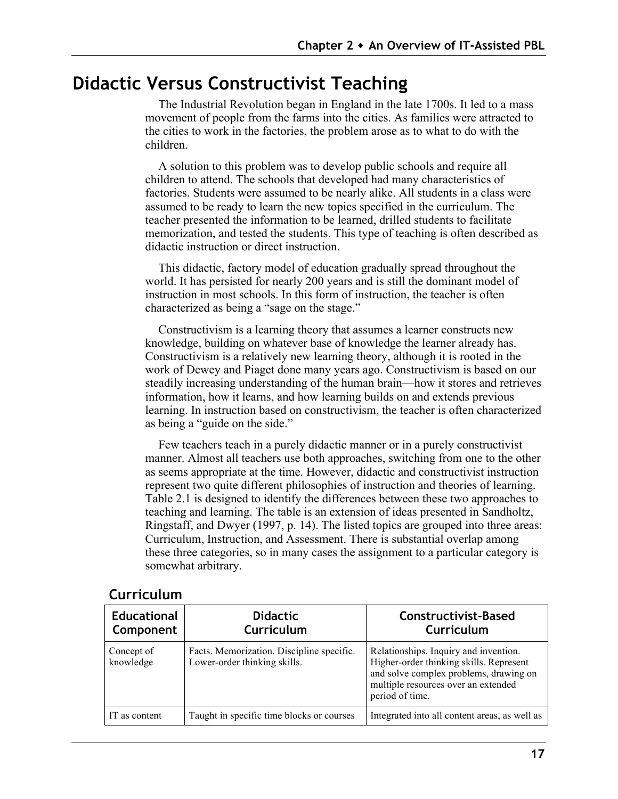## **Didactic Versus Constructivist Teaching**

The Industrial Revolution began in England in the late 1700s. It led to a mass movement of people from the farms into the cities. As families were attracted to the cities to work in the factories, the problem arose as to what to do with the children.

A solution to this problem was to develop public schools and require all children to attend. The schools that developed had many characteristics of factories. Students were assumed to be nearly alike. All students in a class were assumed to be ready to learn the new topics specified in the curriculum. The teacher presented the information to be learned, drilled students to facilitate memorization, and tested the students. This type of teaching is often described as didactic instruction or direct instruction.

This didactic, factory model of education gradually spread throughout the world. It has persisted for nearly 200 years and is still the dominant model of instruction in most schools. In this form of instruction, the teacher is often characterized as being a "sage on the stage."

Constructivism is a learning theory that assumes a learner constructs new knowledge, building on whatever base of knowledge the learner already has. Constructivism is a relatively new learning theory, although it is rooted in the work of Dewey and Piaget done many years ago. Constructivism is based on our steadily increasing understanding of the human brain—how it stores and retrieves information, how it learns, and how learning builds on and extends previous learning. In instruction based on constructivism, the teacher is often characterized as being a "guide on the side."

Few teachers teach in a purely didactic manner or in a purely constructivist manner. Almost all teachers use both approaches, switching from one to the other as seems appropriate at the time. However, didactic and constructivist instruction represent two quite different philosophies of instruction and theories of learning. Table 2.1 is designed to identify the differences between these two approaches to teaching and learning. The table is an extension of ideas presented in Sandholtz, Ringstaff, and Dwyer (1997, p. 14). The listed topics are grouped into three areas: Curriculum, Instruction, and Assessment. There is substantial overlap among these three categories, so in many cases the assignment to a particular category is somewhat arbitrary.

| <b>Educational</b><br>Component | <b>Didactic</b><br>Curriculum                                             | <b>Constructivist-Based</b><br>Curriculum                                                                                                                                            |
|---------------------------------|---------------------------------------------------------------------------|--------------------------------------------------------------------------------------------------------------------------------------------------------------------------------------|
| Concept of<br>knowledge         | Facts. Memorization. Discipline specific.<br>Lower-order thinking skills. | Relationships. Inquiry and invention.<br>Higher-order thinking skills. Represent<br>and solve complex problems, drawing on<br>multiple resources over an extended<br>period of time. |
| IT as content                   | Taught in specific time blocks or courses                                 | Integrated into all content areas, as well as                                                                                                                                        |

#### **Curriculum**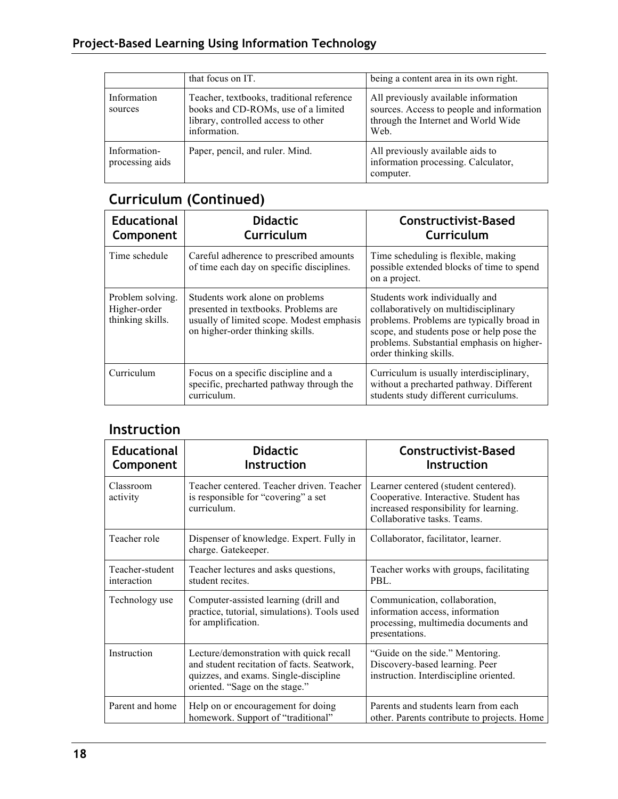|                                 | that focus on IT.                                                                                                                       | being a content area in its own right.                                                                                           |
|---------------------------------|-----------------------------------------------------------------------------------------------------------------------------------------|----------------------------------------------------------------------------------------------------------------------------------|
| Information<br>sources          | Teacher, textbooks, traditional reference<br>books and CD-ROMs, use of a limited<br>library, controlled access to other<br>information. | All previously available information<br>sources. Access to people and information<br>through the Internet and World Wide<br>Web. |
| Information-<br>processing aids | Paper, pencil, and ruler. Mind.                                                                                                         | All previously available aids to<br>information processing. Calculator,<br>computer.                                             |

## **Curriculum (Continued)**

| <b>Educational</b><br>Component                      | <b>Didactic</b><br>Curriculum                                                                                                                            | <b>Constructivist-Based</b><br>Curriculum                                                                                                                                                                                               |
|------------------------------------------------------|----------------------------------------------------------------------------------------------------------------------------------------------------------|-----------------------------------------------------------------------------------------------------------------------------------------------------------------------------------------------------------------------------------------|
| Time schedule                                        | Careful adherence to prescribed amounts<br>of time each day on specific disciplines.                                                                     | Time scheduling is flexible, making<br>possible extended blocks of time to spend<br>on a project.                                                                                                                                       |
| Problem solving.<br>Higher-order<br>thinking skills. | Students work alone on problems<br>presented in textbooks. Problems are<br>usually of limited scope. Modest emphasis<br>on higher-order thinking skills. | Students work individually and<br>collaboratively on multidisciplinary<br>problems. Problems are typically broad in<br>scope, and students pose or help pose the<br>problems. Substantial emphasis on higher-<br>order thinking skills. |
| Curriculum                                           | Focus on a specific discipline and a<br>specific, precharted pathway through the<br>curriculum.                                                          | Curriculum is usually interdisciplinary,<br>without a precharted pathway. Different<br>students study different curriculums.                                                                                                            |

## **Instruction**

| <b>Educational</b><br>Component | <b>Didactic</b><br><b>Instruction</b>                                                                                                                            | <b>Constructivist-Based</b><br><b>Instruction</b>                                                                                                      |
|---------------------------------|------------------------------------------------------------------------------------------------------------------------------------------------------------------|--------------------------------------------------------------------------------------------------------------------------------------------------------|
| Classroom<br>activity           | Teacher centered. Teacher driven. Teacher<br>is responsible for "covering" a set<br>curriculum.                                                                  | Learner centered (student centered).<br>Cooperative. Interactive. Student has<br>increased responsibility for learning.<br>Collaborative tasks. Teams. |
| Teacher role                    | Dispenser of knowledge. Expert. Fully in<br>charge. Gatekeeper.                                                                                                  | Collaborator, facilitator, learner.                                                                                                                    |
| Teacher-student<br>interaction  | Teacher lectures and asks questions,<br>student recites.                                                                                                         | Teacher works with groups, facilitating<br>PBL.                                                                                                        |
| Technology use                  | Computer-assisted learning (drill and<br>practice, tutorial, simulations). Tools used<br>for amplification.                                                      | Communication, collaboration,<br>information access, information<br>processing, multimedia documents and<br>presentations.                             |
| Instruction                     | Lecture/demonstration with quick recall<br>and student recitation of facts. Seatwork,<br>quizzes, and exams. Single-discipline<br>oriented. "Sage on the stage." | "Guide on the side." Mentoring.<br>Discovery-based learning. Peer<br>instruction. Interdiscipline oriented.                                            |
| Parent and home                 | Help on or encouragement for doing<br>homework. Support of "traditional"                                                                                         | Parents and students learn from each<br>other. Parents contribute to projects. Home                                                                    |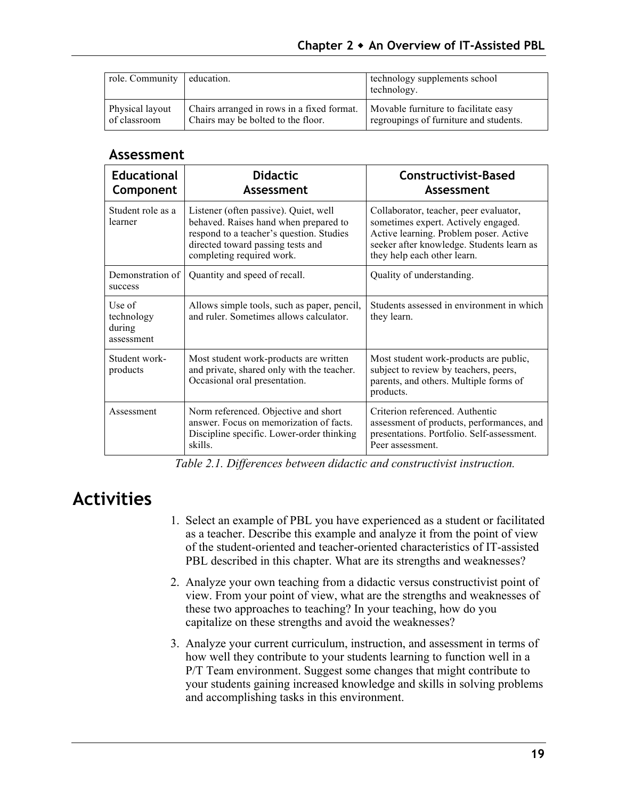| role. Community education. |                                            | technology supplements school<br>technology. |
|----------------------------|--------------------------------------------|----------------------------------------------|
| Physical layout            | Chairs arranged in rows in a fixed format. | Movable furniture to facilitate easy         |
| of classroom               | Chairs may be bolted to the floor.         | regroupings of furniture and students.       |

#### **Assessment**

| <b>Educational</b><br>Component              | <b>Didactic</b><br>Assessment                                                                                                                                                                | <b>Constructivist-Based</b><br>Assessment                                                                                                                                                           |
|----------------------------------------------|----------------------------------------------------------------------------------------------------------------------------------------------------------------------------------------------|-----------------------------------------------------------------------------------------------------------------------------------------------------------------------------------------------------|
| Student role as a<br>learner                 | Listener (often passive). Quiet, well<br>behaved. Raises hand when prepared to<br>respond to a teacher's question. Studies<br>directed toward passing tests and<br>completing required work. | Collaborator, teacher, peer evaluator,<br>sometimes expert. Actively engaged.<br>Active learning. Problem poser. Active<br>seeker after knowledge. Students learn as<br>they help each other learn. |
| Demonstration of<br>success                  | Quantity and speed of recall.                                                                                                                                                                | Quality of understanding.                                                                                                                                                                           |
| Use of<br>technology<br>during<br>assessment | Allows simple tools, such as paper, pencil,<br>and ruler. Sometimes allows calculator.                                                                                                       | Students assessed in environment in which<br>they learn.                                                                                                                                            |
| Student work-<br>products                    | Most student work-products are written<br>and private, shared only with the teacher.<br>Occasional oral presentation.                                                                        | Most student work-products are public,<br>subject to review by teachers, peers,<br>parents, and others. Multiple forms of<br>products.                                                              |
| Assessment                                   | Norm referenced. Objective and short<br>answer. Focus on memorization of facts.<br>Discipline specific. Lower-order thinking<br>skills.                                                      | Criterion referenced. Authentic<br>assessment of products, performances, and<br>presentations. Portfolio. Self-assessment.<br>Peer assessment.                                                      |

*Table 2.1. Differences between didactic and constructivist instruction.*

## **Activities**

- 1. Select an example of PBL you have experienced as a student or facilitated as a teacher. Describe this example and analyze it from the point of view of the student-oriented and teacher-oriented characteristics of IT-assisted PBL described in this chapter. What are its strengths and weaknesses?
- 2. Analyze your own teaching from a didactic versus constructivist point of view. From your point of view, what are the strengths and weaknesses of these two approaches to teaching? In your teaching, how do you capitalize on these strengths and avoid the weaknesses?
- 3. Analyze your current curriculum, instruction, and assessment in terms of how well they contribute to your students learning to function well in a P/T Team environment. Suggest some changes that might contribute to your students gaining increased knowledge and skills in solving problems and accomplishing tasks in this environment.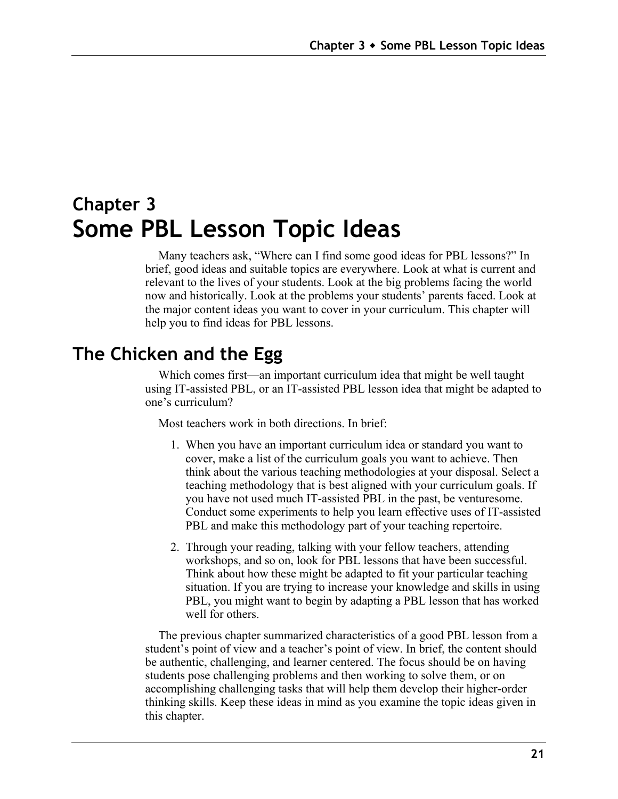# **Chapter 3 Some PBL Lesson Topic Ideas**

Many teachers ask, "Where can I find some good ideas for PBL lessons?" In brief, good ideas and suitable topics are everywhere. Look at what is current and relevant to the lives of your students. Look at the big problems facing the world now and historically. Look at the problems your students' parents faced. Look at the major content ideas you want to cover in your curriculum. This chapter will help you to find ideas for PBL lessons.

## **The Chicken and the Egg**

Which comes first—an important curriculum idea that might be well taught using IT-assisted PBL, or an IT-assisted PBL lesson idea that might be adapted to one's curriculum?

Most teachers work in both directions. In brief:

- 1. When you have an important curriculum idea or standard you want to cover, make a list of the curriculum goals you want to achieve. Then think about the various teaching methodologies at your disposal. Select a teaching methodology that is best aligned with your curriculum goals. If you have not used much IT-assisted PBL in the past, be venturesome. Conduct some experiments to help you learn effective uses of IT-assisted PBL and make this methodology part of your teaching repertoire.
- 2. Through your reading, talking with your fellow teachers, attending workshops, and so on, look for PBL lessons that have been successful. Think about how these might be adapted to fit your particular teaching situation. If you are trying to increase your knowledge and skills in using PBL, you might want to begin by adapting a PBL lesson that has worked well for others.

The previous chapter summarized characteristics of a good PBL lesson from a student's point of view and a teacher's point of view. In brief, the content should be authentic, challenging, and learner centered. The focus should be on having students pose challenging problems and then working to solve them, or on accomplishing challenging tasks that will help them develop their higher-order thinking skills. Keep these ideas in mind as you examine the topic ideas given in this chapter.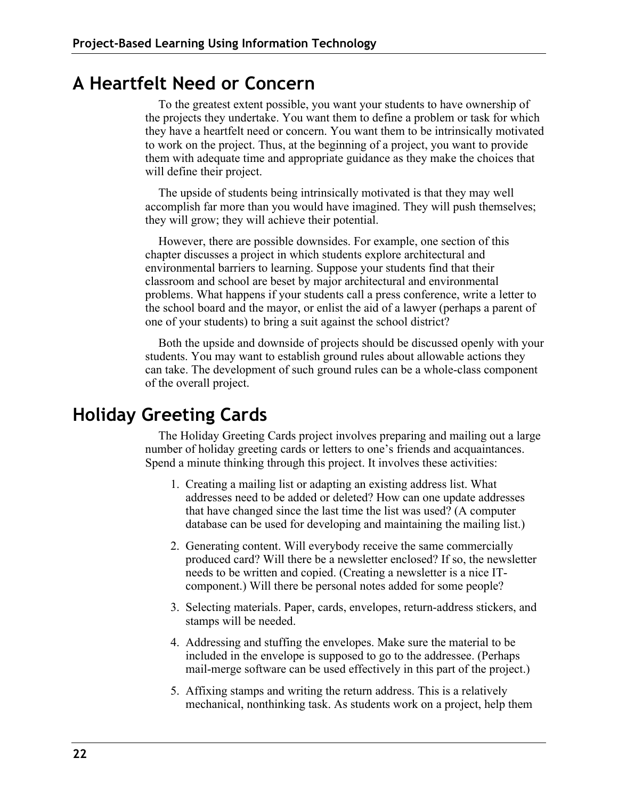## **A Heartfelt Need or Concern**

To the greatest extent possible, you want your students to have ownership of the projects they undertake. You want them to define a problem or task for which they have a heartfelt need or concern. You want them to be intrinsically motivated to work on the project. Thus, at the beginning of a project, you want to provide them with adequate time and appropriate guidance as they make the choices that will define their project.

The upside of students being intrinsically motivated is that they may well accomplish far more than you would have imagined. They will push themselves; they will grow; they will achieve their potential.

However, there are possible downsides. For example, one section of this chapter discusses a project in which students explore architectural and environmental barriers to learning. Suppose your students find that their classroom and school are beset by major architectural and environmental problems. What happens if your students call a press conference, write a letter to the school board and the mayor, or enlist the aid of a lawyer (perhaps a parent of one of your students) to bring a suit against the school district?

Both the upside and downside of projects should be discussed openly with your students. You may want to establish ground rules about allowable actions they can take. The development of such ground rules can be a whole-class component of the overall project.

## **Holiday Greeting Cards**

The Holiday Greeting Cards project involves preparing and mailing out a large number of holiday greeting cards or letters to one's friends and acquaintances. Spend a minute thinking through this project. It involves these activities:

- 1. Creating a mailing list or adapting an existing address list. What addresses need to be added or deleted? How can one update addresses that have changed since the last time the list was used? (A computer database can be used for developing and maintaining the mailing list.)
- 2. Generating content. Will everybody receive the same commercially produced card? Will there be a newsletter enclosed? If so, the newsletter needs to be written and copied. (Creating a newsletter is a nice ITcomponent.) Will there be personal notes added for some people?
- 3. Selecting materials. Paper, cards, envelopes, return-address stickers, and stamps will be needed.
- 4. Addressing and stuffing the envelopes. Make sure the material to be included in the envelope is supposed to go to the addressee. (Perhaps mail-merge software can be used effectively in this part of the project.)
- 5. Affixing stamps and writing the return address. This is a relatively mechanical, nonthinking task. As students work on a project, help them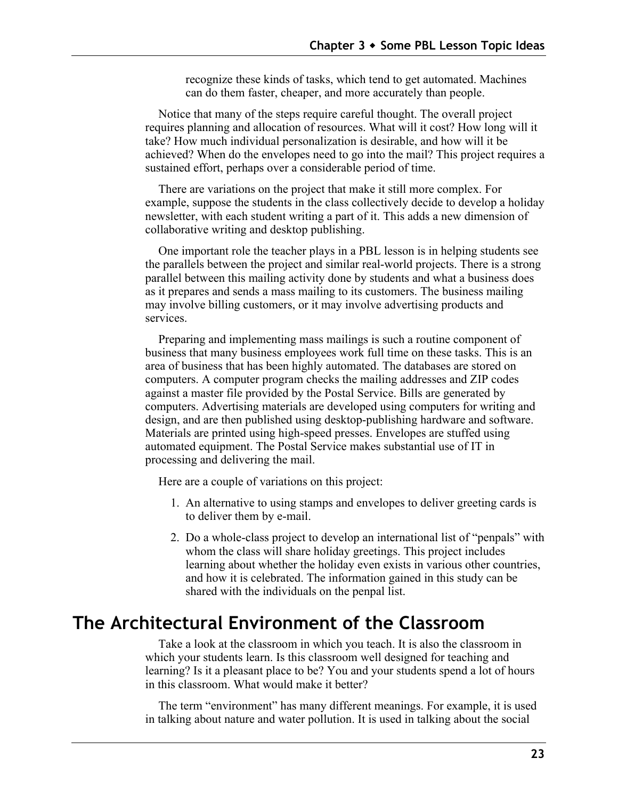recognize these kinds of tasks, which tend to get automated. Machines can do them faster, cheaper, and more accurately than people.

Notice that many of the steps require careful thought. The overall project requires planning and allocation of resources. What will it cost? How long will it take? How much individual personalization is desirable, and how will it be achieved? When do the envelopes need to go into the mail? This project requires a sustained effort, perhaps over a considerable period of time.

There are variations on the project that make it still more complex. For example, suppose the students in the class collectively decide to develop a holiday newsletter, with each student writing a part of it. This adds a new dimension of collaborative writing and desktop publishing.

One important role the teacher plays in a PBL lesson is in helping students see the parallels between the project and similar real-world projects. There is a strong parallel between this mailing activity done by students and what a business does as it prepares and sends a mass mailing to its customers. The business mailing may involve billing customers, or it may involve advertising products and services.

Preparing and implementing mass mailings is such a routine component of business that many business employees work full time on these tasks. This is an area of business that has been highly automated. The databases are stored on computers. A computer program checks the mailing addresses and ZIP codes against a master file provided by the Postal Service. Bills are generated by computers. Advertising materials are developed using computers for writing and design, and are then published using desktop-publishing hardware and software. Materials are printed using high-speed presses. Envelopes are stuffed using automated equipment. The Postal Service makes substantial use of IT in processing and delivering the mail.

Here are a couple of variations on this project:

- 1. An alternative to using stamps and envelopes to deliver greeting cards is to deliver them by e-mail.
- 2. Do a whole-class project to develop an international list of "penpals" with whom the class will share holiday greetings. This project includes learning about whether the holiday even exists in various other countries, and how it is celebrated. The information gained in this study can be shared with the individuals on the penpal list.

### **The Architectural Environment of the Classroom**

Take a look at the classroom in which you teach. It is also the classroom in which your students learn. Is this classroom well designed for teaching and learning? Is it a pleasant place to be? You and your students spend a lot of hours in this classroom. What would make it better?

The term "environment" has many different meanings. For example, it is used in talking about nature and water pollution. It is used in talking about the social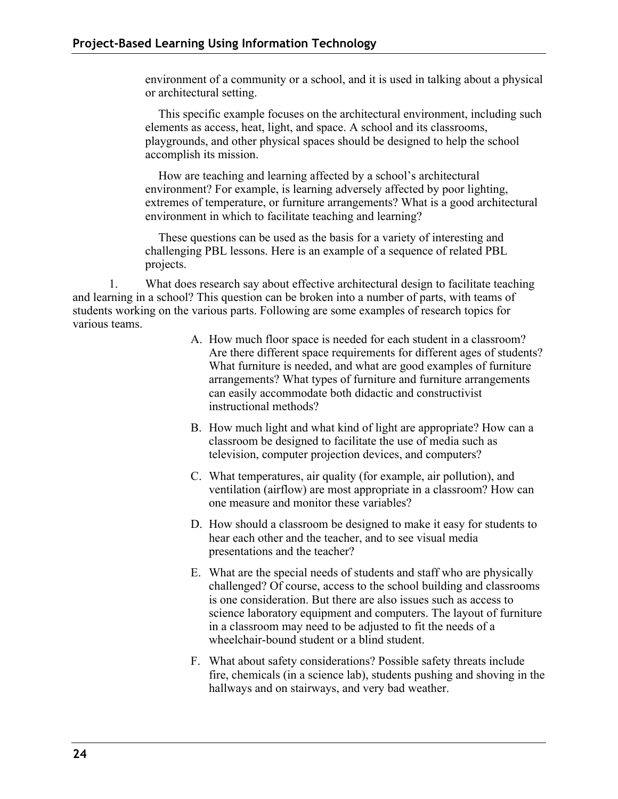environment of a community or a school, and it is used in talking about a physical or architectural setting.

This specific example focuses on the architectural environment, including such elements as access, heat, light, and space. A school and its classrooms, playgrounds, and other physical spaces should be designed to help the school accomplish its mission.

How are teaching and learning affected by a school's architectural environment? For example, is learning adversely affected by poor lighting, extremes of temperature, or furniture arrangements? What is a good architectural environment in which to facilitate teaching and learning?

These questions can be used as the basis for a variety of interesting and challenging PBL lessons. Here is an example of a sequence of related PBL projects.

1. What does research say about effective architectural design to facilitate teaching and learning in a school? This question can be broken into a number of parts, with teams of students working on the various parts. Following are some examples of research topics for various teams.

- A. How much floor space is needed for each student in a classroom? Are there different space requirements for different ages of students? What furniture is needed, and what are good examples of furniture arrangements? What types of furniture and furniture arrangements can easily accommodate both didactic and constructivist instructional methods?
- B. How much light and what kind of light are appropriate? How can a classroom be designed to facilitate the use of media such as television, computer projection devices, and computers?
- C. What temperatures, air quality (for example, air pollution), and ventilation (airflow) are most appropriate in a classroom? How can one measure and monitor these variables?
- D. How should a classroom be designed to make it easy for students to hear each other and the teacher, and to see visual media presentations and the teacher?
- E. What are the special needs of students and staff who are physically challenged? Of course, access to the school building and classrooms is one consideration. But there are also issues such as access to science laboratory equipment and computers. The layout of furniture in a classroom may need to be adjusted to fit the needs of a wheelchair-bound student or a blind student.
- F. What about safety considerations? Possible safety threats include fire, chemicals (in a science lab), students pushing and shoving in the hallways and on stairways, and very bad weather.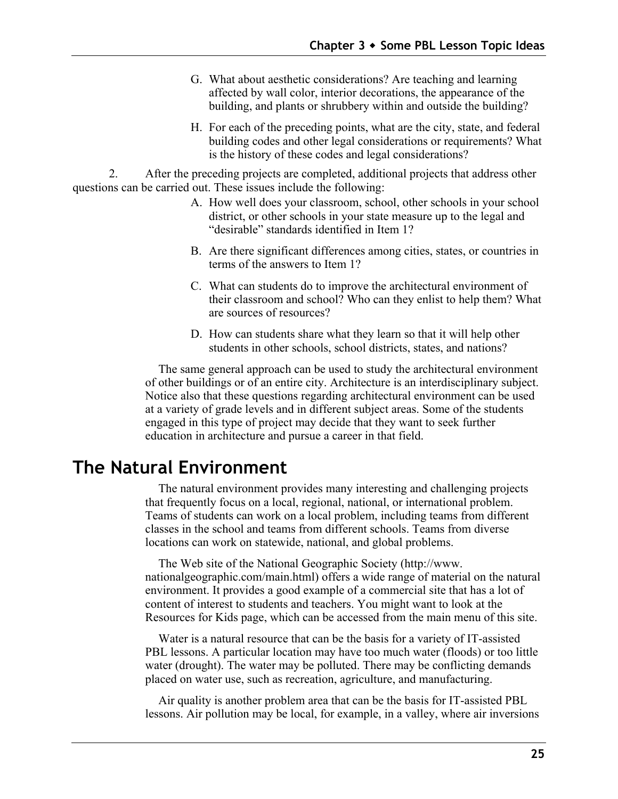- G. What about aesthetic considerations? Are teaching and learning affected by wall color, interior decorations, the appearance of the building, and plants or shrubbery within and outside the building?
- H. For each of the preceding points, what are the city, state, and federal building codes and other legal considerations or requirements? What is the history of these codes and legal considerations?

2. After the preceding projects are completed, additional projects that address other questions can be carried out. These issues include the following:

- A. How well does your classroom, school, other schools in your school district, or other schools in your state measure up to the legal and "desirable" standards identified in Item 1?
- B. Are there significant differences among cities, states, or countries in terms of the answers to Item 1?
- C. What can students do to improve the architectural environment of their classroom and school? Who can they enlist to help them? What are sources of resources?
- D. How can students share what they learn so that it will help other students in other schools, school districts, states, and nations?

The same general approach can be used to study the architectural environment of other buildings or of an entire city. Architecture is an interdisciplinary subject. Notice also that these questions regarding architectural environment can be used at a variety of grade levels and in different subject areas. Some of the students engaged in this type of project may decide that they want to seek further education in architecture and pursue a career in that field.

### **The Natural Environment**

The natural environment provides many interesting and challenging projects that frequently focus on a local, regional, national, or international problem. Teams of students can work on a local problem, including teams from different classes in the school and teams from different schools. Teams from diverse locations can work on statewide, national, and global problems.

The Web site of the National Geographic Society (http://www. nationalgeographic.com/main.html) offers a wide range of material on the natural environment. It provides a good example of a commercial site that has a lot of content of interest to students and teachers. You might want to look at the Resources for Kids page, which can be accessed from the main menu of this site.

Water is a natural resource that can be the basis for a variety of IT-assisted PBL lessons. A particular location may have too much water (floods) or too little water (drought). The water may be polluted. There may be conflicting demands placed on water use, such as recreation, agriculture, and manufacturing.

Air quality is another problem area that can be the basis for IT-assisted PBL lessons. Air pollution may be local, for example, in a valley, where air inversions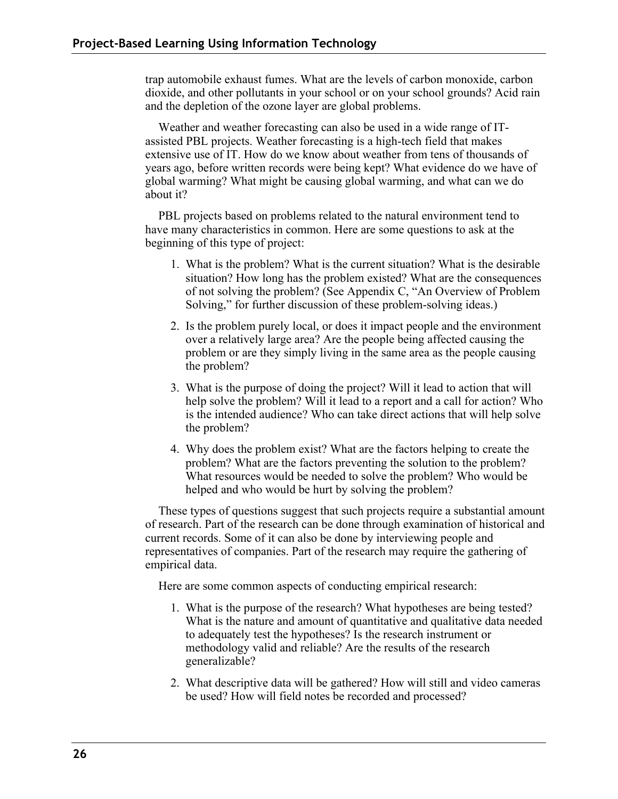trap automobile exhaust fumes. What are the levels of carbon monoxide, carbon dioxide, and other pollutants in your school or on your school grounds? Acid rain and the depletion of the ozone layer are global problems.

Weather and weather forecasting can also be used in a wide range of ITassisted PBL projects. Weather forecasting is a high-tech field that makes extensive use of IT. How do we know about weather from tens of thousands of years ago, before written records were being kept? What evidence do we have of global warming? What might be causing global warming, and what can we do about it?

PBL projects based on problems related to the natural environment tend to have many characteristics in common. Here are some questions to ask at the beginning of this type of project:

- 1. What is the problem? What is the current situation? What is the desirable situation? How long has the problem existed? What are the consequences of not solving the problem? (See Appendix C, "An Overview of Problem Solving," for further discussion of these problem-solving ideas.)
- 2. Is the problem purely local, or does it impact people and the environment over a relatively large area? Are the people being affected causing the problem or are they simply living in the same area as the people causing the problem?
- 3. What is the purpose of doing the project? Will it lead to action that will help solve the problem? Will it lead to a report and a call for action? Who is the intended audience? Who can take direct actions that will help solve the problem?
- 4. Why does the problem exist? What are the factors helping to create the problem? What are the factors preventing the solution to the problem? What resources would be needed to solve the problem? Who would be helped and who would be hurt by solving the problem?

These types of questions suggest that such projects require a substantial amount of research. Part of the research can be done through examination of historical and current records. Some of it can also be done by interviewing people and representatives of companies. Part of the research may require the gathering of empirical data.

Here are some common aspects of conducting empirical research:

- 1. What is the purpose of the research? What hypotheses are being tested? What is the nature and amount of quantitative and qualitative data needed to adequately test the hypotheses? Is the research instrument or methodology valid and reliable? Are the results of the research generalizable?
- 2. What descriptive data will be gathered? How will still and video cameras be used? How will field notes be recorded and processed?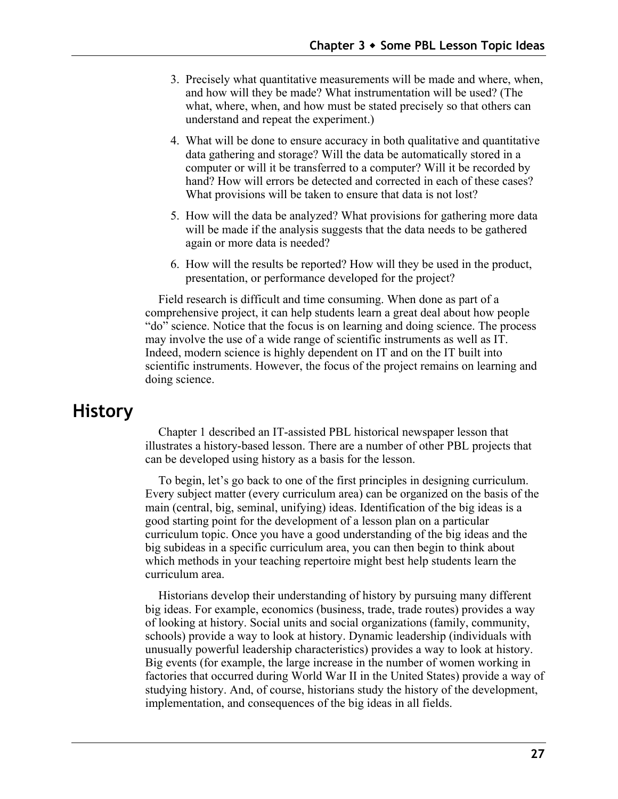- 3. Precisely what quantitative measurements will be made and where, when, and how will they be made? What instrumentation will be used? (The what, where, when, and how must be stated precisely so that others can understand and repeat the experiment.)
- 4. What will be done to ensure accuracy in both qualitative and quantitative data gathering and storage? Will the data be automatically stored in a computer or will it be transferred to a computer? Will it be recorded by hand? How will errors be detected and corrected in each of these cases? What provisions will be taken to ensure that data is not lost?
- 5. How will the data be analyzed? What provisions for gathering more data will be made if the analysis suggests that the data needs to be gathered again or more data is needed?
- 6. How will the results be reported? How will they be used in the product, presentation, or performance developed for the project?

Field research is difficult and time consuming. When done as part of a comprehensive project, it can help students learn a great deal about how people "do" science. Notice that the focus is on learning and doing science. The process may involve the use of a wide range of scientific instruments as well as IT. Indeed, modern science is highly dependent on IT and on the IT built into scientific instruments. However, the focus of the project remains on learning and doing science.

### **History**

Chapter 1 described an IT-assisted PBL historical newspaper lesson that illustrates a history-based lesson. There are a number of other PBL projects that can be developed using history as a basis for the lesson.

To begin, let's go back to one of the first principles in designing curriculum. Every subject matter (every curriculum area) can be organized on the basis of the main (central, big, seminal, unifying) ideas. Identification of the big ideas is a good starting point for the development of a lesson plan on a particular curriculum topic. Once you have a good understanding of the big ideas and the big subideas in a specific curriculum area, you can then begin to think about which methods in your teaching repertoire might best help students learn the curriculum area.

Historians develop their understanding of history by pursuing many different big ideas. For example, economics (business, trade, trade routes) provides a way of looking at history. Social units and social organizations (family, community, schools) provide a way to look at history. Dynamic leadership (individuals with unusually powerful leadership characteristics) provides a way to look at history. Big events (for example, the large increase in the number of women working in factories that occurred during World War II in the United States) provide a way of studying history. And, of course, historians study the history of the development, implementation, and consequences of the big ideas in all fields.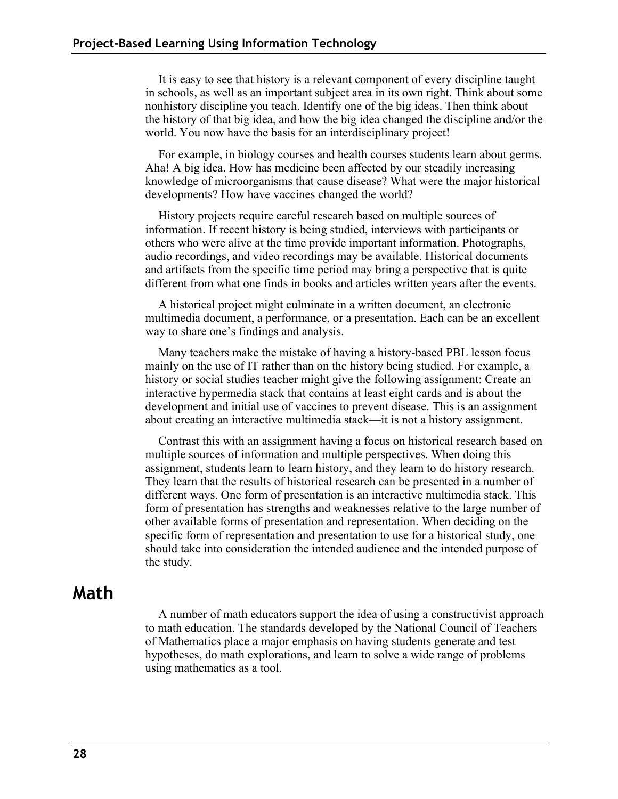It is easy to see that history is a relevant component of every discipline taught in schools, as well as an important subject area in its own right. Think about some nonhistory discipline you teach. Identify one of the big ideas. Then think about the history of that big idea, and how the big idea changed the discipline and/or the world. You now have the basis for an interdisciplinary project!

For example, in biology courses and health courses students learn about germs. Aha! A big idea. How has medicine been affected by our steadily increasing knowledge of microorganisms that cause disease? What were the major historical developments? How have vaccines changed the world?

History projects require careful research based on multiple sources of information. If recent history is being studied, interviews with participants or others who were alive at the time provide important information. Photographs, audio recordings, and video recordings may be available. Historical documents and artifacts from the specific time period may bring a perspective that is quite different from what one finds in books and articles written years after the events.

A historical project might culminate in a written document, an electronic multimedia document, a performance, or a presentation. Each can be an excellent way to share one's findings and analysis.

Many teachers make the mistake of having a history-based PBL lesson focus mainly on the use of IT rather than on the history being studied. For example, a history or social studies teacher might give the following assignment: Create an interactive hypermedia stack that contains at least eight cards and is about the development and initial use of vaccines to prevent disease. This is an assignment about creating an interactive multimedia stack—it is not a history assignment.

Contrast this with an assignment having a focus on historical research based on multiple sources of information and multiple perspectives. When doing this assignment, students learn to learn history, and they learn to do history research. They learn that the results of historical research can be presented in a number of different ways. One form of presentation is an interactive multimedia stack. This form of presentation has strengths and weaknesses relative to the large number of other available forms of presentation and representation. When deciding on the specific form of representation and presentation to use for a historical study, one should take into consideration the intended audience and the intended purpose of the study.

### **Math**

A number of math educators support the idea of using a constructivist approach to math education. The standards developed by the National Council of Teachers of Mathematics place a major emphasis on having students generate and test hypotheses, do math explorations, and learn to solve a wide range of problems using mathematics as a tool.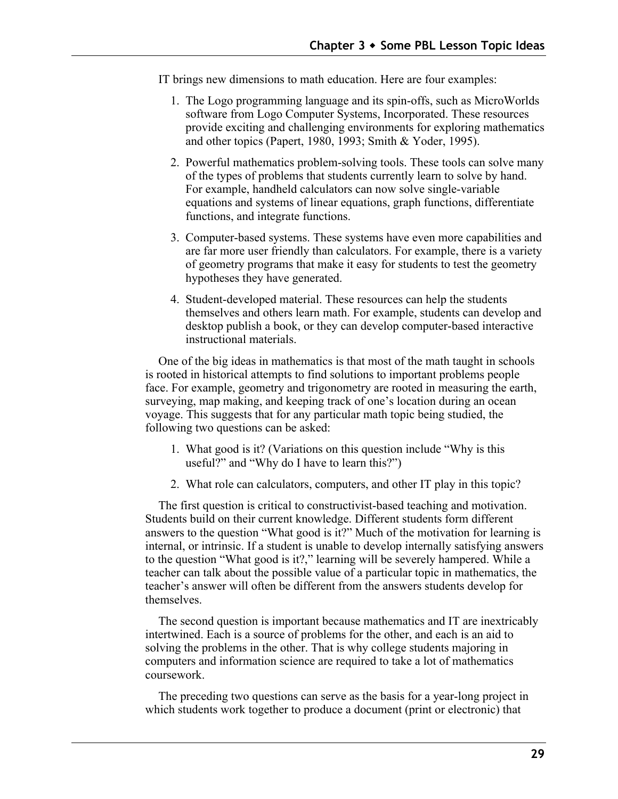IT brings new dimensions to math education. Here are four examples:

- 1. The Logo programming language and its spin-offs, such as MicroWorlds software from Logo Computer Systems, Incorporated. These resources provide exciting and challenging environments for exploring mathematics and other topics (Papert, 1980, 1993; Smith & Yoder, 1995).
- 2. Powerful mathematics problem-solving tools. These tools can solve many of the types of problems that students currently learn to solve by hand. For example, handheld calculators can now solve single-variable equations and systems of linear equations, graph functions, differentiate functions, and integrate functions.
- 3. Computer-based systems. These systems have even more capabilities and are far more user friendly than calculators. For example, there is a variety of geometry programs that make it easy for students to test the geometry hypotheses they have generated.
- 4. Student-developed material. These resources can help the students themselves and others learn math. For example, students can develop and desktop publish a book, or they can develop computer-based interactive instructional materials.

One of the big ideas in mathematics is that most of the math taught in schools is rooted in historical attempts to find solutions to important problems people face. For example, geometry and trigonometry are rooted in measuring the earth, surveying, map making, and keeping track of one's location during an ocean voyage. This suggests that for any particular math topic being studied, the following two questions can be asked:

- 1. What good is it? (Variations on this question include "Why is this useful?" and "Why do I have to learn this?")
- 2. What role can calculators, computers, and other IT play in this topic?

The first question is critical to constructivist-based teaching and motivation. Students build on their current knowledge. Different students form different answers to the question "What good is it?" Much of the motivation for learning is internal, or intrinsic. If a student is unable to develop internally satisfying answers to the question "What good is it?," learning will be severely hampered. While a teacher can talk about the possible value of a particular topic in mathematics, the teacher's answer will often be different from the answers students develop for themselves.

The second question is important because mathematics and IT are inextricably intertwined. Each is a source of problems for the other, and each is an aid to solving the problems in the other. That is why college students majoring in computers and information science are required to take a lot of mathematics coursework.

The preceding two questions can serve as the basis for a year-long project in which students work together to produce a document (print or electronic) that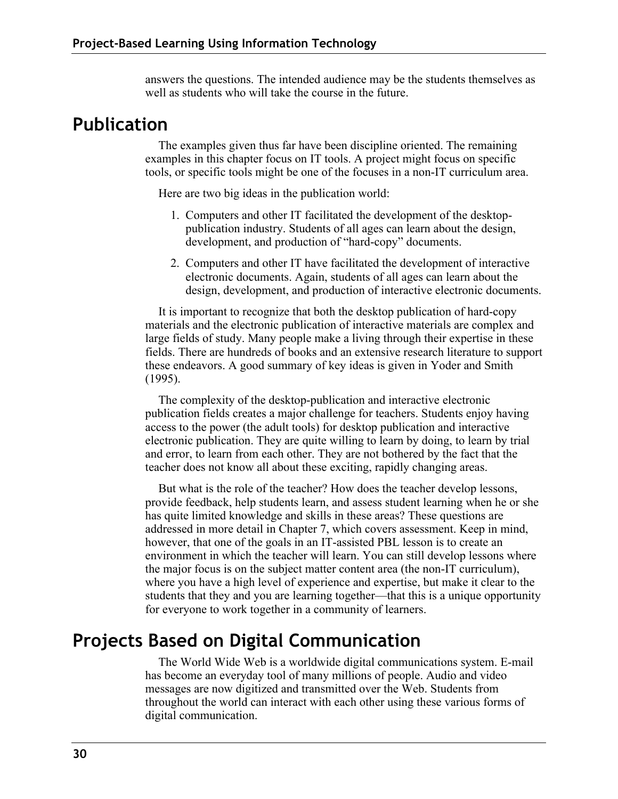answers the questions. The intended audience may be the students themselves as well as students who will take the course in the future.

### **Publication**

The examples given thus far have been discipline oriented. The remaining examples in this chapter focus on IT tools. A project might focus on specific tools, or specific tools might be one of the focuses in a non-IT curriculum area.

Here are two big ideas in the publication world:

- 1. Computers and other IT facilitated the development of the desktoppublication industry. Students of all ages can learn about the design, development, and production of "hard-copy" documents.
- 2. Computers and other IT have facilitated the development of interactive electronic documents. Again, students of all ages can learn about the design, development, and production of interactive electronic documents.

It is important to recognize that both the desktop publication of hard-copy materials and the electronic publication of interactive materials are complex and large fields of study. Many people make a living through their expertise in these fields. There are hundreds of books and an extensive research literature to support these endeavors. A good summary of key ideas is given in Yoder and Smith (1995).

The complexity of the desktop-publication and interactive electronic publication fields creates a major challenge for teachers. Students enjoy having access to the power (the adult tools) for desktop publication and interactive electronic publication. They are quite willing to learn by doing, to learn by trial and error, to learn from each other. They are not bothered by the fact that the teacher does not know all about these exciting, rapidly changing areas.

But what is the role of the teacher? How does the teacher develop lessons, provide feedback, help students learn, and assess student learning when he or she has quite limited knowledge and skills in these areas? These questions are addressed in more detail in Chapter 7, which covers assessment. Keep in mind, however, that one of the goals in an IT-assisted PBL lesson is to create an environment in which the teacher will learn. You can still develop lessons where the major focus is on the subject matter content area (the non-IT curriculum), where you have a high level of experience and expertise, but make it clear to the students that they and you are learning together—that this is a unique opportunity for everyone to work together in a community of learners.

## **Projects Based on Digital Communication**

The World Wide Web is a worldwide digital communications system. E-mail has become an everyday tool of many millions of people. Audio and video messages are now digitized and transmitted over the Web. Students from throughout the world can interact with each other using these various forms of digital communication.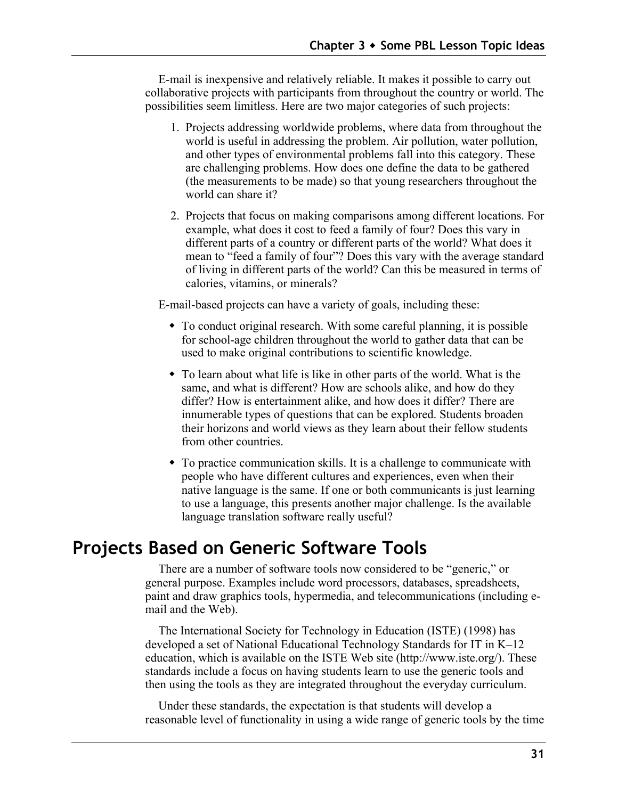E-mail is inexpensive and relatively reliable. It makes it possible to carry out collaborative projects with participants from throughout the country or world. The possibilities seem limitless. Here are two major categories of such projects:

- 1. Projects addressing worldwide problems, where data from throughout the world is useful in addressing the problem. Air pollution, water pollution, and other types of environmental problems fall into this category. These are challenging problems. How does one define the data to be gathered (the measurements to be made) so that young researchers throughout the world can share it?
- 2. Projects that focus on making comparisons among different locations. For example, what does it cost to feed a family of four? Does this vary in different parts of a country or different parts of the world? What does it mean to "feed a family of four"? Does this vary with the average standard of living in different parts of the world? Can this be measured in terms of calories, vitamins, or minerals?

E-mail-based projects can have a variety of goals, including these:

- $\bullet$  To conduct original research. With some careful planning, it is possible for school-age children throughout the world to gather data that can be used to make original contributions to scientific knowledge.
- To learn about what life is like in other parts of the world. What is the same, and what is different? How are schools alike, and how do they differ? How is entertainment alike, and how does it differ? There are innumerable types of questions that can be explored. Students broaden their horizons and world views as they learn about their fellow students from other countries.
- $\bullet$  To practice communication skills. It is a challenge to communicate with people who have different cultures and experiences, even when their native language is the same. If one or both communicants is just learning to use a language, this presents another major challenge. Is the available language translation software really useful?

### **Projects Based on Generic Software Tools**

There are a number of software tools now considered to be "generic," or general purpose. Examples include word processors, databases, spreadsheets, paint and draw graphics tools, hypermedia, and telecommunications (including email and the Web).

The International Society for Technology in Education (ISTE) (1998) has developed a set of National Educational Technology Standards for IT in K–12 education, which is available on the ISTE Web site (http://www.iste.org/). These standards include a focus on having students learn to use the generic tools and then using the tools as they are integrated throughout the everyday curriculum.

Under these standards, the expectation is that students will develop a reasonable level of functionality in using a wide range of generic tools by the time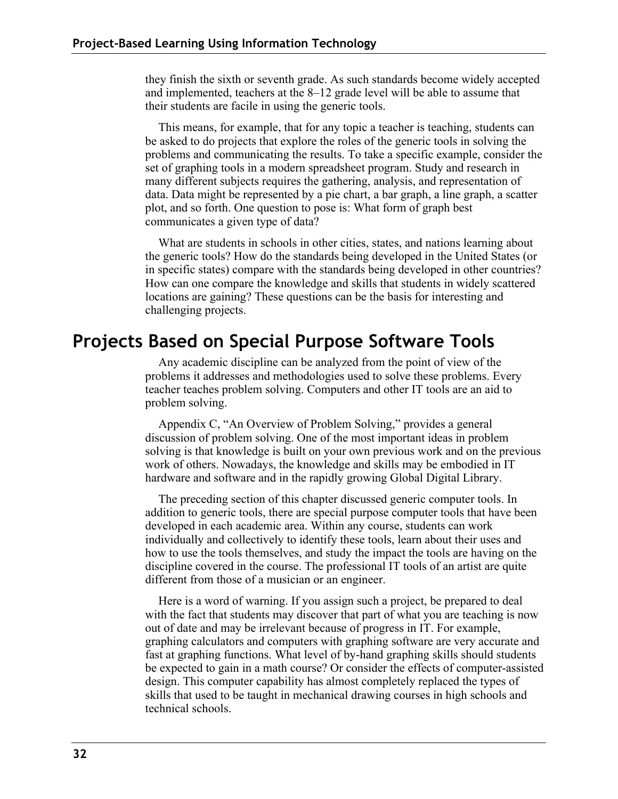they finish the sixth or seventh grade. As such standards become widely accepted and implemented, teachers at the 8–12 grade level will be able to assume that their students are facile in using the generic tools.

This means, for example, that for any topic a teacher is teaching, students can be asked to do projects that explore the roles of the generic tools in solving the problems and communicating the results. To take a specific example, consider the set of graphing tools in a modern spreadsheet program. Study and research in many different subjects requires the gathering, analysis, and representation of data. Data might be represented by a pie chart, a bar graph, a line graph, a scatter plot, and so forth. One question to pose is: What form of graph best communicates a given type of data?

What are students in schools in other cities, states, and nations learning about the generic tools? How do the standards being developed in the United States (or in specific states) compare with the standards being developed in other countries? How can one compare the knowledge and skills that students in widely scattered locations are gaining? These questions can be the basis for interesting and challenging projects.

## **Projects Based on Special Purpose Software Tools**

Any academic discipline can be analyzed from the point of view of the problems it addresses and methodologies used to solve these problems. Every teacher teaches problem solving. Computers and other IT tools are an aid to problem solving.

Appendix C, "An Overview of Problem Solving," provides a general discussion of problem solving. One of the most important ideas in problem solving is that knowledge is built on your own previous work and on the previous work of others. Nowadays, the knowledge and skills may be embodied in IT hardware and software and in the rapidly growing Global Digital Library.

The preceding section of this chapter discussed generic computer tools. In addition to generic tools, there are special purpose computer tools that have been developed in each academic area. Within any course, students can work individually and collectively to identify these tools, learn about their uses and how to use the tools themselves, and study the impact the tools are having on the discipline covered in the course. The professional IT tools of an artist are quite different from those of a musician or an engineer.

Here is a word of warning. If you assign such a project, be prepared to deal with the fact that students may discover that part of what you are teaching is now out of date and may be irrelevant because of progress in IT. For example, graphing calculators and computers with graphing software are very accurate and fast at graphing functions. What level of by-hand graphing skills should students be expected to gain in a math course? Or consider the effects of computer-assisted design. This computer capability has almost completely replaced the types of skills that used to be taught in mechanical drawing courses in high schools and technical schools.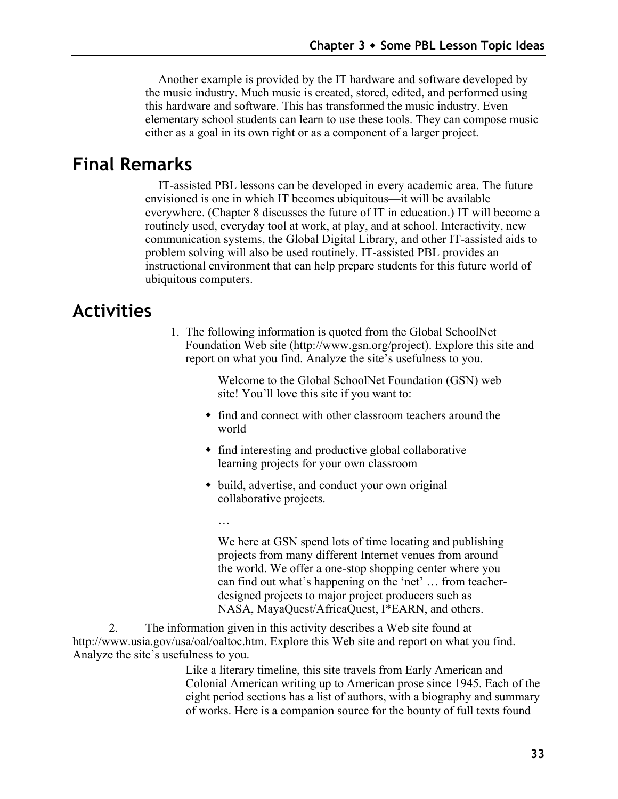Another example is provided by the IT hardware and software developed by the music industry. Much music is created, stored, edited, and performed using this hardware and software. This has transformed the music industry. Even elementary school students can learn to use these tools. They can compose music either as a goal in its own right or as a component of a larger project.

## **Final Remarks**

IT-assisted PBL lessons can be developed in every academic area. The future envisioned is one in which IT becomes ubiquitous—it will be available everywhere. (Chapter 8 discusses the future of IT in education.) IT will become a routinely used, everyday tool at work, at play, and at school. Interactivity, new communication systems, the Global Digital Library, and other IT-assisted aids to problem solving will also be used routinely. IT-assisted PBL provides an instructional environment that can help prepare students for this future world of ubiquitous computers.

## **Activities**

1. The following information is quoted from the Global SchoolNet Foundation Web site (http://www.gsn.org/project). Explore this site and report on what you find. Analyze the site's usefulness to you.

> Welcome to the Global SchoolNet Foundation (GSN) web site! You'll love this site if you want to:

- $\bullet$  find and connect with other classroom teachers around the world
- $\bullet$  find interesting and productive global collaborative learning projects for your own classroom
- $\bullet$  build, advertise, and conduct your own original collaborative projects.

We here at GSN spend lots of time locating and publishing projects from many different Internet venues from around the world. We offer a one-stop shopping center where you can find out what's happening on the 'net' … from teacherdesigned projects to major project producers such as NASA, MayaQuest/AfricaQuest, I\*EARN, and others.

2. The information given in this activity describes a Web site found at http://www.usia.gov/usa/oal/oaltoc.htm. Explore this Web site and report on what you find. Analyze the site's usefulness to you.

…

Like a literary timeline, this site travels from Early American and Colonial American writing up to American prose since 1945. Each of the eight period sections has a list of authors, with a biography and summary of works. Here is a companion source for the bounty of full texts found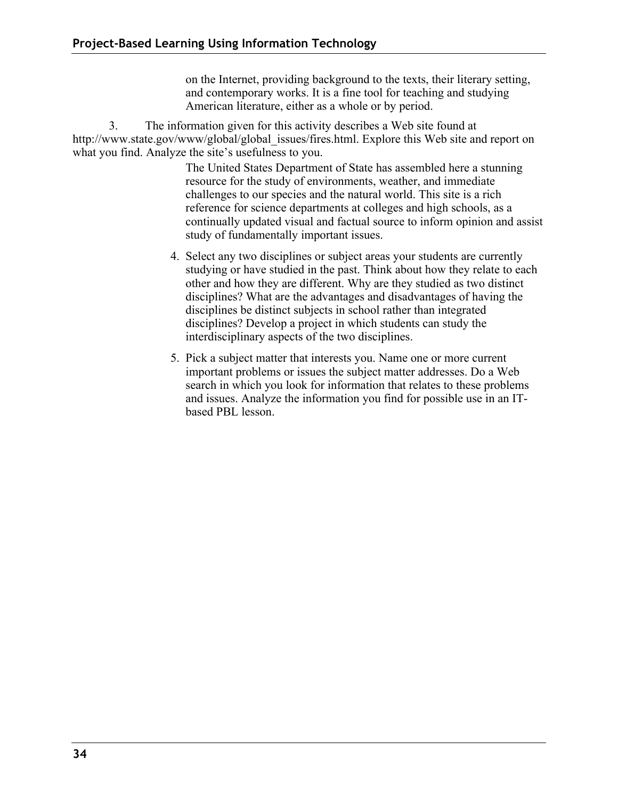on the Internet, providing background to the texts, their literary setting, and contemporary works. It is a fine tool for teaching and studying American literature, either as a whole or by period.

3. The information given for this activity describes a Web site found at http://www.state.gov/www/global/global\_issues/fires.html. Explore this Web site and report on what you find. Analyze the site's usefulness to you.

> The United States Department of State has assembled here a stunning resource for the study of environments, weather, and immediate challenges to our species and the natural world. This site is a rich reference for science departments at colleges and high schools, as a continually updated visual and factual source to inform opinion and assist study of fundamentally important issues.

- 4. Select any two disciplines or subject areas your students are currently studying or have studied in the past. Think about how they relate to each other and how they are different. Why are they studied as two distinct disciplines? What are the advantages and disadvantages of having the disciplines be distinct subjects in school rather than integrated disciplines? Develop a project in which students can study the interdisciplinary aspects of the two disciplines.
- 5. Pick a subject matter that interests you. Name one or more current important problems or issues the subject matter addresses. Do a Web search in which you look for information that relates to these problems and issues. Analyze the information you find for possible use in an ITbased PBL lesson.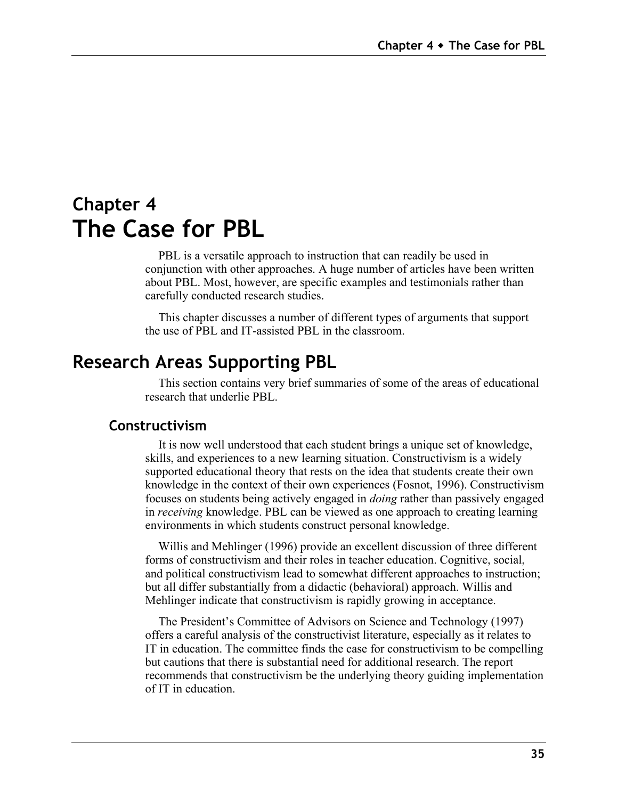# **Chapter 4 The Case for PBL**

PBL is a versatile approach to instruction that can readily be used in conjunction with other approaches. A huge number of articles have been written about PBL. Most, however, are specific examples and testimonials rather than carefully conducted research studies.

This chapter discusses a number of different types of arguments that support the use of PBL and IT-assisted PBL in the classroom.

## **Research Areas Supporting PBL**

This section contains very brief summaries of some of the areas of educational research that underlie PBL.

#### **Constructivism**

It is now well understood that each student brings a unique set of knowledge, skills, and experiences to a new learning situation. Constructivism is a widely supported educational theory that rests on the idea that students create their own knowledge in the context of their own experiences (Fosnot, 1996). Constructivism focuses on students being actively engaged in *doing* rather than passively engaged in *receiving* knowledge. PBL can be viewed as one approach to creating learning environments in which students construct personal knowledge.

Willis and Mehlinger (1996) provide an excellent discussion of three different forms of constructivism and their roles in teacher education. Cognitive, social, and political constructivism lead to somewhat different approaches to instruction; but all differ substantially from a didactic (behavioral) approach. Willis and Mehlinger indicate that constructivism is rapidly growing in acceptance.

The President's Committee of Advisors on Science and Technology (1997) offers a careful analysis of the constructivist literature, especially as it relates to IT in education. The committee finds the case for constructivism to be compelling but cautions that there is substantial need for additional research. The report recommends that constructivism be the underlying theory guiding implementation of IT in education.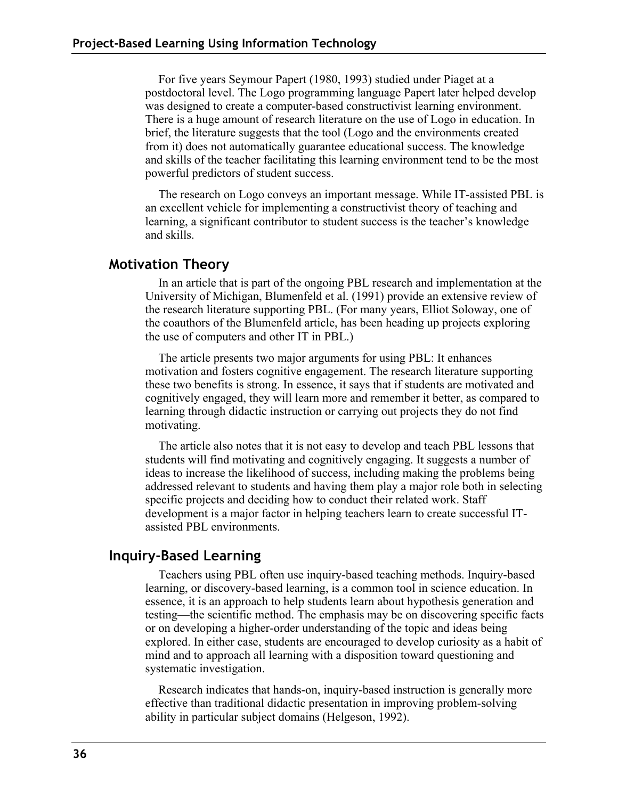For five years Seymour Papert (1980, 1993) studied under Piaget at a postdoctoral level. The Logo programming language Papert later helped develop was designed to create a computer-based constructivist learning environment. There is a huge amount of research literature on the use of Logo in education. In brief, the literature suggests that the tool (Logo and the environments created from it) does not automatically guarantee educational success. The knowledge and skills of the teacher facilitating this learning environment tend to be the most powerful predictors of student success.

The research on Logo conveys an important message. While IT-assisted PBL is an excellent vehicle for implementing a constructivist theory of teaching and learning, a significant contributor to student success is the teacher's knowledge and skills.

#### **Motivation Theory**

In an article that is part of the ongoing PBL research and implementation at the University of Michigan, Blumenfeld et al. (1991) provide an extensive review of the research literature supporting PBL. (For many years, Elliot Soloway, one of the coauthors of the Blumenfeld article, has been heading up projects exploring the use of computers and other IT in PBL.)

The article presents two major arguments for using PBL: It enhances motivation and fosters cognitive engagement. The research literature supporting these two benefits is strong. In essence, it says that if students are motivated and cognitively engaged, they will learn more and remember it better, as compared to learning through didactic instruction or carrying out projects they do not find motivating.

The article also notes that it is not easy to develop and teach PBL lessons that students will find motivating and cognitively engaging. It suggests a number of ideas to increase the likelihood of success, including making the problems being addressed relevant to students and having them play a major role both in selecting specific projects and deciding how to conduct their related work. Staff development is a major factor in helping teachers learn to create successful ITassisted PBL environments.

#### **Inquiry-Based Learning**

Teachers using PBL often use inquiry-based teaching methods. Inquiry-based learning, or discovery-based learning, is a common tool in science education. In essence, it is an approach to help students learn about hypothesis generation and testing—the scientific method. The emphasis may be on discovering specific facts or on developing a higher-order understanding of the topic and ideas being explored. In either case, students are encouraged to develop curiosity as a habit of mind and to approach all learning with a disposition toward questioning and systematic investigation.

Research indicates that hands-on, inquiry-based instruction is generally more effective than traditional didactic presentation in improving problem-solving ability in particular subject domains (Helgeson, 1992).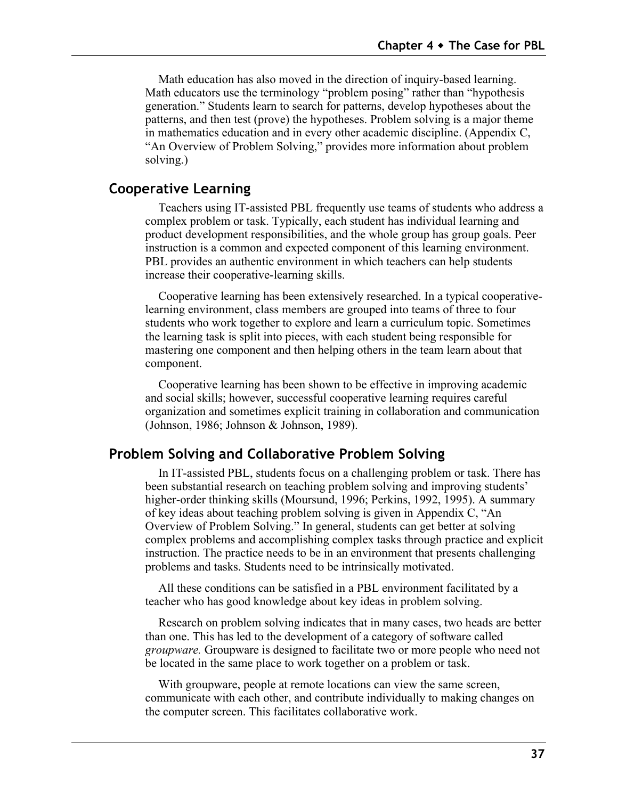Math education has also moved in the direction of inquiry-based learning. Math educators use the terminology "problem posing" rather than "hypothesis generation." Students learn to search for patterns, develop hypotheses about the patterns, and then test (prove) the hypotheses. Problem solving is a major theme in mathematics education and in every other academic discipline. (Appendix C, "An Overview of Problem Solving," provides more information about problem solving.)

#### **Cooperative Learning**

Teachers using IT-assisted PBL frequently use teams of students who address a complex problem or task. Typically, each student has individual learning and product development responsibilities, and the whole group has group goals. Peer instruction is a common and expected component of this learning environment. PBL provides an authentic environment in which teachers can help students increase their cooperative-learning skills.

Cooperative learning has been extensively researched. In a typical cooperativelearning environment, class members are grouped into teams of three to four students who work together to explore and learn a curriculum topic. Sometimes the learning task is split into pieces, with each student being responsible for mastering one component and then helping others in the team learn about that component.

Cooperative learning has been shown to be effective in improving academic and social skills; however, successful cooperative learning requires careful organization and sometimes explicit training in collaboration and communication (Johnson, 1986; Johnson & Johnson, 1989).

#### **Problem Solving and Collaborative Problem Solving**

In IT-assisted PBL, students focus on a challenging problem or task. There has been substantial research on teaching problem solving and improving students' higher-order thinking skills (Moursund, 1996; Perkins, 1992, 1995). A summary of key ideas about teaching problem solving is given in Appendix C, "An Overview of Problem Solving." In general, students can get better at solving complex problems and accomplishing complex tasks through practice and explicit instruction. The practice needs to be in an environment that presents challenging problems and tasks. Students need to be intrinsically motivated.

All these conditions can be satisfied in a PBL environment facilitated by a teacher who has good knowledge about key ideas in problem solving.

Research on problem solving indicates that in many cases, two heads are better than one. This has led to the development of a category of software called *groupware.* Groupware is designed to facilitate two or more people who need not be located in the same place to work together on a problem or task.

With groupware, people at remote locations can view the same screen, communicate with each other, and contribute individually to making changes on the computer screen. This facilitates collaborative work.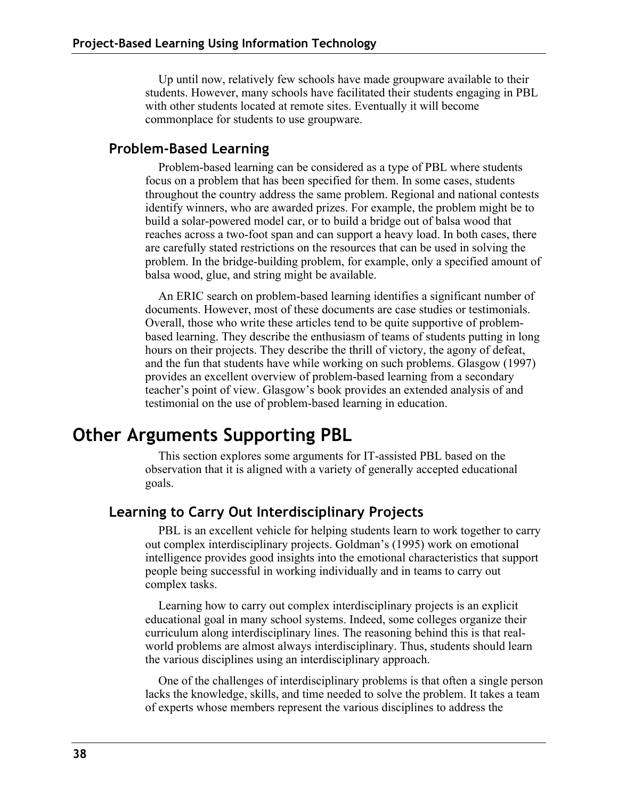Up until now, relatively few schools have made groupware available to their students. However, many schools have facilitated their students engaging in PBL with other students located at remote sites. Eventually it will become commonplace for students to use groupware.

#### **Problem-Based Learning**

Problem-based learning can be considered as a type of PBL where students focus on a problem that has been specified for them. In some cases, students throughout the country address the same problem. Regional and national contests identify winners, who are awarded prizes. For example, the problem might be to build a solar-powered model car, or to build a bridge out of balsa wood that reaches across a two-foot span and can support a heavy load. In both cases, there are carefully stated restrictions on the resources that can be used in solving the problem. In the bridge-building problem, for example, only a specified amount of balsa wood, glue, and string might be available.

An ERIC search on problem-based learning identifies a significant number of documents. However, most of these documents are case studies or testimonials. Overall, those who write these articles tend to be quite supportive of problembased learning. They describe the enthusiasm of teams of students putting in long hours on their projects. They describe the thrill of victory, the agony of defeat, and the fun that students have while working on such problems. Glasgow (1997) provides an excellent overview of problem-based learning from a secondary teacher's point of view. Glasgow's book provides an extended analysis of and testimonial on the use of problem-based learning in education.

## **Other Arguments Supporting PBL**

This section explores some arguments for IT-assisted PBL based on the observation that it is aligned with a variety of generally accepted educational goals.

#### **Learning to Carry Out Interdisciplinary Projects**

PBL is an excellent vehicle for helping students learn to work together to carry out complex interdisciplinary projects. Goldman's (1995) work on emotional intelligence provides good insights into the emotional characteristics that support people being successful in working individually and in teams to carry out complex tasks.

Learning how to carry out complex interdisciplinary projects is an explicit educational goal in many school systems. Indeed, some colleges organize their curriculum along interdisciplinary lines. The reasoning behind this is that realworld problems are almost always interdisciplinary. Thus, students should learn the various disciplines using an interdisciplinary approach.

One of the challenges of interdisciplinary problems is that often a single person lacks the knowledge, skills, and time needed to solve the problem. It takes a team of experts whose members represent the various disciplines to address the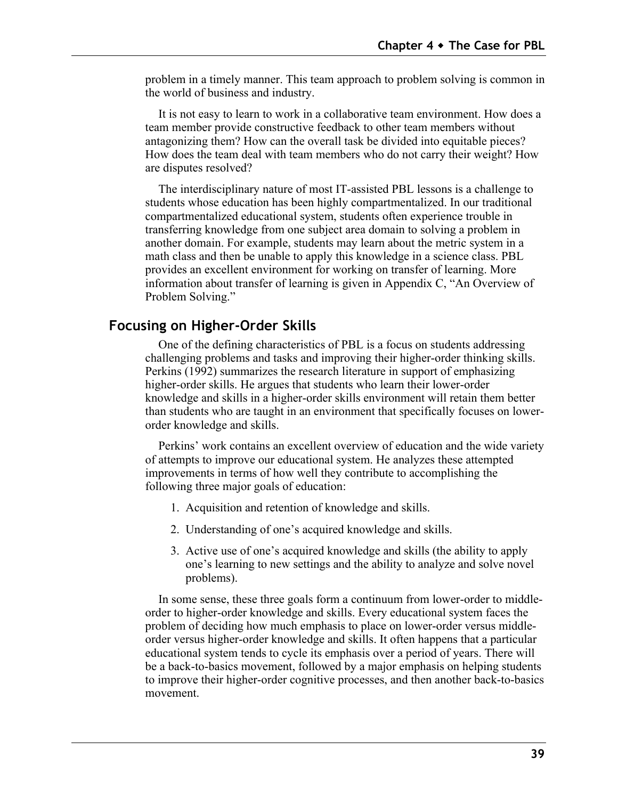problem in a timely manner. This team approach to problem solving is common in the world of business and industry.

It is not easy to learn to work in a collaborative team environment. How does a team member provide constructive feedback to other team members without antagonizing them? How can the overall task be divided into equitable pieces? How does the team deal with team members who do not carry their weight? How are disputes resolved?

The interdisciplinary nature of most IT-assisted PBL lessons is a challenge to students whose education has been highly compartmentalized. In our traditional compartmentalized educational system, students often experience trouble in transferring knowledge from one subject area domain to solving a problem in another domain. For example, students may learn about the metric system in a math class and then be unable to apply this knowledge in a science class. PBL provides an excellent environment for working on transfer of learning. More information about transfer of learning is given in Appendix C, "An Overview of Problem Solving."

#### **Focusing on Higher-Order Skills**

One of the defining characteristics of PBL is a focus on students addressing challenging problems and tasks and improving their higher-order thinking skills. Perkins (1992) summarizes the research literature in support of emphasizing higher-order skills. He argues that students who learn their lower-order knowledge and skills in a higher-order skills environment will retain them better than students who are taught in an environment that specifically focuses on lowerorder knowledge and skills.

Perkins' work contains an excellent overview of education and the wide variety of attempts to improve our educational system. He analyzes these attempted improvements in terms of how well they contribute to accomplishing the following three major goals of education:

- 1. Acquisition and retention of knowledge and skills.
- 2. Understanding of one's acquired knowledge and skills.
- 3. Active use of one's acquired knowledge and skills (the ability to apply one's learning to new settings and the ability to analyze and solve novel problems).

In some sense, these three goals form a continuum from lower-order to middleorder to higher-order knowledge and skills. Every educational system faces the problem of deciding how much emphasis to place on lower-order versus middleorder versus higher-order knowledge and skills. It often happens that a particular educational system tends to cycle its emphasis over a period of years. There will be a back-to-basics movement, followed by a major emphasis on helping students to improve their higher-order cognitive processes, and then another back-to-basics movement.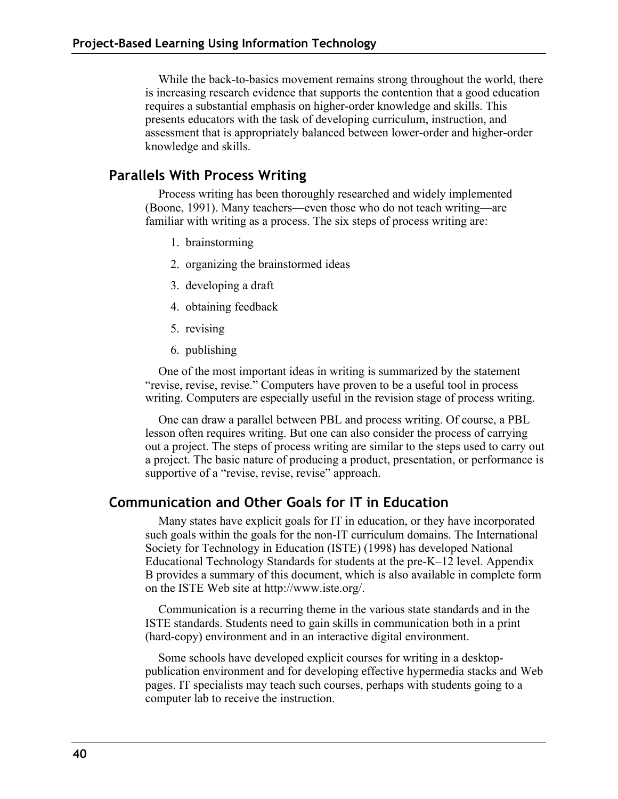While the back-to-basics movement remains strong throughout the world, there is increasing research evidence that supports the contention that a good education requires a substantial emphasis on higher-order knowledge and skills. This presents educators with the task of developing curriculum, instruction, and assessment that is appropriately balanced between lower-order and higher-order knowledge and skills.

#### **Parallels With Process Writing**

Process writing has been thoroughly researched and widely implemented (Boone, 1991). Many teachers—even those who do not teach writing—are familiar with writing as a process. The six steps of process writing are:

- 1. brainstorming
- 2. organizing the brainstormed ideas
- 3. developing a draft
- 4. obtaining feedback
- 5. revising
- 6. publishing

One of the most important ideas in writing is summarized by the statement "revise, revise, revise." Computers have proven to be a useful tool in process writing. Computers are especially useful in the revision stage of process writing.

One can draw a parallel between PBL and process writing. Of course, a PBL lesson often requires writing. But one can also consider the process of carrying out a project. The steps of process writing are similar to the steps used to carry out a project. The basic nature of producing a product, presentation, or performance is supportive of a "revise, revise, revise" approach.

#### **Communication and Other Goals for IT in Education**

Many states have explicit goals for IT in education, or they have incorporated such goals within the goals for the non-IT curriculum domains. The International Society for Technology in Education (ISTE) (1998) has developed National Educational Technology Standards for students at the pre-K–12 level. Appendix B provides a summary of this document, which is also available in complete form on the ISTE Web site at http://www.iste.org/.

Communication is a recurring theme in the various state standards and in the ISTE standards. Students need to gain skills in communication both in a print (hard-copy) environment and in an interactive digital environment.

Some schools have developed explicit courses for writing in a desktoppublication environment and for developing effective hypermedia stacks and Web pages. IT specialists may teach such courses, perhaps with students going to a computer lab to receive the instruction.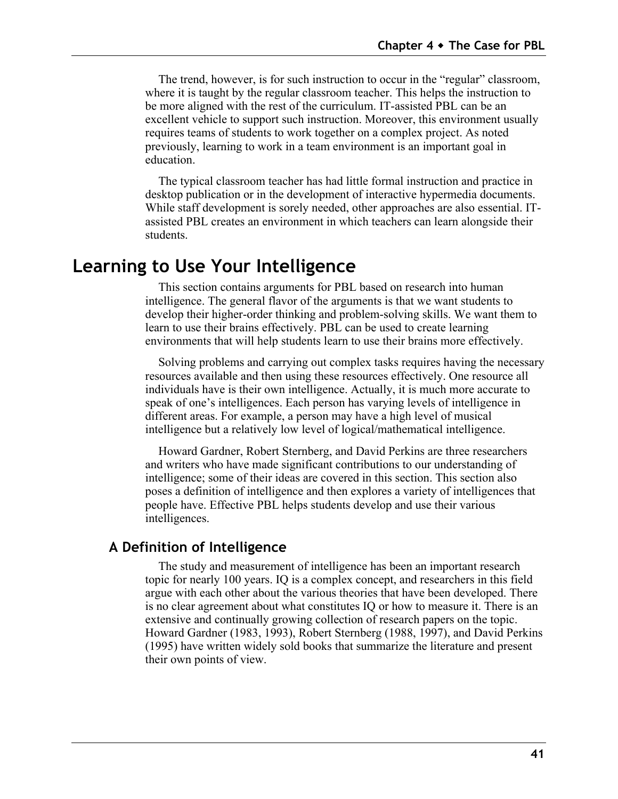The trend, however, is for such instruction to occur in the "regular" classroom, where it is taught by the regular classroom teacher. This helps the instruction to be more aligned with the rest of the curriculum. IT-assisted PBL can be an excellent vehicle to support such instruction. Moreover, this environment usually requires teams of students to work together on a complex project. As noted previously, learning to work in a team environment is an important goal in education.

The typical classroom teacher has had little formal instruction and practice in desktop publication or in the development of interactive hypermedia documents. While staff development is sorely needed, other approaches are also essential. ITassisted PBL creates an environment in which teachers can learn alongside their students.

### **Learning to Use Your Intelligence**

This section contains arguments for PBL based on research into human intelligence. The general flavor of the arguments is that we want students to develop their higher-order thinking and problem-solving skills. We want them to learn to use their brains effectively. PBL can be used to create learning environments that will help students learn to use their brains more effectively.

Solving problems and carrying out complex tasks requires having the necessary resources available and then using these resources effectively. One resource all individuals have is their own intelligence. Actually, it is much more accurate to speak of one's intelligences. Each person has varying levels of intelligence in different areas. For example, a person may have a high level of musical intelligence but a relatively low level of logical/mathematical intelligence.

Howard Gardner, Robert Sternberg, and David Perkins are three researchers and writers who have made significant contributions to our understanding of intelligence; some of their ideas are covered in this section. This section also poses a definition of intelligence and then explores a variety of intelligences that people have. Effective PBL helps students develop and use their various intelligences.

#### **A Definition of Intelligence**

The study and measurement of intelligence has been an important research topic for nearly 100 years. IQ is a complex concept, and researchers in this field argue with each other about the various theories that have been developed. There is no clear agreement about what constitutes IQ or how to measure it. There is an extensive and continually growing collection of research papers on the topic. Howard Gardner (1983, 1993), Robert Sternberg (1988, 1997), and David Perkins (1995) have written widely sold books that summarize the literature and present their own points of view.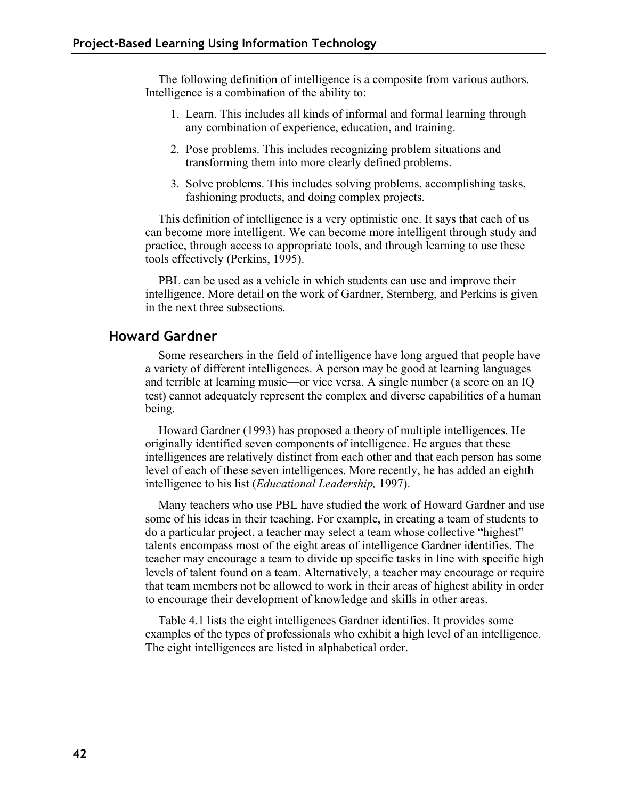The following definition of intelligence is a composite from various authors. Intelligence is a combination of the ability to:

- 1. Learn. This includes all kinds of informal and formal learning through any combination of experience, education, and training.
- 2. Pose problems. This includes recognizing problem situations and transforming them into more clearly defined problems.
- 3. Solve problems. This includes solving problems, accomplishing tasks, fashioning products, and doing complex projects.

This definition of intelligence is a very optimistic one. It says that each of us can become more intelligent. We can become more intelligent through study and practice, through access to appropriate tools, and through learning to use these tools effectively (Perkins, 1995).

PBL can be used as a vehicle in which students can use and improve their intelligence. More detail on the work of Gardner, Sternberg, and Perkins is given in the next three subsections.

#### **Howard Gardner**

Some researchers in the field of intelligence have long argued that people have a variety of different intelligences. A person may be good at learning languages and terrible at learning music—or vice versa. A single number (a score on an IQ test) cannot adequately represent the complex and diverse capabilities of a human being.

Howard Gardner (1993) has proposed a theory of multiple intelligences. He originally identified seven components of intelligence. He argues that these intelligences are relatively distinct from each other and that each person has some level of each of these seven intelligences. More recently, he has added an eighth intelligence to his list (*Educational Leadership,* 1997).

Many teachers who use PBL have studied the work of Howard Gardner and use some of his ideas in their teaching. For example, in creating a team of students to do a particular project, a teacher may select a team whose collective "highest" talents encompass most of the eight areas of intelligence Gardner identifies. The teacher may encourage a team to divide up specific tasks in line with specific high levels of talent found on a team. Alternatively, a teacher may encourage or require that team members not be allowed to work in their areas of highest ability in order to encourage their development of knowledge and skills in other areas.

Table 4.1 lists the eight intelligences Gardner identifies. It provides some examples of the types of professionals who exhibit a high level of an intelligence. The eight intelligences are listed in alphabetical order.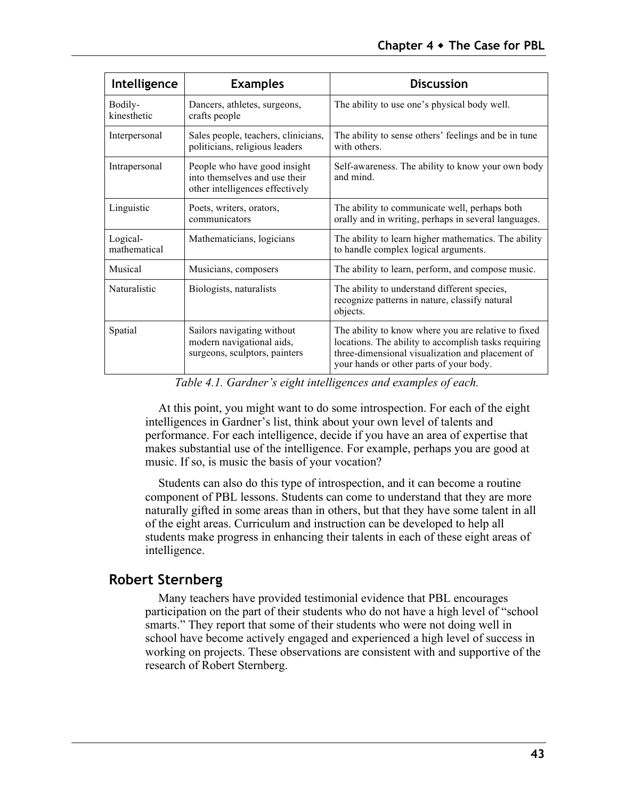| Intelligence             | <b>Examples</b>                                                                                  | <b>Discussion</b>                                                                                                                                                                                          |
|--------------------------|--------------------------------------------------------------------------------------------------|------------------------------------------------------------------------------------------------------------------------------------------------------------------------------------------------------------|
| Bodily-<br>kinesthetic   | Dancers, athletes, surgeons,<br>crafts people                                                    | The ability to use one's physical body well.                                                                                                                                                               |
| Interpersonal            | Sales people, teachers, clinicians,<br>politicians, religious leaders                            | The ability to sense others' feelings and be in tune<br>with others.                                                                                                                                       |
| Intrapersonal            | People who have good insight<br>into themselves and use their<br>other intelligences effectively | Self-awareness. The ability to know your own body<br>and mind                                                                                                                                              |
| Linguistic               | Poets, writers, orators,<br>communicators                                                        | The ability to communicate well, perhaps both<br>orally and in writing, perhaps in several languages.                                                                                                      |
| Logical-<br>mathematical | Mathematicians, logicians                                                                        | The ability to learn higher mathematics. The ability<br>to handle complex logical arguments.                                                                                                               |
| Musical                  | Musicians, composers                                                                             | The ability to learn, perform, and compose music.                                                                                                                                                          |
| Naturalistic             | Biologists, naturalists                                                                          | The ability to understand different species,<br>recognize patterns in nature, classify natural<br>objects.                                                                                                 |
| Spatial                  | Sailors navigating without<br>modern navigational aids,<br>surgeons, sculptors, painters         | The ability to know where you are relative to fixed<br>locations. The ability to accomplish tasks requiring<br>three-dimensional visualization and placement of<br>your hands or other parts of your body. |

*Table 4.1. Gardner's eight intelligences and examples of each.*

At this point, you might want to do some introspection. For each of the eight intelligences in Gardner's list, think about your own level of talents and performance. For each intelligence, decide if you have an area of expertise that makes substantial use of the intelligence. For example, perhaps you are good at music. If so, is music the basis of your vocation?

Students can also do this type of introspection, and it can become a routine component of PBL lessons. Students can come to understand that they are more naturally gifted in some areas than in others, but that they have some talent in all of the eight areas. Curriculum and instruction can be developed to help all students make progress in enhancing their talents in each of these eight areas of intelligence.

#### **Robert Sternberg**

Many teachers have provided testimonial evidence that PBL encourages participation on the part of their students who do not have a high level of "school smarts." They report that some of their students who were not doing well in school have become actively engaged and experienced a high level of success in working on projects. These observations are consistent with and supportive of the research of Robert Sternberg.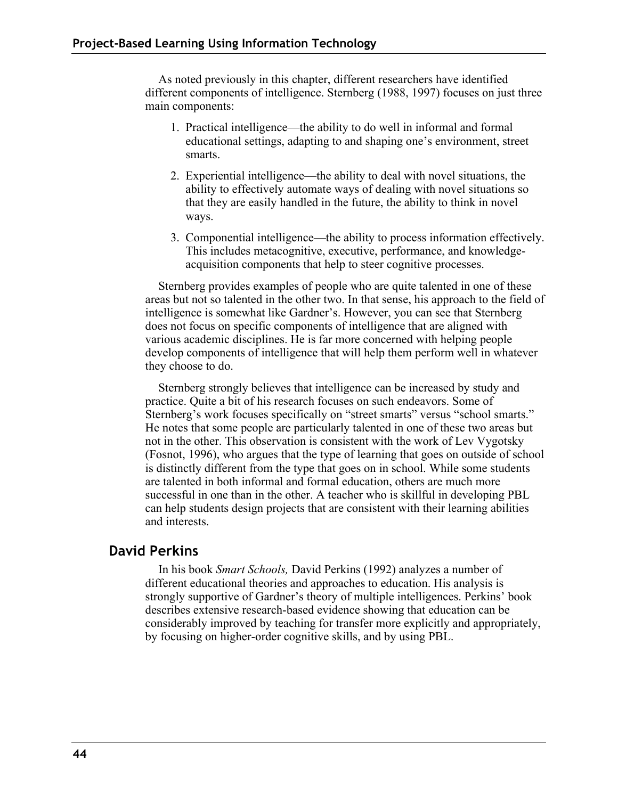As noted previously in this chapter, different researchers have identified different components of intelligence. Sternberg (1988, 1997) focuses on just three main components:

- 1. Practical intelligence—the ability to do well in informal and formal educational settings, adapting to and shaping one's environment, street smarts.
- 2. Experiential intelligence—the ability to deal with novel situations, the ability to effectively automate ways of dealing with novel situations so that they are easily handled in the future, the ability to think in novel ways.
- 3. Componential intelligence—the ability to process information effectively. This includes metacognitive, executive, performance, and knowledgeacquisition components that help to steer cognitive processes.

Sternberg provides examples of people who are quite talented in one of these areas but not so talented in the other two. In that sense, his approach to the field of intelligence is somewhat like Gardner's. However, you can see that Sternberg does not focus on specific components of intelligence that are aligned with various academic disciplines. He is far more concerned with helping people develop components of intelligence that will help them perform well in whatever they choose to do.

Sternberg strongly believes that intelligence can be increased by study and practice. Quite a bit of his research focuses on such endeavors. Some of Sternberg's work focuses specifically on "street smarts" versus "school smarts." He notes that some people are particularly talented in one of these two areas but not in the other. This observation is consistent with the work of Lev Vygotsky (Fosnot, 1996), who argues that the type of learning that goes on outside of school is distinctly different from the type that goes on in school. While some students are talented in both informal and formal education, others are much more successful in one than in the other. A teacher who is skillful in developing PBL can help students design projects that are consistent with their learning abilities and interests.

#### **David Perkins**

In his book *Smart Schools,* David Perkins (1992) analyzes a number of different educational theories and approaches to education. His analysis is strongly supportive of Gardner's theory of multiple intelligences. Perkins' book describes extensive research-based evidence showing that education can be considerably improved by teaching for transfer more explicitly and appropriately, by focusing on higher-order cognitive skills, and by using PBL.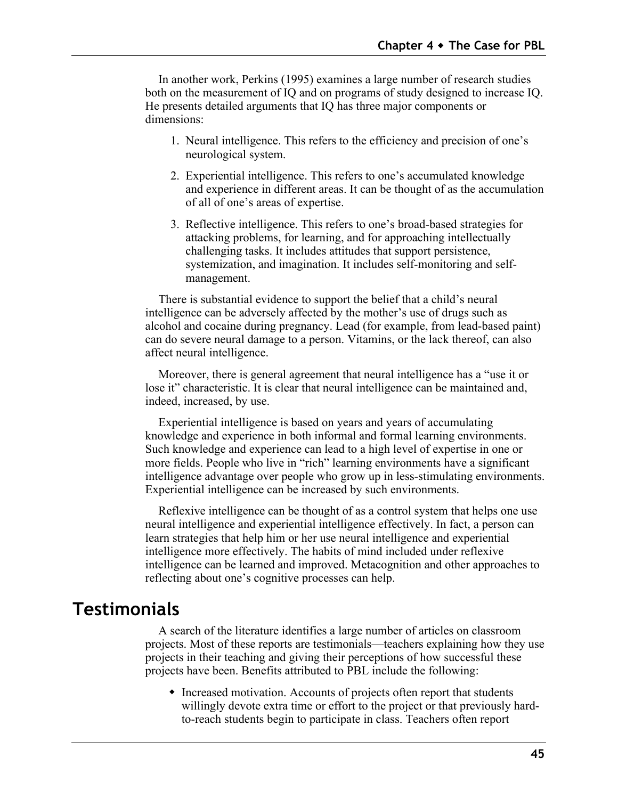In another work, Perkins (1995) examines a large number of research studies both on the measurement of IQ and on programs of study designed to increase IQ. He presents detailed arguments that IQ has three major components or dimensions:

- 1. Neural intelligence. This refers to the efficiency and precision of one's neurological system.
- 2. Experiential intelligence. This refers to one's accumulated knowledge and experience in different areas. It can be thought of as the accumulation of all of one's areas of expertise.
- 3. Reflective intelligence. This refers to one's broad-based strategies for attacking problems, for learning, and for approaching intellectually challenging tasks. It includes attitudes that support persistence, systemization, and imagination. It includes self-monitoring and selfmanagement.

There is substantial evidence to support the belief that a child's neural intelligence can be adversely affected by the mother's use of drugs such as alcohol and cocaine during pregnancy. Lead (for example, from lead-based paint) can do severe neural damage to a person. Vitamins, or the lack thereof, can also affect neural intelligence.

Moreover, there is general agreement that neural intelligence has a "use it or lose it" characteristic. It is clear that neural intelligence can be maintained and, indeed, increased, by use.

Experiential intelligence is based on years and years of accumulating knowledge and experience in both informal and formal learning environments. Such knowledge and experience can lead to a high level of expertise in one or more fields. People who live in "rich" learning environments have a significant intelligence advantage over people who grow up in less-stimulating environments. Experiential intelligence can be increased by such environments.

Reflexive intelligence can be thought of as a control system that helps one use neural intelligence and experiential intelligence effectively. In fact, a person can learn strategies that help him or her use neural intelligence and experiential intelligence more effectively. The habits of mind included under reflexive intelligence can be learned and improved. Metacognition and other approaches to reflecting about one's cognitive processes can help.

### **Testimonials**

A search of the literature identifies a large number of articles on classroom projects. Most of these reports are testimonials—teachers explaining how they use projects in their teaching and giving their perceptions of how successful these projects have been. Benefits attributed to PBL include the following:

• Increased motivation. Accounts of projects often report that students willingly devote extra time or effort to the project or that previously hardto-reach students begin to participate in class. Teachers often report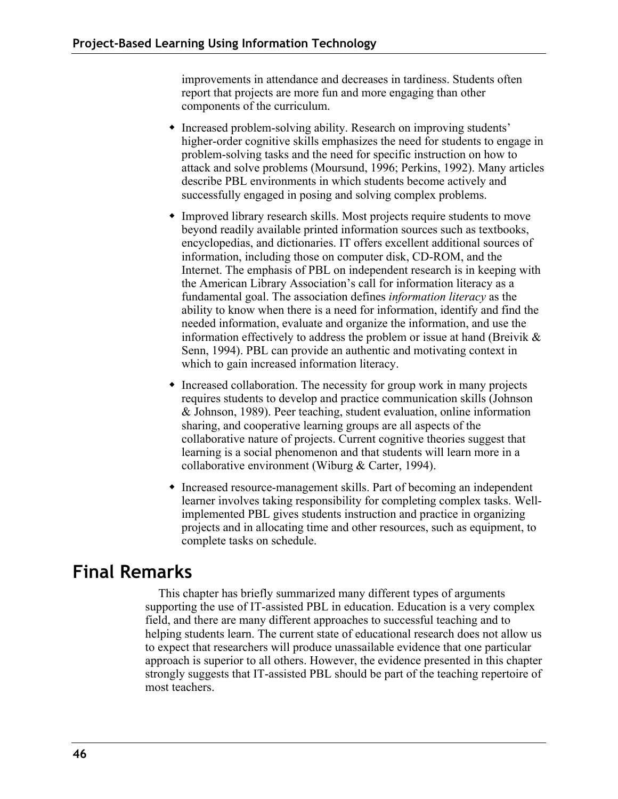improvements in attendance and decreases in tardiness. Students often report that projects are more fun and more engaging than other components of the curriculum.

- Increased problem-solving ability. Research on improving students' higher-order cognitive skills emphasizes the need for students to engage in problem-solving tasks and the need for specific instruction on how to attack and solve problems (Moursund, 1996; Perkins, 1992). Many articles describe PBL environments in which students become actively and successfully engaged in posing and solving complex problems.
- Improved library research skills. Most projects require students to move beyond readily available printed information sources such as textbooks, encyclopedias, and dictionaries. IT offers excellent additional sources of information, including those on computer disk, CD-ROM, and the Internet. The emphasis of PBL on independent research is in keeping with the American Library Association's call for information literacy as a fundamental goal. The association defines *information literacy* as the ability to know when there is a need for information, identify and find the needed information, evaluate and organize the information, and use the information effectively to address the problem or issue at hand (Breivik & Senn, 1994). PBL can provide an authentic and motivating context in which to gain increased information literacy.
- $\bullet$  Increased collaboration. The necessity for group work in many projects requires students to develop and practice communication skills (Johnson & Johnson, 1989). Peer teaching, student evaluation, online information sharing, and cooperative learning groups are all aspects of the collaborative nature of projects. Current cognitive theories suggest that learning is a social phenomenon and that students will learn more in a collaborative environment (Wiburg & Carter, 1994).
- Increased resource-management skills. Part of becoming an independent learner involves taking responsibility for completing complex tasks. Wellimplemented PBL gives students instruction and practice in organizing projects and in allocating time and other resources, such as equipment, to complete tasks on schedule.

## **Final Remarks**

This chapter has briefly summarized many different types of arguments supporting the use of IT-assisted PBL in education. Education is a very complex field, and there are many different approaches to successful teaching and to helping students learn. The current state of educational research does not allow us to expect that researchers will produce unassailable evidence that one particular approach is superior to all others. However, the evidence presented in this chapter strongly suggests that IT-assisted PBL should be part of the teaching repertoire of most teachers.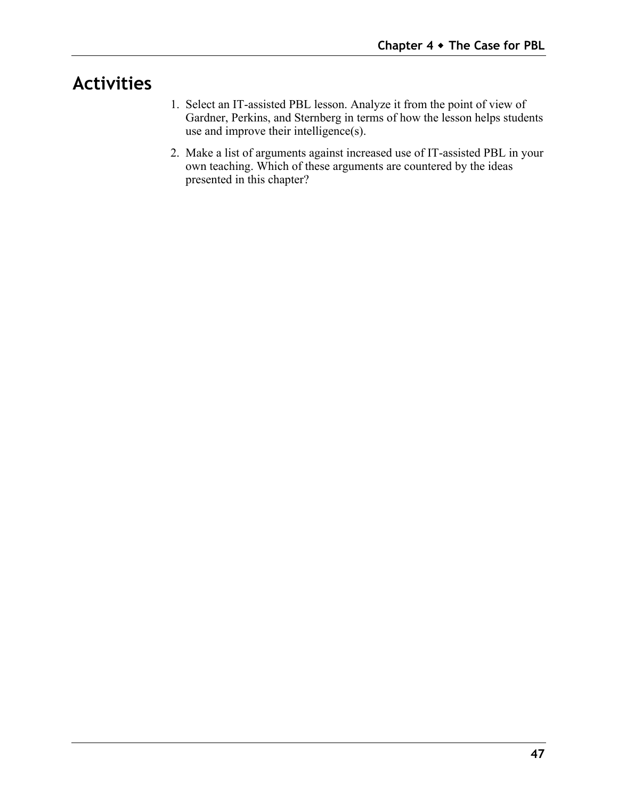## **Activities**

- 1. Select an IT-assisted PBL lesson. Analyze it from the point of view of Gardner, Perkins, and Sternberg in terms of how the lesson helps students use and improve their intelligence(s).
- 2. Make a list of arguments against increased use of IT-assisted PBL in your own teaching. Which of these arguments are countered by the ideas presented in this chapter?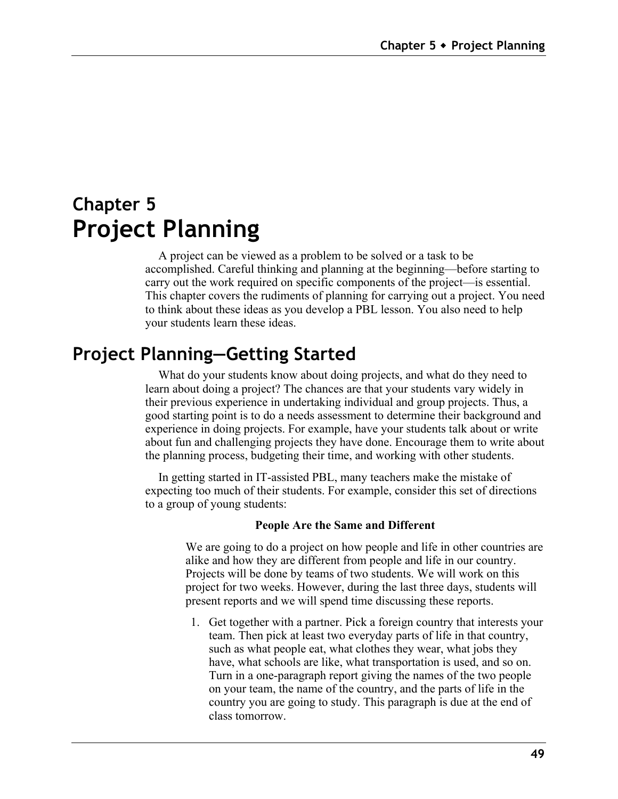# **Chapter 5 Project Planning**

A project can be viewed as a problem to be solved or a task to be accomplished. Careful thinking and planning at the beginning—before starting to carry out the work required on specific components of the project—is essential. This chapter covers the rudiments of planning for carrying out a project. You need to think about these ideas as you develop a PBL lesson. You also need to help your students learn these ideas.

### **Project Planning—Getting Started**

What do your students know about doing projects, and what do they need to learn about doing a project? The chances are that your students vary widely in their previous experience in undertaking individual and group projects. Thus, a good starting point is to do a needs assessment to determine their background and experience in doing projects. For example, have your students talk about or write about fun and challenging projects they have done. Encourage them to write about the planning process, budgeting their time, and working with other students.

In getting started in IT-assisted PBL, many teachers make the mistake of expecting too much of their students. For example, consider this set of directions to a group of young students:

#### **People Are the Same and Different**

We are going to do a project on how people and life in other countries are alike and how they are different from people and life in our country. Projects will be done by teams of two students. We will work on this project for two weeks. However, during the last three days, students will present reports and we will spend time discussing these reports.

1. Get together with a partner. Pick a foreign country that interests your team. Then pick at least two everyday parts of life in that country, such as what people eat, what clothes they wear, what jobs they have, what schools are like, what transportation is used, and so on. Turn in a one-paragraph report giving the names of the two people on your team, the name of the country, and the parts of life in the country you are going to study. This paragraph is due at the end of class tomorrow.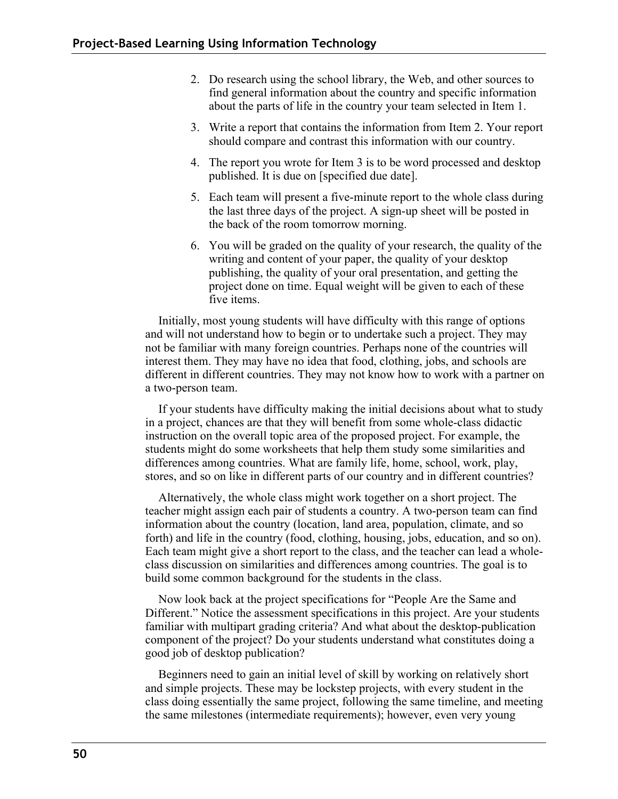- 2. Do research using the school library, the Web, and other sources to find general information about the country and specific information about the parts of life in the country your team selected in Item 1.
- 3. Write a report that contains the information from Item 2. Your report should compare and contrast this information with our country.
- 4. The report you wrote for Item 3 is to be word processed and desktop published. It is due on [specified due date].
- 5. Each team will present a five-minute report to the whole class during the last three days of the project. A sign-up sheet will be posted in the back of the room tomorrow morning.
- 6. You will be graded on the quality of your research, the quality of the writing and content of your paper, the quality of your desktop publishing, the quality of your oral presentation, and getting the project done on time. Equal weight will be given to each of these five items.

Initially, most young students will have difficulty with this range of options and will not understand how to begin or to undertake such a project. They may not be familiar with many foreign countries. Perhaps none of the countries will interest them. They may have no idea that food, clothing, jobs, and schools are different in different countries. They may not know how to work with a partner on a two-person team.

If your students have difficulty making the initial decisions about what to study in a project, chances are that they will benefit from some whole-class didactic instruction on the overall topic area of the proposed project. For example, the students might do some worksheets that help them study some similarities and differences among countries. What are family life, home, school, work, play, stores, and so on like in different parts of our country and in different countries?

Alternatively, the whole class might work together on a short project. The teacher might assign each pair of students a country. A two-person team can find information about the country (location, land area, population, climate, and so forth) and life in the country (food, clothing, housing, jobs, education, and so on). Each team might give a short report to the class, and the teacher can lead a wholeclass discussion on similarities and differences among countries. The goal is to build some common background for the students in the class.

Now look back at the project specifications for "People Are the Same and Different." Notice the assessment specifications in this project. Are your students familiar with multipart grading criteria? And what about the desktop-publication component of the project? Do your students understand what constitutes doing a good job of desktop publication?

Beginners need to gain an initial level of skill by working on relatively short and simple projects. These may be lockstep projects, with every student in the class doing essentially the same project, following the same timeline, and meeting the same milestones (intermediate requirements); however, even very young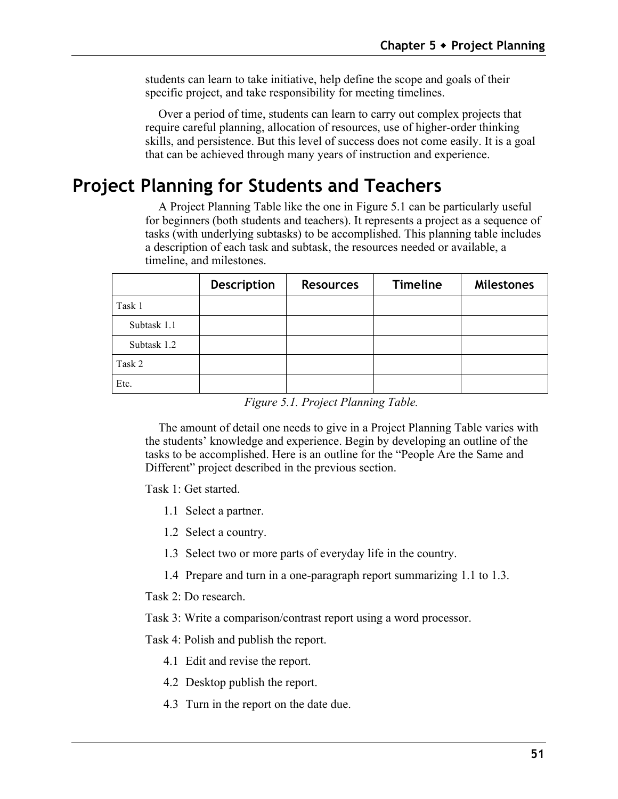students can learn to take initiative, help define the scope and goals of their specific project, and take responsibility for meeting timelines.

Over a period of time, students can learn to carry out complex projects that require careful planning, allocation of resources, use of higher-order thinking skills, and persistence. But this level of success does not come easily. It is a goal that can be achieved through many years of instruction and experience.

### **Project Planning for Students and Teachers**

A Project Planning Table like the one in Figure 5.1 can be particularly useful for beginners (both students and teachers). It represents a project as a sequence of tasks (with underlying subtasks) to be accomplished. This planning table includes a description of each task and subtask, the resources needed or available, a timeline, and milestones.

|             | Description | <b>Resources</b> | <b>Timeline</b> | <b>Milestones</b> |
|-------------|-------------|------------------|-----------------|-------------------|
| Task 1      |             |                  |                 |                   |
| Subtask 1.1 |             |                  |                 |                   |
| Subtask 1.2 |             |                  |                 |                   |
| Task 2      |             |                  |                 |                   |
| Etc.        |             |                  |                 |                   |

|  |  |  | Figure 5.1. Project Planning Table. |  |
|--|--|--|-------------------------------------|--|
|--|--|--|-------------------------------------|--|

The amount of detail one needs to give in a Project Planning Table varies with the students' knowledge and experience. Begin by developing an outline of the tasks to be accomplished. Here is an outline for the "People Are the Same and Different" project described in the previous section.

Task 1: Get started.

- 1.1 Select a partner.
- 1.2 Select a country.
- 1.3 Select two or more parts of everyday life in the country.
- 1.4 Prepare and turn in a one-paragraph report summarizing 1.1 to 1.3.

Task 2: Do research.

Task 3: Write a comparison/contrast report using a word processor.

Task 4: Polish and publish the report.

- 4.1 Edit and revise the report.
- 4.2 Desktop publish the report.
- 4.3 Turn in the report on the date due.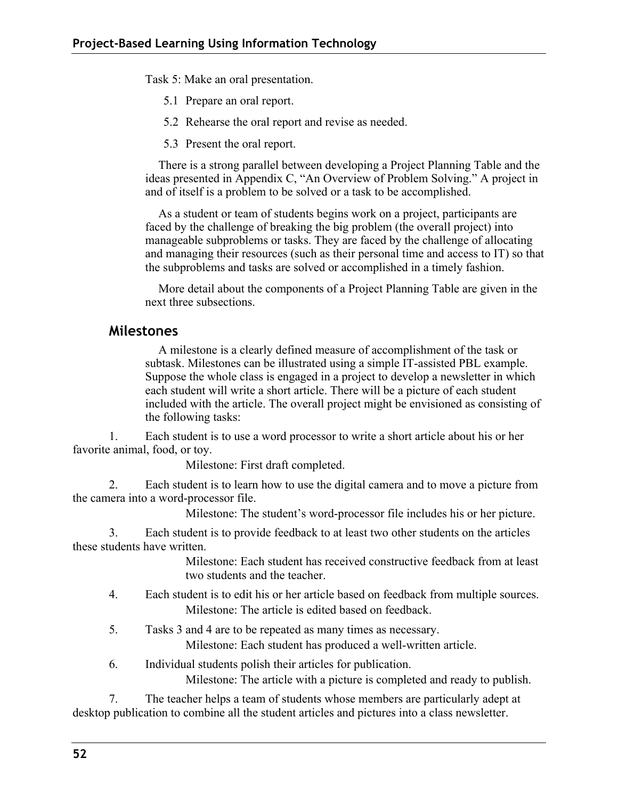Task 5: Make an oral presentation.

- 5.1 Prepare an oral report.
- 5.2 Rehearse the oral report and revise as needed.
- 5.3 Present the oral report.

There is a strong parallel between developing a Project Planning Table and the ideas presented in Appendix C, "An Overview of Problem Solving." A project in and of itself is a problem to be solved or a task to be accomplished.

As a student or team of students begins work on a project, participants are faced by the challenge of breaking the big problem (the overall project) into manageable subproblems or tasks. They are faced by the challenge of allocating and managing their resources (such as their personal time and access to IT) so that the subproblems and tasks are solved or accomplished in a timely fashion.

More detail about the components of a Project Planning Table are given in the next three subsections.

#### **Milestones**

A milestone is a clearly defined measure of accomplishment of the task or subtask. Milestones can be illustrated using a simple IT-assisted PBL example. Suppose the whole class is engaged in a project to develop a newsletter in which each student will write a short article. There will be a picture of each student included with the article. The overall project might be envisioned as consisting of the following tasks:

1. Each student is to use a word processor to write a short article about his or her favorite animal, food, or toy.

Milestone: First draft completed.

2. Each student is to learn how to use the digital camera and to move a picture from the camera into a word-processor file.

Milestone: The student's word-processor file includes his or her picture.

3. Each student is to provide feedback to at least two other students on the articles these students have written.

> Milestone: Each student has received constructive feedback from at least two students and the teacher.

- 4. Each student is to edit his or her article based on feedback from multiple sources. Milestone: The article is edited based on feedback.
- 5. Tasks 3 and 4 are to be repeated as many times as necessary.

Milestone: Each student has produced a well-written article.

6. Individual students polish their articles for publication.

Milestone: The article with a picture is completed and ready to publish.

7. The teacher helps a team of students whose members are particularly adept at desktop publication to combine all the student articles and pictures into a class newsletter.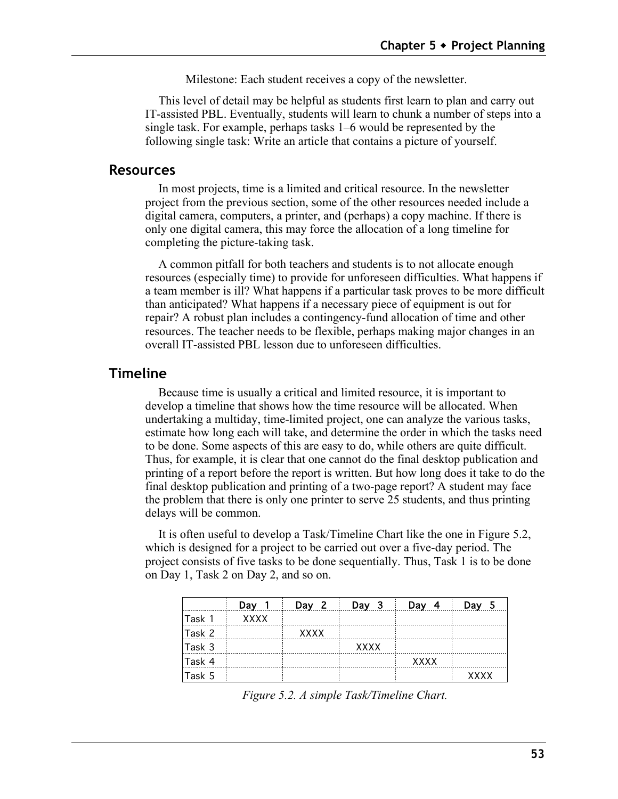Milestone: Each student receives a copy of the newsletter.

This level of detail may be helpful as students first learn to plan and carry out IT-assisted PBL. Eventually, students will learn to chunk a number of steps into a single task. For example, perhaps tasks 1–6 would be represented by the following single task: Write an article that contains a picture of yourself.

#### **Resources**

In most projects, time is a limited and critical resource. In the newsletter project from the previous section, some of the other resources needed include a digital camera, computers, a printer, and (perhaps) a copy machine. If there is only one digital camera, this may force the allocation of a long timeline for completing the picture-taking task.

A common pitfall for both teachers and students is to not allocate enough resources (especially time) to provide for unforeseen difficulties. What happens if a team member is ill? What happens if a particular task proves to be more difficult than anticipated? What happens if a necessary piece of equipment is out for repair? A robust plan includes a contingency-fund allocation of time and other resources. The teacher needs to be flexible, perhaps making major changes in an overall IT-assisted PBL lesson due to unforeseen difficulties.

#### **Timeline**

Because time is usually a critical and limited resource, it is important to develop a timeline that shows how the time resource will be allocated. When undertaking a multiday, time-limited project, one can analyze the various tasks, estimate how long each will take, and determine the order in which the tasks need to be done. Some aspects of this are easy to do, while others are quite difficult. Thus, for example, it is clear that one cannot do the final desktop publication and printing of a report before the report is written. But how long does it take to do the final desktop publication and printing of a two-page report? A student may face the problem that there is only one printer to serve 25 students, and thus printing delays will be common.

It is often useful to develop a Task/Timeline Chart like the one in Figure 5.2, which is designed for a project to be carried out over a five-day period. The project consists of five tasks to be done sequentially. Thus, Task 1 is to be done on Day 1, Task 2 on Day 2, and so on.

|        | Dav         | Day 2       | Day 3       | Day 4       | Day 5       |
|--------|-------------|-------------|-------------|-------------|-------------|
| Task 1 | <b>XXXX</b> |             |             |             |             |
| Task 2 |             | <b>XXXX</b> |             |             |             |
| Task 3 |             |             | <b>XXXX</b> |             |             |
| Task 4 |             |             |             | <b>XXXX</b> |             |
| Task 5 |             |             |             |             | <b>XXXX</b> |

*Figure 5.2. A simple Task/Timeline Chart.*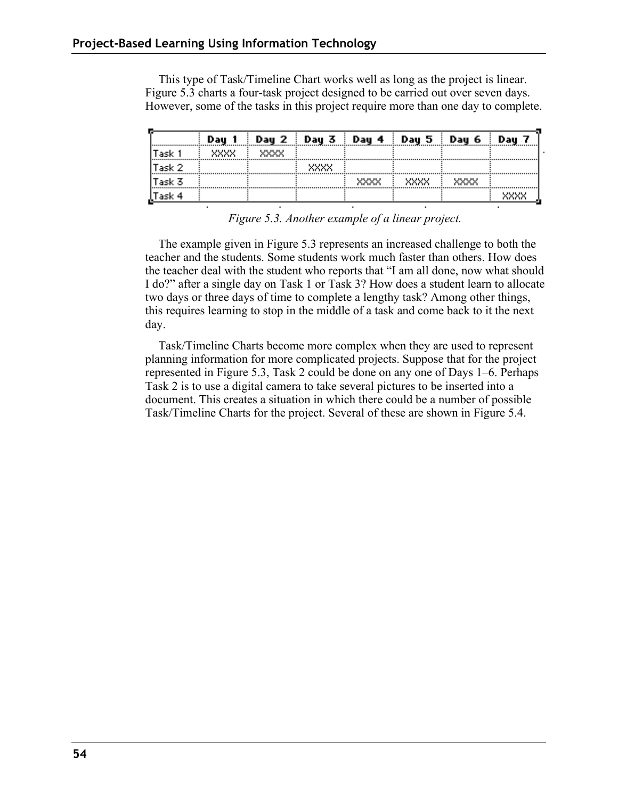This type of Task/Timeline Chart works well as long as the project is linear. Figure 5.3 charts a four-task project designed to be carried out over seven days. However, some of the tasks in this project require more than one day to complete.

|          | Dau 1 | Dau 2 | : Dau 3 | Dau 4 | : Dau 5<br>÷ | Dau 6 | Dau  |
|----------|-------|-------|---------|-------|--------------|-------|------|
| lTask 1  | XXXX  | xxxx  |         |       |              |       |      |
| lTask 2. |       |       | XXXX    |       |              |       |      |
| lTask 3. |       |       |         | xxxx  | xxxx         | xxxx  |      |
| ITask 4  |       |       |         |       |              |       | XXXX |

|  | Figure 5.3. Another example of a linear project. |  |  |
|--|--------------------------------------------------|--|--|
|  |                                                  |  |  |

The example given in Figure 5.3 represents an increased challenge to both the teacher and the students. Some students work much faster than others. How does the teacher deal with the student who reports that "I am all done, now what should I do?" after a single day on Task 1 or Task 3? How does a student learn to allocate two days or three days of time to complete a lengthy task? Among other things, this requires learning to stop in the middle of a task and come back to it the next day.

Task/Timeline Charts become more complex when they are used to represent planning information for more complicated projects. Suppose that for the project represented in Figure 5.3, Task 2 could be done on any one of Days 1–6. Perhaps Task 2 is to use a digital camera to take several pictures to be inserted into a document. This creates a situation in which there could be a number of possible Task/Timeline Charts for the project. Several of these are shown in Figure 5.4.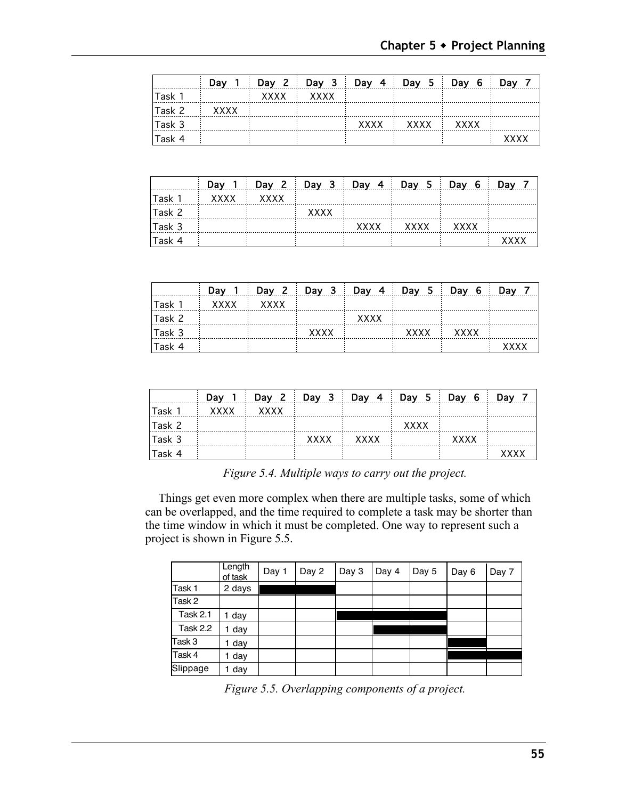|                   | Dav  |             |      |             | Day 2 Day 3 Day 4 Day 5 Day 6 |      | <b>Dav</b>  |
|-------------------|------|-------------|------|-------------|-------------------------------|------|-------------|
| Task 1            |      | <b>XXXX</b> | xxxx |             |                               |      |             |
| Task 2            | xxxx |             |      |             |                               |      |             |
| $\textsf{Task}~3$ |      |             |      | <b>XXXX</b> | xxxx                          | xxxx |             |
| Task 4            |      |             |      |             |                               |      | <b>YYYY</b> |

|         | Dav 1 |      |      | Day 2 Day 3 Day 4 Day 5 Day 6 Day |             |             |             |
|---------|-------|------|------|-----------------------------------|-------------|-------------|-------------|
| ∣Task 1 | xxxx  | xxxx |      |                                   |             |             |             |
| Task 2  |       |      | xxxx |                                   |             |             |             |
| Task 3  |       |      |      | <b>XXXX</b>                       | <b>XXXX</b> | <b>XXXX</b> |             |
| Task 4  |       |      |      |                                   |             |             | <b>XXXX</b> |

|        | Dav         |      |      |      | Day 2 Day 3 Day 4 Day 5 Day 6 |      | Dav     |
|--------|-------------|------|------|------|-------------------------------|------|---------|
| Task i | <b>XXXX</b> | xxxx |      |      |                               |      |         |
| Task 2 |             |      |      | xxxx |                               |      |         |
| Task 3 |             |      | xxxx |      | <b>XXXX</b>                   | xxxx |         |
| Task 4 |             |      |      |      |                               |      | v v v \ |

|        | Dav         | Day 2       | Day 3 | Day 4 $\vert$ | Day 5       | Day 6 | Day T       |
|--------|-------------|-------------|-------|---------------|-------------|-------|-------------|
| Task 1 | <b>XXXX</b> | <b>XXXX</b> |       |               |             |       |             |
| Task 2 |             |             |       |               | <b>XXXX</b> |       |             |
| Task 3 |             |             | xxxx  | xxxx          |             | xxxx  |             |
| Task 4 |             |             |       |               |             |       | <b>XXXX</b> |

*Figure 5.4. Multiple ways to carry out the project.*

Things get even more complex when there are multiple tasks, some of which can be overlapped, and the time required to complete a task may be shorter than the time window in which it must be completed. One way to represent such a project is shown in Figure 5.5.

|          | Length<br>of task | Day 1 | Day 2 | Day 3 | Day 4 | Day 5 | Day 6 | Day 7 |
|----------|-------------------|-------|-------|-------|-------|-------|-------|-------|
| Task 1   | 2 days            |       |       |       |       |       |       |       |
| Task 2   |                   |       |       |       |       |       |       |       |
| Task 2.1 | day               |       |       |       |       |       |       |       |
| Task 2.2 | day               |       |       |       |       |       |       |       |
| Task 3   | day               |       |       |       |       |       |       |       |
| Task 4   | day               |       |       |       |       |       |       |       |
| Slippage | day               |       |       |       |       |       |       |       |

*Figure 5.5. Overlapping components of a project.*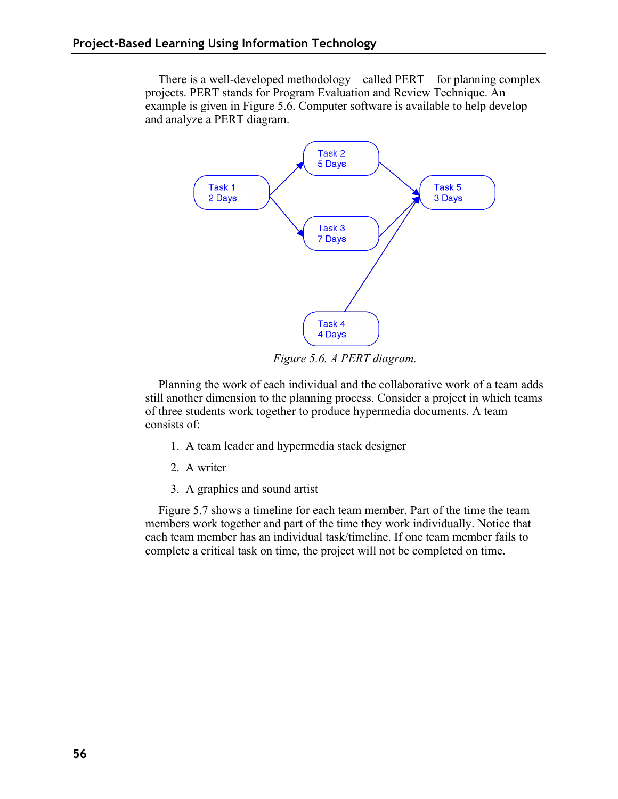There is a well-developed methodology—called PERT—for planning complex projects. PERT stands for Program Evaluation and Review Technique. An example is given in Figure 5.6. Computer software is available to help develop and analyze a PERT diagram.



*Figure 5.6. A PERT diagram.*

Planning the work of each individual and the collaborative work of a team adds still another dimension to the planning process. Consider a project in which teams of three students work together to produce hypermedia documents. A team consists of:

- 1. A team leader and hypermedia stack designer
- 2. A writer
- 3. A graphics and sound artist

Figure 5.7 shows a timeline for each team member. Part of the time the team members work together and part of the time they work individually. Notice that each team member has an individual task/timeline. If one team member fails to complete a critical task on time, the project will not be completed on time.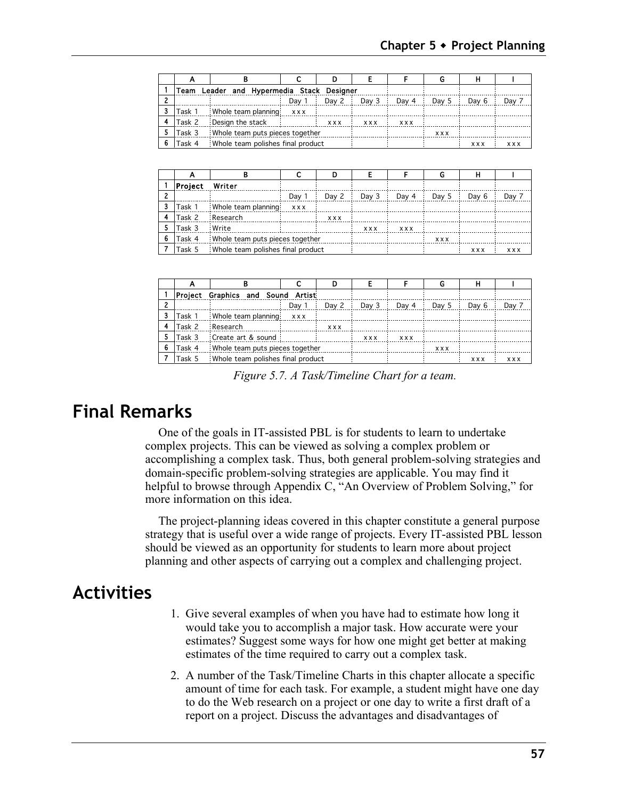|         | Team Leader and Hypermedia Stack Designer |            |            |            |            |            |            |            |
|---------|-------------------------------------------|------------|------------|------------|------------|------------|------------|------------|
|         |                                           | Dav 1      | Dav 2      | Dav 3      | Day 4      | Dav 5      | Dav 6      | Day 7      |
| Task 1  | Whole team planning                       | <b>XXX</b> |            |            |            |            |            |            |
| Task 2  | Design the stack                          |            | <b>XXX</b> | <b>XXX</b> | <b>XXX</b> |            |            |            |
| Task 3  | Whole team puts pieces together           |            |            |            |            | <b>XXX</b> |            |            |
| 'Task 4 | Whole team polishes final product         |            |            |            |            |            | <b>XXX</b> | <b>XXX</b> |

|   | А                     |                                   | С          | D             |            |            |            | н                |            |
|---|-----------------------|-----------------------------------|------------|---------------|------------|------------|------------|------------------|------------|
|   | <b>Project Writer</b> |                                   |            |               |            |            |            |                  |            |
|   |                       |                                   | Day 1      | Day $2 \pm 1$ | Day 3      | Day 4      |            | Day 5 $\,$ Day 6 | Day 7      |
|   | Task 1                | Whole team planning               | <b>XXX</b> |               |            |            |            |                  |            |
| 4 | Task 2                | Research                          |            | <b>XXX</b>    |            |            |            |                  |            |
|   | Task 3                | : Write                           |            |               | <b>XXX</b> | <b>XXX</b> |            |                  |            |
| 6 | Task 4                | Whole team puts pieces together   |            |               |            |            | <b>XXX</b> |                  |            |
|   | Task 5                | Whole team polishes final product |            |               |            |            |            | <b>XXX</b>       | <b>XXX</b> |

|    |                | Project Graphics and Sound Artist |             |            |            |            |                                               |            |            |
|----|----------------|-----------------------------------|-------------|------------|------------|------------|-----------------------------------------------|------------|------------|
|    |                |                                   |             |            |            |            | Day 1 : Day 2 : Day 3 : Day 4 : Day 5 : Day 6 |            | Day 7      |
|    |                | Task 1 Whole team planning        | $X$ $X$ $X$ |            |            |            |                                               |            |            |
|    | $\vert$ Task 2 | Research                          |             | <b>XXX</b> |            |            |                                               |            |            |
|    | $\vert$ Task 3 | Create art & sound                |             |            | <b>XXX</b> | <b>XXX</b> |                                               |            |            |
| -6 | Task 4         | Whole team puts pieces together   |             |            |            |            | <b>XXX</b>                                    |            |            |
|    | Task 5         | Whole team polishes final product |             |            |            |            |                                               | <b>XXX</b> | <b>XXX</b> |

*Figure 5.7. A Task/Timeline Chart for a team.*

# **Final Remarks**

One of the goals in IT-assisted PBL is for students to learn to undertake complex projects. This can be viewed as solving a complex problem or accomplishing a complex task. Thus, both general problem-solving strategies and domain-specific problem-solving strategies are applicable. You may find it helpful to browse through Appendix C, "An Overview of Problem Solving," for more information on this idea.

The project-planning ideas covered in this chapter constitute a general purpose strategy that is useful over a wide range of projects. Every IT-assisted PBL lesson should be viewed as an opportunity for students to learn more about project planning and other aspects of carrying out a complex and challenging project.

# **Activities**

- 1. Give several examples of when you have had to estimate how long it would take you to accomplish a major task. How accurate were your estimates? Suggest some ways for how one might get better at making estimates of the time required to carry out a complex task.
- 2. A number of the Task/Timeline Charts in this chapter allocate a specific amount of time for each task. For example, a student might have one day to do the Web research on a project or one day to write a first draft of a report on a project. Discuss the advantages and disadvantages of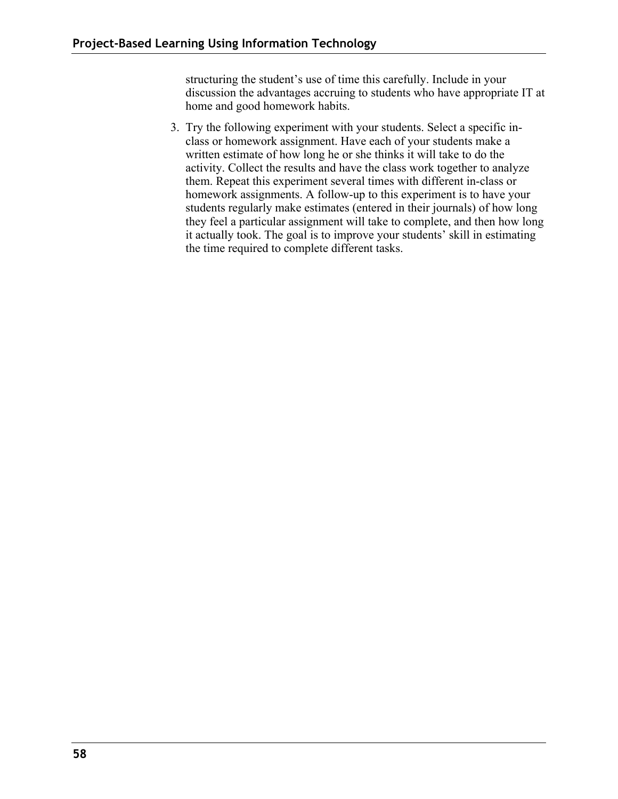structuring the student's use of time this carefully. Include in your discussion the advantages accruing to students who have appropriate IT at home and good homework habits.

3. Try the following experiment with your students. Select a specific inclass or homework assignment. Have each of your students make a written estimate of how long he or she thinks it will take to do the activity. Collect the results and have the class work together to analyze them. Repeat this experiment several times with different in-class or homework assignments. A follow-up to this experiment is to have your students regularly make estimates (entered in their journals) of how long they feel a particular assignment will take to complete, and then how long it actually took. The goal is to improve your students' skill in estimating the time required to complete different tasks.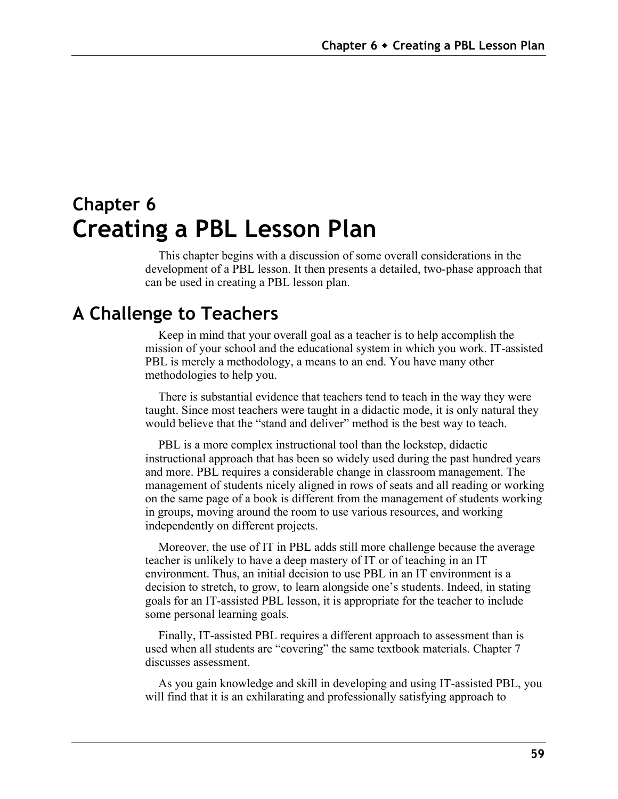# **Chapter 6 Creating a PBL Lesson Plan**

This chapter begins with a discussion of some overall considerations in the development of a PBL lesson. It then presents a detailed, two-phase approach that can be used in creating a PBL lesson plan.

# **A Challenge to Teachers**

Keep in mind that your overall goal as a teacher is to help accomplish the mission of your school and the educational system in which you work. IT-assisted PBL is merely a methodology, a means to an end. You have many other methodologies to help you.

There is substantial evidence that teachers tend to teach in the way they were taught. Since most teachers were taught in a didactic mode, it is only natural they would believe that the "stand and deliver" method is the best way to teach.

PBL is a more complex instructional tool than the lockstep, didactic instructional approach that has been so widely used during the past hundred years and more. PBL requires a considerable change in classroom management. The management of students nicely aligned in rows of seats and all reading or working on the same page of a book is different from the management of students working in groups, moving around the room to use various resources, and working independently on different projects.

Moreover, the use of IT in PBL adds still more challenge because the average teacher is unlikely to have a deep mastery of IT or of teaching in an IT environment. Thus, an initial decision to use PBL in an IT environment is a decision to stretch, to grow, to learn alongside one's students. Indeed, in stating goals for an IT-assisted PBL lesson, it is appropriate for the teacher to include some personal learning goals.

Finally, IT-assisted PBL requires a different approach to assessment than is used when all students are "covering" the same textbook materials. Chapter 7 discusses assessment.

As you gain knowledge and skill in developing and using IT-assisted PBL, you will find that it is an exhilarating and professionally satisfying approach to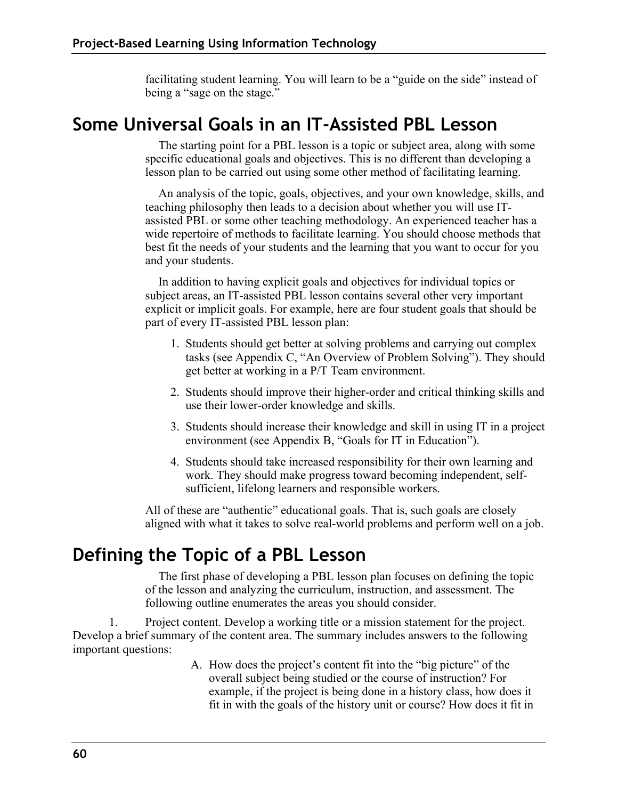facilitating student learning. You will learn to be a "guide on the side" instead of being a "sage on the stage."

# **Some Universal Goals in an IT-Assisted PBL Lesson**

The starting point for a PBL lesson is a topic or subject area, along with some specific educational goals and objectives. This is no different than developing a lesson plan to be carried out using some other method of facilitating learning.

An analysis of the topic, goals, objectives, and your own knowledge, skills, and teaching philosophy then leads to a decision about whether you will use ITassisted PBL or some other teaching methodology. An experienced teacher has a wide repertoire of methods to facilitate learning. You should choose methods that best fit the needs of your students and the learning that you want to occur for you and your students.

In addition to having explicit goals and objectives for individual topics or subject areas, an IT-assisted PBL lesson contains several other very important explicit or implicit goals. For example, here are four student goals that should be part of every IT-assisted PBL lesson plan:

- 1. Students should get better at solving problems and carrying out complex tasks (see Appendix C, "An Overview of Problem Solving"). They should get better at working in a P/T Team environment.
- 2. Students should improve their higher-order and critical thinking skills and use their lower-order knowledge and skills.
- 3. Students should increase their knowledge and skill in using IT in a project environment (see Appendix B, "Goals for IT in Education").
- 4. Students should take increased responsibility for their own learning and work. They should make progress toward becoming independent, selfsufficient, lifelong learners and responsible workers.

All of these are "authentic" educational goals. That is, such goals are closely aligned with what it takes to solve real-world problems and perform well on a job.

# **Defining the Topic of a PBL Lesson**

The first phase of developing a PBL lesson plan focuses on defining the topic of the lesson and analyzing the curriculum, instruction, and assessment. The following outline enumerates the areas you should consider.

1. Project content. Develop a working title or a mission statement for the project. Develop a brief summary of the content area. The summary includes answers to the following important questions:

> A. How does the project's content fit into the "big picture" of the overall subject being studied or the course of instruction? For example, if the project is being done in a history class, how does it fit in with the goals of the history unit or course? How does it fit in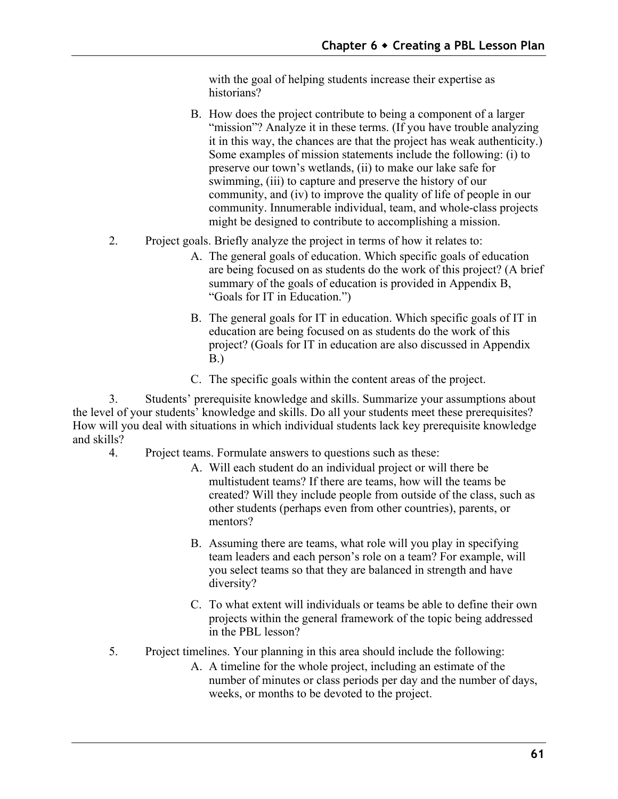with the goal of helping students increase their expertise as historians?

- B. How does the project contribute to being a component of a larger "mission"? Analyze it in these terms. (If you have trouble analyzing it in this way, the chances are that the project has weak authenticity.) Some examples of mission statements include the following: (i) to preserve our town's wetlands, (ii) to make our lake safe for swimming, (iii) to capture and preserve the history of our community, and (iv) to improve the quality of life of people in our community. Innumerable individual, team, and whole-class projects might be designed to contribute to accomplishing a mission.
- 2. Project goals. Briefly analyze the project in terms of how it relates to:
	- A. The general goals of education. Which specific goals of education are being focused on as students do the work of this project? (A brief summary of the goals of education is provided in Appendix B, "Goals for IT in Education.")
	- B. The general goals for IT in education. Which specific goals of IT in education are being focused on as students do the work of this project? (Goals for IT in education are also discussed in Appendix B.)
	- C. The specific goals within the content areas of the project.

3. Students' prerequisite knowledge and skills. Summarize your assumptions about the level of your students' knowledge and skills. Do all your students meet these prerequisites? How will you deal with situations in which individual students lack key prerequisite knowledge and skills?

- 4. Project teams. Formulate answers to questions such as these:
	- A. Will each student do an individual project or will there be multistudent teams? If there are teams, how will the teams be created? Will they include people from outside of the class, such as other students (perhaps even from other countries), parents, or mentors?
	- B. Assuming there are teams, what role will you play in specifying team leaders and each person's role on a team? For example, will you select teams so that they are balanced in strength and have diversity?
	- C. To what extent will individuals or teams be able to define their own projects within the general framework of the topic being addressed in the PBL lesson?
- 5. Project timelines. Your planning in this area should include the following:
	- A. A timeline for the whole project, including an estimate of the number of minutes or class periods per day and the number of days, weeks, or months to be devoted to the project.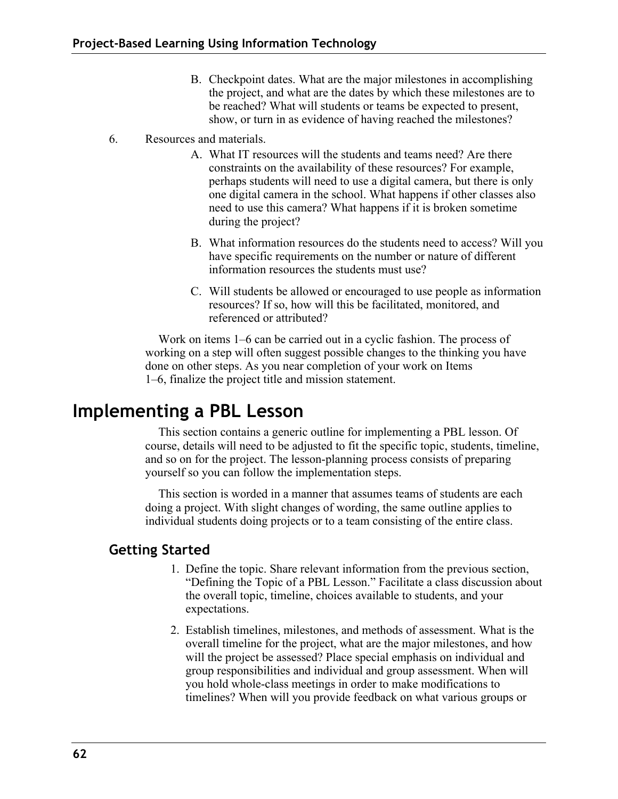- B. Checkpoint dates. What are the major milestones in accomplishing the project, and what are the dates by which these milestones are to be reached? What will students or teams be expected to present, show, or turn in as evidence of having reached the milestones?
- 6. Resources and materials.
	- A. What IT resources will the students and teams need? Are there constraints on the availability of these resources? For example, perhaps students will need to use a digital camera, but there is only one digital camera in the school. What happens if other classes also need to use this camera? What happens if it is broken sometime during the project?
	- B. What information resources do the students need to access? Will you have specific requirements on the number or nature of different information resources the students must use?
	- C. Will students be allowed or encouraged to use people as information resources? If so, how will this be facilitated, monitored, and referenced or attributed?

Work on items 1–6 can be carried out in a cyclic fashion. The process of working on a step will often suggest possible changes to the thinking you have done on other steps. As you near completion of your work on Items 1–6, finalize the project title and mission statement.

# **Implementing a PBL Lesson**

This section contains a generic outline for implementing a PBL lesson. Of course, details will need to be adjusted to fit the specific topic, students, timeline, and so on for the project. The lesson-planning process consists of preparing yourself so you can follow the implementation steps.

This section is worded in a manner that assumes teams of students are each doing a project. With slight changes of wording, the same outline applies to individual students doing projects or to a team consisting of the entire class.

### **Getting Started**

- 1. Define the topic. Share relevant information from the previous section, "Defining the Topic of a PBL Lesson." Facilitate a class discussion about the overall topic, timeline, choices available to students, and your expectations.
- 2. Establish timelines, milestones, and methods of assessment. What is the overall timeline for the project, what are the major milestones, and how will the project be assessed? Place special emphasis on individual and group responsibilities and individual and group assessment. When will you hold whole-class meetings in order to make modifications to timelines? When will you provide feedback on what various groups or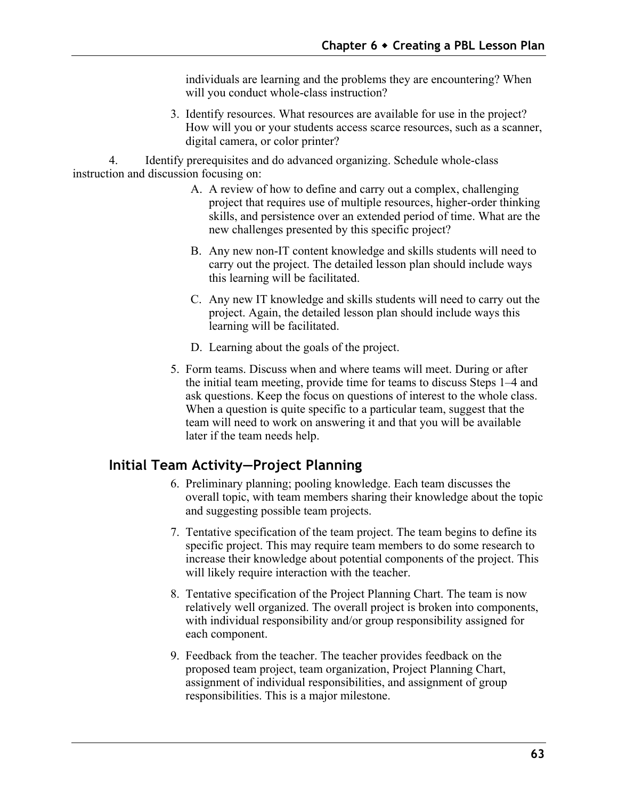individuals are learning and the problems they are encountering? When will you conduct whole-class instruction?

3. Identify resources. What resources are available for use in the project? How will you or your students access scarce resources, such as a scanner, digital camera, or color printer?

4. Identify prerequisites and do advanced organizing. Schedule whole-class instruction and discussion focusing on:

- A. A review of how to define and carry out a complex, challenging project that requires use of multiple resources, higher-order thinking skills, and persistence over an extended period of time. What are the new challenges presented by this specific project?
- B. Any new non-IT content knowledge and skills students will need to carry out the project. The detailed lesson plan should include ways this learning will be facilitated.
- C. Any new IT knowledge and skills students will need to carry out the project. Again, the detailed lesson plan should include ways this learning will be facilitated.
- D. Learning about the goals of the project.
- 5. Form teams. Discuss when and where teams will meet. During or after the initial team meeting, provide time for teams to discuss Steps 1–4 and ask questions. Keep the focus on questions of interest to the whole class. When a question is quite specific to a particular team, suggest that the team will need to work on answering it and that you will be available later if the team needs help.

## **Initial Team Activity—Project Planning**

- 6. Preliminary planning; pooling knowledge. Each team discusses the overall topic, with team members sharing their knowledge about the topic and suggesting possible team projects.
- 7. Tentative specification of the team project. The team begins to define its specific project. This may require team members to do some research to increase their knowledge about potential components of the project. This will likely require interaction with the teacher.
- 8. Tentative specification of the Project Planning Chart. The team is now relatively well organized. The overall project is broken into components, with individual responsibility and/or group responsibility assigned for each component.
- 9. Feedback from the teacher. The teacher provides feedback on the proposed team project, team organization, Project Planning Chart, assignment of individual responsibilities, and assignment of group responsibilities. This is a major milestone.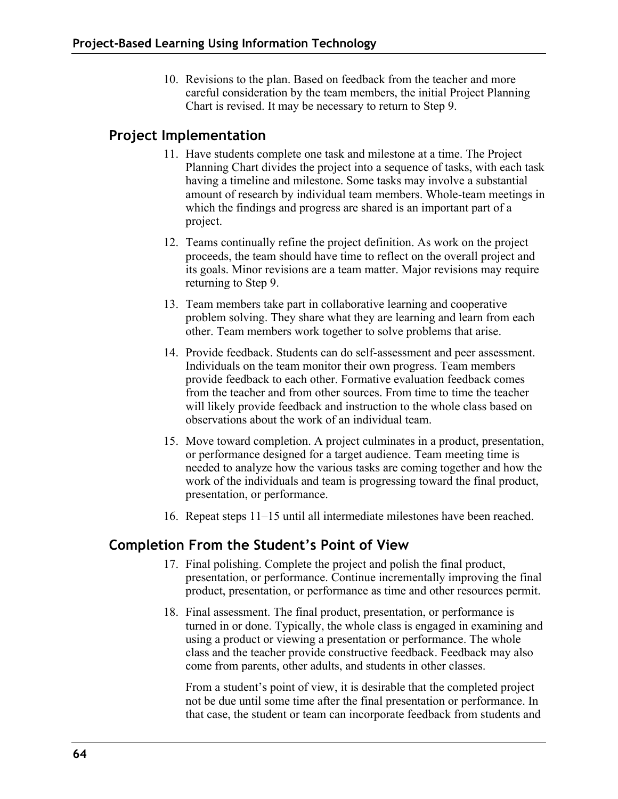10. Revisions to the plan. Based on feedback from the teacher and more careful consideration by the team members, the initial Project Planning Chart is revised. It may be necessary to return to Step 9.

## **Project Implementation**

- 11. Have students complete one task and milestone at a time. The Project Planning Chart divides the project into a sequence of tasks, with each task having a timeline and milestone. Some tasks may involve a substantial amount of research by individual team members. Whole-team meetings in which the findings and progress are shared is an important part of a project.
- 12. Teams continually refine the project definition. As work on the project proceeds, the team should have time to reflect on the overall project and its goals. Minor revisions are a team matter. Major revisions may require returning to Step 9.
- 13. Team members take part in collaborative learning and cooperative problem solving. They share what they are learning and learn from each other. Team members work together to solve problems that arise.
- 14. Provide feedback. Students can do self-assessment and peer assessment. Individuals on the team monitor their own progress. Team members provide feedback to each other. Formative evaluation feedback comes from the teacher and from other sources. From time to time the teacher will likely provide feedback and instruction to the whole class based on observations about the work of an individual team.
- 15. Move toward completion. A project culminates in a product, presentation, or performance designed for a target audience. Team meeting time is needed to analyze how the various tasks are coming together and how the work of the individuals and team is progressing toward the final product, presentation, or performance.
- 16. Repeat steps 11–15 until all intermediate milestones have been reached.

## **Completion From the Student's Point of View**

- 17. Final polishing. Complete the project and polish the final product, presentation, or performance. Continue incrementally improving the final product, presentation, or performance as time and other resources permit.
- 18. Final assessment. The final product, presentation, or performance is turned in or done. Typically, the whole class is engaged in examining and using a product or viewing a presentation or performance. The whole class and the teacher provide constructive feedback. Feedback may also come from parents, other adults, and students in other classes.

From a student's point of view, it is desirable that the completed project not be due until some time after the final presentation or performance. In that case, the student or team can incorporate feedback from students and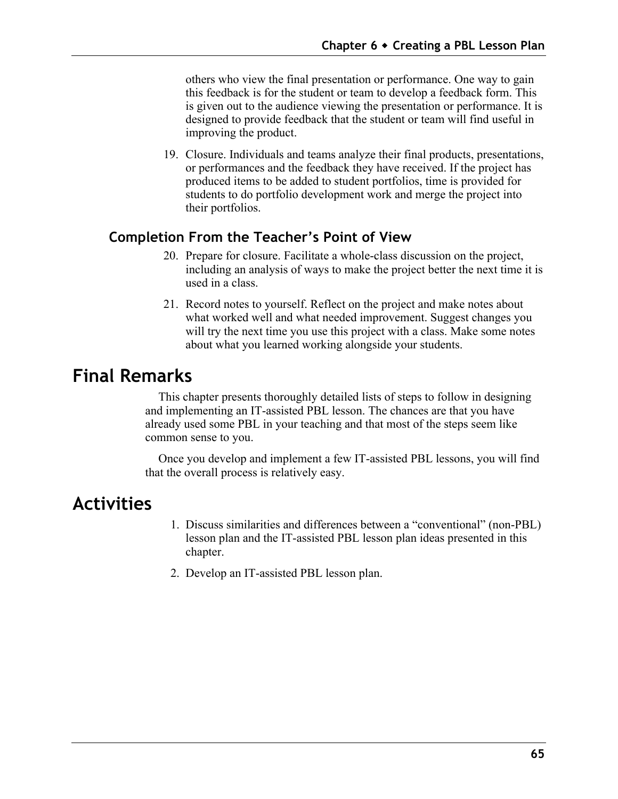others who view the final presentation or performance. One way to gain this feedback is for the student or team to develop a feedback form. This is given out to the audience viewing the presentation or performance. It is designed to provide feedback that the student or team will find useful in improving the product.

19. Closure. Individuals and teams analyze their final products, presentations, or performances and the feedback they have received. If the project has produced items to be added to student portfolios, time is provided for students to do portfolio development work and merge the project into their portfolios.

#### **Completion From the Teacher's Point of View**

- 20. Prepare for closure. Facilitate a whole-class discussion on the project, including an analysis of ways to make the project better the next time it is used in a class.
- 21. Record notes to yourself. Reflect on the project and make notes about what worked well and what needed improvement. Suggest changes you will try the next time you use this project with a class. Make some notes about what you learned working alongside your students.

# **Final Remarks**

This chapter presents thoroughly detailed lists of steps to follow in designing and implementing an IT-assisted PBL lesson. The chances are that you have already used some PBL in your teaching and that most of the steps seem like common sense to you.

Once you develop and implement a few IT-assisted PBL lessons, you will find that the overall process is relatively easy.

## **Activities**

- 1. Discuss similarities and differences between a "conventional" (non-PBL) lesson plan and the IT-assisted PBL lesson plan ideas presented in this chapter.
- 2. Develop an IT-assisted PBL lesson plan.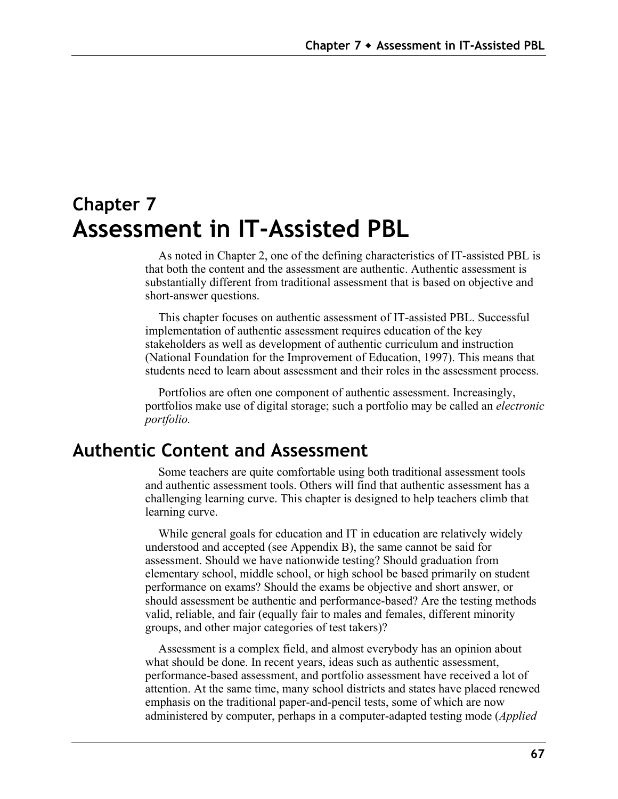# **Chapter 7 Assessment in IT-Assisted PBL**

As noted in Chapter 2, one of the defining characteristics of IT-assisted PBL is that both the content and the assessment are authentic. Authentic assessment is substantially different from traditional assessment that is based on objective and short-answer questions.

This chapter focuses on authentic assessment of IT-assisted PBL. Successful implementation of authentic assessment requires education of the key stakeholders as well as development of authentic curriculum and instruction (National Foundation for the Improvement of Education, 1997). This means that students need to learn about assessment and their roles in the assessment process.

Portfolios are often one component of authentic assessment. Increasingly, portfolios make use of digital storage; such a portfolio may be called an *electronic portfolio.*

## **Authentic Content and Assessment**

Some teachers are quite comfortable using both traditional assessment tools and authentic assessment tools. Others will find that authentic assessment has a challenging learning curve. This chapter is designed to help teachers climb that learning curve.

While general goals for education and IT in education are relatively widely understood and accepted (see Appendix B), the same cannot be said for assessment. Should we have nationwide testing? Should graduation from elementary school, middle school, or high school be based primarily on student performance on exams? Should the exams be objective and short answer, or should assessment be authentic and performance-based? Are the testing methods valid, reliable, and fair (equally fair to males and females, different minority groups, and other major categories of test takers)?

Assessment is a complex field, and almost everybody has an opinion about what should be done. In recent years, ideas such as authentic assessment, performance-based assessment, and portfolio assessment have received a lot of attention. At the same time, many school districts and states have placed renewed emphasis on the traditional paper-and-pencil tests, some of which are now administered by computer, perhaps in a computer-adapted testing mode (*Applied*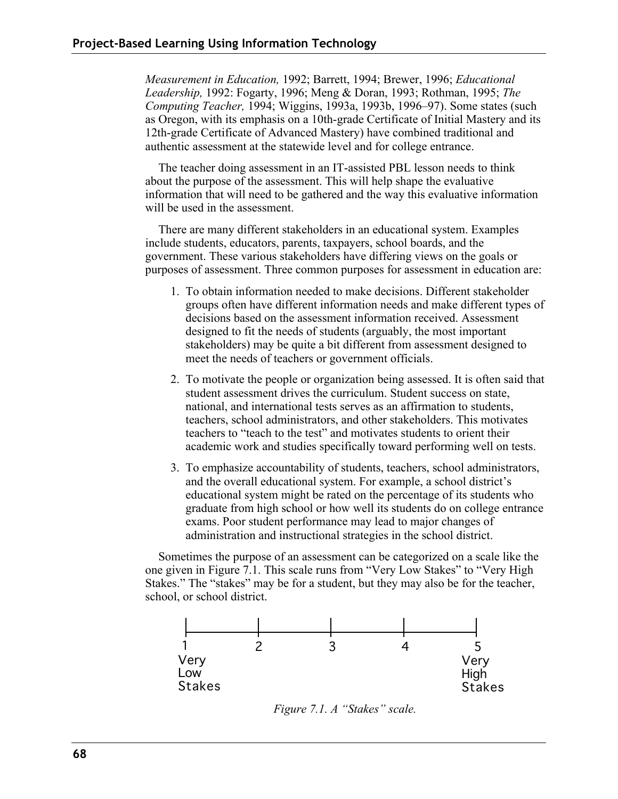*Measurement in Education,* 1992; Barrett, 1994; Brewer, 1996; *Educational Leadership,* 1992: Fogarty, 1996; Meng & Doran, 1993; Rothman, 1995; *The Computing Teacher,* 1994; Wiggins, 1993a, 1993b, 1996–97). Some states (such as Oregon, with its emphasis on a 10th-grade Certificate of Initial Mastery and its 12th-grade Certificate of Advanced Mastery) have combined traditional and authentic assessment at the statewide level and for college entrance.

The teacher doing assessment in an IT-assisted PBL lesson needs to think about the purpose of the assessment. This will help shape the evaluative information that will need to be gathered and the way this evaluative information will be used in the assessment.

There are many different stakeholders in an educational system. Examples include students, educators, parents, taxpayers, school boards, and the government. These various stakeholders have differing views on the goals or purposes of assessment. Three common purposes for assessment in education are:

- 1. To obtain information needed to make decisions. Different stakeholder groups often have different information needs and make different types of decisions based on the assessment information received. Assessment designed to fit the needs of students (arguably, the most important stakeholders) may be quite a bit different from assessment designed to meet the needs of teachers or government officials.
- 2. To motivate the people or organization being assessed. It is often said that student assessment drives the curriculum. Student success on state, national, and international tests serves as an affirmation to students, teachers, school administrators, and other stakeholders. This motivates teachers to "teach to the test" and motivates students to orient their academic work and studies specifically toward performing well on tests.
- 3. To emphasize accountability of students, teachers, school administrators, and the overall educational system. For example, a school district's educational system might be rated on the percentage of its students who graduate from high school or how well its students do on college entrance exams. Poor student performance may lead to major changes of administration and instructional strategies in the school district.

Sometimes the purpose of an assessment can be categorized on a scale like the one given in Figure 7.1. This scale runs from "Very Low Stakes" to "Very High Stakes." The "stakes" may be for a student, but they may also be for the teacher, school, or school district.



*Figure 7.1. A "Stakes" scale.*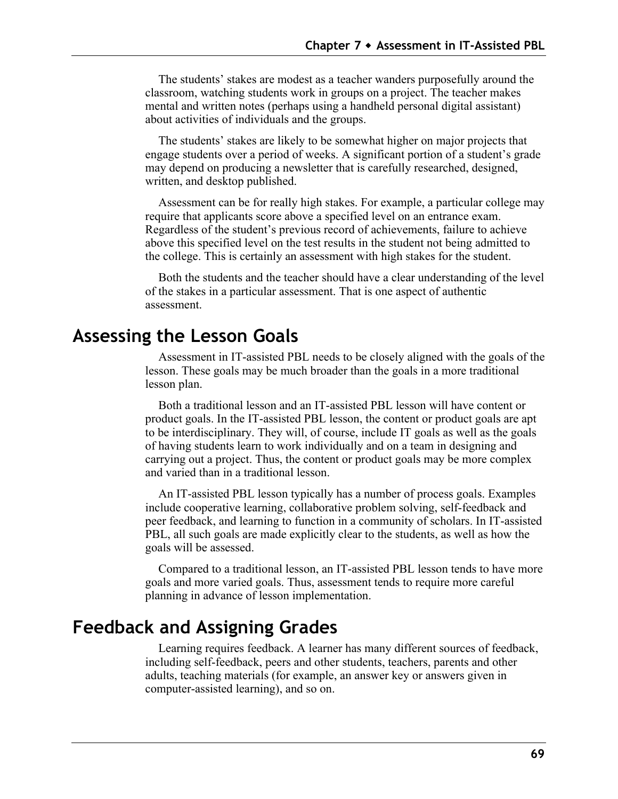The students' stakes are modest as a teacher wanders purposefully around the classroom, watching students work in groups on a project. The teacher makes mental and written notes (perhaps using a handheld personal digital assistant) about activities of individuals and the groups.

The students' stakes are likely to be somewhat higher on major projects that engage students over a period of weeks. A significant portion of a student's grade may depend on producing a newsletter that is carefully researched, designed, written, and desktop published.

Assessment can be for really high stakes. For example, a particular college may require that applicants score above a specified level on an entrance exam. Regardless of the student's previous record of achievements, failure to achieve above this specified level on the test results in the student not being admitted to the college. This is certainly an assessment with high stakes for the student.

Both the students and the teacher should have a clear understanding of the level of the stakes in a particular assessment. That is one aspect of authentic assessment.

## **Assessing the Lesson Goals**

Assessment in IT-assisted PBL needs to be closely aligned with the goals of the lesson. These goals may be much broader than the goals in a more traditional lesson plan.

Both a traditional lesson and an IT-assisted PBL lesson will have content or product goals. In the IT-assisted PBL lesson, the content or product goals are apt to be interdisciplinary. They will, of course, include IT goals as well as the goals of having students learn to work individually and on a team in designing and carrying out a project. Thus, the content or product goals may be more complex and varied than in a traditional lesson.

An IT-assisted PBL lesson typically has a number of process goals. Examples include cooperative learning, collaborative problem solving, self-feedback and peer feedback, and learning to function in a community of scholars. In IT-assisted PBL, all such goals are made explicitly clear to the students, as well as how the goals will be assessed.

Compared to a traditional lesson, an IT-assisted PBL lesson tends to have more goals and more varied goals. Thus, assessment tends to require more careful planning in advance of lesson implementation.

# **Feedback and Assigning Grades**

Learning requires feedback. A learner has many different sources of feedback, including self-feedback, peers and other students, teachers, parents and other adults, teaching materials (for example, an answer key or answers given in computer-assisted learning), and so on.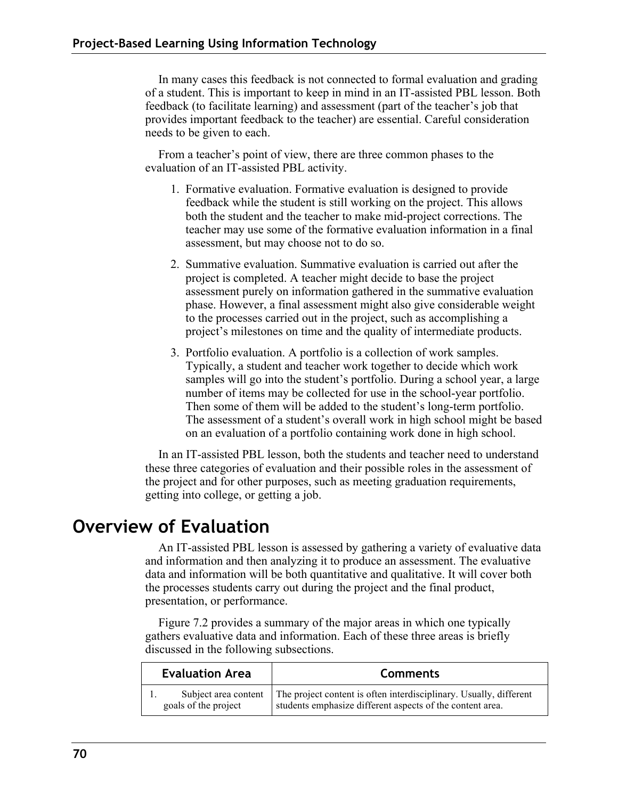In many cases this feedback is not connected to formal evaluation and grading of a student. This is important to keep in mind in an IT-assisted PBL lesson. Both feedback (to facilitate learning) and assessment (part of the teacher's job that provides important feedback to the teacher) are essential. Careful consideration needs to be given to each.

From a teacher's point of view, there are three common phases to the evaluation of an IT-assisted PBL activity.

- 1. Formative evaluation. Formative evaluation is designed to provide feedback while the student is still working on the project. This allows both the student and the teacher to make mid-project corrections. The teacher may use some of the formative evaluation information in a final assessment, but may choose not to do so.
- 2. Summative evaluation. Summative evaluation is carried out after the project is completed. A teacher might decide to base the project assessment purely on information gathered in the summative evaluation phase. However, a final assessment might also give considerable weight to the processes carried out in the project, such as accomplishing a project's milestones on time and the quality of intermediate products.
- 3. Portfolio evaluation. A portfolio is a collection of work samples. Typically, a student and teacher work together to decide which work samples will go into the student's portfolio. During a school year, a large number of items may be collected for use in the school-year portfolio. Then some of them will be added to the student's long-term portfolio. The assessment of a student's overall work in high school might be based on an evaluation of a portfolio containing work done in high school.

In an IT-assisted PBL lesson, both the students and teacher need to understand these three categories of evaluation and their possible roles in the assessment of the project and for other purposes, such as meeting graduation requirements, getting into college, or getting a job.

# **Overview of Evaluation**

An IT-assisted PBL lesson is assessed by gathering a variety of evaluative data and information and then analyzing it to produce an assessment. The evaluative data and information will be both quantitative and qualitative. It will cover both the processes students carry out during the project and the final product, presentation, or performance.

Figure 7.2 provides a summary of the major areas in which one typically gathers evaluative data and information. Each of these three areas is briefly discussed in the following subsections.

| <b>Evaluation Area</b> | <b>Comments</b>                                                                                                                                      |
|------------------------|------------------------------------------------------------------------------------------------------------------------------------------------------|
| goals of the project   | Subject area content The project content is often interdisciplinary. Usually, different<br>students emphasize different aspects of the content area. |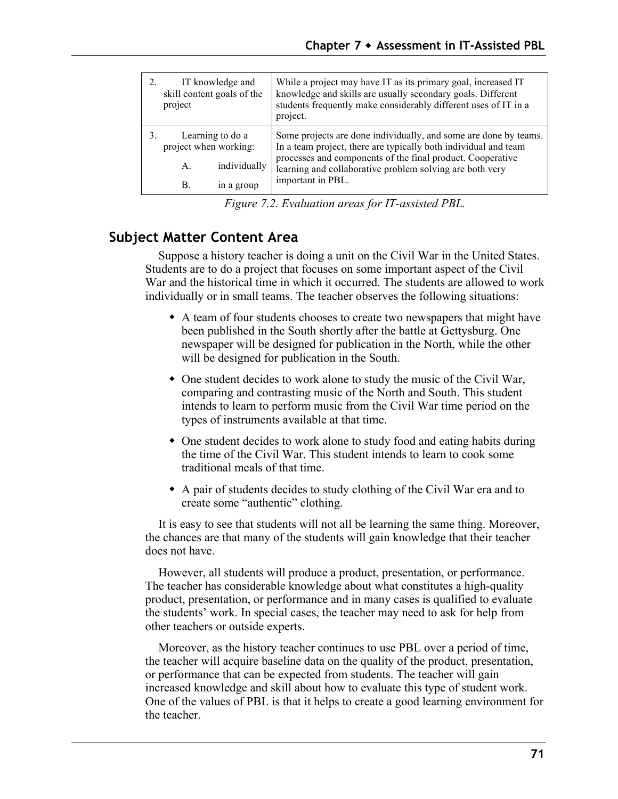|                                           | project | IT knowledge and<br>skill content goals of the | While a project may have IT as its primary goal, increased IT<br>knowledge and skills are usually secondary goals. Different<br>students frequently make considerably different uses of IT in a<br>project. |  |
|-------------------------------------------|---------|------------------------------------------------|-------------------------------------------------------------------------------------------------------------------------------------------------------------------------------------------------------------|--|
| Learning to do a<br>project when working: |         |                                                | Some projects are done individually, and some are done by teams.<br>In a team project, there are typically both individual and team                                                                         |  |
|                                           | А.      | individually                                   | processes and components of the final product. Cooperative<br>learning and collaborative problem solving are both very                                                                                      |  |
|                                           | В.      | in a group                                     | important in PBL.                                                                                                                                                                                           |  |

*Figure 7.2. Evaluation areas for IT-assisted PBL.*

## **Subject Matter Content Area**

Suppose a history teacher is doing a unit on the Civil War in the United States. Students are to do a project that focuses on some important aspect of the Civil War and the historical time in which it occurred. The students are allowed to work individually or in small teams. The teacher observes the following situations:

- w A team of four students chooses to create two newspapers that might have been published in the South shortly after the battle at Gettysburg. One newspaper will be designed for publication in the North, while the other will be designed for publication in the South.
- $\bullet$  One student decides to work alone to study the music of the Civil War, comparing and contrasting music of the North and South. This student intends to learn to perform music from the Civil War time period on the types of instruments available at that time.
- One student decides to work alone to study food and eating habits during the time of the Civil War. This student intends to learn to cook some traditional meals of that time.
- w A pair of students decides to study clothing of the Civil War era and to create some "authentic" clothing.

It is easy to see that students will not all be learning the same thing. Moreover, the chances are that many of the students will gain knowledge that their teacher does not have.

However, all students will produce a product, presentation, or performance. The teacher has considerable knowledge about what constitutes a high-quality product, presentation, or performance and in many cases is qualified to evaluate the students' work. In special cases, the teacher may need to ask for help from other teachers or outside experts.

Moreover, as the history teacher continues to use PBL over a period of time, the teacher will acquire baseline data on the quality of the product, presentation, or performance that can be expected from students. The teacher will gain increased knowledge and skill about how to evaluate this type of student work. One of the values of PBL is that it helps to create a good learning environment for the teacher.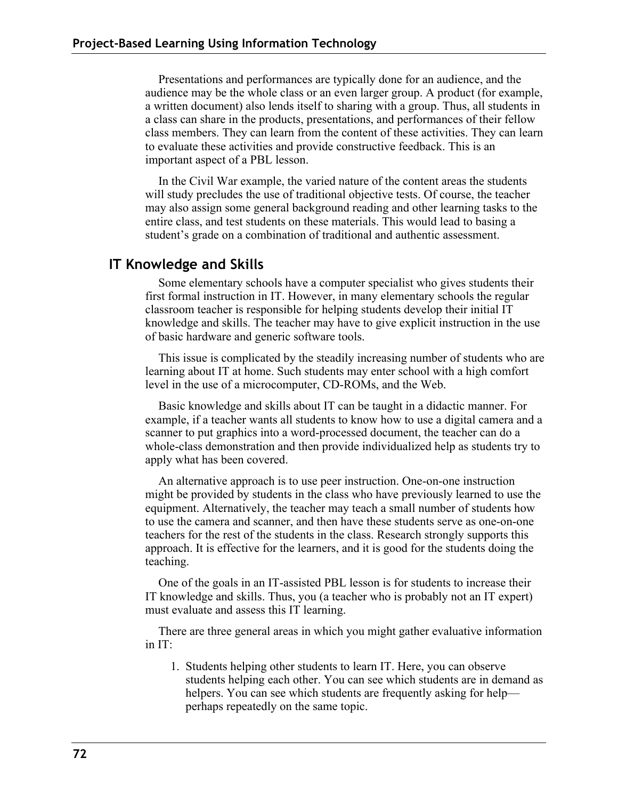Presentations and performances are typically done for an audience, and the audience may be the whole class or an even larger group. A product (for example, a written document) also lends itself to sharing with a group. Thus, all students in a class can share in the products, presentations, and performances of their fellow class members. They can learn from the content of these activities. They can learn to evaluate these activities and provide constructive feedback. This is an important aspect of a PBL lesson.

In the Civil War example, the varied nature of the content areas the students will study precludes the use of traditional objective tests. Of course, the teacher may also assign some general background reading and other learning tasks to the entire class, and test students on these materials. This would lead to basing a student's grade on a combination of traditional and authentic assessment.

### **IT Knowledge and Skills**

Some elementary schools have a computer specialist who gives students their first formal instruction in IT. However, in many elementary schools the regular classroom teacher is responsible for helping students develop their initial IT knowledge and skills. The teacher may have to give explicit instruction in the use of basic hardware and generic software tools.

This issue is complicated by the steadily increasing number of students who are learning about IT at home. Such students may enter school with a high comfort level in the use of a microcomputer, CD-ROMs, and the Web.

Basic knowledge and skills about IT can be taught in a didactic manner. For example, if a teacher wants all students to know how to use a digital camera and a scanner to put graphics into a word-processed document, the teacher can do a whole-class demonstration and then provide individualized help as students try to apply what has been covered.

An alternative approach is to use peer instruction. One-on-one instruction might be provided by students in the class who have previously learned to use the equipment. Alternatively, the teacher may teach a small number of students how to use the camera and scanner, and then have these students serve as one-on-one teachers for the rest of the students in the class. Research strongly supports this approach. It is effective for the learners, and it is good for the students doing the teaching.

One of the goals in an IT-assisted PBL lesson is for students to increase their IT knowledge and skills. Thus, you (a teacher who is probably not an IT expert) must evaluate and assess this IT learning.

There are three general areas in which you might gather evaluative information in IT:

1. Students helping other students to learn IT. Here, you can observe students helping each other. You can see which students are in demand as helpers. You can see which students are frequently asking for help perhaps repeatedly on the same topic.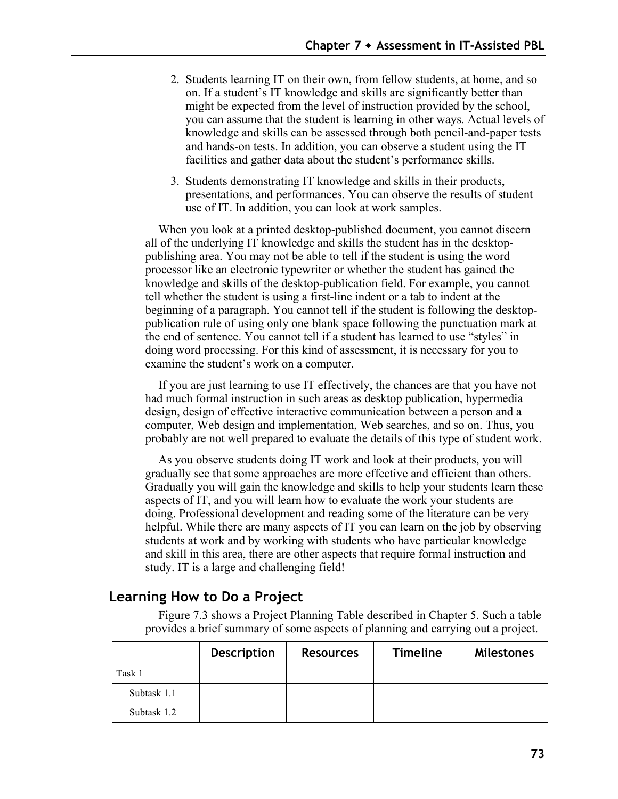- 2. Students learning IT on their own, from fellow students, at home, and so on. If a student's IT knowledge and skills are significantly better than might be expected from the level of instruction provided by the school, you can assume that the student is learning in other ways. Actual levels of knowledge and skills can be assessed through both pencil-and-paper tests and hands-on tests. In addition, you can observe a student using the IT facilities and gather data about the student's performance skills.
- 3. Students demonstrating IT knowledge and skills in their products, presentations, and performances. You can observe the results of student use of IT. In addition, you can look at work samples.

When you look at a printed desktop-published document, you cannot discern all of the underlying IT knowledge and skills the student has in the desktoppublishing area. You may not be able to tell if the student is using the word processor like an electronic typewriter or whether the student has gained the knowledge and skills of the desktop-publication field. For example, you cannot tell whether the student is using a first-line indent or a tab to indent at the beginning of a paragraph. You cannot tell if the student is following the desktoppublication rule of using only one blank space following the punctuation mark at the end of sentence. You cannot tell if a student has learned to use "styles" in doing word processing. For this kind of assessment, it is necessary for you to examine the student's work on a computer.

If you are just learning to use IT effectively, the chances are that you have not had much formal instruction in such areas as desktop publication, hypermedia design, design of effective interactive communication between a person and a computer, Web design and implementation, Web searches, and so on. Thus, you probably are not well prepared to evaluate the details of this type of student work.

As you observe students doing IT work and look at their products, you will gradually see that some approaches are more effective and efficient than others. Gradually you will gain the knowledge and skills to help your students learn these aspects of IT, and you will learn how to evaluate the work your students are doing. Professional development and reading some of the literature can be very helpful. While there are many aspects of IT you can learn on the job by observing students at work and by working with students who have particular knowledge and skill in this area, there are other aspects that require formal instruction and study. IT is a large and challenging field!

#### **Learning How to Do a Project**

Figure 7.3 shows a Project Planning Table described in Chapter 5. Such a table provides a brief summary of some aspects of planning and carrying out a project.

|             | <b>Description</b> | <b>Resources</b> | <b>Timeline</b> | <b>Milestones</b> |
|-------------|--------------------|------------------|-----------------|-------------------|
| Task 1      |                    |                  |                 |                   |
| Subtask 1.1 |                    |                  |                 |                   |
| Subtask 1.2 |                    |                  |                 |                   |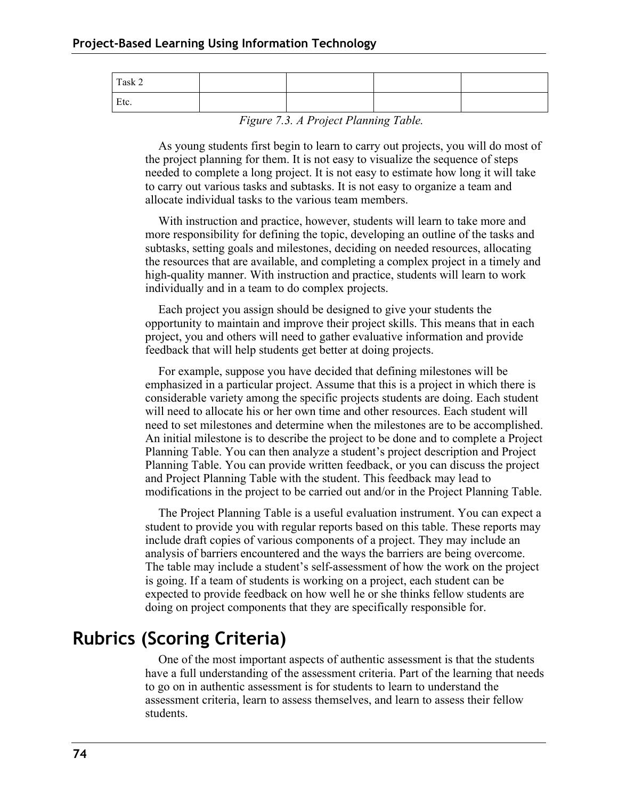| Task 2 |  |  |
|--------|--|--|
| Etc.   |  |  |

|  | Figure 7.3. A Project Planning Table. |  |
|--|---------------------------------------|--|
|  |                                       |  |

As young students first begin to learn to carry out projects, you will do most of the project planning for them. It is not easy to visualize the sequence of steps needed to complete a long project. It is not easy to estimate how long it will take to carry out various tasks and subtasks. It is not easy to organize a team and allocate individual tasks to the various team members.

With instruction and practice, however, students will learn to take more and more responsibility for defining the topic, developing an outline of the tasks and subtasks, setting goals and milestones, deciding on needed resources, allocating the resources that are available, and completing a complex project in a timely and high-quality manner. With instruction and practice, students will learn to work individually and in a team to do complex projects.

Each project you assign should be designed to give your students the opportunity to maintain and improve their project skills. This means that in each project, you and others will need to gather evaluative information and provide feedback that will help students get better at doing projects.

For example, suppose you have decided that defining milestones will be emphasized in a particular project. Assume that this is a project in which there is considerable variety among the specific projects students are doing. Each student will need to allocate his or her own time and other resources. Each student will need to set milestones and determine when the milestones are to be accomplished. An initial milestone is to describe the project to be done and to complete a Project Planning Table. You can then analyze a student's project description and Project Planning Table. You can provide written feedback, or you can discuss the project and Project Planning Table with the student. This feedback may lead to modifications in the project to be carried out and/or in the Project Planning Table.

The Project Planning Table is a useful evaluation instrument. You can expect a student to provide you with regular reports based on this table. These reports may include draft copies of various components of a project. They may include an analysis of barriers encountered and the ways the barriers are being overcome. The table may include a student's self-assessment of how the work on the project is going. If a team of students is working on a project, each student can be expected to provide feedback on how well he or she thinks fellow students are doing on project components that they are specifically responsible for.

# **Rubrics (Scoring Criteria)**

One of the most important aspects of authentic assessment is that the students have a full understanding of the assessment criteria. Part of the learning that needs to go on in authentic assessment is for students to learn to understand the assessment criteria, learn to assess themselves, and learn to assess their fellow students.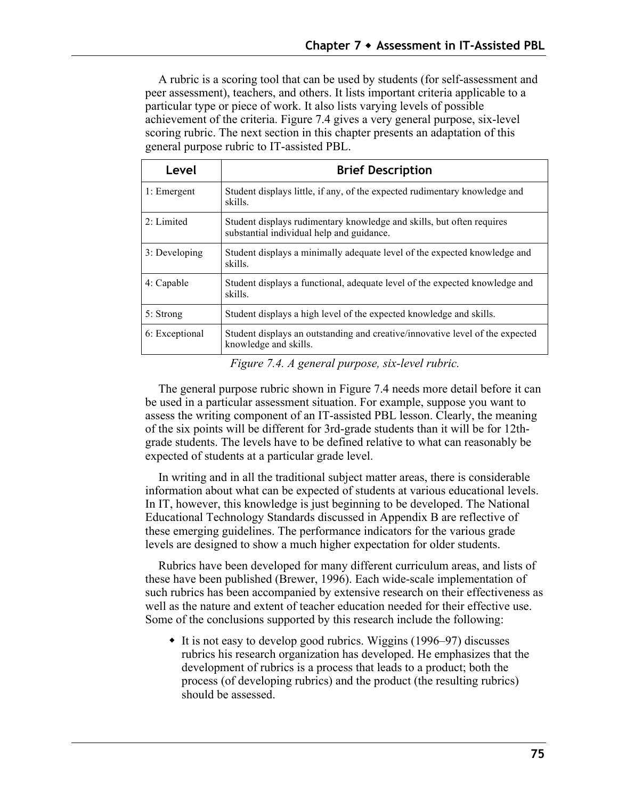A rubric is a scoring tool that can be used by students (for self-assessment and peer assessment), teachers, and others. It lists important criteria applicable to a particular type or piece of work. It also lists varying levels of possible achievement of the criteria. Figure 7.4 gives a very general purpose, six-level scoring rubric. The next section in this chapter presents an adaptation of this general purpose rubric to IT-assisted PBL.

| Level          | <b>Brief Description</b>                                                                                           |
|----------------|--------------------------------------------------------------------------------------------------------------------|
| 1: Emergent    | Student displays little, if any, of the expected rudimentary knowledge and<br>skills.                              |
| $2:$ Limited   | Student displays rudimentary knowledge and skills, but often requires<br>substantial individual help and guidance. |
| 3: Developing  | Student displays a minimally adequate level of the expected knowledge and<br>skills.                               |
| 4: Capable     | Student displays a functional, adequate level of the expected knowledge and<br>skills.                             |
| 5: Strong      | Student displays a high level of the expected knowledge and skills.                                                |
| 6: Exceptional | Student displays an outstanding and creative/innovative level of the expected<br>knowledge and skills.             |

*Figure 7.4. A general purpose, six-level rubric.*

The general purpose rubric shown in Figure 7.4 needs more detail before it can be used in a particular assessment situation. For example, suppose you want to assess the writing component of an IT-assisted PBL lesson. Clearly, the meaning of the six points will be different for 3rd-grade students than it will be for 12thgrade students. The levels have to be defined relative to what can reasonably be expected of students at a particular grade level.

In writing and in all the traditional subject matter areas, there is considerable information about what can be expected of students at various educational levels. In IT, however, this knowledge is just beginning to be developed. The National Educational Technology Standards discussed in Appendix B are reflective of these emerging guidelines. The performance indicators for the various grade levels are designed to show a much higher expectation for older students.

Rubrics have been developed for many different curriculum areas, and lists of these have been published (Brewer, 1996). Each wide-scale implementation of such rubrics has been accompanied by extensive research on their effectiveness as well as the nature and extent of teacher education needed for their effective use. Some of the conclusions supported by this research include the following:

 $\bullet$  It is not easy to develop good rubrics. Wiggins (1996–97) discusses rubrics his research organization has developed. He emphasizes that the development of rubrics is a process that leads to a product; both the process (of developing rubrics) and the product (the resulting rubrics) should be assessed.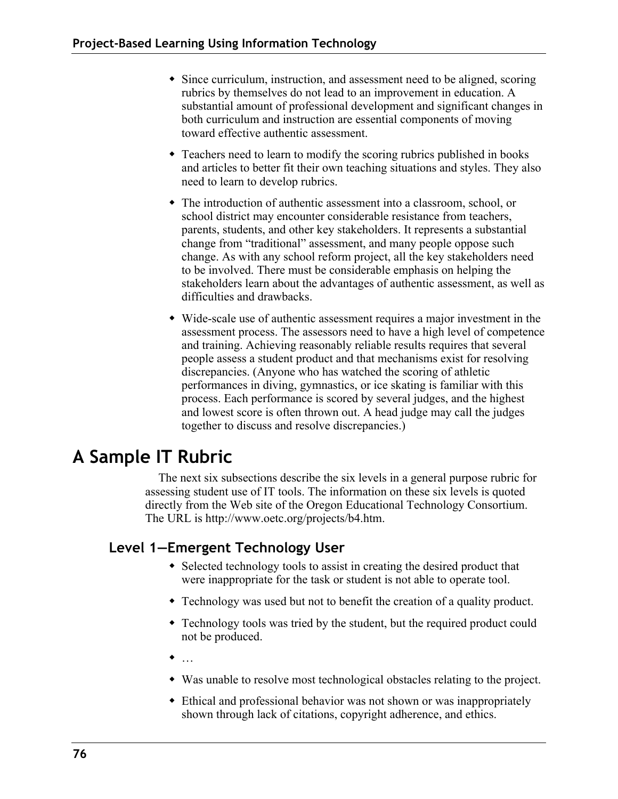- Since curriculum, instruction, and assessment need to be aligned, scoring rubrics by themselves do not lead to an improvement in education. A substantial amount of professional development and significant changes in both curriculum and instruction are essential components of moving toward effective authentic assessment.
- Teachers need to learn to modify the scoring rubrics published in books and articles to better fit their own teaching situations and styles. They also need to learn to develop rubrics.
- The introduction of authentic assessment into a classroom, school, or school district may encounter considerable resistance from teachers, parents, students, and other key stakeholders. It represents a substantial change from "traditional" assessment, and many people oppose such change. As with any school reform project, all the key stakeholders need to be involved. There must be considerable emphasis on helping the stakeholders learn about the advantages of authentic assessment, as well as difficulties and drawbacks.
- Wide-scale use of authentic assessment requires a major investment in the assessment process. The assessors need to have a high level of competence and training. Achieving reasonably reliable results requires that several people assess a student product and that mechanisms exist for resolving discrepancies. (Anyone who has watched the scoring of athletic performances in diving, gymnastics, or ice skating is familiar with this process. Each performance is scored by several judges, and the highest and lowest score is often thrown out. A head judge may call the judges together to discuss and resolve discrepancies.)

# **A Sample IT Rubric**

The next six subsections describe the six levels in a general purpose rubric for assessing student use of IT tools. The information on these six levels is quoted directly from the Web site of the Oregon Educational Technology Consortium. The URL is http://www.oetc.org/projects/b4.htm.

## **Level 1—Emergent Technology User**

- Selected technology tools to assist in creating the desired product that were inappropriate for the task or student is not able to operate tool.
- Technology was used but not to benefit the creation of a quality product.
- Technology tools was tried by the student, but the required product could not be produced.
- $\bullet$  …
- Was unable to resolve most technological obstacles relating to the project.
- Ethical and professional behavior was not shown or was inappropriately shown through lack of citations, copyright adherence, and ethics.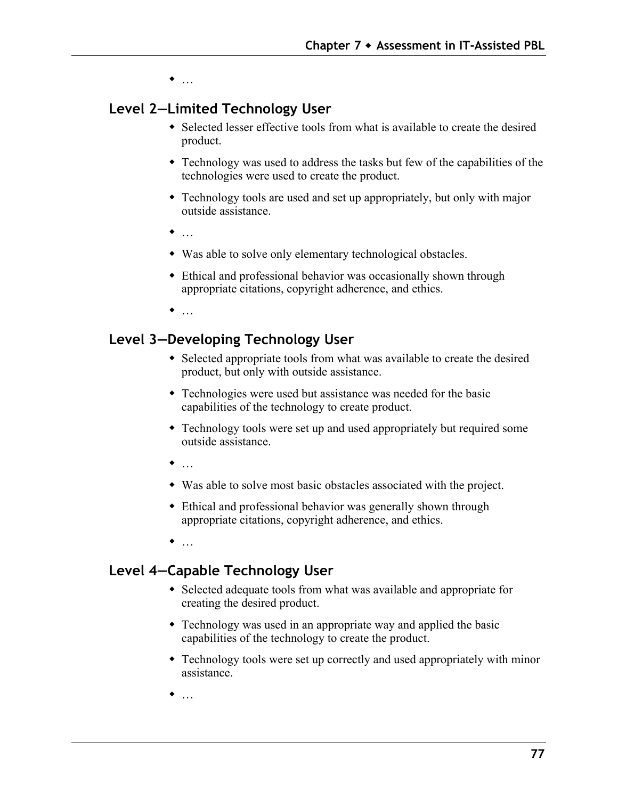$\bullet$  …

### **Level 2—Limited Technology User**

- $\bullet$  Selected lesser effective tools from what is available to create the desired product.
- Technology was used to address the tasks but few of the capabilities of the technologies were used to create the product.
- $\bullet$  Technology tools are used and set up appropriately, but only with major outside assistance.
- $\bullet$
- Was able to solve only elementary technological obstacles.
- Ethical and professional behavior was occasionally shown through appropriate citations, copyright adherence, and ethics.
- $\bullet$  …

### **Level 3—Developing Technology User**

- Selected appropriate tools from what was available to create the desired product, but only with outside assistance.
- Technologies were used but assistance was needed for the basic capabilities of the technology to create product.
- Technology tools were set up and used appropriately but required some outside assistance.
- $\bullet$
- Was able to solve most basic obstacles associated with the project.
- $\bullet$  Ethical and professional behavior was generally shown through appropriate citations, copyright adherence, and ethics.
- $\bullet$  …

### **Level 4—Capable Technology User**

- Selected adequate tools from what was available and appropriate for creating the desired product.
- Technology was used in an appropriate way and applied the basic capabilities of the technology to create the product.
- Technology tools were set up correctly and used appropriately with minor assistance.
- $\bullet$  …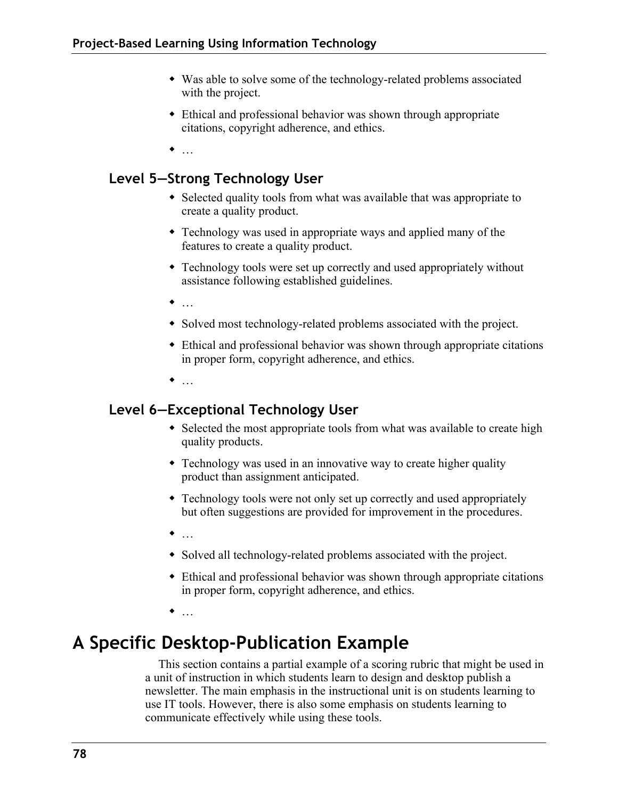- Was able to solve some of the technology-related problems associated with the project.
- $\bullet$  Ethical and professional behavior was shown through appropriate citations, copyright adherence, and ethics.
- $\bullet$  …

### **Level 5—Strong Technology User**

- $\bullet$  Selected quality tools from what was available that was appropriate to create a quality product.
- Technology was used in appropriate ways and applied many of the features to create a quality product.
- $\bullet$  Technology tools were set up correctly and used appropriately without assistance following established guidelines.
- $\bullet$
- $\bullet$  Solved most technology-related problems associated with the project.
- $\bullet$  Ethical and professional behavior was shown through appropriate citations in proper form, copyright adherence, and ethics.
- $\bullet$  …

### **Level 6—Exceptional Technology User**

- Selected the most appropriate tools from what was available to create high quality products.
- $\bullet$  Technology was used in an innovative way to create higher quality product than assignment anticipated.
- Technology tools were not only set up correctly and used appropriately but often suggestions are provided for improvement in the procedures.
- $\bullet$  …
- Solved all technology-related problems associated with the project.
- $\bullet$  Ethical and professional behavior was shown through appropriate citations in proper form, copyright adherence, and ethics.
- $\bullet$  …

# **A Specific Desktop-Publication Example**

This section contains a partial example of a scoring rubric that might be used in a unit of instruction in which students learn to design and desktop publish a newsletter. The main emphasis in the instructional unit is on students learning to use IT tools. However, there is also some emphasis on students learning to communicate effectively while using these tools.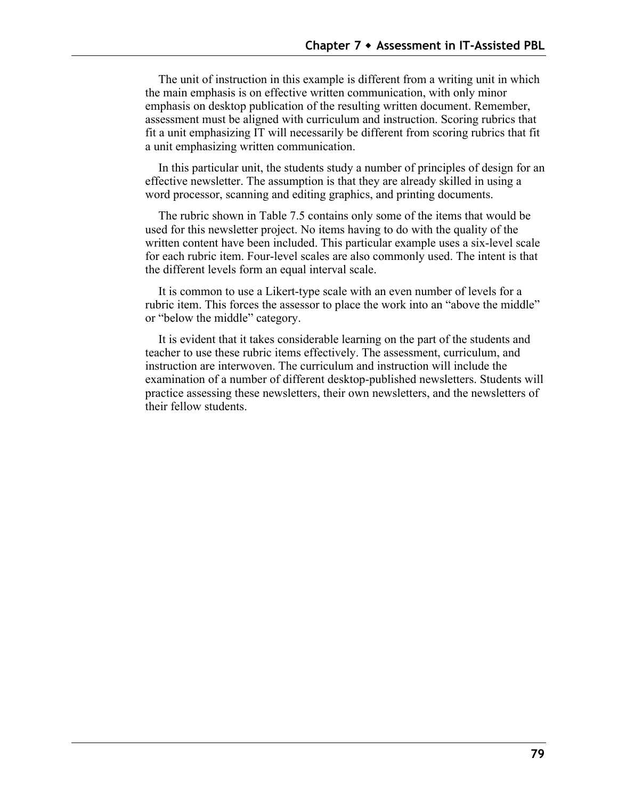The unit of instruction in this example is different from a writing unit in which the main emphasis is on effective written communication, with only minor emphasis on desktop publication of the resulting written document. Remember, assessment must be aligned with curriculum and instruction. Scoring rubrics that fit a unit emphasizing IT will necessarily be different from scoring rubrics that fit a unit emphasizing written communication.

In this particular unit, the students study a number of principles of design for an effective newsletter. The assumption is that they are already skilled in using a word processor, scanning and editing graphics, and printing documents.

The rubric shown in Table 7.5 contains only some of the items that would be used for this newsletter project. No items having to do with the quality of the written content have been included. This particular example uses a six-level scale for each rubric item. Four-level scales are also commonly used. The intent is that the different levels form an equal interval scale.

It is common to use a Likert-type scale with an even number of levels for a rubric item. This forces the assessor to place the work into an "above the middle" or "below the middle" category.

It is evident that it takes considerable learning on the part of the students and teacher to use these rubric items effectively. The assessment, curriculum, and instruction are interwoven. The curriculum and instruction will include the examination of a number of different desktop-published newsletters. Students will practice assessing these newsletters, their own newsletters, and the newsletters of their fellow students.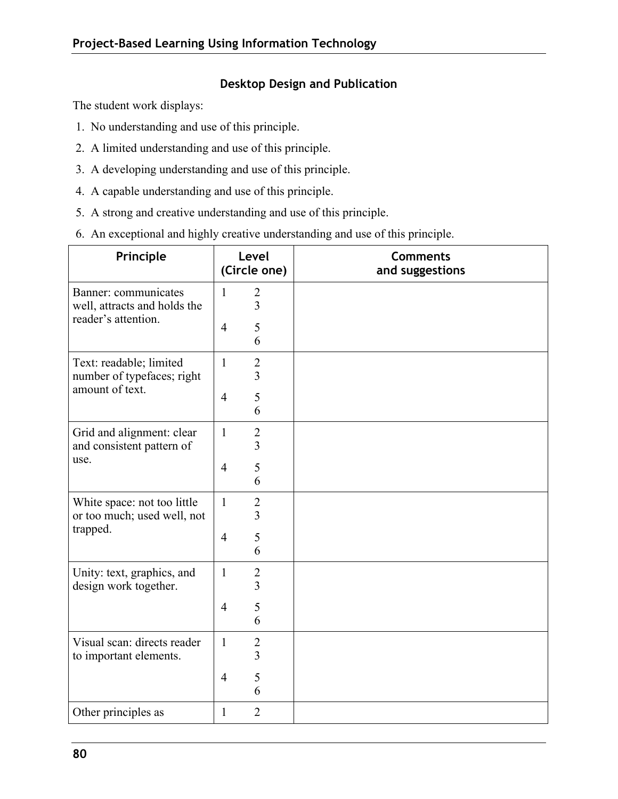#### **Desktop Design and Publication**

The student work displays:

- 1. No understanding and use of this principle.
- 2. A limited understanding and use of this principle.
- 3. A developing understanding and use of this principle.
- 4. A capable understanding and use of this principle.
- 5. A strong and creative understanding and use of this principle.
- 6. An exceptional and highly creative understanding and use of this principle.

| Principle                                                  | Level<br>(Circle one)                            | <b>Comments</b><br>and suggestions |
|------------------------------------------------------------|--------------------------------------------------|------------------------------------|
| Banner: communicates<br>well, attracts and holds the       | $\mathbf{1}$<br>$\overline{2}$<br>$\overline{3}$ |                                    |
| reader's attention.                                        | 5<br>$\overline{4}$<br>6                         |                                    |
| Text: readable; limited<br>number of typefaces; right      | $\frac{2}{3}$<br>$\mathbf{1}$                    |                                    |
| amount of text.                                            | 5<br>$\overline{4}$<br>6                         |                                    |
| Grid and alignment: clear<br>and consistent pattern of     | $\sqrt{2}$<br>$\mathbf{1}$<br>$\overline{3}$     |                                    |
| use.                                                       | 5<br>$\overline{4}$<br>6                         |                                    |
| White space: not too little<br>or too much; used well, not | $\overline{c}$<br>$\mathbf{1}$<br>$\overline{3}$ |                                    |
| trapped.                                                   | 5<br>$\overline{4}$<br>6                         |                                    |
| Unity: text, graphics, and<br>design work together.        | $\overline{2}$<br>$\mathbf{1}$<br>$\overline{3}$ |                                    |
|                                                            | $\sqrt{5}$<br>4<br>6                             |                                    |
| Visual scan: directs reader<br>to important elements.      | $\mathbf{1}$<br>$\overline{2}$<br>$\overline{3}$ |                                    |
|                                                            | 5<br>$\overline{4}$<br>6                         |                                    |
| Other principles as                                        | $\overline{2}$<br>$\mathbf{1}$                   |                                    |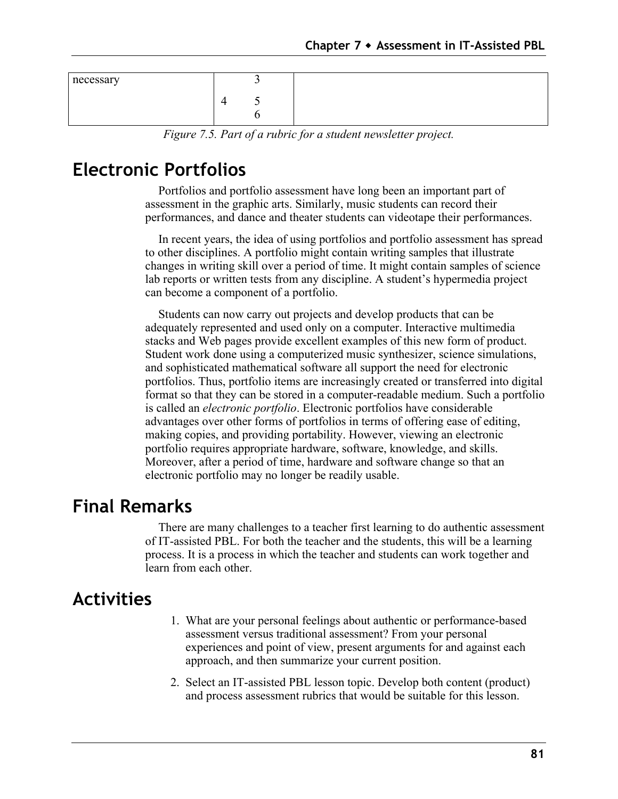| necessary<br><u>،</u> |  |  |
|-----------------------|--|--|
|                       |  |  |
|                       |  |  |

*Figure 7.5. Part of a rubric for a student newsletter project.*

# **Electronic Portfolios**

Portfolios and portfolio assessment have long been an important part of assessment in the graphic arts. Similarly, music students can record their performances, and dance and theater students can videotape their performances.

In recent years, the idea of using portfolios and portfolio assessment has spread to other disciplines. A portfolio might contain writing samples that illustrate changes in writing skill over a period of time. It might contain samples of science lab reports or written tests from any discipline. A student's hypermedia project can become a component of a portfolio.

Students can now carry out projects and develop products that can be adequately represented and used only on a computer. Interactive multimedia stacks and Web pages provide excellent examples of this new form of product. Student work done using a computerized music synthesizer, science simulations, and sophisticated mathematical software all support the need for electronic portfolios. Thus, portfolio items are increasingly created or transferred into digital format so that they can be stored in a computer-readable medium. Such a portfolio is called an *electronic portfolio*. Electronic portfolios have considerable advantages over other forms of portfolios in terms of offering ease of editing, making copies, and providing portability. However, viewing an electronic portfolio requires appropriate hardware, software, knowledge, and skills. Moreover, after a period of time, hardware and software change so that an electronic portfolio may no longer be readily usable.

# **Final Remarks**

There are many challenges to a teacher first learning to do authentic assessment of IT-assisted PBL. For both the teacher and the students, this will be a learning process. It is a process in which the teacher and students can work together and learn from each other.

# **Activities**

- 1. What are your personal feelings about authentic or performance-based assessment versus traditional assessment? From your personal experiences and point of view, present arguments for and against each approach, and then summarize your current position.
- 2. Select an IT-assisted PBL lesson topic. Develop both content (product) and process assessment rubrics that would be suitable for this lesson.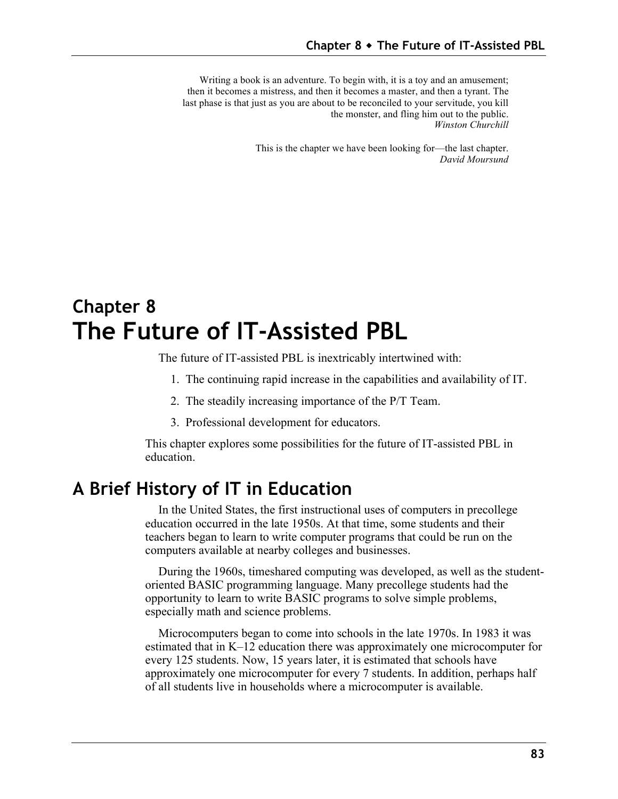Writing a book is an adventure. To begin with, it is a toy and an amusement; then it becomes a mistress, and then it becomes a master, and then a tyrant. The last phase is that just as you are about to be reconciled to your servitude, you kill the monster, and fling him out to the public. *Winston Churchill*

> This is the chapter we have been looking for—the last chapter. *David Moursund*

# **Chapter 8 The Future of IT-Assisted PBL**

The future of IT-assisted PBL is inextricably intertwined with:

- 1. The continuing rapid increase in the capabilities and availability of IT.
- 2. The steadily increasing importance of the P/T Team.
- 3. Professional development for educators.

This chapter explores some possibilities for the future of IT-assisted PBL in education.

# **A Brief History of IT in Education**

In the United States, the first instructional uses of computers in precollege education occurred in the late 1950s. At that time, some students and their teachers began to learn to write computer programs that could be run on the computers available at nearby colleges and businesses.

During the 1960s, timeshared computing was developed, as well as the studentoriented BASIC programming language. Many precollege students had the opportunity to learn to write BASIC programs to solve simple problems, especially math and science problems.

Microcomputers began to come into schools in the late 1970s. In 1983 it was estimated that in K–12 education there was approximately one microcomputer for every 125 students. Now, 15 years later, it is estimated that schools have approximately one microcomputer for every 7 students. In addition, perhaps half of all students live in households where a microcomputer is available.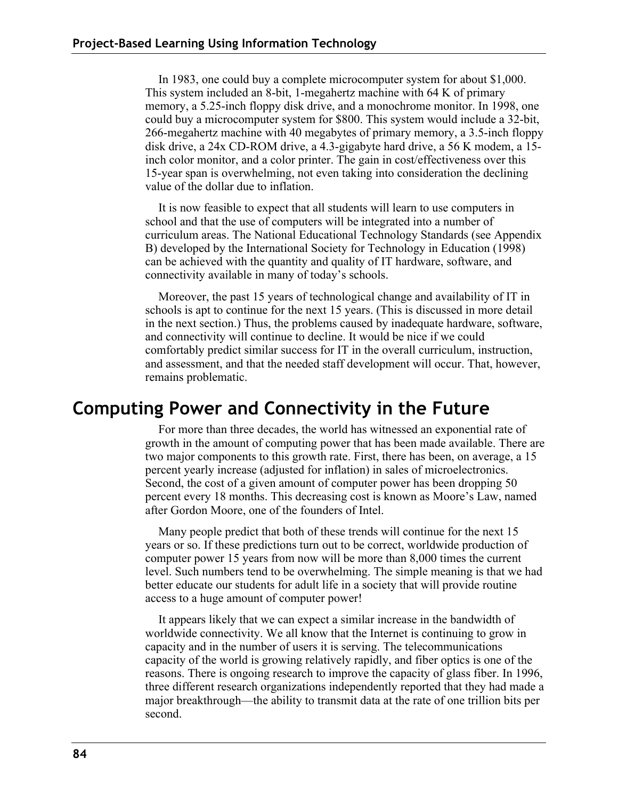In 1983, one could buy a complete microcomputer system for about \$1,000. This system included an 8-bit, 1-megahertz machine with 64 K of primary memory, a 5.25-inch floppy disk drive, and a monochrome monitor. In 1998, one could buy a microcomputer system for \$800. This system would include a 32-bit, 266-megahertz machine with 40 megabytes of primary memory, a 3.5-inch floppy disk drive, a 24x CD-ROM drive, a 4.3-gigabyte hard drive, a 56 K modem, a 15 inch color monitor, and a color printer. The gain in cost/effectiveness over this 15-year span is overwhelming, not even taking into consideration the declining value of the dollar due to inflation.

It is now feasible to expect that all students will learn to use computers in school and that the use of computers will be integrated into a number of curriculum areas. The National Educational Technology Standards (see Appendix B) developed by the International Society for Technology in Education (1998) can be achieved with the quantity and quality of IT hardware, software, and connectivity available in many of today's schools.

Moreover, the past 15 years of technological change and availability of IT in schools is apt to continue for the next 15 years. (This is discussed in more detail in the next section.) Thus, the problems caused by inadequate hardware, software, and connectivity will continue to decline. It would be nice if we could comfortably predict similar success for IT in the overall curriculum, instruction, and assessment, and that the needed staff development will occur. That, however, remains problematic.

# **Computing Power and Connectivity in the Future**

For more than three decades, the world has witnessed an exponential rate of growth in the amount of computing power that has been made available. There are two major components to this growth rate. First, there has been, on average, a 15 percent yearly increase (adjusted for inflation) in sales of microelectronics. Second, the cost of a given amount of computer power has been dropping 50 percent every 18 months. This decreasing cost is known as Moore's Law, named after Gordon Moore, one of the founders of Intel.

Many people predict that both of these trends will continue for the next 15 years or so. If these predictions turn out to be correct, worldwide production of computer power 15 years from now will be more than 8,000 times the current level. Such numbers tend to be overwhelming. The simple meaning is that we had better educate our students for adult life in a society that will provide routine access to a huge amount of computer power!

It appears likely that we can expect a similar increase in the bandwidth of worldwide connectivity. We all know that the Internet is continuing to grow in capacity and in the number of users it is serving. The telecommunications capacity of the world is growing relatively rapidly, and fiber optics is one of the reasons. There is ongoing research to improve the capacity of glass fiber. In 1996, three different research organizations independently reported that they had made a major breakthrough—the ability to transmit data at the rate of one trillion bits per second.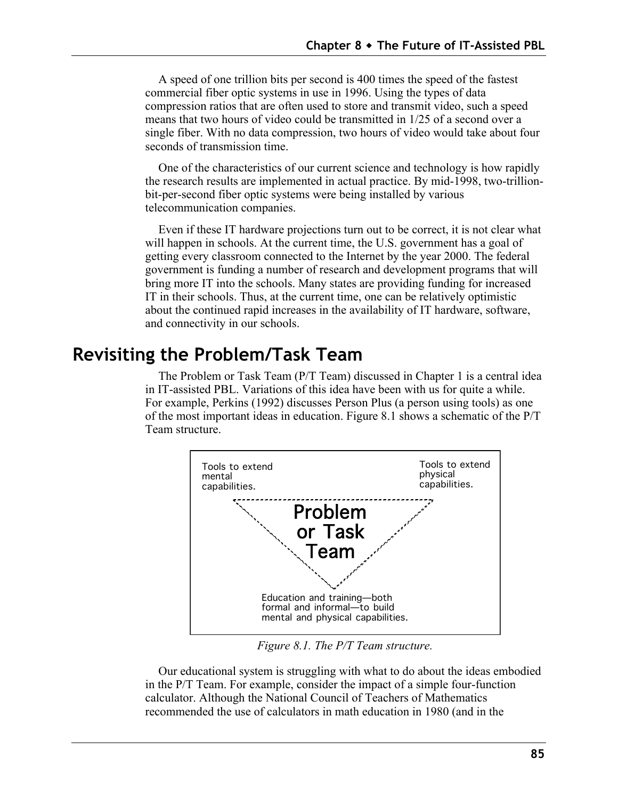A speed of one trillion bits per second is 400 times the speed of the fastest commercial fiber optic systems in use in 1996. Using the types of data compression ratios that are often used to store and transmit video, such a speed means that two hours of video could be transmitted in 1/25 of a second over a single fiber. With no data compression, two hours of video would take about four seconds of transmission time.

One of the characteristics of our current science and technology is how rapidly the research results are implemented in actual practice. By mid-1998, two-trillionbit-per-second fiber optic systems were being installed by various telecommunication companies.

Even if these IT hardware projections turn out to be correct, it is not clear what will happen in schools. At the current time, the U.S. government has a goal of getting every classroom connected to the Internet by the year 2000. The federal government is funding a number of research and development programs that will bring more IT into the schools. Many states are providing funding for increased IT in their schools. Thus, at the current time, one can be relatively optimistic about the continued rapid increases in the availability of IT hardware, software, and connectivity in our schools.

## **Revisiting the Problem/Task Team**

The Problem or Task Team (P/T Team) discussed in Chapter 1 is a central idea in IT-assisted PBL. Variations of this idea have been with us for quite a while. For example, Perkins (1992) discusses Person Plus (a person using tools) as one of the most important ideas in education. Figure 8.1 shows a schematic of the P/T Team structure.



*Figure 8.1. The P/T Team structure.*

Our educational system is struggling with what to do about the ideas embodied in the P/T Team. For example, consider the impact of a simple four-function calculator. Although the National Council of Teachers of Mathematics recommended the use of calculators in math education in 1980 (and in the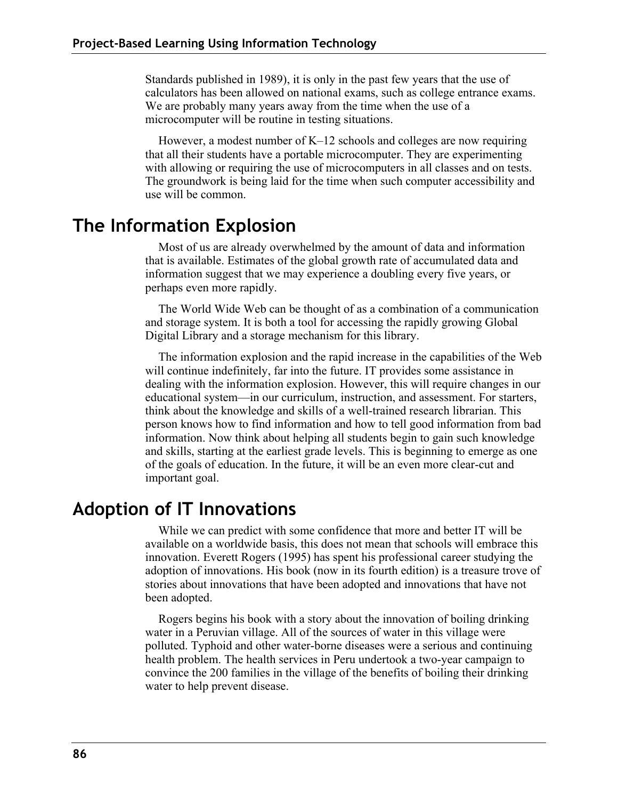Standards published in 1989), it is only in the past few years that the use of calculators has been allowed on national exams, such as college entrance exams. We are probably many years away from the time when the use of a microcomputer will be routine in testing situations.

However, a modest number of K–12 schools and colleges are now requiring that all their students have a portable microcomputer. They are experimenting with allowing or requiring the use of microcomputers in all classes and on tests. The groundwork is being laid for the time when such computer accessibility and use will be common.

## **The Information Explosion**

Most of us are already overwhelmed by the amount of data and information that is available. Estimates of the global growth rate of accumulated data and information suggest that we may experience a doubling every five years, or perhaps even more rapidly.

The World Wide Web can be thought of as a combination of a communication and storage system. It is both a tool for accessing the rapidly growing Global Digital Library and a storage mechanism for this library.

The information explosion and the rapid increase in the capabilities of the Web will continue indefinitely, far into the future. IT provides some assistance in dealing with the information explosion. However, this will require changes in our educational system—in our curriculum, instruction, and assessment. For starters, think about the knowledge and skills of a well-trained research librarian. This person knows how to find information and how to tell good information from bad information. Now think about helping all students begin to gain such knowledge and skills, starting at the earliest grade levels. This is beginning to emerge as one of the goals of education. In the future, it will be an even more clear-cut and important goal.

## **Adoption of IT Innovations**

While we can predict with some confidence that more and better IT will be available on a worldwide basis, this does not mean that schools will embrace this innovation. Everett Rogers (1995) has spent his professional career studying the adoption of innovations. His book (now in its fourth edition) is a treasure trove of stories about innovations that have been adopted and innovations that have not been adopted.

Rogers begins his book with a story about the innovation of boiling drinking water in a Peruvian village. All of the sources of water in this village were polluted. Typhoid and other water-borne diseases were a serious and continuing health problem. The health services in Peru undertook a two-year campaign to convince the 200 families in the village of the benefits of boiling their drinking water to help prevent disease.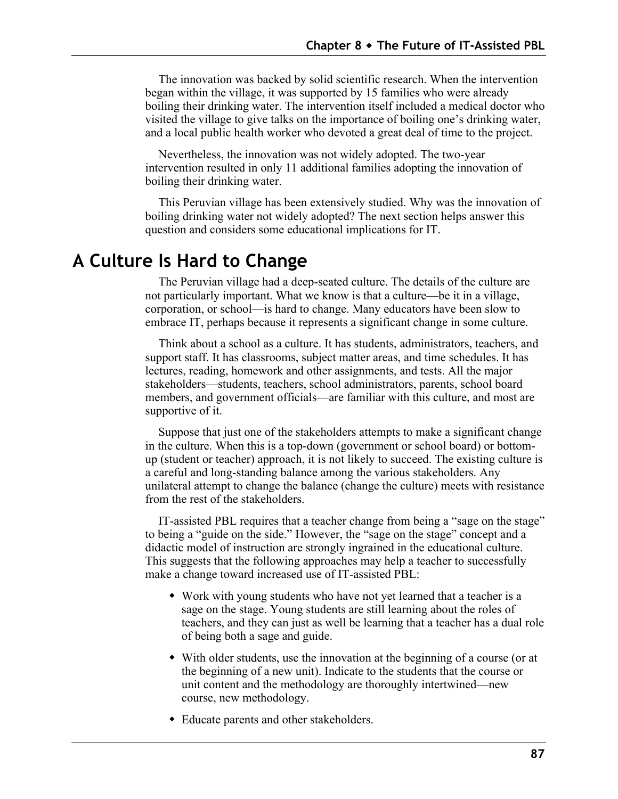The innovation was backed by solid scientific research. When the intervention began within the village, it was supported by 15 families who were already boiling their drinking water. The intervention itself included a medical doctor who visited the village to give talks on the importance of boiling one's drinking water, and a local public health worker who devoted a great deal of time to the project.

Nevertheless, the innovation was not widely adopted. The two-year intervention resulted in only 11 additional families adopting the innovation of boiling their drinking water.

This Peruvian village has been extensively studied. Why was the innovation of boiling drinking water not widely adopted? The next section helps answer this question and considers some educational implications for IT.

# **A Culture Is Hard to Change**

The Peruvian village had a deep-seated culture. The details of the culture are not particularly important. What we know is that a culture—be it in a village, corporation, or school—is hard to change. Many educators have been slow to embrace IT, perhaps because it represents a significant change in some culture.

Think about a school as a culture. It has students, administrators, teachers, and support staff. It has classrooms, subject matter areas, and time schedules. It has lectures, reading, homework and other assignments, and tests. All the major stakeholders—students, teachers, school administrators, parents, school board members, and government officials—are familiar with this culture, and most are supportive of it.

Suppose that just one of the stakeholders attempts to make a significant change in the culture. When this is a top-down (government or school board) or bottomup (student or teacher) approach, it is not likely to succeed. The existing culture is a careful and long-standing balance among the various stakeholders. Any unilateral attempt to change the balance (change the culture) meets with resistance from the rest of the stakeholders.

IT-assisted PBL requires that a teacher change from being a "sage on the stage" to being a "guide on the side." However, the "sage on the stage" concept and a didactic model of instruction are strongly ingrained in the educational culture. This suggests that the following approaches may help a teacher to successfully make a change toward increased use of IT-assisted PBL:

- Work with young students who have not yet learned that a teacher is a sage on the stage. Young students are still learning about the roles of teachers, and they can just as well be learning that a teacher has a dual role of being both a sage and guide.
- With older students, use the innovation at the beginning of a course (or at the beginning of a new unit). Indicate to the students that the course or unit content and the methodology are thoroughly intertwined—new course, new methodology.
- Educate parents and other stakeholders.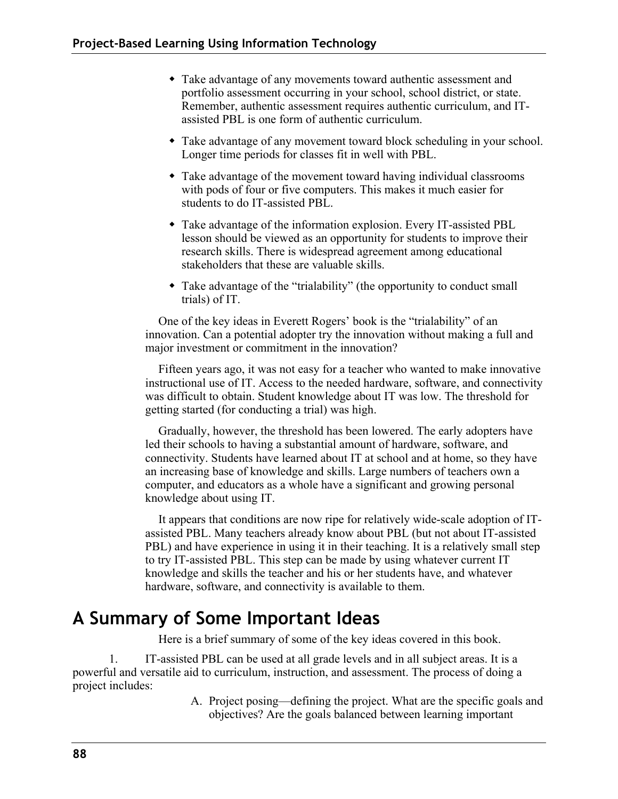- Take advantage of any movements toward authentic assessment and portfolio assessment occurring in your school, school district, or state. Remember, authentic assessment requires authentic curriculum, and ITassisted PBL is one form of authentic curriculum.
- Take advantage of any movement toward block scheduling in your school. Longer time periods for classes fit in well with PBL.
- Take advantage of the movement toward having individual classrooms with pods of four or five computers. This makes it much easier for students to do IT-assisted PBL.
- Take advantage of the information explosion. Every IT-assisted PBL lesson should be viewed as an opportunity for students to improve their research skills. There is widespread agreement among educational stakeholders that these are valuable skills.
- Take advantage of the "trialability" (the opportunity to conduct small trials) of IT.

One of the key ideas in Everett Rogers' book is the "trialability" of an innovation. Can a potential adopter try the innovation without making a full and major investment or commitment in the innovation?

Fifteen years ago, it was not easy for a teacher who wanted to make innovative instructional use of IT. Access to the needed hardware, software, and connectivity was difficult to obtain. Student knowledge about IT was low. The threshold for getting started (for conducting a trial) was high.

Gradually, however, the threshold has been lowered. The early adopters have led their schools to having a substantial amount of hardware, software, and connectivity. Students have learned about IT at school and at home, so they have an increasing base of knowledge and skills. Large numbers of teachers own a computer, and educators as a whole have a significant and growing personal knowledge about using IT.

It appears that conditions are now ripe for relatively wide-scale adoption of ITassisted PBL. Many teachers already know about PBL (but not about IT-assisted PBL) and have experience in using it in their teaching. It is a relatively small step to try IT-assisted PBL. This step can be made by using whatever current IT knowledge and skills the teacher and his or her students have, and whatever hardware, software, and connectivity is available to them.

# **A Summary of Some Important Ideas**

Here is a brief summary of some of the key ideas covered in this book.

1. IT-assisted PBL can be used at all grade levels and in all subject areas. It is a powerful and versatile aid to curriculum, instruction, and assessment. The process of doing a project includes:

> A. Project posing—defining the project. What are the specific goals and objectives? Are the goals balanced between learning important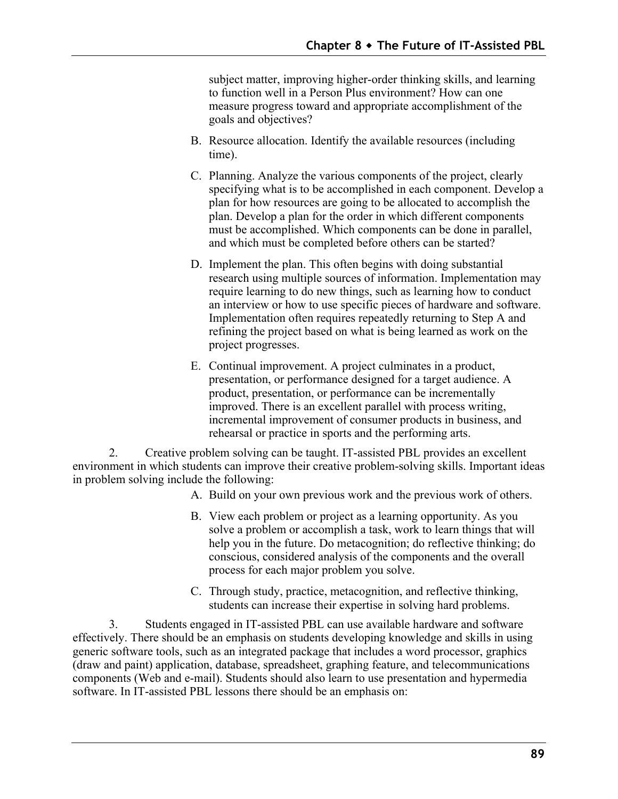subject matter, improving higher-order thinking skills, and learning to function well in a Person Plus environment? How can one measure progress toward and appropriate accomplishment of the goals and objectives?

- B. Resource allocation. Identify the available resources (including time).
- C. Planning. Analyze the various components of the project, clearly specifying what is to be accomplished in each component. Develop a plan for how resources are going to be allocated to accomplish the plan. Develop a plan for the order in which different components must be accomplished. Which components can be done in parallel, and which must be completed before others can be started?
- D. Implement the plan. This often begins with doing substantial research using multiple sources of information. Implementation may require learning to do new things, such as learning how to conduct an interview or how to use specific pieces of hardware and software. Implementation often requires repeatedly returning to Step A and refining the project based on what is being learned as work on the project progresses.
- E. Continual improvement. A project culminates in a product, presentation, or performance designed for a target audience. A product, presentation, or performance can be incrementally improved. There is an excellent parallel with process writing, incremental improvement of consumer products in business, and rehearsal or practice in sports and the performing arts.

2. Creative problem solving can be taught. IT-assisted PBL provides an excellent environment in which students can improve their creative problem-solving skills. Important ideas in problem solving include the following:

- A. Build on your own previous work and the previous work of others.
- B. View each problem or project as a learning opportunity. As you solve a problem or accomplish a task, work to learn things that will help you in the future. Do metacognition; do reflective thinking; do conscious, considered analysis of the components and the overall process for each major problem you solve.
- C. Through study, practice, metacognition, and reflective thinking, students can increase their expertise in solving hard problems.

3. Students engaged in IT-assisted PBL can use available hardware and software effectively. There should be an emphasis on students developing knowledge and skills in using generic software tools, such as an integrated package that includes a word processor, graphics (draw and paint) application, database, spreadsheet, graphing feature, and telecommunications components (Web and e-mail). Students should also learn to use presentation and hypermedia software. In IT-assisted PBL lessons there should be an emphasis on: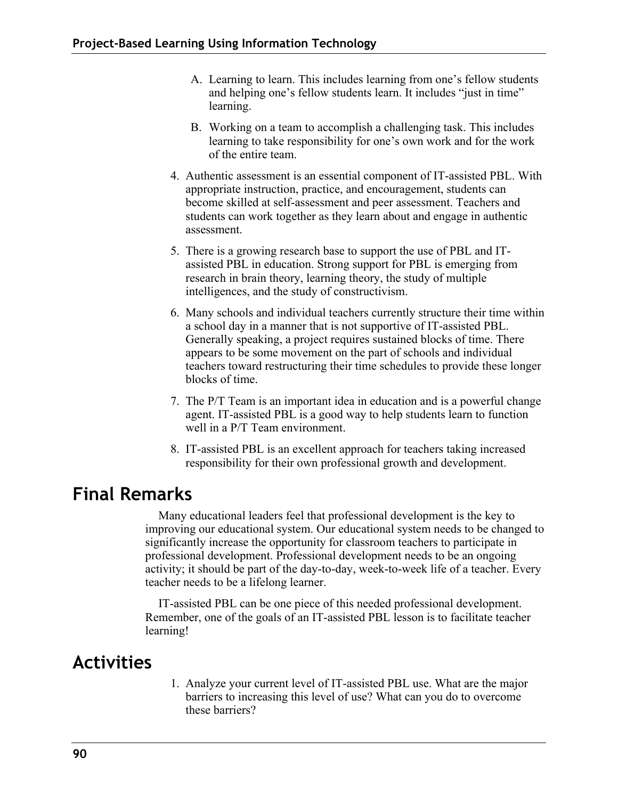- A. Learning to learn. This includes learning from one's fellow students and helping one's fellow students learn. It includes "just in time" learning.
- B. Working on a team to accomplish a challenging task. This includes learning to take responsibility for one's own work and for the work of the entire team.
- 4. Authentic assessment is an essential component of IT-assisted PBL. With appropriate instruction, practice, and encouragement, students can become skilled at self-assessment and peer assessment. Teachers and students can work together as they learn about and engage in authentic assessment.
- 5. There is a growing research base to support the use of PBL and ITassisted PBL in education. Strong support for PBL is emerging from research in brain theory, learning theory, the study of multiple intelligences, and the study of constructivism.
- 6. Many schools and individual teachers currently structure their time within a school day in a manner that is not supportive of IT-assisted PBL. Generally speaking, a project requires sustained blocks of time. There appears to be some movement on the part of schools and individual teachers toward restructuring their time schedules to provide these longer blocks of time.
- 7. The P/T Team is an important idea in education and is a powerful change agent. IT-assisted PBL is a good way to help students learn to function well in a P/T Team environment.
- 8. IT-assisted PBL is an excellent approach for teachers taking increased responsibility for their own professional growth and development.

# **Final Remarks**

Many educational leaders feel that professional development is the key to improving our educational system. Our educational system needs to be changed to significantly increase the opportunity for classroom teachers to participate in professional development. Professional development needs to be an ongoing activity; it should be part of the day-to-day, week-to-week life of a teacher. Every teacher needs to be a lifelong learner.

IT-assisted PBL can be one piece of this needed professional development. Remember, one of the goals of an IT-assisted PBL lesson is to facilitate teacher learning!

# **Activities**

1. Analyze your current level of IT-assisted PBL use. What are the major barriers to increasing this level of use? What can you do to overcome these barriers?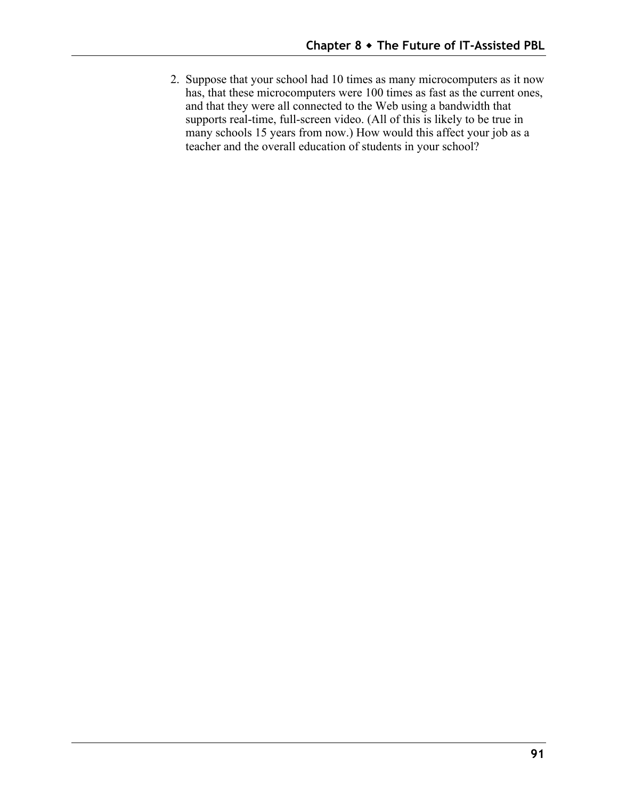2. Suppose that your school had 10 times as many microcomputers as it now has, that these microcomputers were 100 times as fast as the current ones, and that they were all connected to the Web using a bandwidth that supports real-time, full-screen video. (All of this is likely to be true in many schools 15 years from now.) How would this affect your job as a teacher and the overall education of students in your school?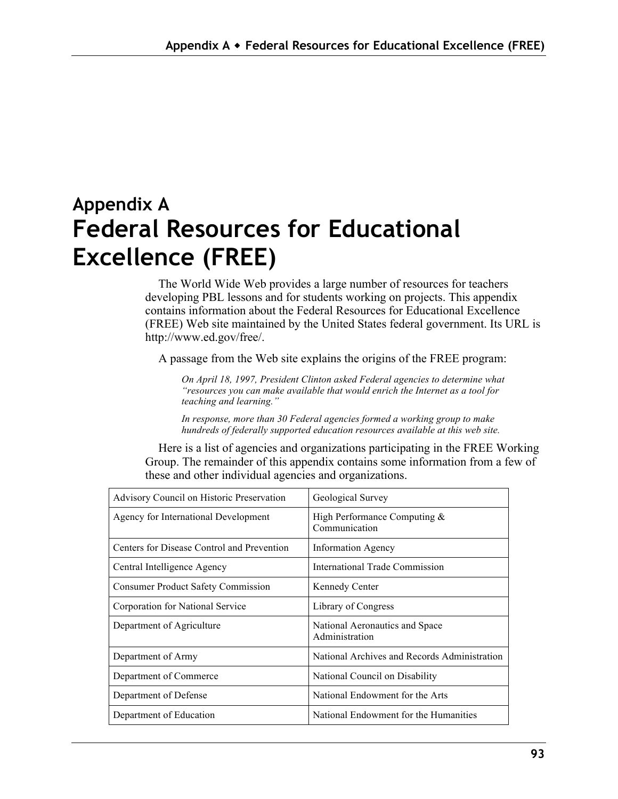# **Appendix A Federal Resources for Educational Excellence (FREE)**

The World Wide Web provides a large number of resources for teachers developing PBL lessons and for students working on projects. This appendix contains information about the Federal Resources for Educational Excellence (FREE) Web site maintained by the United States federal government. Its URL is http://www.ed.gov/free/.

A passage from the Web site explains the origins of the FREE program:

*On April 18, 1997, President Clinton asked Federal agencies to determine what "resources you can make available that would enrich the Internet as a tool for teaching and learning."*

*In response, more than 30 Federal agencies formed a working group to make hundreds of federally supported education resources available at this web site.*

Here is a list of agencies and organizations participating in the FREE Working Group. The remainder of this appendix contains some information from a few of these and other individual agencies and organizations.

| Geological Survey                                |
|--------------------------------------------------|
| High Performance Computing &<br>Communication    |
| <b>Information Agency</b>                        |
| International Trade Commission                   |
| Kennedy Center                                   |
| Library of Congress                              |
| National Aeronautics and Space<br>Administration |
| National Archives and Records Administration     |
| National Council on Disability                   |
| National Endowment for the Arts                  |
| National Endowment for the Humanities            |
|                                                  |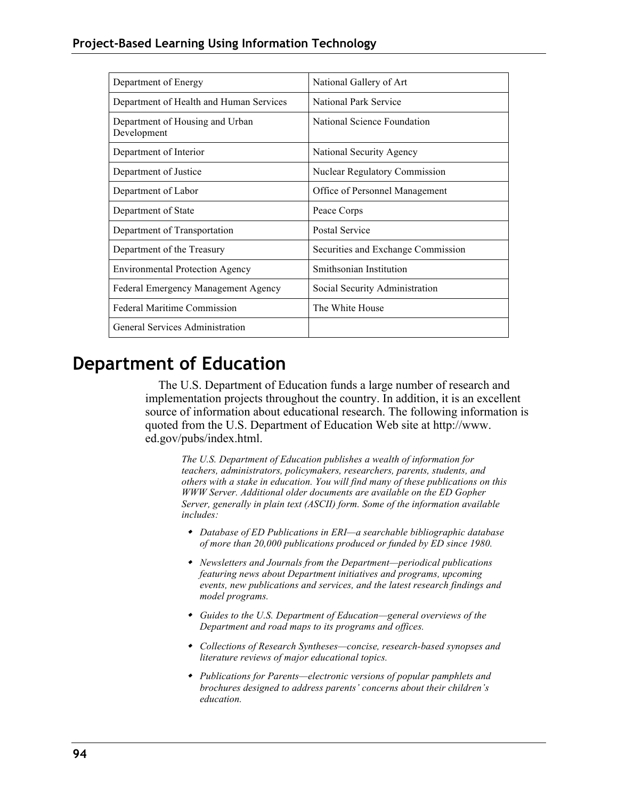| Department of Energy                           | National Gallery of Art              |
|------------------------------------------------|--------------------------------------|
| Department of Health and Human Services        | National Park Service                |
| Department of Housing and Urban<br>Development | National Science Foundation          |
| Department of Interior                         | National Security Agency             |
| Department of Justice                          | <b>Nuclear Regulatory Commission</b> |
| Department of Labor                            | Office of Personnel Management       |
| Department of State                            | Peace Corps                          |
| Department of Transportation                   | <b>Postal Service</b>                |
| Department of the Treasury                     | Securities and Exchange Commission   |
| <b>Environmental Protection Agency</b>         | Smithsonian Institution              |
| <b>Federal Emergency Management Agency</b>     | Social Security Administration       |
| <b>Federal Maritime Commission</b>             | The White House                      |
| General Services Administration                |                                      |

# **Department of Education**

The U.S. Department of Education funds a large number of research and implementation projects throughout the country. In addition, it is an excellent source of information about educational research. The following information is quoted from the U.S. Department of Education Web site at http://www. ed.gov/pubs/index.html.

*The U.S. Department of Education publishes a wealth of information for teachers, administrators, policymakers, researchers, parents, students, and others with a stake in education. You will find many of these publications on this WWW Server. Additional older documents are available on the ED Gopher Server, generally in plain text (ASCII) form. Some of the information available includes:*

- w *Database of ED Publications in ERI—a searchable bibliographic database of more than 20,000 publications produced or funded by ED since 1980.*
- w *Newsletters and Journals from the Department—periodical publications featuring news about Department initiatives and programs, upcoming events, new publications and services, and the latest research findings and model programs.*
- w *Guides to the U.S. Department of Education—general overviews of the Department and road maps to its programs and offices.*
- w *Collections of Research Syntheses—concise, research-based synopses and literature reviews of major educational topics.*
- w *Publications for Parents—electronic versions of popular pamphlets and brochures designed to address parents' concerns about their children's education.*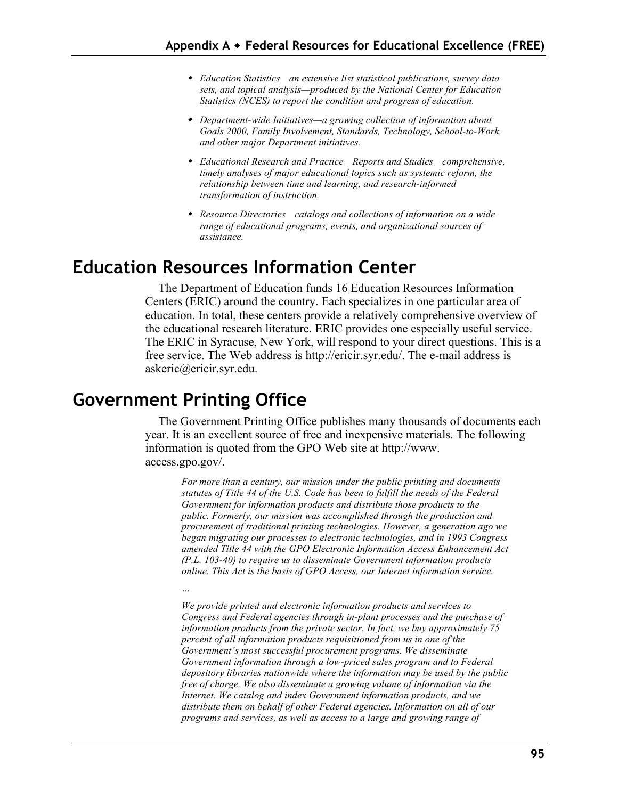- w *Education Statistics—an extensive list statistical publications, survey data sets, and topical analysis—produced by the National Center for Education Statistics (NCES) to report the condition and progress of education.*
- Department-wide Initiatives—a growing collection of information about *Goals 2000, Family Involvement, Standards, Technology, School-to-Work, and other major Department initiatives.*
- w *Educational Research and Practice—Reports and Studies—comprehensive, timely analyses of major educational topics such as systemic reform, the relationship between time and learning, and research-informed transformation of instruction.*
- w *Resource Directories—catalogs and collections of information on a wide range of educational programs, events, and organizational sources of assistance.*

### **Education Resources Information Center**

The Department of Education funds 16 Education Resources Information Centers (ERIC) around the country. Each specializes in one particular area of education. In total, these centers provide a relatively comprehensive overview of the educational research literature. ERIC provides one especially useful service. The ERIC in Syracuse, New York, will respond to your direct questions. This is a free service. The Web address is http://ericir.syr.edu/. The e-mail address is askeric@ericir.syr.edu.

### **Government Printing Office**

*…*

The Government Printing Office publishes many thousands of documents each year. It is an excellent source of free and inexpensive materials. The following information is quoted from the GPO Web site at http://www. access.gpo.gov/.

*For more than a century, our mission under the public printing and documents statutes of Title 44 of the U.S. Code has been to fulfill the needs of the Federal Government for information products and distribute those products to the public. Formerly, our mission was accomplished through the production and procurement of traditional printing technologies. However, a generation ago we began migrating our processes to electronic technologies, and in 1993 Congress amended Title 44 with the GPO Electronic Information Access Enhancement Act (P.L. 103-40) to require us to disseminate Government information products online. This Act is the basis of GPO Access, our Internet information service.* 

*We provide printed and electronic information products and services to Congress and Federal agencies through in-plant processes and the purchase of information products from the private sector. In fact, we buy approximately 75 percent of all information products requisitioned from us in one of the Government's most successful procurement programs. We disseminate Government information through a low-priced sales program and to Federal depository libraries nationwide where the information may be used by the public free of charge. We also disseminate a growing volume of information via the Internet. We catalog and index Government information products, and we distribute them on behalf of other Federal agencies. Information on all of our programs and services, as well as access to a large and growing range of*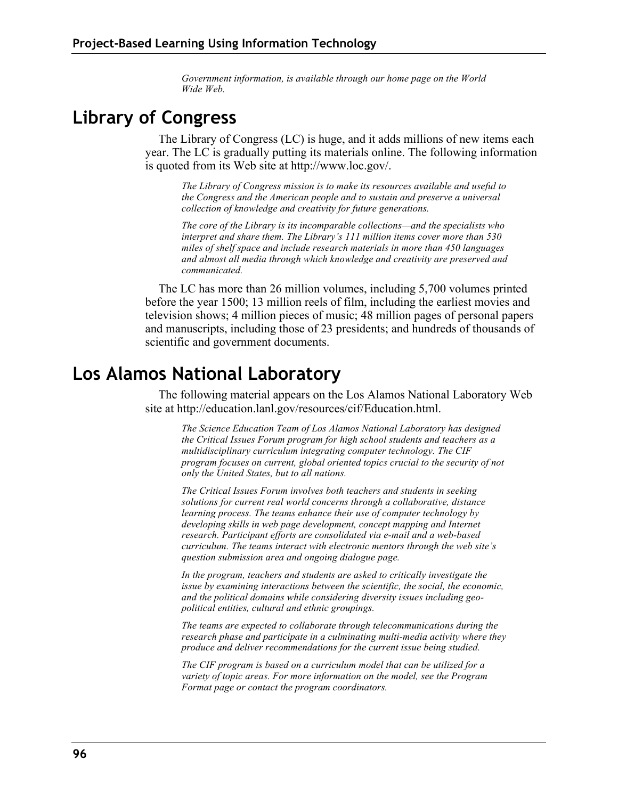*Government information, is available through our home page on the World Wide Web.* 

### **Library of Congress**

The Library of Congress (LC) is huge, and it adds millions of new items each year. The LC is gradually putting its materials online. The following information is quoted from its Web site at http://www.loc.gov/.

*The Library of Congress mission is to make its resources available and useful to the Congress and the American people and to sustain and preserve a universal collection of knowledge and creativity for future generations.* 

*The core of the Library is its incomparable collections—and the specialists who interpret and share them. The Library's 111 million items cover more than 530 miles of shelf space and include research materials in more than 450 languages and almost all media through which knowledge and creativity are preserved and communicated.*

The LC has more than 26 million volumes, including 5,700 volumes printed before the year 1500; 13 million reels of film, including the earliest movies and television shows; 4 million pieces of music; 48 million pages of personal papers and manuscripts, including those of 23 presidents; and hundreds of thousands of scientific and government documents.

### **Los Alamos National Laboratory**

The following material appears on the Los Alamos National Laboratory Web site at http://education.lanl.gov/resources/cif/Education.html.

*The Science Education Team of Los Alamos National Laboratory has designed the Critical Issues Forum program for high school students and teachers as a multidisciplinary curriculum integrating computer technology. The CIF program focuses on current, global oriented topics crucial to the security of not only the United States, but to all nations.* 

*The Critical Issues Forum involves both teachers and students in seeking solutions for current real world concerns through a collaborative, distance learning process. The teams enhance their use of computer technology by developing skills in web page development, concept mapping and Internet research. Participant efforts are consolidated via e-mail and a web-based curriculum. The teams interact with electronic mentors through the web site's question submission area and ongoing dialogue page.* 

*In the program, teachers and students are asked to critically investigate the issue by examining interactions between the scientific, the social, the economic, and the political domains while considering diversity issues including geopolitical entities, cultural and ethnic groupings.* 

*The teams are expected to collaborate through telecommunications during the research phase and participate in a culminating multi-media activity where they produce and deliver recommendations for the current issue being studied.* 

*The CIF program is based on a curriculum model that can be utilized for a variety of topic areas. For more information on the model, see the Program Format page or contact the program coordinators.*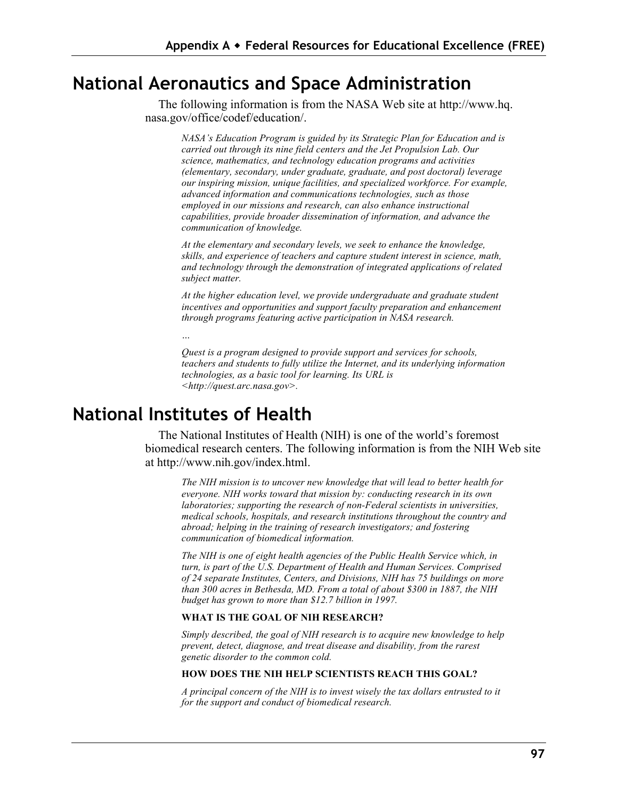### **National Aeronautics and Space Administration**

The following information is from the NASA Web site at http://www.hq. nasa.gov/office/codef/education/.

*NASA's Education Program is guided by its Strategic Plan for Education and is carried out through its nine field centers and the Jet Propulsion Lab. Our science, mathematics, and technology education programs and activities (elementary, secondary, under graduate, graduate, and post doctoral) leverage our inspiring mission, unique facilities, and specialized workforce. For example, advanced information and communications technologies, such as those employed in our missions and research, can also enhance instructional capabilities, provide broader dissemination of information, and advance the communication of knowledge.* 

*At the elementary and secondary levels, we seek to enhance the knowledge, skills, and experience of teachers and capture student interest in science, math, and technology through the demonstration of integrated applications of related subject matter.* 

*At the higher education level, we provide undergraduate and graduate student incentives and opportunities and support faculty preparation and enhancement through programs featuring active participation in NASA research.*

*…*

*Quest is a program designed to provide support and services for schools, teachers and students to fully utilize the Internet, and its underlying information technologies, as a basic tool for learning. Its URL is <http://quest.arc.nasa.gov>.*

### **National Institutes of Health**

The National Institutes of Health (NIH) is one of the world's foremost biomedical research centers. The following information is from the NIH Web site at http://www.nih.gov/index.html.

*The NIH mission is to uncover new knowledge that will lead to better health for everyone. NIH works toward that mission by: conducting research in its own laboratories; supporting the research of non-Federal scientists in universities, medical schools, hospitals, and research institutions throughout the country and abroad; helping in the training of research investigators; and fostering communication of biomedical information.*

*The NIH is one of eight health agencies of the Public Health Service which, in turn, is part of the U.S. Department of Health and Human Services. Comprised of 24 separate Institutes, Centers, and Divisions, NIH has 75 buildings on more than 300 acres in Bethesda, MD. From a total of about \$300 in 1887, the NIH budget has grown to more than \$12.7 billion in 1997.*

#### **WHAT IS THE GOAL OF NIH RESEARCH?**

*Simply described, the goal of NIH research is to acquire new knowledge to help prevent, detect, diagnose, and treat disease and disability, from the rarest genetic disorder to the common cold.*

#### **HOW DOES THE NIH HELP SCIENTISTS REACH THIS GOAL?**

*A principal concern of the NIH is to invest wisely the tax dollars entrusted to it for the support and conduct of biomedical research.*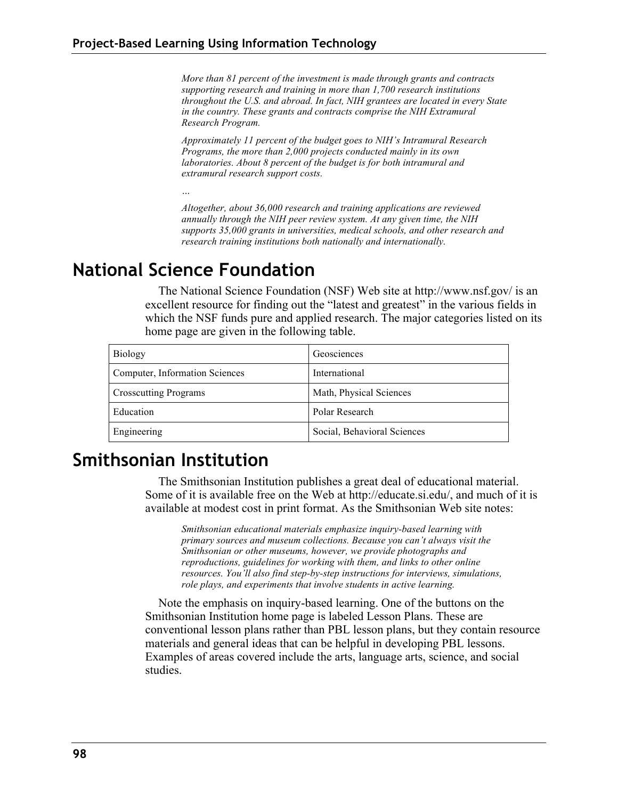*More than 81 percent of the investment is made through grants and contracts supporting research and training in more than 1,700 research institutions throughout the U.S. and abroad. In fact, NIH grantees are located in every State in the country. These grants and contracts comprise the NIH Extramural Research Program.*

*Approximately 11 percent of the budget goes to NIH's Intramural Research Programs, the more than 2,000 projects conducted mainly in its own laboratories. About 8 percent of the budget is for both intramural and extramural research support costs.*

*Altogether, about 36,000 research and training applications are reviewed annually through the NIH peer review system. At any given time, the NIH supports 35,000 grants in universities, medical schools, and other research and research training institutions both nationally and internationally.*

### **National Science Foundation**

*…*

The National Science Foundation (NSF) Web site at http://www.nsf.gov/ is an excellent resource for finding out the "latest and greatest" in the various fields in which the NSF funds pure and applied research. The major categories listed on its home page are given in the following table.

| <b>Biology</b>                 | Geosciences                 |
|--------------------------------|-----------------------------|
| Computer, Information Sciences | International               |
| <b>Crosscutting Programs</b>   | Math, Physical Sciences     |
| Education                      | Polar Research              |
| Engineering                    | Social, Behavioral Sciences |

## **Smithsonian Institution**

The Smithsonian Institution publishes a great deal of educational material. Some of it is available free on the Web at http://educate.si.edu/, and much of it is available at modest cost in print format. As the Smithsonian Web site notes:

*Smithsonian educational materials emphasize inquiry-based learning with primary sources and museum collections. Because you can't always visit the Smithsonian or other museums, however, we provide photographs and reproductions, guidelines for working with them, and links to other online resources. You'll also find step-by-step instructions for interviews, simulations, role plays, and experiments that involve students in active learning.*

Note the emphasis on inquiry-based learning. One of the buttons on the Smithsonian Institution home page is labeled Lesson Plans. These are conventional lesson plans rather than PBL lesson plans, but they contain resource materials and general ideas that can be helpful in developing PBL lessons. Examples of areas covered include the arts, language arts, science, and social studies.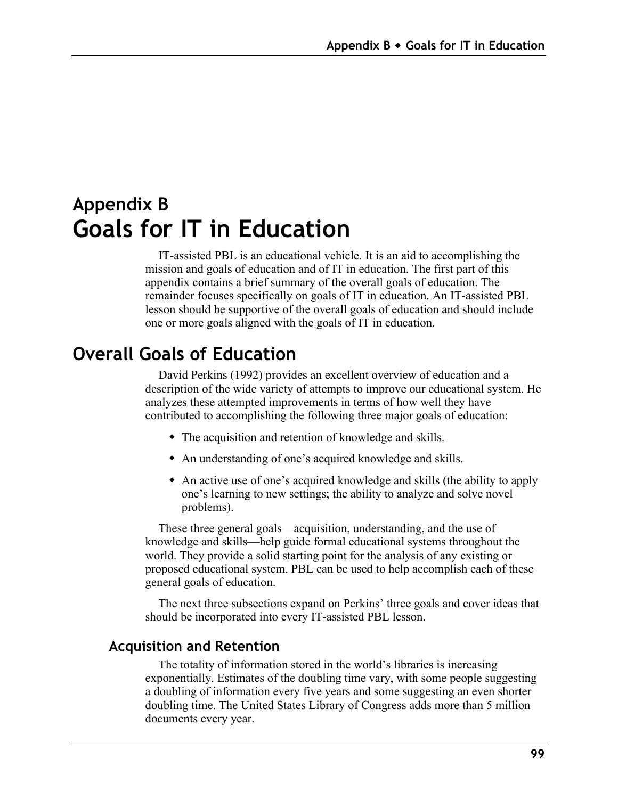# **Appendix B Goals for IT in Education**

IT-assisted PBL is an educational vehicle. It is an aid to accomplishing the mission and goals of education and of IT in education. The first part of this appendix contains a brief summary of the overall goals of education. The remainder focuses specifically on goals of IT in education. An IT-assisted PBL lesson should be supportive of the overall goals of education and should include one or more goals aligned with the goals of IT in education.

## **Overall Goals of Education**

David Perkins (1992) provides an excellent overview of education and a description of the wide variety of attempts to improve our educational system. He analyzes these attempted improvements in terms of how well they have contributed to accomplishing the following three major goals of education:

- $\bullet$  The acquisition and retention of knowledge and skills.
- An understanding of one's acquired knowledge and skills.
- An active use of one's acquired knowledge and skills (the ability to apply one's learning to new settings; the ability to analyze and solve novel problems).

These three general goals—acquisition, understanding, and the use of knowledge and skills—help guide formal educational systems throughout the world. They provide a solid starting point for the analysis of any existing or proposed educational system. PBL can be used to help accomplish each of these general goals of education.

The next three subsections expand on Perkins' three goals and cover ideas that should be incorporated into every IT-assisted PBL lesson.

#### **Acquisition and Retention**

The totality of information stored in the world's libraries is increasing exponentially. Estimates of the doubling time vary, with some people suggesting a doubling of information every five years and some suggesting an even shorter doubling time. The United States Library of Congress adds more than 5 million documents every year.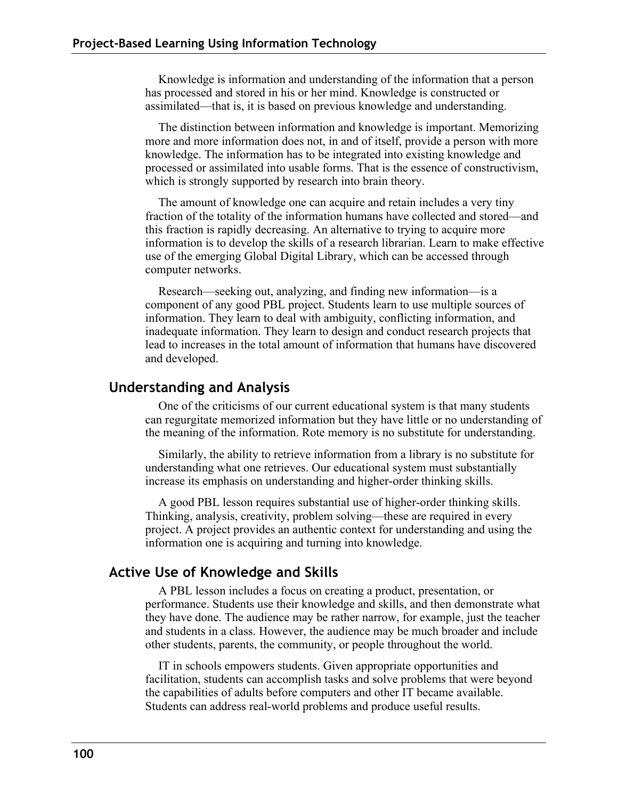Knowledge is information and understanding of the information that a person has processed and stored in his or her mind. Knowledge is constructed or assimilated—that is, it is based on previous knowledge and understanding.

The distinction between information and knowledge is important. Memorizing more and more information does not, in and of itself, provide a person with more knowledge. The information has to be integrated into existing knowledge and processed or assimilated into usable forms. That is the essence of constructivism, which is strongly supported by research into brain theory.

The amount of knowledge one can acquire and retain includes a very tiny fraction of the totality of the information humans have collected and stored—and this fraction is rapidly decreasing. An alternative to trying to acquire more information is to develop the skills of a research librarian. Learn to make effective use of the emerging Global Digital Library, which can be accessed through computer networks.

Research—seeking out, analyzing, and finding new information—is a component of any good PBL project. Students learn to use multiple sources of information. They learn to deal with ambiguity, conflicting information, and inadequate information. They learn to design and conduct research projects that lead to increases in the total amount of information that humans have discovered and developed.

#### **Understanding and Analysis**

One of the criticisms of our current educational system is that many students can regurgitate memorized information but they have little or no understanding of the meaning of the information. Rote memory is no substitute for understanding.

Similarly, the ability to retrieve information from a library is no substitute for understanding what one retrieves. Our educational system must substantially increase its emphasis on understanding and higher-order thinking skills.

A good PBL lesson requires substantial use of higher-order thinking skills. Thinking, analysis, creativity, problem solving—these are required in every project. A project provides an authentic context for understanding and using the information one is acquiring and turning into knowledge.

#### **Active Use of Knowledge and Skills**

A PBL lesson includes a focus on creating a product, presentation, or performance. Students use their knowledge and skills, and then demonstrate what they have done. The audience may be rather narrow, for example, just the teacher and students in a class. However, the audience may be much broader and include other students, parents, the community, or people throughout the world.

IT in schools empowers students. Given appropriate opportunities and facilitation, students can accomplish tasks and solve problems that were beyond the capabilities of adults before computers and other IT became available. Students can address real-world problems and produce useful results.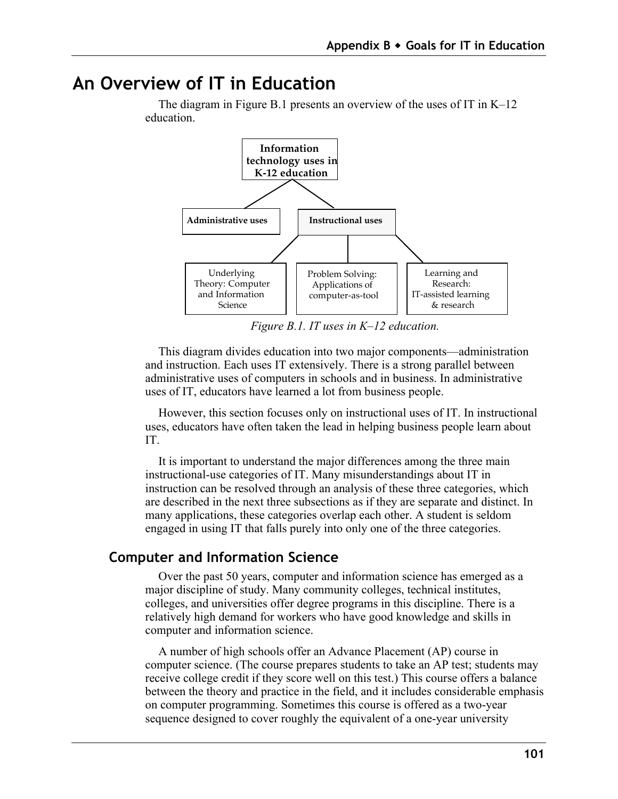## **An Overview of IT in Education**

The diagram in Figure B.1 presents an overview of the uses of IT in K–12 education.



*Figure B.1. IT uses in K–12 education.*

This diagram divides education into two major components—administration and instruction. Each uses IT extensively. There is a strong parallel between administrative uses of computers in schools and in business. In administrative uses of IT, educators have learned a lot from business people.

However, this section focuses only on instructional uses of IT. In instructional uses, educators have often taken the lead in helping business people learn about IT.

It is important to understand the major differences among the three main instructional-use categories of IT. Many misunderstandings about IT in instruction can be resolved through an analysis of these three categories, which are described in the next three subsections as if they are separate and distinct. In many applications, these categories overlap each other. A student is seldom engaged in using IT that falls purely into only one of the three categories.

### **Computer and Information Science**

Over the past 50 years, computer and information science has emerged as a major discipline of study. Many community colleges, technical institutes, colleges, and universities offer degree programs in this discipline. There is a relatively high demand for workers who have good knowledge and skills in computer and information science.

A number of high schools offer an Advance Placement (AP) course in computer science. (The course prepares students to take an AP test; students may receive college credit if they score well on this test.) This course offers a balance between the theory and practice in the field, and it includes considerable emphasis on computer programming. Sometimes this course is offered as a two-year sequence designed to cover roughly the equivalent of a one-year university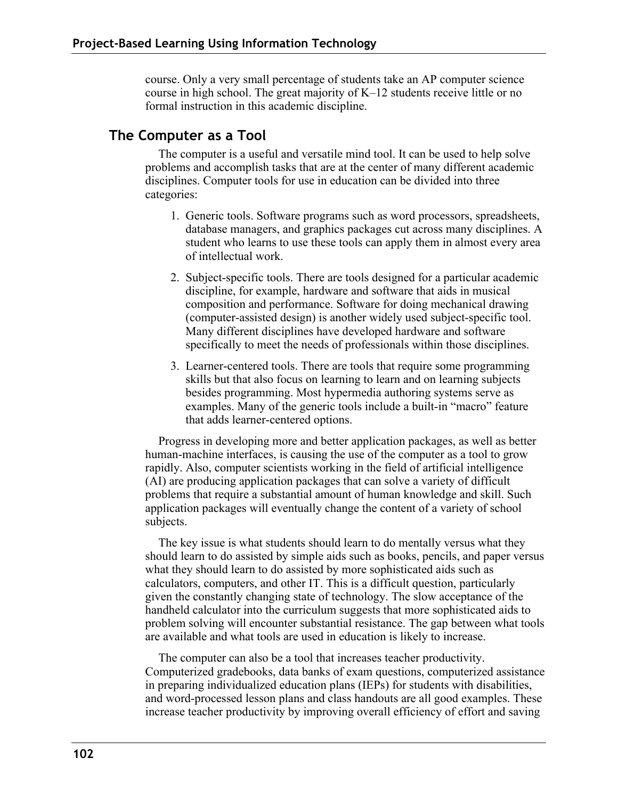course. Only a very small percentage of students take an AP computer science course in high school. The great majority of K–12 students receive little or no formal instruction in this academic discipline.

### **The Computer as a Tool**

The computer is a useful and versatile mind tool. It can be used to help solve problems and accomplish tasks that are at the center of many different academic disciplines. Computer tools for use in education can be divided into three categories:

- 1. Generic tools. Software programs such as word processors, spreadsheets, database managers, and graphics packages cut across many disciplines. A student who learns to use these tools can apply them in almost every area of intellectual work.
- 2. Subject-specific tools. There are tools designed for a particular academic discipline, for example, hardware and software that aids in musical composition and performance. Software for doing mechanical drawing (computer-assisted design) is another widely used subject-specific tool. Many different disciplines have developed hardware and software specifically to meet the needs of professionals within those disciplines.
- 3. Learner-centered tools. There are tools that require some programming skills but that also focus on learning to learn and on learning subjects besides programming. Most hypermedia authoring systems serve as examples. Many of the generic tools include a built-in "macro" feature that adds learner-centered options.

Progress in developing more and better application packages, as well as better human-machine interfaces, is causing the use of the computer as a tool to grow rapidly. Also, computer scientists working in the field of artificial intelligence (AI) are producing application packages that can solve a variety of difficult problems that require a substantial amount of human knowledge and skill. Such application packages will eventually change the content of a variety of school subjects.

The key issue is what students should learn to do mentally versus what they should learn to do assisted by simple aids such as books, pencils, and paper versus what they should learn to do assisted by more sophisticated aids such as calculators, computers, and other IT. This is a difficult question, particularly given the constantly changing state of technology. The slow acceptance of the handheld calculator into the curriculum suggests that more sophisticated aids to problem solving will encounter substantial resistance. The gap between what tools are available and what tools are used in education is likely to increase.

The computer can also be a tool that increases teacher productivity. Computerized gradebooks, data banks of exam questions, computerized assistance in preparing individualized education plans (IEPs) for students with disabilities, and word-processed lesson plans and class handouts are all good examples. These increase teacher productivity by improving overall efficiency of effort and saving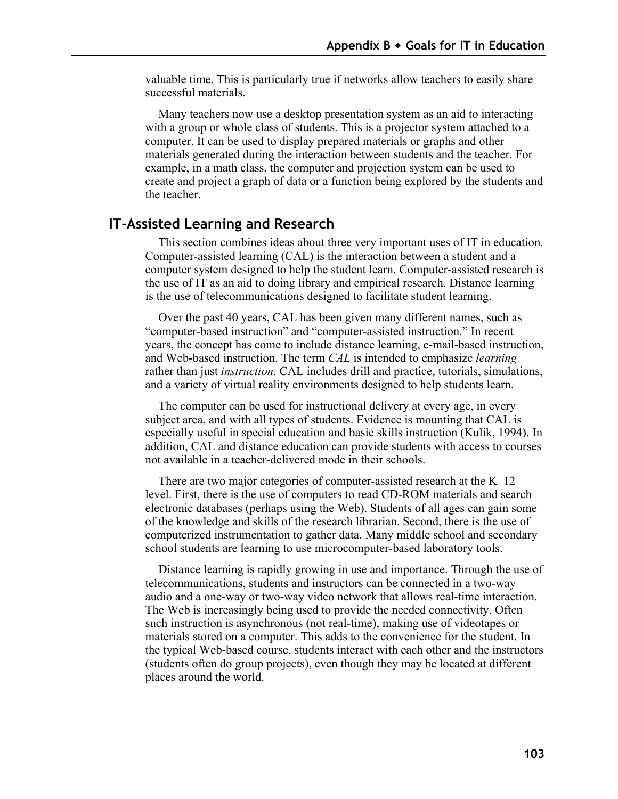valuable time. This is particularly true if networks allow teachers to easily share successful materials.

Many teachers now use a desktop presentation system as an aid to interacting with a group or whole class of students. This is a projector system attached to a computer. It can be used to display prepared materials or graphs and other materials generated during the interaction between students and the teacher. For example, in a math class, the computer and projection system can be used to create and project a graph of data or a function being explored by the students and the teacher.

#### **IT-Assisted Learning and Research**

This section combines ideas about three very important uses of IT in education. Computer-assisted learning (CAL) is the interaction between a student and a computer system designed to help the student learn. Computer-assisted research is the use of IT as an aid to doing library and empirical research. Distance learning is the use of telecommunications designed to facilitate student learning.

Over the past 40 years, CAL has been given many different names, such as "computer-based instruction" and "computer-assisted instruction." In recent years, the concept has come to include distance learning, e-mail-based instruction, and Web-based instruction. The term *CAL* is intended to emphasize *learning* rather than just *instruction*. CAL includes drill and practice, tutorials, simulations, and a variety of virtual reality environments designed to help students learn.

The computer can be used for instructional delivery at every age, in every subject area, and with all types of students. Evidence is mounting that CAL is especially useful in special education and basic skills instruction (Kulik, 1994). In addition, CAL and distance education can provide students with access to courses not available in a teacher-delivered mode in their schools.

There are two major categories of computer-assisted research at the K–12 level. First, there is the use of computers to read CD-ROM materials and search electronic databases (perhaps using the Web). Students of all ages can gain some of the knowledge and skills of the research librarian. Second, there is the use of computerized instrumentation to gather data. Many middle school and secondary school students are learning to use microcomputer-based laboratory tools.

Distance learning is rapidly growing in use and importance. Through the use of telecommunications, students and instructors can be connected in a two-way audio and a one-way or two-way video network that allows real-time interaction. The Web is increasingly being used to provide the needed connectivity. Often such instruction is asynchronous (not real-time), making use of videotapes or materials stored on a computer. This adds to the convenience for the student. In the typical Web-based course, students interact with each other and the instructors (students often do group projects), even though they may be located at different places around the world.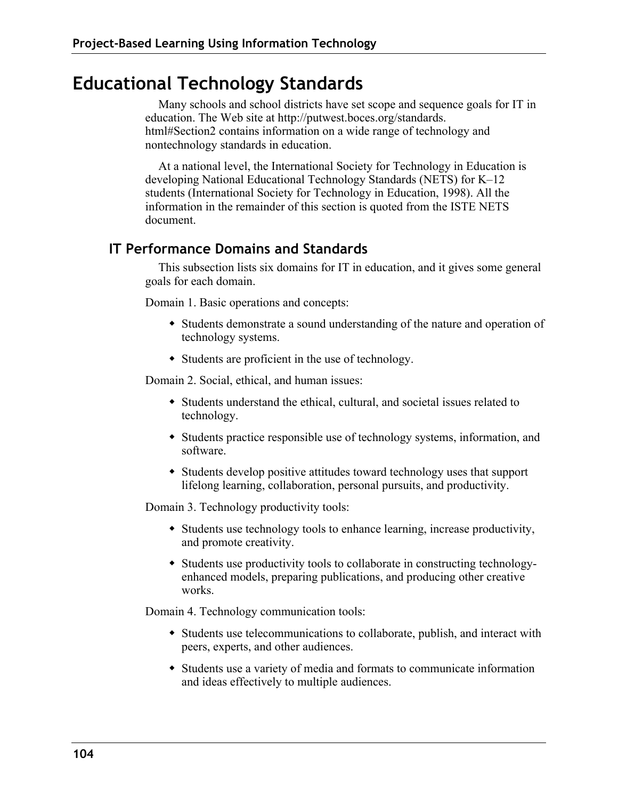## **Educational Technology Standards**

Many schools and school districts have set scope and sequence goals for IT in education. The Web site at http://putwest.boces.org/standards. html#Section2 contains information on a wide range of technology and nontechnology standards in education.

At a national level, the International Society for Technology in Education is developing National Educational Technology Standards (NETS) for K–12 students (International Society for Technology in Education, 1998). All the information in the remainder of this section is quoted from the ISTE NETS document.

### **IT Performance Domains and Standards**

This subsection lists six domains for IT in education, and it gives some general goals for each domain.

Domain 1. Basic operations and concepts:

- Students demonstrate a sound understanding of the nature and operation of technology systems.
- Students are proficient in the use of technology.

Domain 2. Social, ethical, and human issues:

- w Students understand the ethical, cultural, and societal issues related to technology.
- Students practice responsible use of technology systems, information, and software.
- Students develop positive attitudes toward technology uses that support lifelong learning, collaboration, personal pursuits, and productivity.

Domain 3. Technology productivity tools:

- Students use technology tools to enhance learning, increase productivity, and promote creativity.
- Students use productivity tools to collaborate in constructing technologyenhanced models, preparing publications, and producing other creative works.

Domain 4. Technology communication tools:

- Students use telecommunications to collaborate, publish, and interact with peers, experts, and other audiences.
- w Students use a variety of media and formats to communicate information and ideas effectively to multiple audiences.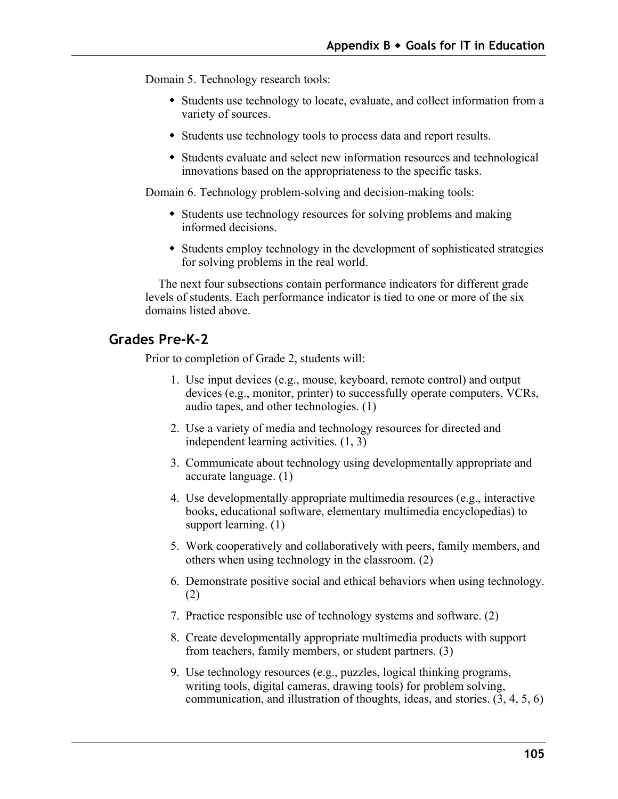Domain 5. Technology research tools:

- Students use technology to locate, evaluate, and collect information from a variety of sources.
- Students use technology tools to process data and report results.
- Students evaluate and select new information resources and technological innovations based on the appropriateness to the specific tasks.

Domain 6. Technology problem-solving and decision-making tools:

- Students use technology resources for solving problems and making informed decisions.
- Students employ technology in the development of sophisticated strategies for solving problems in the real world.

The next four subsections contain performance indicators for different grade levels of students. Each performance indicator is tied to one or more of the six domains listed above.

### **Grades Pre-K–2**

Prior to completion of Grade 2, students will:

- 1. Use input devices (e.g., mouse, keyboard, remote control) and output devices (e.g., monitor, printer) to successfully operate computers, VCRs, audio tapes, and other technologies. (1)
- 2. Use a variety of media and technology resources for directed and independent learning activities. (1, 3)
- 3. Communicate about technology using developmentally appropriate and accurate language. (1)
- 4. Use developmentally appropriate multimedia resources (e.g., interactive books, educational software, elementary multimedia encyclopedias) to support learning. (1)
- 5. Work cooperatively and collaboratively with peers, family members, and others when using technology in the classroom. (2)
- 6. Demonstrate positive social and ethical behaviors when using technology. (2)
- 7. Practice responsible use of technology systems and software. (2)
- 8. Create developmentally appropriate multimedia products with support from teachers, family members, or student partners. (3)
- 9. Use technology resources (e.g., puzzles, logical thinking programs, writing tools, digital cameras, drawing tools) for problem solving, communication, and illustration of thoughts, ideas, and stories. (3, 4, 5, 6)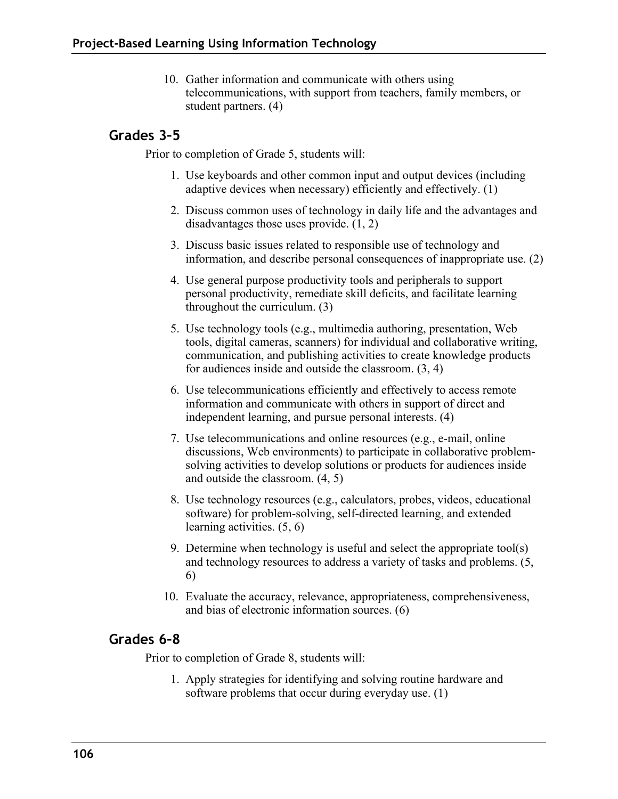10. Gather information and communicate with others using telecommunications, with support from teachers, family members, or student partners. (4)

### **Grades 3–5**

Prior to completion of Grade 5, students will:

- 1. Use keyboards and other common input and output devices (including adaptive devices when necessary) efficiently and effectively. (1)
- 2. Discuss common uses of technology in daily life and the advantages and disadvantages those uses provide. (1, 2)
- 3. Discuss basic issues related to responsible use of technology and information, and describe personal consequences of inappropriate use. (2)
- 4. Use general purpose productivity tools and peripherals to support personal productivity, remediate skill deficits, and facilitate learning throughout the curriculum. (3)
- 5. Use technology tools (e.g., multimedia authoring, presentation, Web tools, digital cameras, scanners) for individual and collaborative writing, communication, and publishing activities to create knowledge products for audiences inside and outside the classroom. (3, 4)
- 6. Use telecommunications efficiently and effectively to access remote information and communicate with others in support of direct and independent learning, and pursue personal interests. (4)
- 7. Use telecommunications and online resources (e.g., e-mail, online discussions, Web environments) to participate in collaborative problemsolving activities to develop solutions or products for audiences inside and outside the classroom. (4, 5)
- 8. Use technology resources (e.g., calculators, probes, videos, educational software) for problem-solving, self-directed learning, and extended learning activities. (5, 6)
- 9. Determine when technology is useful and select the appropriate tool(s) and technology resources to address a variety of tasks and problems. (5, 6)
- 10. Evaluate the accuracy, relevance, appropriateness, comprehensiveness, and bias of electronic information sources. (6)

### **Grades 6–8**

Prior to completion of Grade 8, students will:

1. Apply strategies for identifying and solving routine hardware and software problems that occur during everyday use. (1)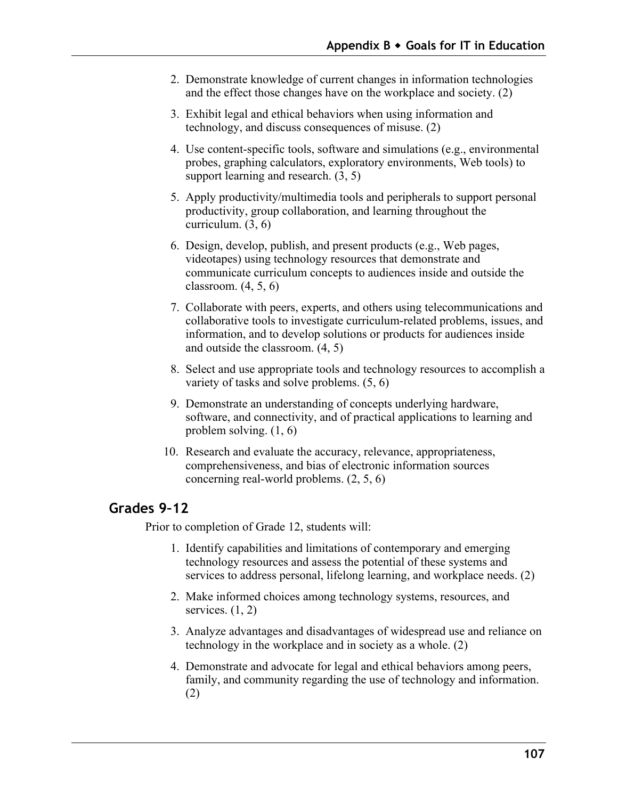- 2. Demonstrate knowledge of current changes in information technologies and the effect those changes have on the workplace and society. (2)
- 3. Exhibit legal and ethical behaviors when using information and technology, and discuss consequences of misuse. (2)
- 4. Use content-specific tools, software and simulations (e.g., environmental probes, graphing calculators, exploratory environments, Web tools) to support learning and research.  $(3, 5)$
- 5. Apply productivity/multimedia tools and peripherals to support personal productivity, group collaboration, and learning throughout the curriculum.  $(3, 6)$
- 6. Design, develop, publish, and present products (e.g., Web pages, videotapes) using technology resources that demonstrate and communicate curriculum concepts to audiences inside and outside the classroom. (4, 5, 6)
- 7. Collaborate with peers, experts, and others using telecommunications and collaborative tools to investigate curriculum-related problems, issues, and information, and to develop solutions or products for audiences inside and outside the classroom. (4, 5)
- 8. Select and use appropriate tools and technology resources to accomplish a variety of tasks and solve problems. (5, 6)
- 9. Demonstrate an understanding of concepts underlying hardware, software, and connectivity, and of practical applications to learning and problem solving. (1, 6)
- 10. Research and evaluate the accuracy, relevance, appropriateness, comprehensiveness, and bias of electronic information sources concerning real-world problems. (2, 5, 6)

#### **Grades 9–12**

Prior to completion of Grade 12, students will:

- 1. Identify capabilities and limitations of contemporary and emerging technology resources and assess the potential of these systems and services to address personal, lifelong learning, and workplace needs. (2)
- 2. Make informed choices among technology systems, resources, and services.  $(1, 2)$
- 3. Analyze advantages and disadvantages of widespread use and reliance on technology in the workplace and in society as a whole. (2)
- 4. Demonstrate and advocate for legal and ethical behaviors among peers, family, and community regarding the use of technology and information. (2)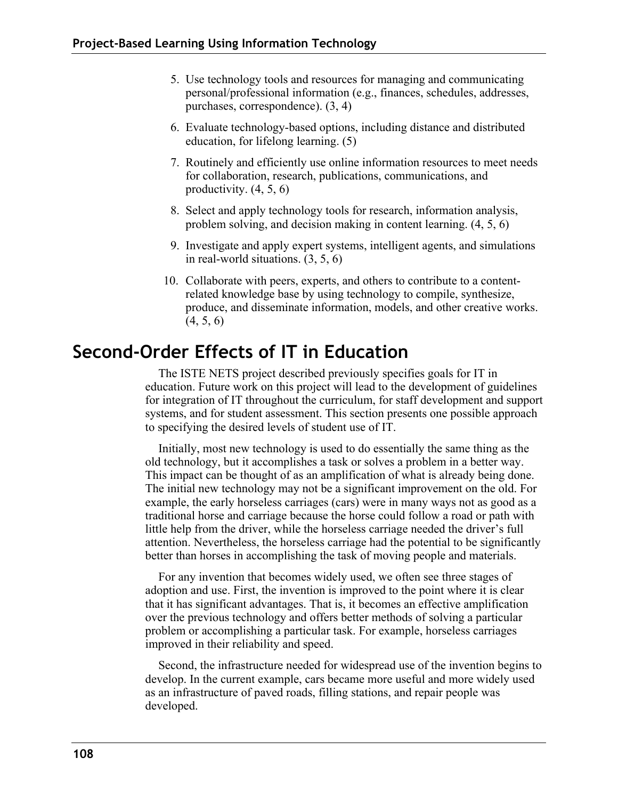- 5. Use technology tools and resources for managing and communicating personal/professional information (e.g., finances, schedules, addresses, purchases, correspondence). (3, 4)
- 6. Evaluate technology-based options, including distance and distributed education, for lifelong learning. (5)
- 7. Routinely and efficiently use online information resources to meet needs for collaboration, research, publications, communications, and productivity. (4, 5, 6)
- 8. Select and apply technology tools for research, information analysis, problem solving, and decision making in content learning. (4, 5, 6)
- 9. Investigate and apply expert systems, intelligent agents, and simulations in real-world situations. (3, 5, 6)
- 10. Collaborate with peers, experts, and others to contribute to a contentrelated knowledge base by using technology to compile, synthesize, produce, and disseminate information, models, and other creative works.  $(4, 5, 6)$

## **Second-Order Effects of IT in Education**

The ISTE NETS project described previously specifies goals for IT in education. Future work on this project will lead to the development of guidelines for integration of IT throughout the curriculum, for staff development and support systems, and for student assessment. This section presents one possible approach to specifying the desired levels of student use of IT.

Initially, most new technology is used to do essentially the same thing as the old technology, but it accomplishes a task or solves a problem in a better way. This impact can be thought of as an amplification of what is already being done. The initial new technology may not be a significant improvement on the old. For example, the early horseless carriages (cars) were in many ways not as good as a traditional horse and carriage because the horse could follow a road or path with little help from the driver, while the horseless carriage needed the driver's full attention. Nevertheless, the horseless carriage had the potential to be significantly better than horses in accomplishing the task of moving people and materials.

For any invention that becomes widely used, we often see three stages of adoption and use. First, the invention is improved to the point where it is clear that it has significant advantages. That is, it becomes an effective amplification over the previous technology and offers better methods of solving a particular problem or accomplishing a particular task. For example, horseless carriages improved in their reliability and speed.

Second, the infrastructure needed for widespread use of the invention begins to develop. In the current example, cars became more useful and more widely used as an infrastructure of paved roads, filling stations, and repair people was developed.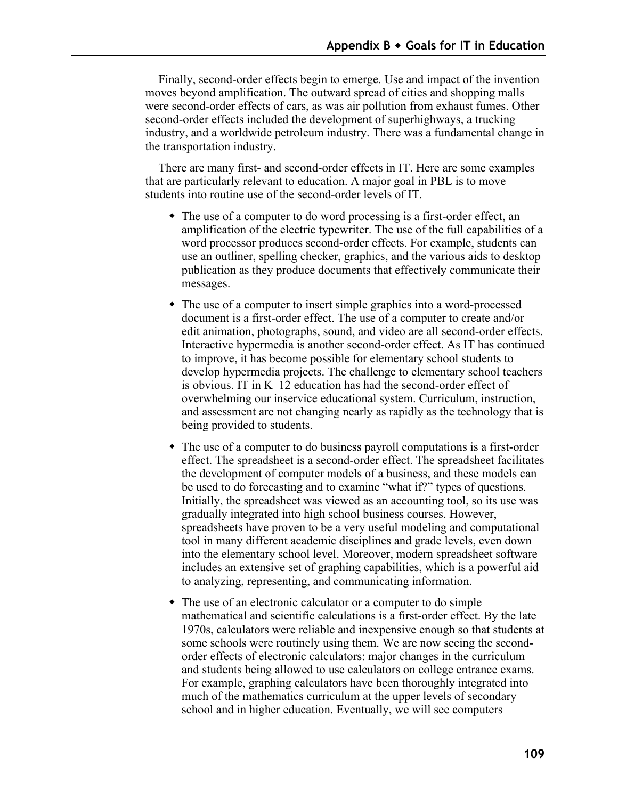Finally, second-order effects begin to emerge. Use and impact of the invention moves beyond amplification. The outward spread of cities and shopping malls were second-order effects of cars, as was air pollution from exhaust fumes. Other second-order effects included the development of superhighways, a trucking industry, and a worldwide petroleum industry. There was a fundamental change in the transportation industry.

There are many first- and second-order effects in IT. Here are some examples that are particularly relevant to education. A major goal in PBL is to move students into routine use of the second-order levels of IT.

- The use of a computer to do word processing is a first-order effect, an amplification of the electric typewriter. The use of the full capabilities of a word processor produces second-order effects. For example, students can use an outliner, spelling checker, graphics, and the various aids to desktop publication as they produce documents that effectively communicate their messages.
- The use of a computer to insert simple graphics into a word-processed document is a first-order effect. The use of a computer to create and/or edit animation, photographs, sound, and video are all second-order effects. Interactive hypermedia is another second-order effect. As IT has continued to improve, it has become possible for elementary school students to develop hypermedia projects. The challenge to elementary school teachers is obvious. IT in K–12 education has had the second-order effect of overwhelming our inservice educational system. Curriculum, instruction, and assessment are not changing nearly as rapidly as the technology that is being provided to students.
- The use of a computer to do business payroll computations is a first-order effect. The spreadsheet is a second-order effect. The spreadsheet facilitates the development of computer models of a business, and these models can be used to do forecasting and to examine "what if?" types of questions. Initially, the spreadsheet was viewed as an accounting tool, so its use was gradually integrated into high school business courses. However, spreadsheets have proven to be a very useful modeling and computational tool in many different academic disciplines and grade levels, even down into the elementary school level. Moreover, modern spreadsheet software includes an extensive set of graphing capabilities, which is a powerful aid to analyzing, representing, and communicating information.
- The use of an electronic calculator or a computer to do simple mathematical and scientific calculations is a first-order effect. By the late 1970s, calculators were reliable and inexpensive enough so that students at some schools were routinely using them. We are now seeing the secondorder effects of electronic calculators: major changes in the curriculum and students being allowed to use calculators on college entrance exams. For example, graphing calculators have been thoroughly integrated into much of the mathematics curriculum at the upper levels of secondary school and in higher education. Eventually, we will see computers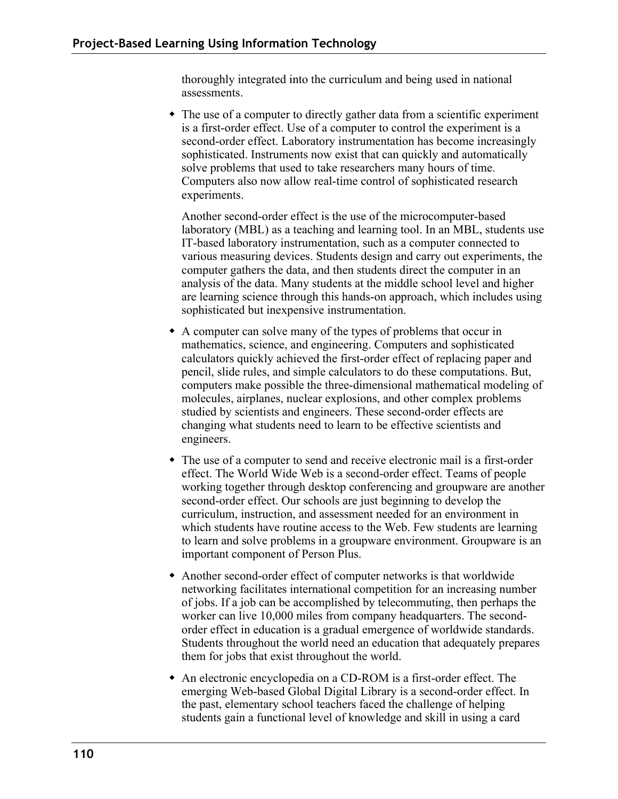thoroughly integrated into the curriculum and being used in national assessments.

• The use of a computer to directly gather data from a scientific experiment is a first-order effect. Use of a computer to control the experiment is a second-order effect. Laboratory instrumentation has become increasingly sophisticated. Instruments now exist that can quickly and automatically solve problems that used to take researchers many hours of time. Computers also now allow real-time control of sophisticated research experiments.

Another second-order effect is the use of the microcomputer-based laboratory (MBL) as a teaching and learning tool. In an MBL, students use IT-based laboratory instrumentation, such as a computer connected to various measuring devices. Students design and carry out experiments, the computer gathers the data, and then students direct the computer in an analysis of the data. Many students at the middle school level and higher are learning science through this hands-on approach, which includes using sophisticated but inexpensive instrumentation.

- A computer can solve many of the types of problems that occur in mathematics, science, and engineering. Computers and sophisticated calculators quickly achieved the first-order effect of replacing paper and pencil, slide rules, and simple calculators to do these computations. But, computers make possible the three-dimensional mathematical modeling of molecules, airplanes, nuclear explosions, and other complex problems studied by scientists and engineers. These second-order effects are changing what students need to learn to be effective scientists and engineers.
- The use of a computer to send and receive electronic mail is a first-order effect. The World Wide Web is a second-order effect. Teams of people working together through desktop conferencing and groupware are another second-order effect. Our schools are just beginning to develop the curriculum, instruction, and assessment needed for an environment in which students have routine access to the Web. Few students are learning to learn and solve problems in a groupware environment. Groupware is an important component of Person Plus.
- Another second-order effect of computer networks is that worldwide networking facilitates international competition for an increasing number of jobs. If a job can be accomplished by telecommuting, then perhaps the worker can live 10,000 miles from company headquarters. The secondorder effect in education is a gradual emergence of worldwide standards. Students throughout the world need an education that adequately prepares them for jobs that exist throughout the world.
- w An electronic encyclopedia on a CD-ROM is a first-order effect. The emerging Web-based Global Digital Library is a second-order effect. In the past, elementary school teachers faced the challenge of helping students gain a functional level of knowledge and skill in using a card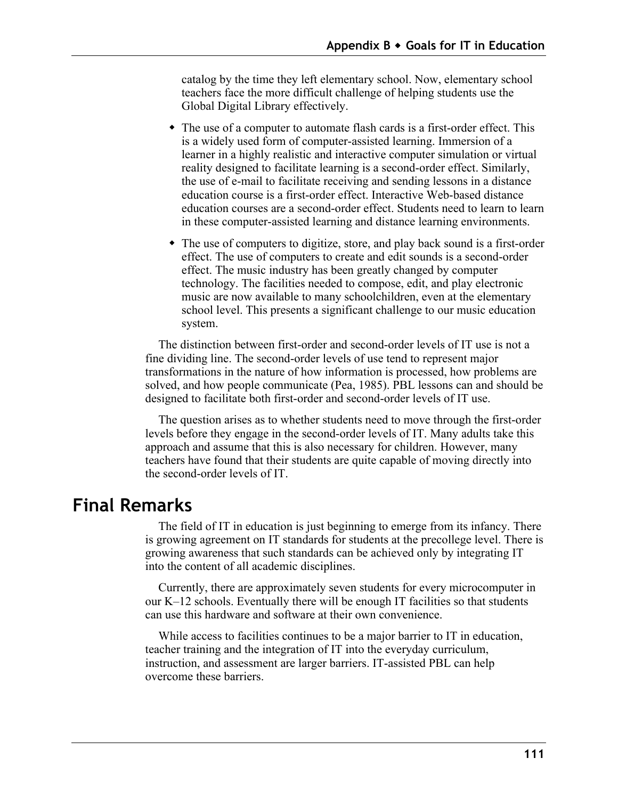catalog by the time they left elementary school. Now, elementary school teachers face the more difficult challenge of helping students use the Global Digital Library effectively.

- The use of a computer to automate flash cards is a first-order effect. This is a widely used form of computer-assisted learning. Immersion of a learner in a highly realistic and interactive computer simulation or virtual reality designed to facilitate learning is a second-order effect. Similarly, the use of e-mail to facilitate receiving and sending lessons in a distance education course is a first-order effect. Interactive Web-based distance education courses are a second-order effect. Students need to learn to learn in these computer-assisted learning and distance learning environments.
- The use of computers to digitize, store, and play back sound is a first-order effect. The use of computers to create and edit sounds is a second-order effect. The music industry has been greatly changed by computer technology. The facilities needed to compose, edit, and play electronic music are now available to many schoolchildren, even at the elementary school level. This presents a significant challenge to our music education system.

The distinction between first-order and second-order levels of IT use is not a fine dividing line. The second-order levels of use tend to represent major transformations in the nature of how information is processed, how problems are solved, and how people communicate (Pea, 1985). PBL lessons can and should be designed to facilitate both first-order and second-order levels of IT use.

The question arises as to whether students need to move through the first-order levels before they engage in the second-order levels of IT. Many adults take this approach and assume that this is also necessary for children. However, many teachers have found that their students are quite capable of moving directly into the second-order levels of IT.

### **Final Remarks**

The field of IT in education is just beginning to emerge from its infancy. There is growing agreement on IT standards for students at the precollege level. There is growing awareness that such standards can be achieved only by integrating IT into the content of all academic disciplines.

Currently, there are approximately seven students for every microcomputer in our K–12 schools. Eventually there will be enough IT facilities so that students can use this hardware and software at their own convenience.

While access to facilities continues to be a major barrier to IT in education, teacher training and the integration of IT into the everyday curriculum, instruction, and assessment are larger barriers. IT-assisted PBL can help overcome these barriers.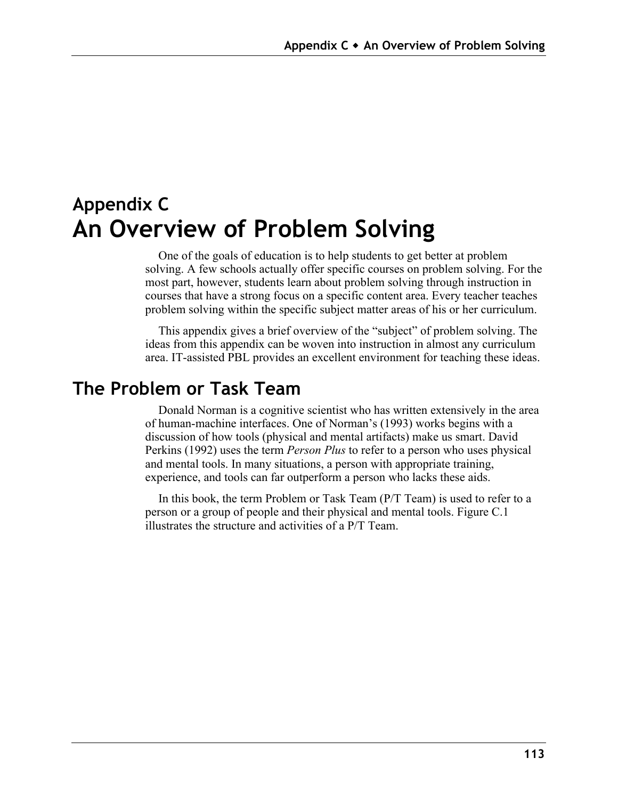# **Appendix C An Overview of Problem Solving**

One of the goals of education is to help students to get better at problem solving. A few schools actually offer specific courses on problem solving. For the most part, however, students learn about problem solving through instruction in courses that have a strong focus on a specific content area. Every teacher teaches problem solving within the specific subject matter areas of his or her curriculum.

This appendix gives a brief overview of the "subject" of problem solving. The ideas from this appendix can be woven into instruction in almost any curriculum area. IT-assisted PBL provides an excellent environment for teaching these ideas.

### **The Problem or Task Team**

Donald Norman is a cognitive scientist who has written extensively in the area of human-machine interfaces. One of Norman's (1993) works begins with a discussion of how tools (physical and mental artifacts) make us smart. David Perkins (1992) uses the term *Person Plus* to refer to a person who uses physical and mental tools. In many situations, a person with appropriate training, experience, and tools can far outperform a person who lacks these aids.

In this book, the term Problem or Task Team (P/T Team) is used to refer to a person or a group of people and their physical and mental tools. Figure C.1 illustrates the structure and activities of a P/T Team.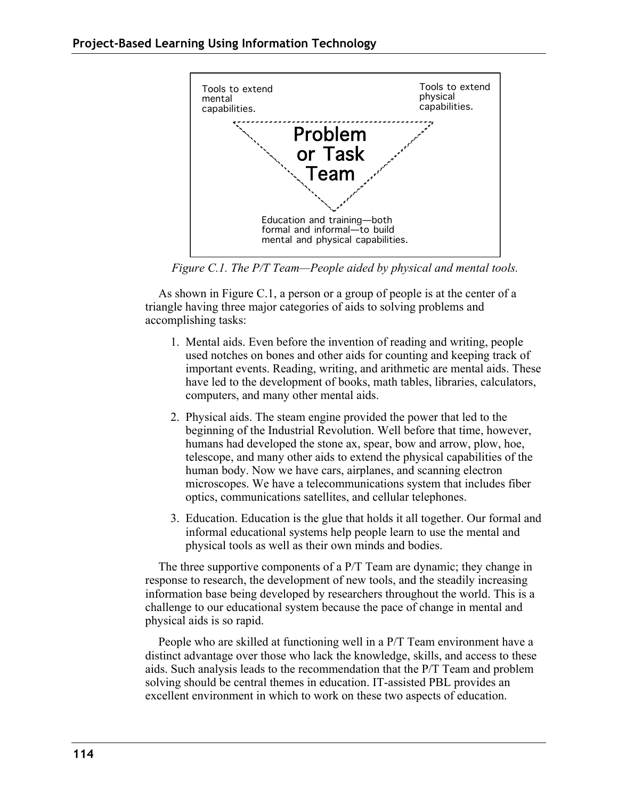

*Figure C.1. The P/T Team—People aided by physical and mental tools.*

As shown in Figure C.1, a person or a group of people is at the center of a triangle having three major categories of aids to solving problems and accomplishing tasks:

- 1. Mental aids. Even before the invention of reading and writing, people used notches on bones and other aids for counting and keeping track of important events. Reading, writing, and arithmetic are mental aids. These have led to the development of books, math tables, libraries, calculators, computers, and many other mental aids.
- 2. Physical aids. The steam engine provided the power that led to the beginning of the Industrial Revolution. Well before that time, however, humans had developed the stone ax, spear, bow and arrow, plow, hoe, telescope, and many other aids to extend the physical capabilities of the human body. Now we have cars, airplanes, and scanning electron microscopes. We have a telecommunications system that includes fiber optics, communications satellites, and cellular telephones.
- 3. Education. Education is the glue that holds it all together. Our formal and informal educational systems help people learn to use the mental and physical tools as well as their own minds and bodies.

The three supportive components of a P/T Team are dynamic; they change in response to research, the development of new tools, and the steadily increasing information base being developed by researchers throughout the world. This is a challenge to our educational system because the pace of change in mental and physical aids is so rapid.

People who are skilled at functioning well in a P/T Team environment have a distinct advantage over those who lack the knowledge, skills, and access to these aids. Such analysis leads to the recommendation that the P/T Team and problem solving should be central themes in education. IT-assisted PBL provides an excellent environment in which to work on these two aspects of education.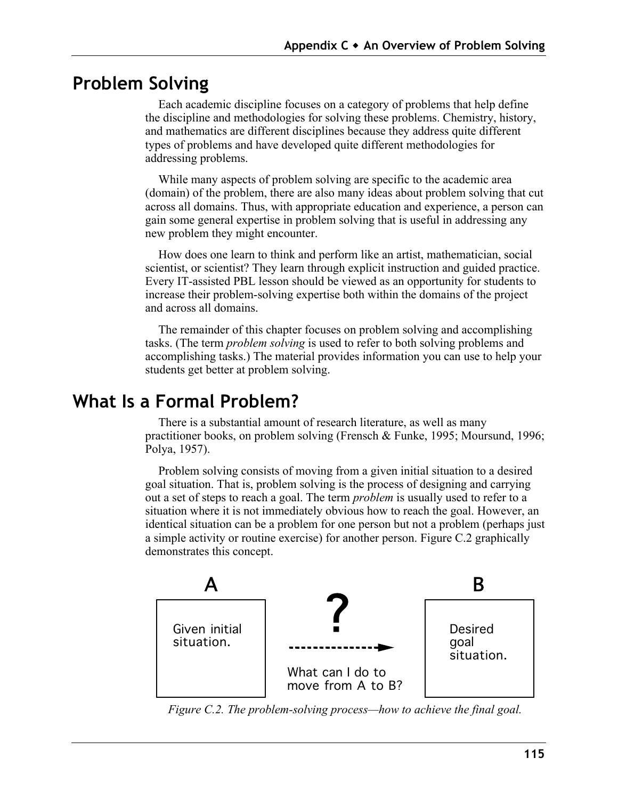### **Problem Solving**

Each academic discipline focuses on a category of problems that help define the discipline and methodologies for solving these problems. Chemistry, history, and mathematics are different disciplines because they address quite different types of problems and have developed quite different methodologies for addressing problems.

While many aspects of problem solving are specific to the academic area (domain) of the problem, there are also many ideas about problem solving that cut across all domains. Thus, with appropriate education and experience, a person can gain some general expertise in problem solving that is useful in addressing any new problem they might encounter.

How does one learn to think and perform like an artist, mathematician, social scientist, or scientist? They learn through explicit instruction and guided practice. Every IT-assisted PBL lesson should be viewed as an opportunity for students to increase their problem-solving expertise both within the domains of the project and across all domains.

The remainder of this chapter focuses on problem solving and accomplishing tasks. (The term *problem solving* is used to refer to both solving problems and accomplishing tasks.) The material provides information you can use to help your students get better at problem solving.

### **What Is a Formal Problem?**

There is a substantial amount of research literature, as well as many practitioner books, on problem solving (Frensch & Funke, 1995; Moursund, 1996; Polya, 1957).

Problem solving consists of moving from a given initial situation to a desired goal situation. That is, problem solving is the process of designing and carrying out a set of steps to reach a goal. The term *problem* is usually used to refer to a situation where it is not immediately obvious how to reach the goal. However, an identical situation can be a problem for one person but not a problem (perhaps just a simple activity or routine exercise) for another person. Figure C.2 graphically demonstrates this concept.



*Figure C.2. The problem-solving process—how to achieve the final goal.*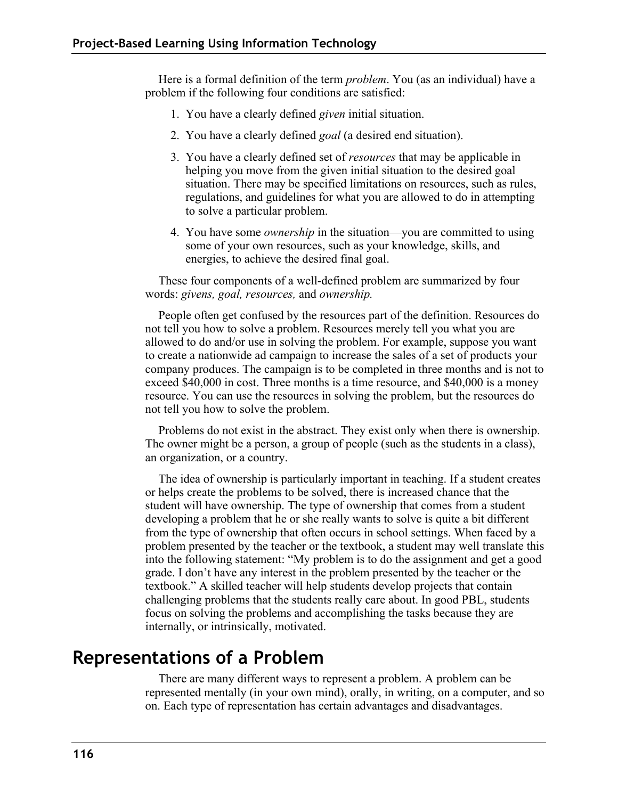Here is a formal definition of the term *problem*. You (as an individual) have a problem if the following four conditions are satisfied:

- 1. You have a clearly defined *given* initial situation.
- 2. You have a clearly defined *goal* (a desired end situation).
- 3. You have a clearly defined set of *resources* that may be applicable in helping you move from the given initial situation to the desired goal situation. There may be specified limitations on resources, such as rules, regulations, and guidelines for what you are allowed to do in attempting to solve a particular problem.
- 4. You have some *ownership* in the situation—you are committed to using some of your own resources, such as your knowledge, skills, and energies, to achieve the desired final goal.

These four components of a well-defined problem are summarized by four words: *givens, goal, resources,* and *ownership.*

People often get confused by the resources part of the definition. Resources do not tell you how to solve a problem. Resources merely tell you what you are allowed to do and/or use in solving the problem. For example, suppose you want to create a nationwide ad campaign to increase the sales of a set of products your company produces. The campaign is to be completed in three months and is not to exceed \$40,000 in cost. Three months is a time resource, and \$40,000 is a money resource. You can use the resources in solving the problem, but the resources do not tell you how to solve the problem.

Problems do not exist in the abstract. They exist only when there is ownership. The owner might be a person, a group of people (such as the students in a class), an organization, or a country.

The idea of ownership is particularly important in teaching. If a student creates or helps create the problems to be solved, there is increased chance that the student will have ownership. The type of ownership that comes from a student developing a problem that he or she really wants to solve is quite a bit different from the type of ownership that often occurs in school settings. When faced by a problem presented by the teacher or the textbook, a student may well translate this into the following statement: "My problem is to do the assignment and get a good grade. I don't have any interest in the problem presented by the teacher or the textbook." A skilled teacher will help students develop projects that contain challenging problems that the students really care about. In good PBL, students focus on solving the problems and accomplishing the tasks because they are internally, or intrinsically, motivated.

## **Representations of a Problem**

There are many different ways to represent a problem. A problem can be represented mentally (in your own mind), orally, in writing, on a computer, and so on. Each type of representation has certain advantages and disadvantages.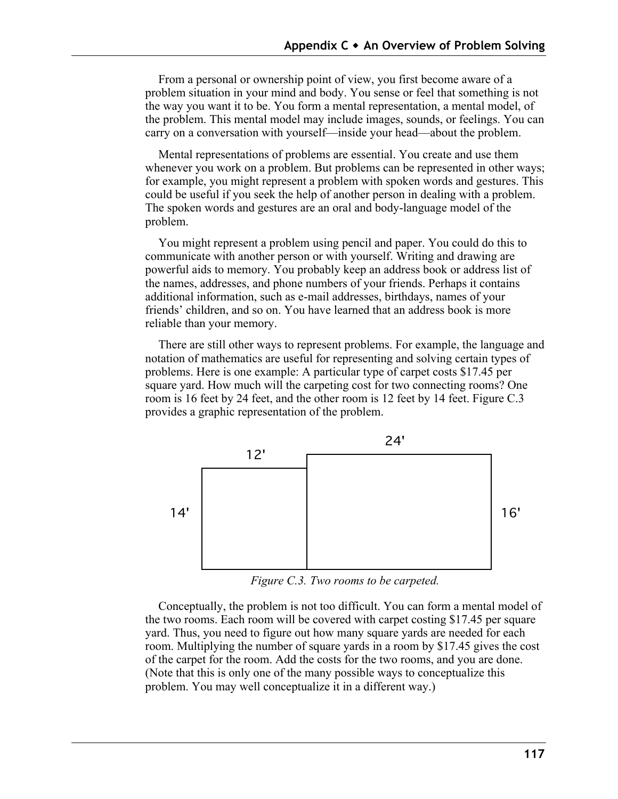From a personal or ownership point of view, you first become aware of a problem situation in your mind and body. You sense or feel that something is not the way you want it to be. You form a mental representation, a mental model, of the problem. This mental model may include images, sounds, or feelings. You can carry on a conversation with yourself—inside your head—about the problem.

Mental representations of problems are essential. You create and use them whenever you work on a problem. But problems can be represented in other ways; for example, you might represent a problem with spoken words and gestures. This could be useful if you seek the help of another person in dealing with a problem. The spoken words and gestures are an oral and body-language model of the problem.

You might represent a problem using pencil and paper. You could do this to communicate with another person or with yourself. Writing and drawing are powerful aids to memory. You probably keep an address book or address list of the names, addresses, and phone numbers of your friends. Perhaps it contains additional information, such as e-mail addresses, birthdays, names of your friends' children, and so on. You have learned that an address book is more reliable than your memory.

There are still other ways to represent problems. For example, the language and notation of mathematics are useful for representing and solving certain types of problems. Here is one example: A particular type of carpet costs \$17.45 per square yard. How much will the carpeting cost for two connecting rooms? One room is 16 feet by 24 feet, and the other room is 12 feet by 14 feet. Figure C.3 provides a graphic representation of the problem.



*Figure C.3. Two rooms to be carpeted.*

Conceptually, the problem is not too difficult. You can form a mental model of the two rooms. Each room will be covered with carpet costing \$17.45 per square yard. Thus, you need to figure out how many square yards are needed for each room. Multiplying the number of square yards in a room by \$17.45 gives the cost of the carpet for the room. Add the costs for the two rooms, and you are done. (Note that this is only one of the many possible ways to conceptualize this problem. You may well conceptualize it in a different way.)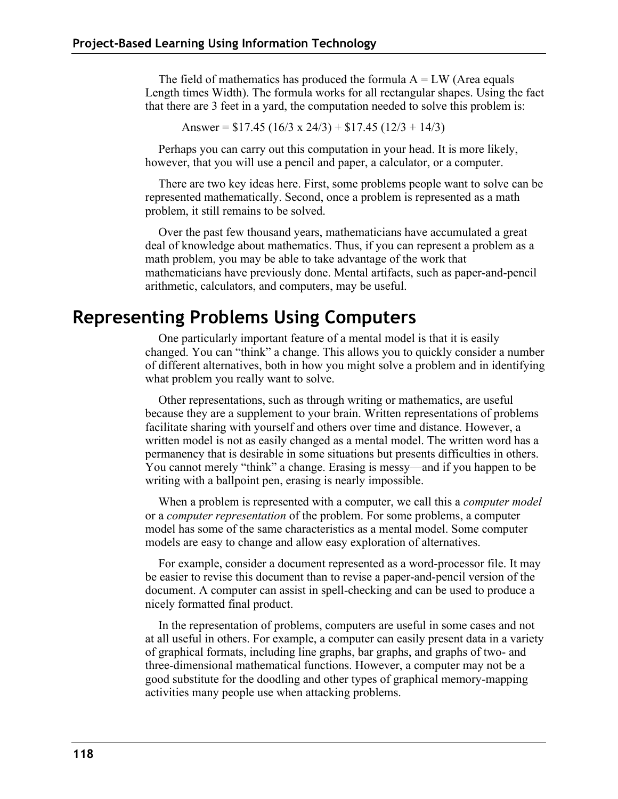The field of mathematics has produced the formula  $A = LW$  (Area equals Length times Width). The formula works for all rectangular shapes. Using the fact that there are 3 feet in a yard, the computation needed to solve this problem is:

Answer =  $$17.45 (16/3 x 24/3) + $17.45 (12/3 + 14/3)$ 

Perhaps you can carry out this computation in your head. It is more likely, however, that you will use a pencil and paper, a calculator, or a computer.

There are two key ideas here. First, some problems people want to solve can be represented mathematically. Second, once a problem is represented as a math problem, it still remains to be solved.

Over the past few thousand years, mathematicians have accumulated a great deal of knowledge about mathematics. Thus, if you can represent a problem as a math problem, you may be able to take advantage of the work that mathematicians have previously done. Mental artifacts, such as paper-and-pencil arithmetic, calculators, and computers, may be useful.

# **Representing Problems Using Computers**

One particularly important feature of a mental model is that it is easily changed. You can "think" a change. This allows you to quickly consider a number of different alternatives, both in how you might solve a problem and in identifying what problem you really want to solve.

Other representations, such as through writing or mathematics, are useful because they are a supplement to your brain. Written representations of problems facilitate sharing with yourself and others over time and distance. However, a written model is not as easily changed as a mental model. The written word has a permanency that is desirable in some situations but presents difficulties in others. You cannot merely "think" a change. Erasing is messy—and if you happen to be writing with a ballpoint pen, erasing is nearly impossible.

When a problem is represented with a computer, we call this a *computer model* or a *computer representation* of the problem. For some problems, a computer model has some of the same characteristics as a mental model. Some computer models are easy to change and allow easy exploration of alternatives.

For example, consider a document represented as a word-processor file. It may be easier to revise this document than to revise a paper-and-pencil version of the document. A computer can assist in spell-checking and can be used to produce a nicely formatted final product.

In the representation of problems, computers are useful in some cases and not at all useful in others. For example, a computer can easily present data in a variety of graphical formats, including line graphs, bar graphs, and graphs of two- and three-dimensional mathematical functions. However, a computer may not be a good substitute for the doodling and other types of graphical memory-mapping activities many people use when attacking problems.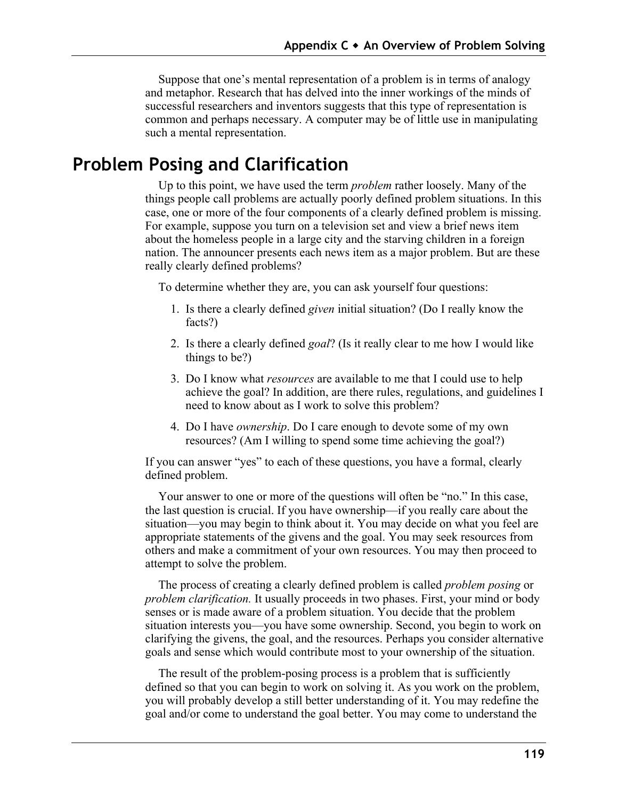Suppose that one's mental representation of a problem is in terms of analogy and metaphor. Research that has delved into the inner workings of the minds of successful researchers and inventors suggests that this type of representation is common and perhaps necessary. A computer may be of little use in manipulating such a mental representation.

### **Problem Posing and Clarification**

Up to this point, we have used the term *problem* rather loosely. Many of the things people call problems are actually poorly defined problem situations. In this case, one or more of the four components of a clearly defined problem is missing. For example, suppose you turn on a television set and view a brief news item about the homeless people in a large city and the starving children in a foreign nation. The announcer presents each news item as a major problem. But are these really clearly defined problems?

To determine whether they are, you can ask yourself four questions:

- 1. Is there a clearly defined *given* initial situation? (Do I really know the facts?)
- 2. Is there a clearly defined *goal*? (Is it really clear to me how I would like things to be?)
- 3. Do I know what *resources* are available to me that I could use to help achieve the goal? In addition, are there rules, regulations, and guidelines I need to know about as I work to solve this problem?
- 4. Do I have *ownership*. Do I care enough to devote some of my own resources? (Am I willing to spend some time achieving the goal?)

If you can answer "yes" to each of these questions, you have a formal, clearly defined problem.

Your answer to one or more of the questions will often be "no." In this case, the last question is crucial. If you have ownership—if you really care about the situation—you may begin to think about it. You may decide on what you feel are appropriate statements of the givens and the goal. You may seek resources from others and make a commitment of your own resources. You may then proceed to attempt to solve the problem.

The process of creating a clearly defined problem is called *problem posing* or *problem clarification.* It usually proceeds in two phases. First, your mind or body senses or is made aware of a problem situation. You decide that the problem situation interests you—you have some ownership. Second, you begin to work on clarifying the givens, the goal, and the resources. Perhaps you consider alternative goals and sense which would contribute most to your ownership of the situation.

The result of the problem-posing process is a problem that is sufficiently defined so that you can begin to work on solving it. As you work on the problem, you will probably develop a still better understanding of it. You may redefine the goal and/or come to understand the goal better. You may come to understand the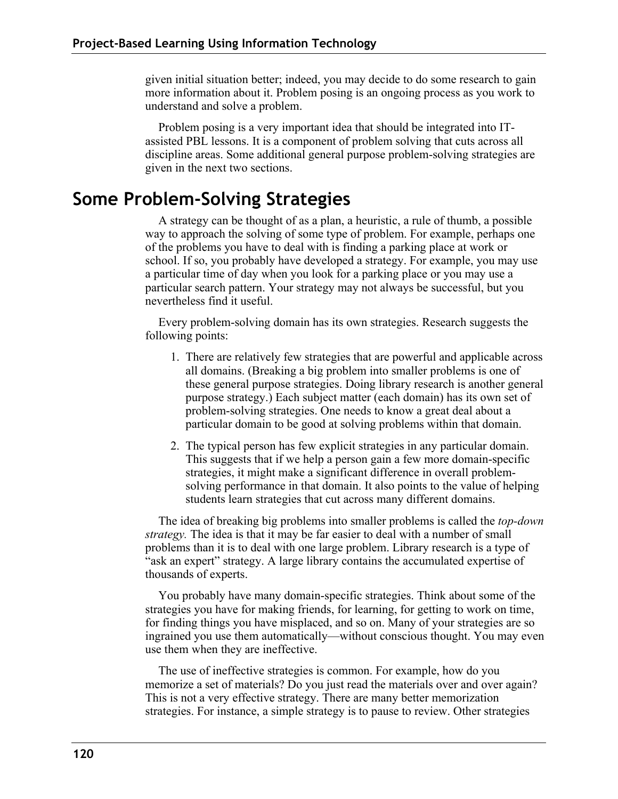given initial situation better; indeed, you may decide to do some research to gain more information about it. Problem posing is an ongoing process as you work to understand and solve a problem.

Problem posing is a very important idea that should be integrated into ITassisted PBL lessons. It is a component of problem solving that cuts across all discipline areas. Some additional general purpose problem-solving strategies are given in the next two sections.

## **Some Problem-Solving Strategies**

A strategy can be thought of as a plan, a heuristic, a rule of thumb, a possible way to approach the solving of some type of problem. For example, perhaps one of the problems you have to deal with is finding a parking place at work or school. If so, you probably have developed a strategy. For example, you may use a particular time of day when you look for a parking place or you may use a particular search pattern. Your strategy may not always be successful, but you nevertheless find it useful.

Every problem-solving domain has its own strategies. Research suggests the following points:

- 1. There are relatively few strategies that are powerful and applicable across all domains. (Breaking a big problem into smaller problems is one of these general purpose strategies. Doing library research is another general purpose strategy.) Each subject matter (each domain) has its own set of problem-solving strategies. One needs to know a great deal about a particular domain to be good at solving problems within that domain.
- 2. The typical person has few explicit strategies in any particular domain. This suggests that if we help a person gain a few more domain-specific strategies, it might make a significant difference in overall problemsolving performance in that domain. It also points to the value of helping students learn strategies that cut across many different domains.

The idea of breaking big problems into smaller problems is called the *top-down strategy.* The idea is that it may be far easier to deal with a number of small problems than it is to deal with one large problem. Library research is a type of "ask an expert" strategy. A large library contains the accumulated expertise of thousands of experts.

You probably have many domain-specific strategies. Think about some of the strategies you have for making friends, for learning, for getting to work on time, for finding things you have misplaced, and so on. Many of your strategies are so ingrained you use them automatically—without conscious thought. You may even use them when they are ineffective.

The use of ineffective strategies is common. For example, how do you memorize a set of materials? Do you just read the materials over and over again? This is not a very effective strategy. There are many better memorization strategies. For instance, a simple strategy is to pause to review. Other strategies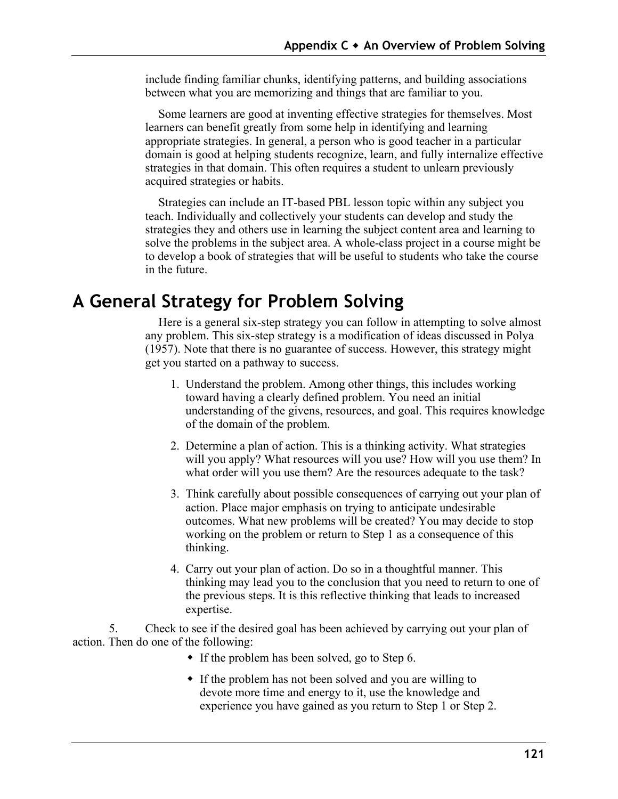include finding familiar chunks, identifying patterns, and building associations between what you are memorizing and things that are familiar to you.

Some learners are good at inventing effective strategies for themselves. Most learners can benefit greatly from some help in identifying and learning appropriate strategies. In general, a person who is good teacher in a particular domain is good at helping students recognize, learn, and fully internalize effective strategies in that domain. This often requires a student to unlearn previously acquired strategies or habits.

Strategies can include an IT-based PBL lesson topic within any subject you teach. Individually and collectively your students can develop and study the strategies they and others use in learning the subject content area and learning to solve the problems in the subject area. A whole-class project in a course might be to develop a book of strategies that will be useful to students who take the course in the future.

### **A General Strategy for Problem Solving**

Here is a general six-step strategy you can follow in attempting to solve almost any problem. This six-step strategy is a modification of ideas discussed in Polya (1957). Note that there is no guarantee of success. However, this strategy might get you started on a pathway to success.

- 1. Understand the problem. Among other things, this includes working toward having a clearly defined problem. You need an initial understanding of the givens, resources, and goal. This requires knowledge of the domain of the problem.
- 2. Determine a plan of action. This is a thinking activity. What strategies will you apply? What resources will you use? How will you use them? In what order will you use them? Are the resources adequate to the task?
- 3. Think carefully about possible consequences of carrying out your plan of action. Place major emphasis on trying to anticipate undesirable outcomes. What new problems will be created? You may decide to stop working on the problem or return to Step 1 as a consequence of this thinking.
- 4. Carry out your plan of action. Do so in a thoughtful manner. This thinking may lead you to the conclusion that you need to return to one of the previous steps. It is this reflective thinking that leads to increased expertise.

5. Check to see if the desired goal has been achieved by carrying out your plan of action. Then do one of the following:

- $\bullet$  If the problem has been solved, go to Step 6.
- If the problem has not been solved and you are willing to devote more time and energy to it, use the knowledge and experience you have gained as you return to Step 1 or Step 2.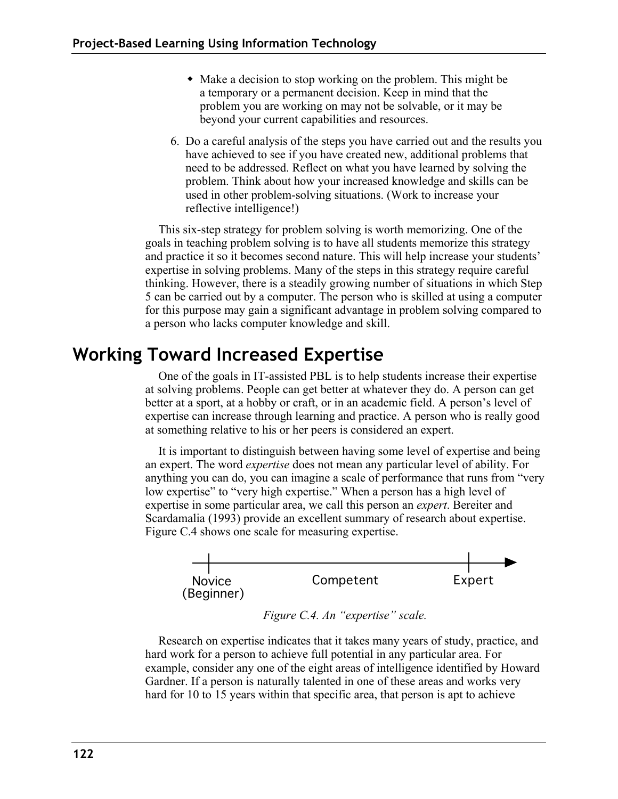- $\bullet$  Make a decision to stop working on the problem. This might be a temporary or a permanent decision. Keep in mind that the problem you are working on may not be solvable, or it may be beyond your current capabilities and resources.
- 6. Do a careful analysis of the steps you have carried out and the results you have achieved to see if you have created new, additional problems that need to be addressed. Reflect on what you have learned by solving the problem. Think about how your increased knowledge and skills can be used in other problem-solving situations. (Work to increase your reflective intelligence!)

This six-step strategy for problem solving is worth memorizing. One of the goals in teaching problem solving is to have all students memorize this strategy and practice it so it becomes second nature. This will help increase your students' expertise in solving problems. Many of the steps in this strategy require careful thinking. However, there is a steadily growing number of situations in which Step 5 can be carried out by a computer. The person who is skilled at using a computer for this purpose may gain a significant advantage in problem solving compared to a person who lacks computer knowledge and skill.

## **Working Toward Increased Expertise**

One of the goals in IT-assisted PBL is to help students increase their expertise at solving problems. People can get better at whatever they do. A person can get better at a sport, at a hobby or craft, or in an academic field. A person's level of expertise can increase through learning and practice. A person who is really good at something relative to his or her peers is considered an expert.

It is important to distinguish between having some level of expertise and being an expert. The word *expertise* does not mean any particular level of ability. For anything you can do, you can imagine a scale of performance that runs from "very low expertise" to "very high expertise." When a person has a high level of expertise in some particular area, we call this person an *expert*. Bereiter and Scardamalia (1993) provide an excellent summary of research about expertise. Figure C.4 shows one scale for measuring expertise.



*Figure C.4. An "expertise" scale.*

Research on expertise indicates that it takes many years of study, practice, and hard work for a person to achieve full potential in any particular area. For example, consider any one of the eight areas of intelligence identified by Howard Gardner. If a person is naturally talented in one of these areas and works very hard for 10 to 15 years within that specific area, that person is apt to achieve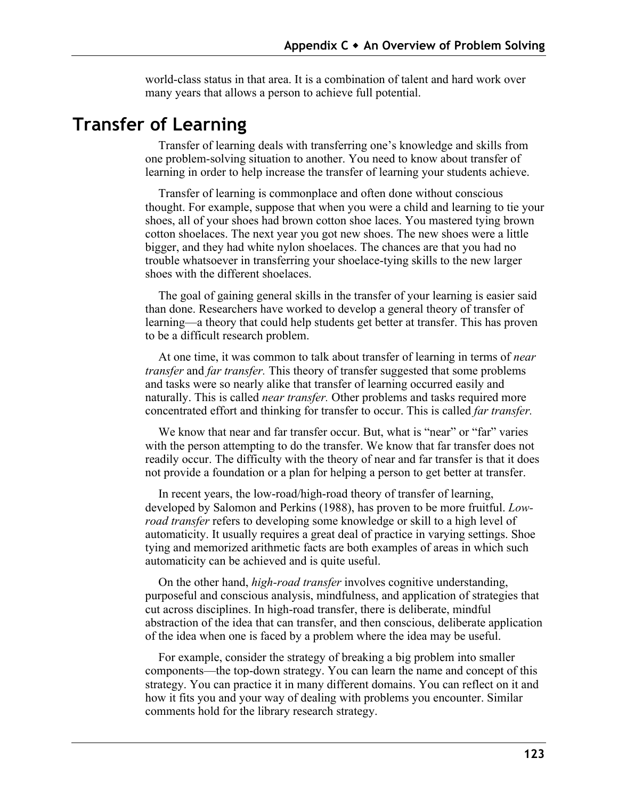world-class status in that area. It is a combination of talent and hard work over many years that allows a person to achieve full potential.

## **Transfer of Learning**

Transfer of learning deals with transferring one's knowledge and skills from one problem-solving situation to another. You need to know about transfer of learning in order to help increase the transfer of learning your students achieve.

Transfer of learning is commonplace and often done without conscious thought. For example, suppose that when you were a child and learning to tie your shoes, all of your shoes had brown cotton shoe laces. You mastered tying brown cotton shoelaces. The next year you got new shoes. The new shoes were a little bigger, and they had white nylon shoelaces. The chances are that you had no trouble whatsoever in transferring your shoelace-tying skills to the new larger shoes with the different shoelaces.

The goal of gaining general skills in the transfer of your learning is easier said than done. Researchers have worked to develop a general theory of transfer of learning—a theory that could help students get better at transfer. This has proven to be a difficult research problem.

At one time, it was common to talk about transfer of learning in terms of *near transfer* and *far transfer.* This theory of transfer suggested that some problems and tasks were so nearly alike that transfer of learning occurred easily and naturally. This is called *near transfer.* Other problems and tasks required more concentrated effort and thinking for transfer to occur. This is called *far transfer.*

We know that near and far transfer occur. But, what is "near" or "far" varies with the person attempting to do the transfer. We know that far transfer does not readily occur. The difficulty with the theory of near and far transfer is that it does not provide a foundation or a plan for helping a person to get better at transfer.

In recent years, the low-road/high-road theory of transfer of learning, developed by Salomon and Perkins (1988), has proven to be more fruitful. *Lowroad transfer* refers to developing some knowledge or skill to a high level of automaticity. It usually requires a great deal of practice in varying settings. Shoe tying and memorized arithmetic facts are both examples of areas in which such automaticity can be achieved and is quite useful.

On the other hand, *high-road transfer* involves cognitive understanding, purposeful and conscious analysis, mindfulness, and application of strategies that cut across disciplines. In high-road transfer, there is deliberate, mindful abstraction of the idea that can transfer, and then conscious, deliberate application of the idea when one is faced by a problem where the idea may be useful.

For example, consider the strategy of breaking a big problem into smaller components—the top-down strategy. You can learn the name and concept of this strategy. You can practice it in many different domains. You can reflect on it and how it fits you and your way of dealing with problems you encounter. Similar comments hold for the library research strategy.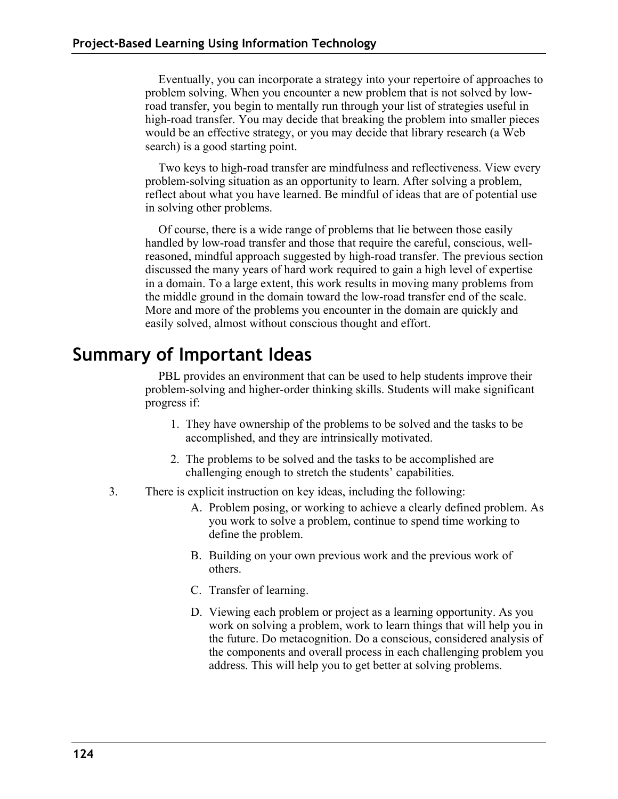Eventually, you can incorporate a strategy into your repertoire of approaches to problem solving. When you encounter a new problem that is not solved by lowroad transfer, you begin to mentally run through your list of strategies useful in high-road transfer. You may decide that breaking the problem into smaller pieces would be an effective strategy, or you may decide that library research (a Web search) is a good starting point.

Two keys to high-road transfer are mindfulness and reflectiveness. View every problem-solving situation as an opportunity to learn. After solving a problem, reflect about what you have learned. Be mindful of ideas that are of potential use in solving other problems.

Of course, there is a wide range of problems that lie between those easily handled by low-road transfer and those that require the careful, conscious, wellreasoned, mindful approach suggested by high-road transfer. The previous section discussed the many years of hard work required to gain a high level of expertise in a domain. To a large extent, this work results in moving many problems from the middle ground in the domain toward the low-road transfer end of the scale. More and more of the problems you encounter in the domain are quickly and easily solved, almost without conscious thought and effort.

### **Summary of Important Ideas**

PBL provides an environment that can be used to help students improve their problem-solving and higher-order thinking skills. Students will make significant progress if:

- 1. They have ownership of the problems to be solved and the tasks to be accomplished, and they are intrinsically motivated.
- 2. The problems to be solved and the tasks to be accomplished are challenging enough to stretch the students' capabilities.
- 3. There is explicit instruction on key ideas, including the following:
	- A. Problem posing, or working to achieve a clearly defined problem. As you work to solve a problem, continue to spend time working to define the problem.
	- B. Building on your own previous work and the previous work of others.
	- C. Transfer of learning.
	- D. Viewing each problem or project as a learning opportunity. As you work on solving a problem, work to learn things that will help you in the future. Do metacognition. Do a conscious, considered analysis of the components and overall process in each challenging problem you address. This will help you to get better at solving problems.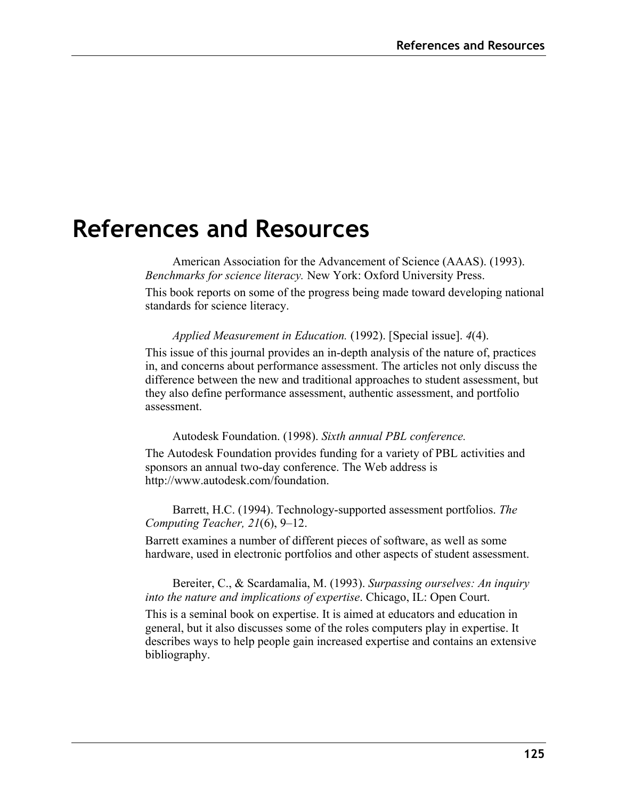# **References and Resources**

American Association for the Advancement of Science (AAAS). (1993). *Benchmarks for science literacy.* New York: Oxford University Press.

This book reports on some of the progress being made toward developing national standards for science literacy.

#### *Applied Measurement in Education.* (1992). [Special issue]. *4*(4).

This issue of this journal provides an in-depth analysis of the nature of, practices in, and concerns about performance assessment. The articles not only discuss the difference between the new and traditional approaches to student assessment, but they also define performance assessment, authentic assessment, and portfolio assessment.

#### Autodesk Foundation. (1998). *Sixth annual PBL conference.*

The Autodesk Foundation provides funding for a variety of PBL activities and sponsors an annual two-day conference. The Web address is http://www.autodesk.com/foundation.

Barrett, H.C. (1994). Technology-supported assessment portfolios. *The Computing Teacher, 21*(6), 9–12.

Barrett examines a number of different pieces of software, as well as some hardware, used in electronic portfolios and other aspects of student assessment.

Bereiter, C., & Scardamalia, M. (1993). *Surpassing ourselves: An inquiry into the nature and implications of expertise*. Chicago, IL: Open Court.

This is a seminal book on expertise. It is aimed at educators and education in general, but it also discusses some of the roles computers play in expertise. It describes ways to help people gain increased expertise and contains an extensive bibliography.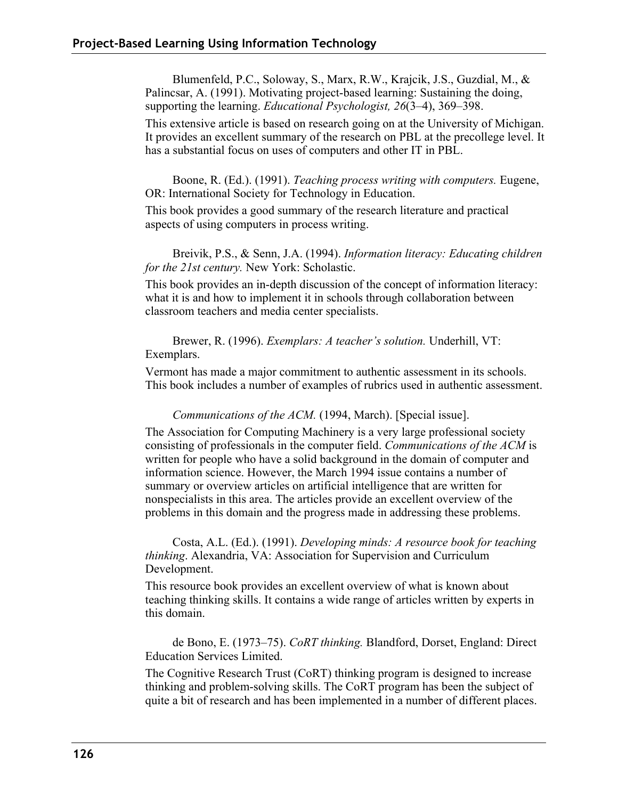Blumenfeld, P.C., Soloway, S., Marx, R.W., Krajcik, J.S., Guzdial, M., & Palincsar, A. (1991). Motivating project-based learning: Sustaining the doing, supporting the learning. *Educational Psychologist, 26*(3–4), 369–398.

This extensive article is based on research going on at the University of Michigan. It provides an excellent summary of the research on PBL at the precollege level. It has a substantial focus on uses of computers and other IT in PBL.

Boone, R. (Ed.). (1991). *Teaching process writing with computers.* Eugene, OR: International Society for Technology in Education.

This book provides a good summary of the research literature and practical aspects of using computers in process writing.

Breivik, P.S., & Senn, J.A. (1994). *Information literacy: Educating children for the 21st century.* New York: Scholastic.

This book provides an in-depth discussion of the concept of information literacy: what it is and how to implement it in schools through collaboration between classroom teachers and media center specialists.

Brewer, R. (1996). *Exemplars: A teacher's solution.* Underhill, VT: Exemplars.

Vermont has made a major commitment to authentic assessment in its schools. This book includes a number of examples of rubrics used in authentic assessment.

*Communications of the ACM.* (1994, March). [Special issue].

The Association for Computing Machinery is a very large professional society consisting of professionals in the computer field. *Communications of the ACM* is written for people who have a solid background in the domain of computer and information science. However, the March 1994 issue contains a number of summary or overview articles on artificial intelligence that are written for nonspecialists in this area. The articles provide an excellent overview of the problems in this domain and the progress made in addressing these problems.

Costa, A.L. (Ed.). (1991). *Developing minds: A resource book for teaching thinking*. Alexandria, VA: Association for Supervision and Curriculum Development.

This resource book provides an excellent overview of what is known about teaching thinking skills. It contains a wide range of articles written by experts in this domain.

de Bono, E. (1973–75). *CoRT thinking.* Blandford, Dorset, England: Direct Education Services Limited.

The Cognitive Research Trust (CoRT) thinking program is designed to increase thinking and problem-solving skills. The CoRT program has been the subject of quite a bit of research and has been implemented in a number of different places.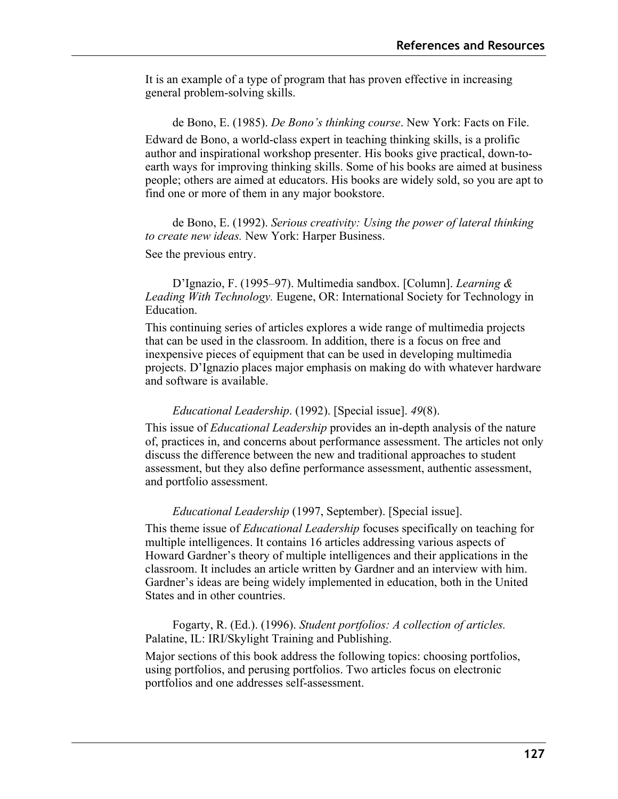It is an example of a type of program that has proven effective in increasing general problem-solving skills.

de Bono, E. (1985). *De Bono's thinking course*. New York: Facts on File. Edward de Bono, a world-class expert in teaching thinking skills, is a prolific author and inspirational workshop presenter. His books give practical, down-toearth ways for improving thinking skills. Some of his books are aimed at business people; others are aimed at educators. His books are widely sold, so you are apt to find one or more of them in any major bookstore.

de Bono, E. (1992). *Serious creativity: Using the power of lateral thinking to create new ideas.* New York: Harper Business.

See the previous entry.

D'Ignazio, F. (1995–97). Multimedia sandbox. [Column]. *Learning & Leading With Technology.* Eugene, OR: International Society for Technology in Education.

This continuing series of articles explores a wide range of multimedia projects that can be used in the classroom. In addition, there is a focus on free and inexpensive pieces of equipment that can be used in developing multimedia projects. D'Ignazio places major emphasis on making do with whatever hardware and software is available.

#### *Educational Leadership*. (1992). [Special issue]. *49*(8).

This issue of *Educational Leadership* provides an in-depth analysis of the nature of, practices in, and concerns about performance assessment. The articles not only discuss the difference between the new and traditional approaches to student assessment, but they also define performance assessment, authentic assessment, and portfolio assessment.

#### *Educational Leadership* (1997, September). [Special issue].

This theme issue of *Educational Leadership* focuses specifically on teaching for multiple intelligences. It contains 16 articles addressing various aspects of Howard Gardner's theory of multiple intelligences and their applications in the classroom. It includes an article written by Gardner and an interview with him. Gardner's ideas are being widely implemented in education, both in the United States and in other countries.

Fogarty, R. (Ed.). (1996). *Student portfolios: A collection of articles.*  Palatine, IL: IRI/Skylight Training and Publishing.

Major sections of this book address the following topics: choosing portfolios, using portfolios, and perusing portfolios. Two articles focus on electronic portfolios and one addresses self-assessment.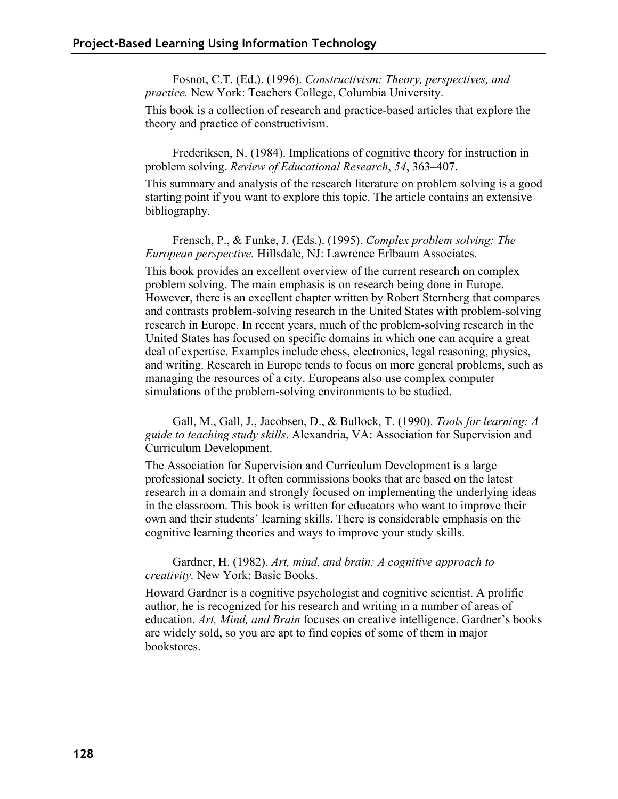Fosnot, C.T. (Ed.). (1996). *Constructivism: Theory, perspectives, and practice.* New York: Teachers College, Columbia University.

This book is a collection of research and practice-based articles that explore the theory and practice of constructivism.

Frederiksen, N. (1984). Implications of cognitive theory for instruction in problem solving. *Review of Educational Research*, *54*, 363–407.

This summary and analysis of the research literature on problem solving is a good starting point if you want to explore this topic. The article contains an extensive bibliography.

Frensch, P., & Funke, J. (Eds.). (1995). *Complex problem solving: The European perspective.* Hillsdale, NJ: Lawrence Erlbaum Associates.

This book provides an excellent overview of the current research on complex problem solving. The main emphasis is on research being done in Europe. However, there is an excellent chapter written by Robert Sternberg that compares and contrasts problem-solving research in the United States with problem-solving research in Europe. In recent years, much of the problem-solving research in the United States has focused on specific domains in which one can acquire a great deal of expertise. Examples include chess, electronics, legal reasoning, physics, and writing. Research in Europe tends to focus on more general problems, such as managing the resources of a city. Europeans also use complex computer simulations of the problem-solving environments to be studied.

Gall, M., Gall, J., Jacobsen, D., & Bullock, T. (1990). *Tools for learning: A guide to teaching study skills*. Alexandria, VA: Association for Supervision and Curriculum Development.

The Association for Supervision and Curriculum Development is a large professional society. It often commissions books that are based on the latest research in a domain and strongly focused on implementing the underlying ideas in the classroom. This book is written for educators who want to improve their own and their students' learning skills. There is considerable emphasis on the cognitive learning theories and ways to improve your study skills.

Gardner, H. (1982). *Art, mind, and brain: A cognitive approach to creativity.* New York: Basic Books.

Howard Gardner is a cognitive psychologist and cognitive scientist. A prolific author, he is recognized for his research and writing in a number of areas of education. *Art, Mind, and Brain* focuses on creative intelligence. Gardner's books are widely sold, so you are apt to find copies of some of them in major bookstores.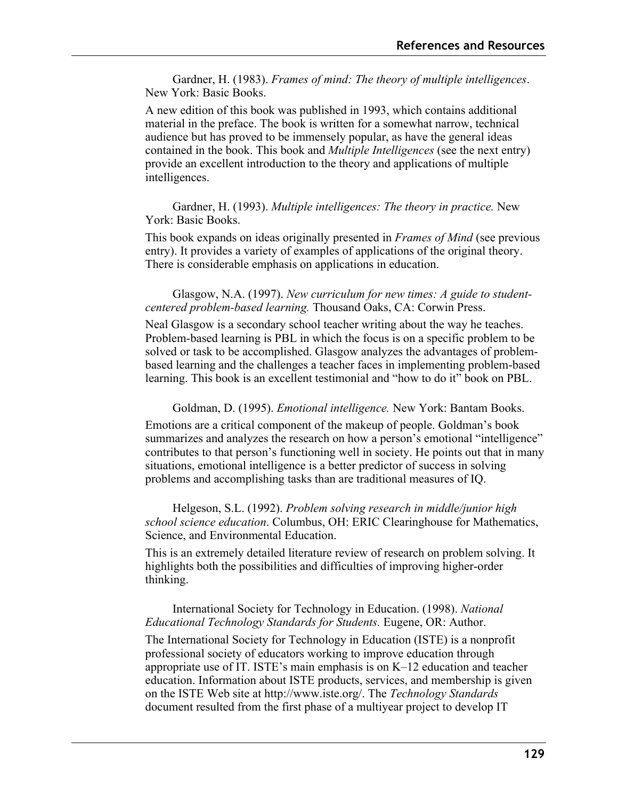Gardner, H. (1983). *Frames of mind: The theory of multiple intelligences*. New York: Basic Books.

A new edition of this book was published in 1993, which contains additional material in the preface. The book is written for a somewhat narrow, technical audience but has proved to be immensely popular, as have the general ideas contained in the book. This book and *Multiple Intelligences* (see the next entry) provide an excellent introduction to the theory and applications of multiple intelligences.

Gardner, H. (1993). *Multiple intelligences: The theory in practice.* New York: Basic Books.

This book expands on ideas originally presented in *Frames of Mind* (see previous entry). It provides a variety of examples of applications of the original theory. There is considerable emphasis on applications in education.

Glasgow, N.A. (1997). *New curriculum for new times: A guide to studentcentered problem-based learning.* Thousand Oaks, CA: Corwin Press.

Neal Glasgow is a secondary school teacher writing about the way he teaches. Problem-based learning is PBL in which the focus is on a specific problem to be solved or task to be accomplished. Glasgow analyzes the advantages of problembased learning and the challenges a teacher faces in implementing problem-based learning. This book is an excellent testimonial and "how to do it" book on PBL.

Goldman, D. (1995). *Emotional intelligence.* New York: Bantam Books. Emotions are a critical component of the makeup of people. Goldman's book summarizes and analyzes the research on how a person's emotional "intelligence" contributes to that person's functioning well in society. He points out that in many situations, emotional intelligence is a better predictor of success in solving problems and accomplishing tasks than are traditional measures of IQ.

Helgeson, S.L. (1992). *Problem solving research in middle/junior high school science education*. Columbus, OH: ERIC Clearinghouse for Mathematics, Science, and Environmental Education.

This is an extremely detailed literature review of research on problem solving. It highlights both the possibilities and difficulties of improving higher-order thinking.

## International Society for Technology in Education. (1998). *National Educational Technology Standards for Students.* Eugene, OR: Author.

The International Society for Technology in Education (ISTE) is a nonprofit professional society of educators working to improve education through appropriate use of IT. ISTE's main emphasis is on K–12 education and teacher education. Information about ISTE products, services, and membership is given on the ISTE Web site at http://www.iste.org/. The *Technology Standards* document resulted from the first phase of a multiyear project to develop IT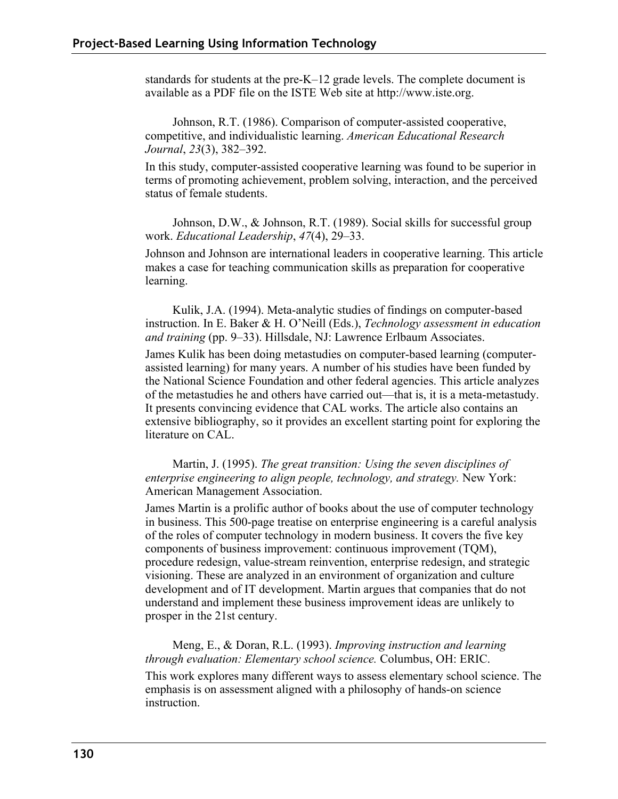standards for students at the pre-K–12 grade levels. The complete document is available as a PDF file on the ISTE Web site at http://www.iste.org.

Johnson, R.T. (1986). Comparison of computer-assisted cooperative, competitive, and individualistic learning. *American Educational Research Journal*, *23*(3), 382–392.

In this study, computer-assisted cooperative learning was found to be superior in terms of promoting achievement, problem solving, interaction, and the perceived status of female students.

Johnson, D.W., & Johnson, R.T. (1989). Social skills for successful group work. *Educational Leadership*, *47*(4), 29–33.

Johnson and Johnson are international leaders in cooperative learning. This article makes a case for teaching communication skills as preparation for cooperative learning.

Kulik, J.A. (1994). Meta-analytic studies of findings on computer-based instruction. In E. Baker & H. O'Neill (Eds.), *Technology assessment in education and training* (pp. 9–33). Hillsdale, NJ: Lawrence Erlbaum Associates. James Kulik has been doing metastudies on computer-based learning (computerassisted learning) for many years. A number of his studies have been funded by the National Science Foundation and other federal agencies. This article analyzes of the metastudies he and others have carried out—that is, it is a meta-metastudy. It presents convincing evidence that CAL works. The article also contains an extensive bibliography, so it provides an excellent starting point for exploring the literature on CAL.

Martin, J. (1995). *The great transition: Using the seven disciplines of enterprise engineering to align people, technology, and strategy.* New York: American Management Association.

James Martin is a prolific author of books about the use of computer technology in business. This 500-page treatise on enterprise engineering is a careful analysis of the roles of computer technology in modern business. It covers the five key components of business improvement: continuous improvement (TQM), procedure redesign, value-stream reinvention, enterprise redesign, and strategic visioning. These are analyzed in an environment of organization and culture development and of IT development. Martin argues that companies that do not understand and implement these business improvement ideas are unlikely to prosper in the 21st century.

Meng, E., & Doran, R.L. (1993). *Improving instruction and learning through evaluation: Elementary school science.* Columbus, OH: ERIC.

This work explores many different ways to assess elementary school science. The emphasis is on assessment aligned with a philosophy of hands-on science instruction.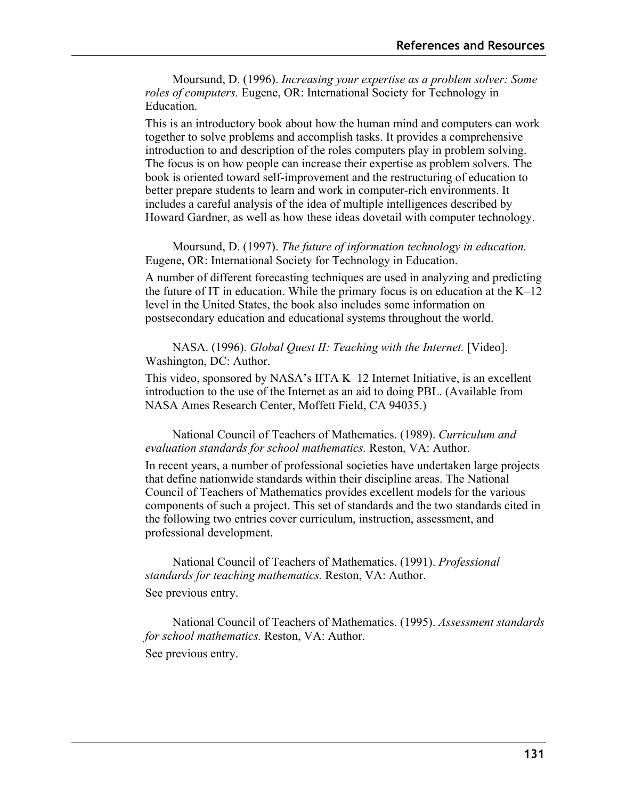Moursund, D. (1996). *Increasing your expertise as a problem solver: Some roles of computers.* Eugene, OR: International Society for Technology in Education.

This is an introductory book about how the human mind and computers can work together to solve problems and accomplish tasks. It provides a comprehensive introduction to and description of the roles computers play in problem solving. The focus is on how people can increase their expertise as problem solvers. The book is oriented toward self-improvement and the restructuring of education to better prepare students to learn and work in computer-rich environments. It includes a careful analysis of the idea of multiple intelligences described by Howard Gardner, as well as how these ideas dovetail with computer technology.

Moursund, D. (1997). *The future of information technology in education.* Eugene, OR: International Society for Technology in Education.

A number of different forecasting techniques are used in analyzing and predicting the future of IT in education. While the primary focus is on education at the  $K-12$ level in the United States, the book also includes some information on postsecondary education and educational systems throughout the world.

NASA. (1996). *Global Quest II: Teaching with the Internet.* [Video]. Washington, DC: Author.

This video, sponsored by NASA's IITA K–12 Internet Initiative, is an excellent introduction to the use of the Internet as an aid to doing PBL. (Available from NASA Ames Research Center, Moffett Field, CA 94035.)

National Council of Teachers of Mathematics. (1989). *Curriculum and evaluation standards for school mathematics.* Reston, VA: Author.

In recent years, a number of professional societies have undertaken large projects that define nationwide standards within their discipline areas. The National Council of Teachers of Mathematics provides excellent models for the various components of such a project. This set of standards and the two standards cited in the following two entries cover curriculum, instruction, assessment, and professional development.

National Council of Teachers of Mathematics. (1991). *Professional standards for teaching mathematics.* Reston, VA: Author. See previous entry.

National Council of Teachers of Mathematics. (1995). *Assessment standards for school mathematics.* Reston, VA: Author. See previous entry.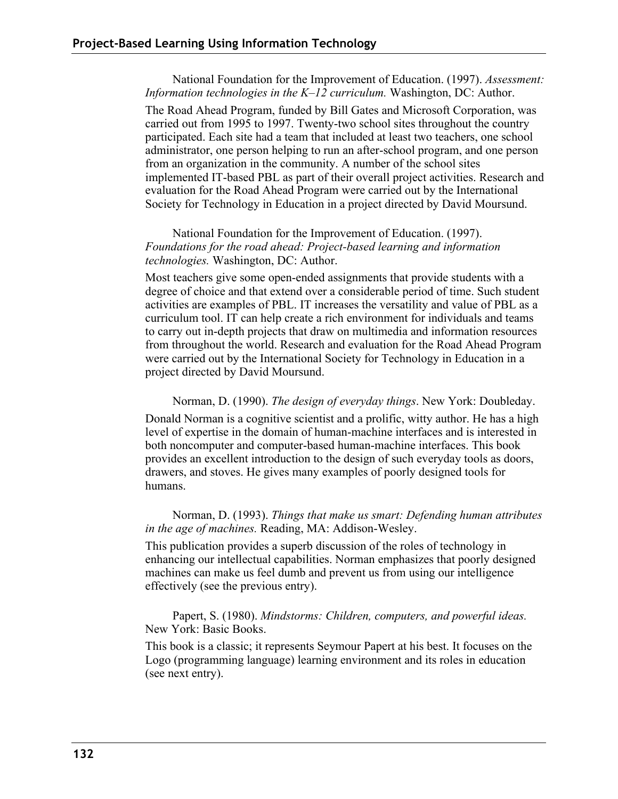National Foundation for the Improvement of Education. (1997). *Assessment: Information technologies in the K–12 curriculum.* Washington, DC: Author.

The Road Ahead Program, funded by Bill Gates and Microsoft Corporation, was carried out from 1995 to 1997. Twenty-two school sites throughout the country participated. Each site had a team that included at least two teachers, one school administrator, one person helping to run an after-school program, and one person from an organization in the community. A number of the school sites implemented IT-based PBL as part of their overall project activities. Research and evaluation for the Road Ahead Program were carried out by the International Society for Technology in Education in a project directed by David Moursund.

National Foundation for the Improvement of Education. (1997). *Foundations for the road ahead: Project-based learning and information technologies.* Washington, DC: Author.

Most teachers give some open-ended assignments that provide students with a degree of choice and that extend over a considerable period of time. Such student activities are examples of PBL. IT increases the versatility and value of PBL as a curriculum tool. IT can help create a rich environment for individuals and teams to carry out in-depth projects that draw on multimedia and information resources from throughout the world. Research and evaluation for the Road Ahead Program were carried out by the International Society for Technology in Education in a project directed by David Moursund.

Norman, D. (1990). *The design of everyday things*. New York: Doubleday. Donald Norman is a cognitive scientist and a prolific, witty author. He has a high level of expertise in the domain of human-machine interfaces and is interested in both noncomputer and computer-based human-machine interfaces. This book provides an excellent introduction to the design of such everyday tools as doors, drawers, and stoves. He gives many examples of poorly designed tools for humans.

Norman, D. (1993). *Things that make us smart: Defending human attributes in the age of machines.* Reading, MA: Addison-Wesley.

This publication provides a superb discussion of the roles of technology in enhancing our intellectual capabilities. Norman emphasizes that poorly designed machines can make us feel dumb and prevent us from using our intelligence effectively (see the previous entry).

Papert, S. (1980). *Mindstorms: Children, computers, and powerful ideas.*  New York: Basic Books.

This book is a classic; it represents Seymour Papert at his best. It focuses on the Logo (programming language) learning environment and its roles in education (see next entry).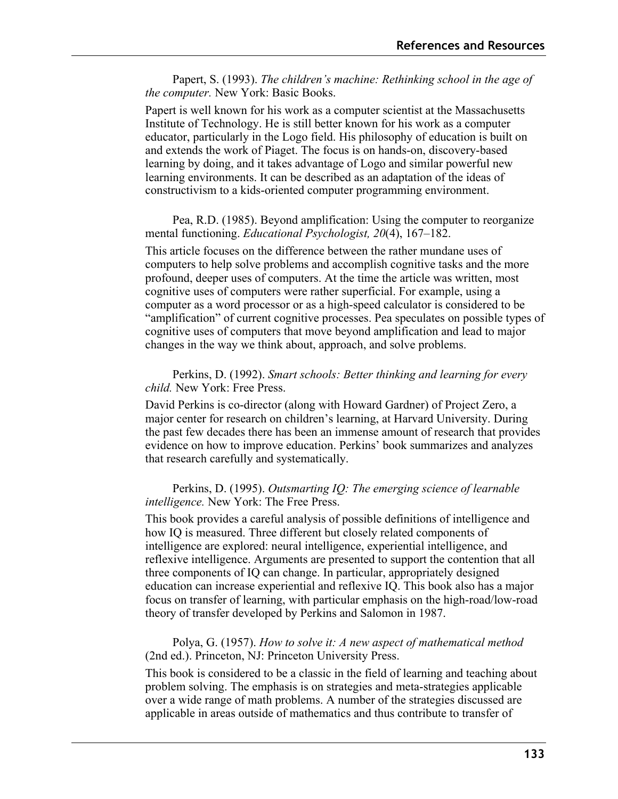Papert, S. (1993). *The children's machine: Rethinking school in the age of the computer.* New York: Basic Books.

Papert is well known for his work as a computer scientist at the Massachusetts Institute of Technology. He is still better known for his work as a computer educator, particularly in the Logo field. His philosophy of education is built on and extends the work of Piaget. The focus is on hands-on, discovery-based learning by doing, and it takes advantage of Logo and similar powerful new learning environments. It can be described as an adaptation of the ideas of constructivism to a kids-oriented computer programming environment.

Pea, R.D. (1985). Beyond amplification: Using the computer to reorganize mental functioning. *Educational Psychologist, 20*(4), 167–182.

This article focuses on the difference between the rather mundane uses of computers to help solve problems and accomplish cognitive tasks and the more profound, deeper uses of computers. At the time the article was written, most cognitive uses of computers were rather superficial. For example, using a computer as a word processor or as a high-speed calculator is considered to be "amplification" of current cognitive processes. Pea speculates on possible types of cognitive uses of computers that move beyond amplification and lead to major changes in the way we think about, approach, and solve problems.

## Perkins, D. (1992). *Smart schools: Better thinking and learning for every child.* New York: Free Press.

David Perkins is co-director (along with Howard Gardner) of Project Zero, a major center for research on children's learning, at Harvard University. During the past few decades there has been an immense amount of research that provides evidence on how to improve education. Perkins' book summarizes and analyzes that research carefully and systematically.

## Perkins, D. (1995). *Outsmarting IQ: The emerging science of learnable intelligence.* New York: The Free Press.

This book provides a careful analysis of possible definitions of intelligence and how IQ is measured. Three different but closely related components of intelligence are explored: neural intelligence, experiential intelligence, and reflexive intelligence. Arguments are presented to support the contention that all three components of IQ can change. In particular, appropriately designed education can increase experiential and reflexive IQ. This book also has a major focus on transfer of learning, with particular emphasis on the high-road/low-road theory of transfer developed by Perkins and Salomon in 1987.

## Polya, G. (1957). *How to solve it: A new aspect of mathematical method*  (2nd ed.). Princeton, NJ: Princeton University Press.

This book is considered to be a classic in the field of learning and teaching about problem solving. The emphasis is on strategies and meta-strategies applicable over a wide range of math problems. A number of the strategies discussed are applicable in areas outside of mathematics and thus contribute to transfer of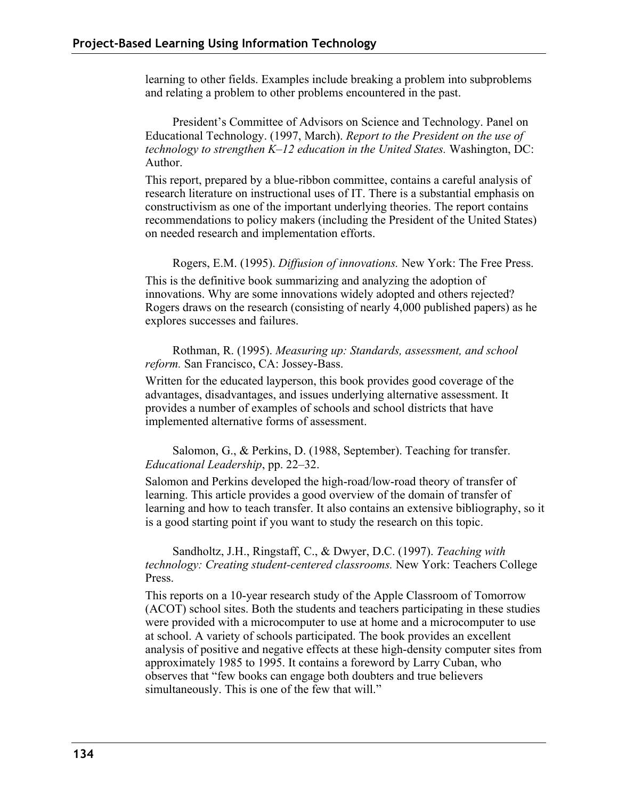learning to other fields. Examples include breaking a problem into subproblems and relating a problem to other problems encountered in the past.

President's Committee of Advisors on Science and Technology. Panel on Educational Technology. (1997, March). *Report to the President on the use of technology to strengthen K–12 education in the United States.* Washington, DC: Author.

This report, prepared by a blue-ribbon committee, contains a careful analysis of research literature on instructional uses of IT. There is a substantial emphasis on constructivism as one of the important underlying theories. The report contains recommendations to policy makers (including the President of the United States) on needed research and implementation efforts.

Rogers, E.M. (1995). *Diffusion of innovations.* New York: The Free Press. This is the definitive book summarizing and analyzing the adoption of innovations. Why are some innovations widely adopted and others rejected? Rogers draws on the research (consisting of nearly 4,000 published papers) as he explores successes and failures.

Rothman, R. (1995). *Measuring up: Standards, assessment, and school reform.* San Francisco, CA: Jossey-Bass.

Written for the educated layperson, this book provides good coverage of the advantages, disadvantages, and issues underlying alternative assessment. It provides a number of examples of schools and school districts that have implemented alternative forms of assessment.

Salomon, G., & Perkins, D. (1988, September). Teaching for transfer. *Educational Leadership*, pp. 22–32.

Salomon and Perkins developed the high-road/low-road theory of transfer of learning. This article provides a good overview of the domain of transfer of learning and how to teach transfer. It also contains an extensive bibliography, so it is a good starting point if you want to study the research on this topic.

Sandholtz, J.H., Ringstaff, C., & Dwyer, D.C. (1997). *Teaching with technology: Creating student-centered classrooms.* New York: Teachers College Press.

This reports on a 10-year research study of the Apple Classroom of Tomorrow (ACOT) school sites. Both the students and teachers participating in these studies were provided with a microcomputer to use at home and a microcomputer to use at school. A variety of schools participated. The book provides an excellent analysis of positive and negative effects at these high-density computer sites from approximately 1985 to 1995. It contains a foreword by Larry Cuban, who observes that "few books can engage both doubters and true believers simultaneously. This is one of the few that will."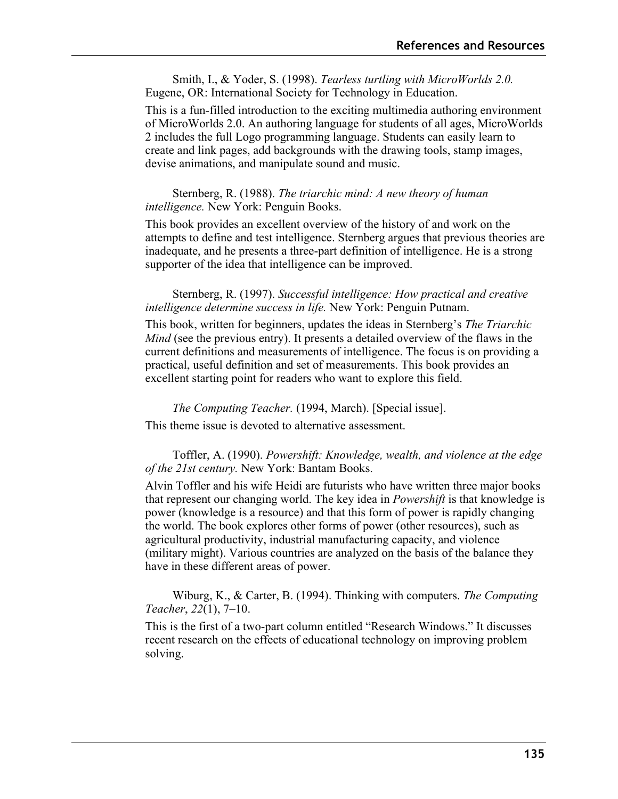Smith, I., & Yoder, S. (1998). *Tearless turtling with MicroWorlds 2.0.* Eugene, OR: International Society for Technology in Education.

This is a fun-filled introduction to the exciting multimedia authoring environment of MicroWorlds 2.0. An authoring language for students of all ages, MicroWorlds 2 includes the full Logo programming language. Students can easily learn to create and link pages, add backgrounds with the drawing tools, stamp images, devise animations, and manipulate sound and music.

Sternberg, R. (1988). *The triarchic mind: A new theory of human intelligence.* New York: Penguin Books.

This book provides an excellent overview of the history of and work on the attempts to define and test intelligence. Sternberg argues that previous theories are inadequate, and he presents a three-part definition of intelligence. He is a strong supporter of the idea that intelligence can be improved.

Sternberg, R. (1997). *Successful intelligence: How practical and creative intelligence determine success in life.* New York: Penguin Putnam.

This book, written for beginners, updates the ideas in Sternberg's *The Triarchic Mind* (see the previous entry). It presents a detailed overview of the flaws in the current definitions and measurements of intelligence. The focus is on providing a practical, useful definition and set of measurements. This book provides an excellent starting point for readers who want to explore this field.

*The Computing Teacher.* (1994, March). [Special issue].

This theme issue is devoted to alternative assessment.

Toffler, A. (1990). *Powershift: Knowledge, wealth, and violence at the edge of the 21st century.* New York: Bantam Books.

Alvin Toffler and his wife Heidi are futurists who have written three major books that represent our changing world. The key idea in *Powershift* is that knowledge is power (knowledge is a resource) and that this form of power is rapidly changing the world. The book explores other forms of power (other resources), such as agricultural productivity, industrial manufacturing capacity, and violence (military might). Various countries are analyzed on the basis of the balance they have in these different areas of power.

Wiburg, K., & Carter, B. (1994). Thinking with computers. *The Computing Teacher*, *22*(1), 7–10.

This is the first of a two-part column entitled "Research Windows." It discusses recent research on the effects of educational technology on improving problem solving.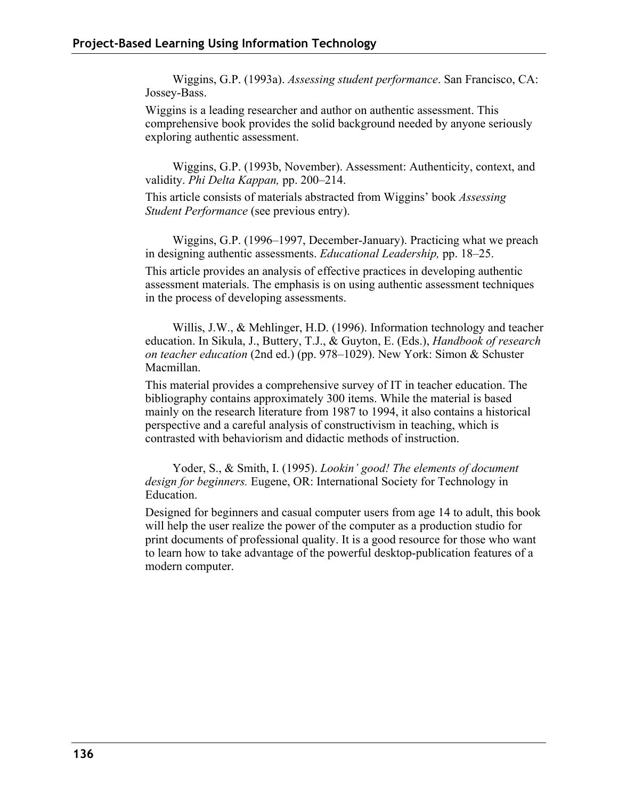Wiggins, G.P. (1993a). *Assessing student performance*. San Francisco, CA: Jossey-Bass.

Wiggins is a leading researcher and author on authentic assessment. This comprehensive book provides the solid background needed by anyone seriously exploring authentic assessment.

Wiggins, G.P. (1993b, November). Assessment: Authenticity, context, and validity. *Phi Delta Kappan,* pp. 200–214.

This article consists of materials abstracted from Wiggins' book *Assessing Student Performance* (see previous entry).

Wiggins, G.P. (1996–1997, December-January). Practicing what we preach in designing authentic assessments. *Educational Leadership,* pp. 18–25.

This article provides an analysis of effective practices in developing authentic assessment materials. The emphasis is on using authentic assessment techniques in the process of developing assessments.

Willis, J.W., & Mehlinger, H.D. (1996). Information technology and teacher education. In Sikula, J., Buttery, T.J., & Guyton, E. (Eds.), *Handbook of research on teacher education* (2nd ed.) (pp. 978–1029). New York: Simon & Schuster Macmillan.

This material provides a comprehensive survey of IT in teacher education. The bibliography contains approximately 300 items. While the material is based mainly on the research literature from 1987 to 1994, it also contains a historical perspective and a careful analysis of constructivism in teaching, which is contrasted with behaviorism and didactic methods of instruction.

Yoder, S., & Smith, I. (1995). *Lookin' good! The elements of document design for beginners.* Eugene, OR: International Society for Technology in Education.

Designed for beginners and casual computer users from age 14 to adult, this book will help the user realize the power of the computer as a production studio for print documents of professional quality. It is a good resource for those who want to learn how to take advantage of the powerful desktop-publication features of a modern computer.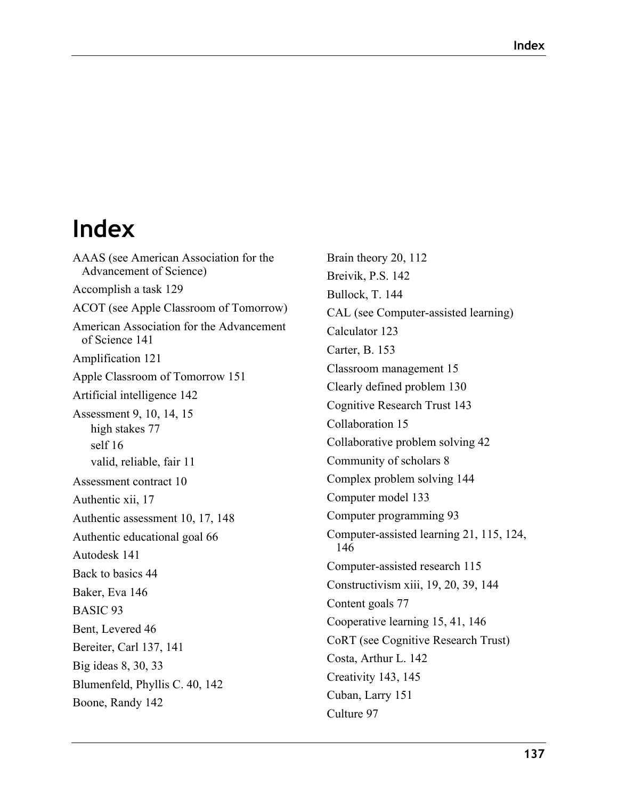# **Index**

AAAS (see American Association for the Advancement of Science) Accomplish a task 129 ACOT (see Apple Classroom of Tomorrow) American Association for the Advancement of Science 141 Amplification 121 Apple Classroom of Tomorrow 151 Artificial intelligence 142 Assessment 9, 10, 14, 15 high stakes 77 self 16 valid, reliable, fair 11 Assessment contract 10 Authentic xii, 17 Authentic assessment 10, 17, 148 Authentic educational goal 66 Autodesk 141 Back to basics 44 Baker, Eva 146 BASIC 93 Bent, Levered 46 Bereiter, Carl 137, 141 Big ideas 8, 30, 33 Blumenfeld, Phyllis C. 40, 142 Boone, Randy 142

Brain theory 20, 112 Breivik, P.S. 142 Bullock, T. 144 CAL (see Computer-assisted learning) Calculator 123 Carter, B. 153 Classroom management 15 Clearly defined problem 130 Cognitive Research Trust 143 Collaboration 15 Collaborative problem solving 42 Community of scholars 8 Complex problem solving 144 Computer model 133 Computer programming 93 Computer-assisted learning 21, 115, 124, 146 Computer-assisted research 115 Constructivism xiii, 19, 20, 39, 144 Content goals 77 Cooperative learning 15, 41, 146 CoRT (see Cognitive Research Trust) Costa, Arthur L. 142 Creativity 143, 145 Cuban, Larry 151 Culture 97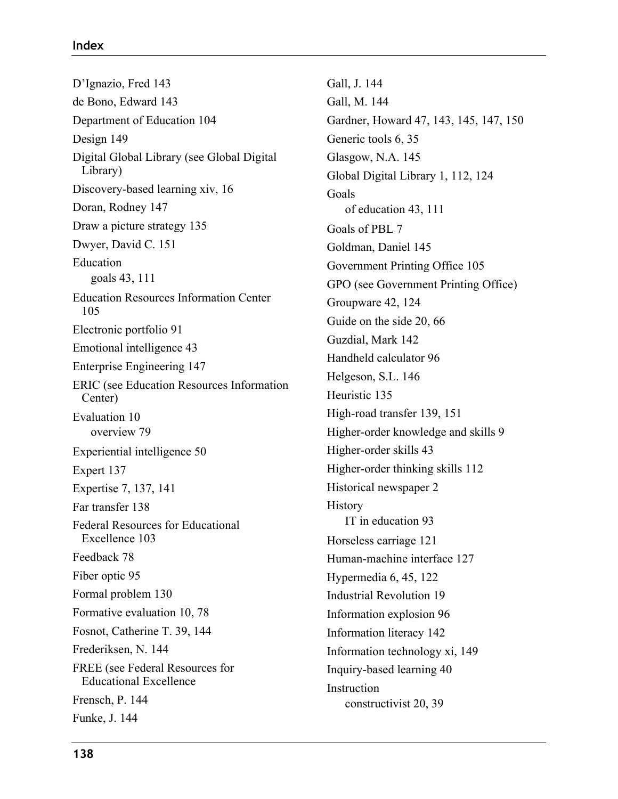D'Ignazio, Fred 143 de Bono, Edward 143 Department of Education 104 Design 149 Digital Global Library (see Global Digital Library) Discovery-based learning xiv, 16 Doran, Rodney 147 Draw a picture strategy 135 Dwyer, David C. 151 Education goals 43, 111 Education Resources Information Center 105 Electronic portfolio 91 Emotional intelligence 43 Enterprise Engineering 147 ERIC (see Education Resources Information Center) Evaluation 10 overview 79 Experiential intelligence 50 Expert 137 Expertise 7, 137, 141 Far transfer 138 Federal Resources for Educational Excellence 103 Feedback 78 Fiber optic 95 Formal problem 130 Formative evaluation 10, 78 Fosnot, Catherine T. 39, 144 Frederiksen, N. 144 FREE (see Federal Resources for Educational Excellence Frensch, P. 144 Funke, J. 144

Gall, J. 144 Gall, M. 144 Gardner, Howard 47, 143, 145, 147, 150 Generic tools 6, 35 Glasgow, N.A. 145 Global Digital Library 1, 112, 124 Goals of education 43, 111 Goals of PBL 7 Goldman, Daniel 145 Government Printing Office 105 GPO (see Government Printing Office) Groupware 42, 124 Guide on the side 20, 66 Guzdial, Mark 142 Handheld calculator 96 Helgeson, S.L. 146 Heuristic 135 High-road transfer 139, 151 Higher-order knowledge and skills 9 Higher-order skills 43 Higher-order thinking skills 112 Historical newspaper 2 **History** IT in education 93 Horseless carriage 121 Human-machine interface 127 Hypermedia 6, 45, 122 Industrial Revolution 19 Information explosion 96 Information literacy 142 Information technology xi, 149 Inquiry-based learning 40 Instruction constructivist 20, 39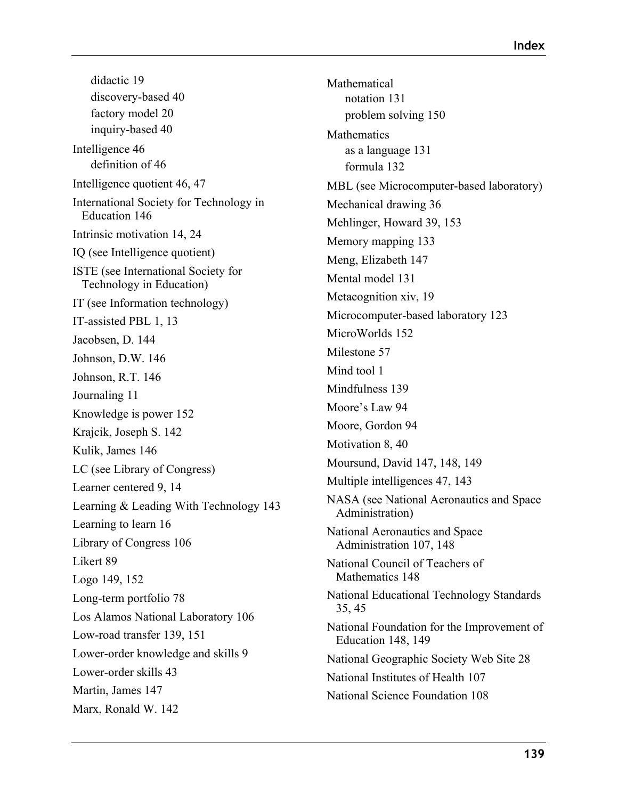didactic 19 discovery-based 40 factory model 20 inquiry-based 40 Intelligence 46 definition of 46 Intelligence quotient 46, 47 International Society for Technology in Education 146 Intrinsic motivation 14, 24 IQ (see Intelligence quotient) ISTE (see International Society for Technology in Education) IT (see Information technology) IT-assisted PBL 1, 13 Jacobsen, D. 144 Johnson, D.W. 146 Johnson, R.T. 146 Journaling 11 Knowledge is power 152 Krajcik, Joseph S. 142 Kulik, James 146 LC (see Library of Congress) Learner centered 9, 14 Learning & Leading With Technology 143 Learning to learn 16 Library of Congress 106 Likert 89 Logo 149, 152 Long-term portfolio 78 Los Alamos National Laboratory 106 Low-road transfer 139, 151 Lower-order knowledge and skills 9 Lower-order skills 43 Martin, James 147 Marx, Ronald W. 142

Mathematical notation 131 problem solving 150 **Mathematics** as a language 131 formula 132 MBL (see Microcomputer-based laboratory) Mechanical drawing 36 Mehlinger, Howard 39, 153 Memory mapping 133 Meng, Elizabeth 147 Mental model 131 Metacognition xiv, 19 Microcomputer-based laboratory 123 MicroWorlds 152 Milestone 57 Mind tool 1 Mindfulness 139 Moore's Law 94 Moore, Gordon 94 Motivation 8, 40 Moursund, David 147, 148, 149 Multiple intelligences 47, 143 NASA (see National Aeronautics and Space Administration) National Aeronautics and Space Administration 107, 148 National Council of Teachers of Mathematics 148 National Educational Technology Standards 35, 45 National Foundation for the Improvement of Education 148, 149 National Geographic Society Web Site 28 National Institutes of Health 107 National Science Foundation 108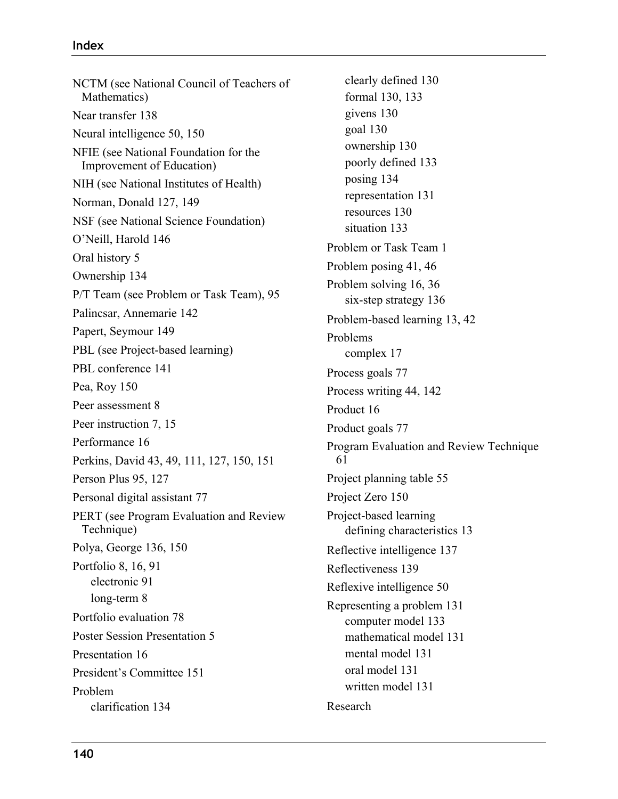NCTM (see National Council of Teachers of Mathematics) Near transfer 138 Neural intelligence 50, 150 NFIE (see National Foundation for the Improvement of Education) NIH (see National Institutes of Health) Norman, Donald 127, 149 NSF (see National Science Foundation) O'Neill, Harold 146 Oral history 5 Ownership 134 P/T Team (see Problem or Task Team), 95 Palincsar, Annemarie 142 Papert, Seymour 149 PBL (see Project-based learning) PBL conference 141 Pea, Roy 150 Peer assessment 8 Peer instruction 7, 15 Performance 16 Perkins, David 43, 49, 111, 127, 150, 151 Person Plus 95, 127 Personal digital assistant 77 PERT (see Program Evaluation and Review Technique) Polya, George 136, 150 Portfolio 8, 16, 91 electronic 91 long-term 8 Portfolio evaluation 78 Poster Session Presentation 5 Presentation 16 President's Committee 151 Problem clarification 134

clearly defined 130 formal 130, 133 givens 130 goal 130 ownership 130 poorly defined 133 posing 134 representation 131 resources 130 situation 133 Problem or Task Team 1 Problem posing 41, 46 Problem solving 16, 36 six-step strategy 136 Problem-based learning 13, 42 Problems complex 17 Process goals 77 Process writing 44, 142 Product 16 Product goals 77 Program Evaluation and Review Technique 61 Project planning table 55 Project Zero 150 Project-based learning defining characteristics 13 Reflective intelligence 137 Reflectiveness 139 Reflexive intelligence 50 Representing a problem 131 computer model 133 mathematical model 131 mental model 131 oral model 131 written model 131 Research